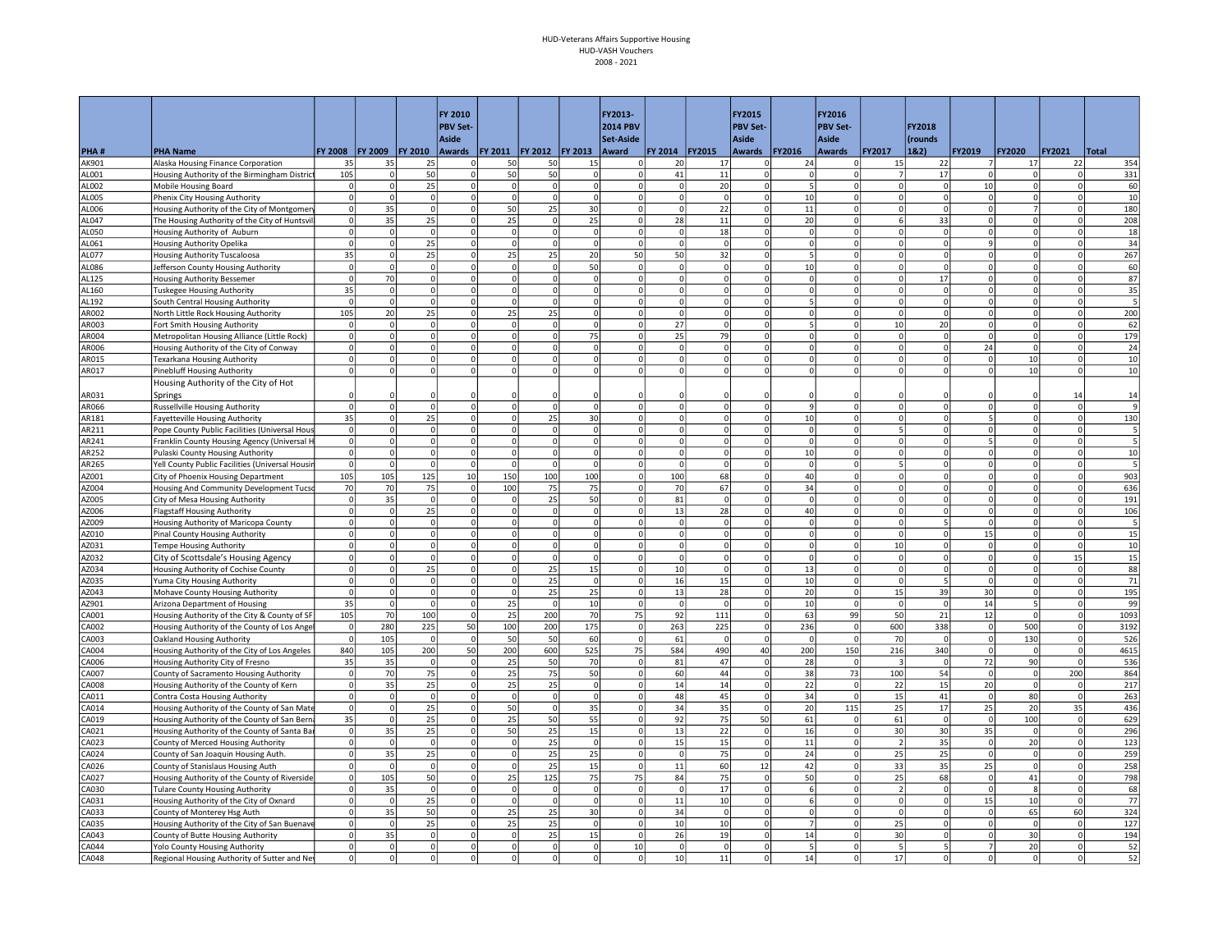|                |                                                                                    |                               |                             |                                  | FY 2010                 |                             |                      |                   | FY2013-              |                        |                                | <b>FY2015</b>              |                | FY2016                     |                          |                          |                          |                 |                                  |              |
|----------------|------------------------------------------------------------------------------------|-------------------------------|-----------------------------|----------------------------------|-------------------------|-----------------------------|----------------------|-------------------|----------------------|------------------------|--------------------------------|----------------------------|----------------|----------------------------|--------------------------|--------------------------|--------------------------|-----------------|----------------------------------|--------------|
|                |                                                                                    |                               |                             |                                  | <b>PBV Set-</b>         |                             |                      |                   | <b>2014 PBV</b>      |                        |                                | <b>PBV Set-</b>            |                | <b>PBV Set-</b>            |                          | FY2018                   |                          |                 |                                  |              |
| PHA#           | <b>PHA Name</b>                                                                    |                               | FY 2008   FY 2009   FY 2010 |                                  | Aside<br>Awards         | FY 2011   FY 2012   FY 2013 |                      |                   | Set-Aside<br>Award   | FY 2014 FY2015         |                                | <b>Aside</b><br>Awards     | <b>FY2016</b>  | <b>Aside</b><br>Awards     | <b>FY2017</b>            | (rounds<br>18.2)         | FY2019                   | <b>FY2020</b>   | <b>FY2021</b>                    | Total        |
| AK901          | Alaska Housing Finance Corporation                                                 | 35                            | 35                          | 25                               | $\Omega$                | 50                          | 50                   | 15                | ΩI                   | 20                     | 17                             |                            | 24             | 0                          | 15                       | 22                       | $\overline{7}$           | 17              | 22                               | 354          |
| AL001          | Housing Authority of the Birmingham District                                       | 105                           | $\mathbf 0$                 | 50                               | $\mathbf 0$             | 50                          | 50                   | $\mathbf 0$       | $\Omega$             | $41\,$                 | 11                             | $\mathbf 0$                | $\Omega$       | $\overline{0}$             | $\overline{7}$           | 17                       | $\Omega$                 |                 | 0                                | 331          |
| AL002          | Mobile Housing Board                                                               | $\circ$                       | 0                           | 25                               | $\Omega$                | $\mathbf 0$                 | $\Omega$             | $\Omega$          | $\mathbf 0$          | $\mathsf{o}$           | 20                             | $\Omega$                   | 5              | $\overline{0}$             | $\mathsf 0$              | 0                        | 10                       | $\Omega$        | 0                                | 60           |
| AL005          | Phenix City Housing Authority                                                      | $\circ$                       | $\overline{0}$              | $\overline{0}$                   | $\Omega$                | $\Omega$                    | $\Omega$             | $\Omega$          | $\Omega$             | $\Omega$               | $\circ$                        | $\Omega$                   | 10             | $\overline{0}$             | $\mathbf 0$              | 0                        | $\Omega$                 | $\Omega$        | $\Omega$                         | 10           |
| AL006          | Housing Authority of the City of Montgomen                                         | $\circ$                       | 35                          | $\circ$                          | $\Omega$                | 50                          | 25                   | 30                | $\Omega$             | $\mathbf 0$            | 22                             | $\Omega$                   | 11             | $\Omega$                   | $\Omega$                 | $\circ$                  | $\overline{0}$           |                 | $\Omega$                         | 180          |
| AL047          | The Housing Authority of the City of Huntsv                                        | $\circ$                       | 35                          | 25                               | $\Omega$                | 25                          | $\Omega$             | 25                | $\Omega$             | 28                     | 11                             | $\Omega$                   | 20             | 0                          | 6                        | 33                       | $\mathbf{0}$             |                 | $\circ$                          | 208          |
| AL050          | Housing Authority of Auburn                                                        | $\mathbf 0$                   | $\circ$                     | $\mathsf{o}$                     | $\Omega$                | $\Omega$                    | $\Omega$             | $\Omega$          | $\Omega$             | $\mathbf 0$            | 18                             | $\Omega$                   | $\Omega$       | $\overline{0}$             | $\Omega$                 | $\Omega$                 | $\Omega$                 |                 | $\Omega$                         | 18           |
| AL061          | Housing Authority Opelika                                                          | $\pmb{0}$                     | $\circ$                     | 25                               | $\Omega$                | $\Omega$                    |                      | $\Omega$          | $\Omega$             | $\Omega$               | $\mathbf{0}$                   | $\Omega$                   | $\Omega$       | $\overline{0}$             | $\Omega$                 | $\Omega$                 | q                        |                 | $\Omega$                         | 34           |
| AL077          | <b>Housing Authority Tuscaloosa</b>                                                | 35                            | $\overline{0}$              | 25                               | $\Omega$                | 25                          | 25                   | 20                | 50                   | 50                     | 32                             | $\Omega$                   |                | $\Omega$                   | $\Omega$                 | $\Omega$                 | $\Omega$                 |                 | $\Omega$                         | 267          |
| AL086          | Jefferson County Housing Authority                                                 | $\mathbf 0$<br>$\overline{0}$ | $\overline{0}$              | $\overline{0}$<br>$\overline{0}$ | $\Omega$                | 0<br>$\mathbf 0$            | $\Omega$             | 50<br>$\mathbf 0$ | $\Omega$<br>$\Omega$ | $\circ$<br>$\mathbf 0$ | $\overline{0}$<br>$\mathbf{0}$ | $\Omega$                   | 10             | $\Omega$<br>$\overline{0}$ | $\Omega$<br>$\Omega$     | 0                        | $\Omega$                 |                 | $\overline{0}$<br>$\overline{0}$ | 60<br>87     |
| AL125<br>AL160 | Housing Authority Bessemer                                                         | 35                            | 70<br>$\Omega$              | $\Omega$                         | $\mathbf 0$<br>$\Omega$ | $\Omega$                    | $\Omega$<br>$\Omega$ | $\Omega$          | $\Omega$             | $\Omega$               | $\Omega$                       | $\mathbf 0$<br>$\Omega$    | $\Omega$       | $\overline{0}$             | $\Omega$                 | 17<br>$\Omega$           | $\mathbf{0}$<br>$\Omega$ |                 | $\Omega$                         |              |
| AL192          | <b>Tuskegee Housing Authority</b><br>South Central Housing Authority               | 0                             | $\overline{0}$              | $\mathbf{0}$                     | $\mathbf 0$             | $\mathbf 0$                 | $\Omega$             | $\mathbf 0$       | $\Omega$             | $\mathbf 0$            | $\mathbf{0}$                   | $\mathbf 0$                |                | $\Omega$                   | $^{\circ}$               |                          | $\mathbf{0}$             | $\Omega$        | $\Omega$                         | 35           |
| AR002          | North Little Rock Housing Authority                                                | 105                           | 20                          | 25                               | $\Omega$                | 25                          | 25                   | $\Omega$          | $\Omega$             | 0                      | $\Omega$                       | $\overline{0}$             | $\Omega$       | $\Omega$                   | $\Omega$                 | 0                        | $\mathbf{0}$             | $\Omega$        | $\circ$                          | 200          |
| AR003          | Fort Smith Housing Authority                                                       | $\mathbf 0$                   | $\Omega$                    | $\mathbf{0}$                     |                         | $\mathbf 0$                 |                      | $\mathbf 0$       | $\Omega$             | 27                     | $\overline{0}$                 | $\mathbf 0$                |                | $\overline{0}$             | 10                       | 20                       | $\mathbf{0}$             |                 | $\overline{0}$                   | 62           |
| AR004          | Metropolitan Housing Alliance (Little Rock)                                        | $\pmb{0}$                     | $\Omega$                    | $\circ$                          | $\Omega$                | $\Omega$                    | $\Omega$             | 75                | $\Omega$             | 25                     | 79                             | $\Omega$                   |                | $\Omega$                   | $\Omega$                 | $\Omega$                 | $\Omega$                 |                 | $\Omega$                         | 179          |
| AR006          | Housing Authority of the City of Conway                                            | $\pmb{0}$                     | $\Omega$                    | $\Omega$                         | $\Omega$                | $\circ$                     | $\Omega$             | $\Omega$          | $\Omega$             | $\Omega$               | $\overline{0}$                 | $\Omega$                   | $\Omega$       | $\overline{0}$             | $\Omega$                 |                          | 24                       | $\Omega$        | $\Omega$                         | 24           |
| AR015          | Texarkana Housing Authority                                                        | $\circ$                       | $\Omega$                    | $\overline{0}$                   | $\Omega$                | 0                           | $\Omega$             | 0                 | $\Omega$             | $\circ$                | $\Omega$                       | $\Omega$                   | $\Omega$       | $\Omega$                   | $\Omega$                 | 0                        | $\Omega$                 | 10              | $\overline{0}$                   | 10           |
| AR017          | <b>Pinebluff Housing Authority</b>                                                 | $\mathbf 0$                   | $\overline{0}$              | $\Omega$                         | $\mathbf 0$             | <sup>o</sup>                | $\overline{0}$       | $\Omega$          | <sub>0</sub>         | $\circ$                | $\mathbf{0}$                   | $\Omega$                   | $\circ$        | $\overline{0}$             | $\Omega$                 | $\Omega$                 | $\Omega$                 | 10              | $\Omega$                         | 10           |
|                | Housing Authority of the City of Hot                                               |                               |                             |                                  |                         |                             |                      |                   |                      |                        |                                |                            |                |                            |                          |                          |                          |                 |                                  |              |
| AR031          | Springs                                                                            | $\Omega$                      |                             |                                  |                         |                             |                      |                   |                      |                        |                                |                            |                | $\Omega$                   |                          |                          |                          |                 | 14                               | 14           |
| AR066          | <b>Russellville Housing Authority</b>                                              | $\mathbf 0$                   | 0                           | $\circ$                          | $\Omega$                | $\Omega$                    | $\Omega$             | $\Omega$          | $\Omega$             | $\Omega$               | $\mathbf{0}$                   | $\Omega$                   | $\mathbf{q}$   | $\Omega$                   | $\Omega$                 | <sup>o</sup>             | $\mathbf{0}$             | $\Omega$        | $\circ$                          | $\mathbf{q}$ |
| AR181          | <b>Fayetteville Housing Authority</b>                                              | 35                            | $\overline{0}$              | 25                               | $\Omega$                | $\mathbf 0$                 | 25                   | 30                | $\Omega$             | $\Omega$               | $\Omega$                       | $\Omega$                   | 10             | $\overline{0}$             | $\Omega$                 | $\Omega$                 | 5                        |                 | $\circ$                          | 130          |
| AR211          | Pope County Public Facilities (Universal Hous                                      | $\circ$                       | $\overline{0}$              | $\Omega$                         | $\Omega$                | $\Omega$                    | $\Omega$             | $\Omega$          | $\Omega$             | $\Omega$               | $\Omega$                       | $\Omega$                   | $\Omega$       | $\overline{0}$             | 5                        | $\Omega$                 | $\Omega$                 | $\Omega$        | $\Omega$                         |              |
| AR241          | Franklin County Housing Agency (Universal H                                        | $\circ$                       | $\overline{0}$              | $\Omega$                         | $\Omega$                | $\mathbf 0$                 | $\Omega$             | $\Omega$          | $\Omega$             | $\Omega$               | $\Omega$                       | $\Omega$                   | $\Omega$       | 0                          | $\Omega$                 | $\Omega$                 | 5                        |                 | $\Omega$                         |              |
| AR252          | Pulaski County Housing Authority                                                   | $\mathbf 0$                   | $\overline{0}$              | $\overline{0}$                   | $\Omega$                | $\Omega$                    | $\Omega$             | $\Omega$          | $\Omega$             | $\circ$                | $\overline{0}$                 | $\Omega$                   | 10             | $\overline{0}$             | $\Omega$                 | $\Omega$                 | $\Omega$                 |                 | $\circ$                          | 10           |
| AR265          | Yell County Public Facilities (Universal Housir                                    | 0                             | $\mathbf{0}$                | $\mathsf{O}$                     | $\Omega$                | $\Omega$                    |                      | $\mathbf 0$       | $\Omega$             | $\Omega$               | $\circ$                        | $\mathbf 0$                | $\Omega$       | $\overline{0}$             | 5                        | $\Omega$                 | $\Omega$                 |                 | 0                                |              |
| AZ001          | City of Phoenix Housing Department                                                 | 105                           | 105                         | 125                              | 10                      | 150                         | 100                  | 100               | $\Omega$             | 100                    | 68                             | $\Omega$                   | 40             | $\overline{0}$             | $\Omega$                 | $\Omega$                 | $\Omega$                 |                 | $\Omega$                         | 903          |
| AZ004          | Housing And Community Development Tucso                                            | 70                            | 70                          | 75                               | $\mathbf 0$             | 100                         | 75                   | 75                | $\mathbf 0$          | 70                     | 67                             | $\mathbf 0$                | 34             | $\Omega$                   | $^{\circ}$               |                          | $\mathbf{O}$             | 0               | $\Omega$                         | 636          |
| AZ005          | City of Mesa Housing Authority                                                     | $\circ$<br>$\mathbf 0$        | 35<br>$\mathbf 0$           | $\circ$                          | $\Omega$                | $\Omega$<br>$\mathbf 0$     | 25                   | 50<br>$\mathbf 0$ | $\Omega$<br>$\Omega$ | 81                     | $\circ$                        | $\Omega$<br>$\mathbf 0$    | $\Omega$       | $\Omega$<br>$\overline{0}$ | $\Omega$                 | $\Omega$                 | $\Omega$                 |                 | $\circ$<br>$\overline{0}$        | 191          |
| AZ006<br>AZ009 | <b>Flagstaff Housing Authority</b>                                                 | $\circ$                       | $\overline{0}$              | 25<br>$\overline{0}$             | $\mathbf 0$<br>$\Omega$ | $\Omega$                    | $\Omega$             | $\Omega$          | $\Omega$             | 13<br>$\Omega$         | 28<br>$\Omega$                 | $\Omega$                   | 40<br>$\Omega$ | $\overline{0}$             | $\mathbf 0$              |                          | 0<br>$\Omega$            |                 | $\Omega$                         | 106          |
| AZ010          | Housing Authority of Maricopa County<br>Pinal County Housing Authority             | $\Omega$                      | $\Omega$                    | $\circ$                          | $\Omega$                | $\Omega$                    |                      | $\Omega$          | $\Omega$             | $\Omega$               | $\overline{0}$                 | $\Omega$                   | $\Omega$       | $\overline{0}$             | $\Omega$                 |                          | 15                       |                 | $\Omega$                         | 15           |
| AZ031          | <b>Tempe Housing Authority</b>                                                     | $\overline{0}$                | $\Omega$                    | $\overline{0}$                   | $\Omega$                | 0                           | $\Omega$             | $\Omega$          | $\Omega$             | $\circ$                | $\overline{0}$                 | $\Omega$                   | $\Omega$       | $\overline{0}$             | 10                       | 0                        | $\Omega$                 | $\Omega$        | $\circ$                          | 10           |
| AZ032          | City of Scottsdale's Housing Agency                                                | $\mathbf 0$                   | $\Omega$                    | $\Omega$                         | $\Omega$                | $\Omega$                    | $\Omega$             | $\Omega$          | $\Omega$             | $\Omega$               | $\circ$                        | $\Omega$                   | $\overline{0}$ | $\overline{0}$             | $\Omega$                 | $\circ$                  | $\Omega$                 |                 | 15                               | 15           |
| AZ034          | Housing Authority of Cochise County                                                | $\mathbf 0$                   | 0                           | 25                               | $\Omega$                | $\circ$                     | 25                   | 15                | $\Omega$             | 10                     | $\Omega$                       | $\Omega$                   | 13             | $\overline{0}$             | $\mathbf{0}$             | 0                        | $\circ$                  | $\Omega$        | $\circ$                          | 88           |
| AZ035          | Yuma City Housing Authority                                                        | $\mathbf 0$                   | $\mathbf{0}$                | $\overline{0}$                   | $\Omega$                | $\mathbf 0$                 | 25                   | $\Omega$          | $\Omega$             | 16                     | 15                             | $\Omega$                   | 10             | $\Omega$                   | $\Omega$                 | 5                        | $\overline{0}$           |                 | $\Omega$                         | 71           |
| AZ043          | Mohave County Housing Authority                                                    | 0                             | $\mathfrak{0}$              | $\circ$                          | $\Omega$                | $\Omega$                    | 25                   | 25                | $\Omega$             | 13                     | 28                             | $\Omega$                   | 20             | 0                          | 15                       | 39                       | 30 <sup>1</sup>          |                 | $\circ$                          | 195          |
| AZ901          | Arizona Department of Housing                                                      | 35                            | $\circ$                     | $\mathsf{o}$                     | $\Omega$                | 25                          | $\Omega$             | 10                | $\mathbf 0$          | $\mathbf 0$            | $\mathbf 0$                    | $\Omega$                   | 10             | $\overline{0}$             | $\Omega$                 | $\Omega$                 | 14                       |                 | $\Omega$                         | 99           |
| CA001          | Housing Authority of the City & County of SF                                       | 105                           | 70                          | 100                              | $\Omega$                | 25                          | 200                  | 70                | 75                   | 92                     | 111                            | $\Omega$                   | 63             | 99                         | 50                       | 21                       | 12                       |                 | $\Omega$                         | 1093         |
| CA002          | Housing Authority of the County of Los Ange                                        | 0                             | 280                         | 225                              | 50                      | 100                         | 200                  | 175               | $\mathbf 0$          | 263                    | 225                            | $\mathbf 0$                | 236            | 0                          | 600                      | 338                      | $\mathbf 0$              | 500             | $\Omega$                         | 3192         |
| CA003          | Oakland Housing Authority                                                          | $\Omega$                      | 105                         | $\overline{0}$                   | $\Omega$                | 50                          | 50                   | 60                | $\Omega$             | 61                     | $\mathbf{0}$                   | $\Omega$                   | $\Omega$       | 0                          | 70                       | $\Omega$                 | $\overline{0}$           | 130             | $\mathbf{0}$                     | 526          |
| CA004          | Housing Authority of the City of Los Angeles                                       | 840                           | 105                         | 200                              | 50                      | 200                         | 600                  | 525               | 75                   | 584                    | 490                            | 40                         | 200            | 150                        | 216                      | 340                      | $\mathbf 0$              |                 | $\circ$                          | 4615         |
| CA006          | Housing Authority City of Fresno                                                   | 35                            | 35                          | $\overline{0}$                   | $\Omega$                | 25                          | 50                   | 70                | $\Omega$             | 81                     | 47                             | $\Omega$                   | 28             | 0                          | $\mathbf{3}$             | $\Omega$                 | 72                       | 90              | $\Omega$                         | 536          |
| CA007          | County of Sacramento Housing Authority                                             | $\pmb{0}$                     | 70                          | 75                               | $\mathbf 0$             | 25                          | 75                   | 50                | $\mathbf 0$          | 60                     | 44                             | $\mathbf 0$                | 38             | 73                         | 100                      | 54                       | $\mathbf 0$              | $\mathbf 0$     | 200                              | 864          |
| CA008          | Housing Authority of the County of Kern                                            | $\circ$                       | 35                          | 25                               | $\mathbf 0$             | 25                          | 25                   | $\mathbf 0$       | $\Omega$<br>$\Omega$ | 14                     | 14                             | $\circ$                    | 22             | 0                          | 22                       | 15                       | 20                       | $\mathbf 0$     | 0                                | 217          |
| CA011          | Contra Costa Housing Authority                                                     | $\overline{0}$                | $\Omega$<br>$\overline{0}$  | $\mathsf{o}$                     | $\Omega$<br>$\Omega$    | $\Omega$<br>50 <sup>1</sup> | $\Omega$<br>$\Omega$ | $\mathbf 0$       | $\Omega$             | 48<br>34               | 45<br>35                       | $\mathbf 0$<br>$\mathbf 0$ | 34<br>20       | $\overline{0}$<br>115      | 15                       | 41                       | $\Omega$                 | 80<br>20        | $\overline{0}$                   | 263          |
| CA014          | Housing Authority of the County of San Mate                                        | $\overline{0}$<br>35          |                             | 25<br>25                         | $\Omega$                |                             |                      | 35<br>55          | $\Omega$             |                        |                                |                            |                |                            | 25                       | 17<br>$\Omega$           | 25<br>$\overline{0}$     |                 | 35                               | 436<br>629   |
| CA019<br>CA021 | Housing Authority of the County of San Berna                                       | $\circ$                       | $\circ$<br>35               | 25                               | $\Omega$                | 25<br>50 <sup>1</sup>       | 50<br>25             | 15                | <sub>0</sub>         | 92<br>13               | 75<br>22                       | 50<br>$\mathbf 0$          | 61<br>16       | $\Omega$<br> 0             | 61<br>30                 | 30 <sup>1</sup>          | 35                       | 100<br>$\Omega$ | 0 <br>$\circ$                    | 296          |
| CA023          | Housing Authority of the County of Santa Bar<br>County of Merced Housing Authority | $\mathbf 0$                   | $\Omega$                    | $\mathbf{0}$                     | $\Omega$                | $\circ$                     | 25                   | $\circ$           | <sub>0</sub>         | 15                     | 15                             | $\mathsf{o}$               | 11             | $\overline{0}$             | $\overline{\phantom{a}}$ | 35                       | $\circ$                  | 20              | 0                                | 123          |
| CA024          | County of San Joaquin Housing Auth.                                                | $\circ$                       | 35                          | 25                               | $\Omega$                | <sup>o</sup>                | 25                   | 25                | $\mathbf 0$          | $\mathbf{0}$           | 75                             | $\mathbf 0$                | 24             | $\circ$                    | 25                       | 25                       | <sub>0</sub>             | $\Omega$        | $\circ$                          | 259          |
| CA026          | County of Stanislaus Housing Auth                                                  | $\circ$                       | $\Omega$                    | $\mathbf{0}$                     | $\Omega$                | $\Omega$                    | 25                   | 15                | $\Omega$             | 11                     | 60                             | 12                         | 42             | 0                          | 33                       | 35                       | 25                       | $\mathbf 0$     | $\Omega$                         | 258          |
| CA027          | Housing Authority of the County of Riverside                                       | $\circ$                       | 105                         | 50                               | $\Omega$                | 25                          | 125                  | 75                | 75                   | 84                     | 75                             | $\circ$                    | 50             | $\circ$                    | 25                       | 68                       | $\mathbf{0}$             | 41              | $\mathbf{0}$                     | 798          |
| CA030          | <b>Tulare County Housing Authority</b>                                             | $\pmb{0}$                     | 35                          | $\circ$                          | $\Omega$                | $\mathbf 0$                 | $\Omega$             | $\mathbf 0$       | $\Omega$             | $\mathbf 0$            | 17                             | $\mathbf 0$                | 6              | $\overline{0}$             | $\overline{\phantom{a}}$ | 0                        | $\circ$                  |                 | $\circ$                          | 68           |
| CA031          | Housing Authority of the City of Oxnard                                            | $\circ$                       | $\circ$                     | 25                               | $\Omega$                | $\mathbf 0$                 | $\Omega$             | $\mathbf 0$       | $\mathbf 0$          | 11                     | 10                             | $\mathbf 0$                | 6              | $\overline{0}$             | $\mathbf 0$              | 0                        | 15                       | 10              | 0                                | 77           |
| CA033          | County of Monterey Hsg Auth                                                        | $\circ$                       | 35                          | 50                               | $\mathbf 0$             | 25                          | 25                   | 30                | $\Omega$             | 34                     | $\mathbf{0}$                   | $\mathbf 0$                | $\Omega$       | $\overline{0}$             | $\mathbf 0$              | $\Omega$                 | $\Omega$                 | 65              | 60                               | 324          |
| CA035          | Housing Authority of the City of San Buenave                                       | $\circ$                       | $\circ$                     | 25                               | $\mathbf 0$             | 25                          | 25                   | $\circ$           | $\Omega$             | 10                     | 10 <sup>1</sup>                | $\Omega$                   | $\overline{7}$ | 0                          | 25                       | 0                        | $\circ$                  | $\mathbf 0$     | 0                                | 127          |
| CA043          | County of Butte Housing Authority                                                  | $\circ$                       | 35                          | $\overline{0}$                   | $\Omega$                | $\circ$                     | 25                   | 15                | $\circ$              | $26\,$                 | 19                             | $\mathbf 0$                | 14             | $\overline{0}$             | 30                       | 0                        | $\circ$                  | 30              | 0                                | 194          |
| CA044          | Yolo County Housing Authority                                                      | $\overline{0}$                | 0                           | $\circ$                          | $\Omega$                | $\Omega$                    | $\Omega$             | $\Omega$          | 10                   | $\Omega$               | $\circ$                        | $\Omega$                   | 5              | $\overline{0}$             | 5                        | $\overline{\phantom{a}}$ | $\overline{7}$           | 20              | 0                                | 52           |
| CA048          | Regional Housing Authority of Sutter and Nev                                       | $\pmb{0}$                     | $\Omega$                    | $\Omega$                         | $\Omega$                | $\Omega$                    |                      | $\Omega$          | $\Omega$             | 10                     | 11                             | $\Omega$                   | 14             | $\overline{0}$             | 17                       |                          | $\Omega$                 | $\Omega$        | $\Omega$                         | 52           |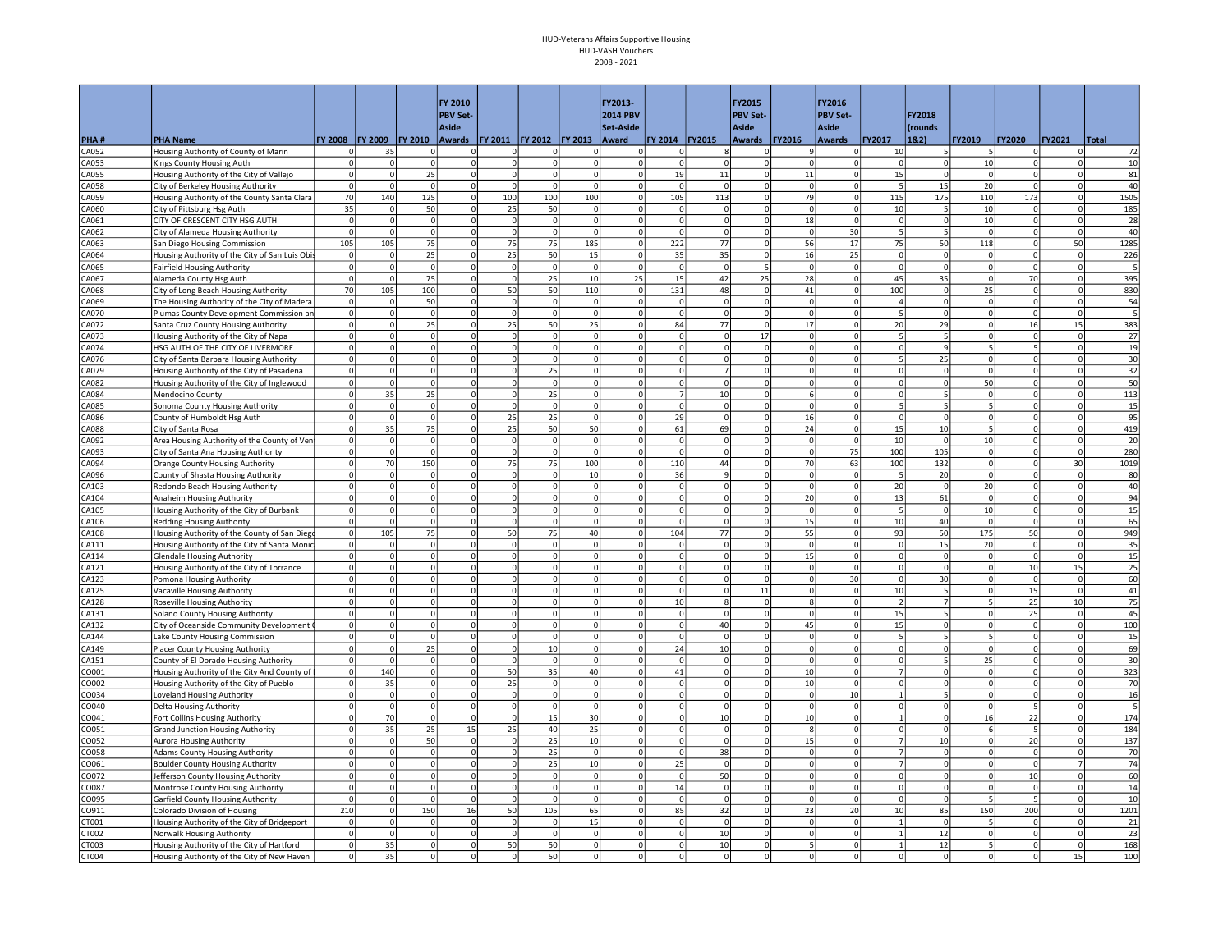| <b>PBV Set-</b><br><b>2014 PBV</b><br><b>PBV Set-</b><br>FY2018<br>Aside<br><b>Aside</b><br>Aside<br>Set-Aside<br><i><u><b>frounds</b></u></i><br><b>FY 2008</b><br><b>FY 2009</b><br><b>FY 2010</b><br><b>FY 2013</b><br>FY 2014 FY2015<br><b>FY2017</b><br>1&2)<br>PHA#<br><b>PHA Name</b><br>Awards   FY 2011   FY 2012<br>Award<br>Awards<br><b>FY2016</b><br>Awards<br>FY2019<br><b>FY2020</b><br><b>FY2021</b><br>Total<br>CA052<br>Housing Authority of County of Marin<br>35<br>$\mathbf 0$<br>$\circ$<br>10<br>72<br>$\Omega$<br>$\Omega$<br>οI<br>οI<br>$\Omega$<br>$^{\circ}$<br> 0 <br>5<br>$\Omega$<br>8<br>10<br>CA053<br>Kings County Housing Auth<br>$\mathbf 0$<br>$\overline{0}$<br>$\mathbf 0$<br>$\mathbf 0$<br>$\Omega$<br>$\Omega$<br>$\overline{0}$<br>10<br>0<br>$\Omega$<br>$\Omega$<br>$\Omega$<br>$\Omega$<br>$\Omega$<br>0<br>CA055<br>Housing Authority of the City of Vallejo<br>$\Omega$<br>25<br>$\Omega$<br>$\overline{0}$<br>$\Omega$<br>0<br>19<br>11<br>$\Omega$<br>11<br>$\Omega$<br>15<br>$\Omega$<br>$\Omega$<br>$\circ$<br>81<br>$\Omega$<br>$\Omega$<br>$\Omega$<br>$\overline{0}$<br>20<br>40<br>CA058<br>$\Omega$<br>$\Omega$<br>$\Omega$<br>$\Omega$<br>$\Omega$<br>$\mathbf 0$<br>5<br>15<br>$\circ$<br>$\mathbf 0$<br>$\Omega$<br>$\Omega$<br>$\Omega$<br>$\mathbf 0$<br>City of Berkeley Housing Authority<br>$\Omega$<br>$\Omega$<br>100<br>105<br>173<br>1505<br>CA059<br>Housing Authority of the County Santa Clara<br>70<br>140<br>125<br>$\mathbf 0$<br>100<br>100<br>113<br>$\circ$<br>79<br>$\Omega$<br>115<br>175<br>110<br>$\circ$<br>$\Omega$<br>35<br>25<br>50<br>185<br>CA060<br>50<br>$\mathbf 0$<br> 0 <br>$\mathbf 0$<br> 0 <br>10<br>10<br>$\Omega$<br>City of Pittsburg Hsg Auth<br>$\mathbf 0$<br>5<br>$\Omega$<br>$\Omega$<br>$\Omega$<br>$\Omega$<br>$\Omega$<br>CA061<br>CITY OF CRESCENT CITY HSG AUTH<br>$\circ$<br>$\Omega$<br>$\circ$<br> 0 <br>$\Omega$<br>ol<br>$\mathbf{0}$<br>18<br> 0 <br>$\mathbf{0}$<br>10<br>$\circ$<br>28<br>$\Omega$<br>$\Omega$<br>$\Omega$<br>$\Omega$<br>$\Omega$<br>$\Omega$<br>$\Omega$<br>$\Omega$<br>$\Omega$<br>$\Omega$<br><sub>0</sub><br>$\Omega$<br>$\Omega$<br>30<br>$\overline{\phantom{a}}$<br>$\overline{\phantom{a}}$<br>$\Omega$<br> 0 <br>40<br>CA062<br>City of Alameda Housing Authority<br>$\Omega$<br>$\Omega$<br>$\Omega$<br>$\Omega$<br>$\Omega$<br>105<br>75<br>185<br>222<br>75<br>50<br>105<br>75<br>75<br>77<br>17<br>50<br>118<br>1285<br>CA063<br>$\mathbf 0$<br>$\mathbf 0$<br>56<br>San Diego Housing Commission<br>CA064<br>Housing Authority of the City of San Luis Obis<br>25<br>$\Omega$<br>25<br>50<br>15<br>35<br>35<br>$\Omega$<br>16<br>25<br>$\mathsf 0$<br>$\Omega$<br>$\circ$<br>226<br>$\circ$<br>$\Omega$<br>$\Omega$<br>$\Omega$<br>$\Omega$<br>$\mathbf 0$<br>5<br>CA065<br>$\Omega$<br>$\overline{0}$<br>$\overline{0}$<br> 0 <br>$\mathbf 0$<br>$\Omega$<br>$\mathbf 0$<br>$\mathbf{O}$<br>$\Omega$<br><b>Fairfield Housing Authority</b><br>$\Omega$<br>0<br>$\Omega$<br>$^{\circ}$<br>$\mathbf 0$<br>$\Omega$<br>0<br>CA067<br>75<br>$\overline{0}$<br>25<br>10<br>25<br>15<br>42<br>25<br>28<br>45<br>35<br>70<br>395<br>Alameda County Hsg Auth<br>$\circ$<br>$\Omega$<br>$\Omega$<br>$\Omega$<br>$\Omega$<br>$\Omega$<br>70<br>100<br>50<br>110<br>131<br>$\overline{0}$<br>100<br>25<br>830<br>105<br>$\mathbf 0$<br>50<br>48<br>$\mathbf 0$<br>41<br>$\Omega$<br>$\mathbf{0}$<br>CA068<br>City of Long Beach Housing Authority<br>$\Omega$<br>$\Omega$<br>50<br> 0 <br>CA069<br>$\circ$<br>$\mathbf 0$<br>$\circ$<br>$\circ$<br> 0 <br>$\mathbf 0$<br>$\overline{0}$<br>$\mathsf{O}$<br>$\overline{4}$<br>0<br>$\overline{0}$<br> 0 <br>54<br>The Housing Authority of the City of Madera<br>$\Omega$<br>$\Omega$<br>$\Omega$<br>$\Omega$<br>$\circ$<br>$\circ$<br>$\Omega$<br>$\Omega$<br>$\Omega$<br>$\Omega$<br>$\Omega$<br>$\Omega$<br>$\Omega$<br>5<br>$\Omega$<br>$\overline{0}$<br>$\circ$<br>CA070<br>Plumas County Development Commission an<br>$\Omega$<br>$\Omega$<br>$\Omega$<br>$\Omega$<br>$\Omega$<br>383<br>CA072<br>$\overline{0}$<br>25<br>25<br>50<br>25<br>84<br>77<br>$\Omega$<br>17<br>$\Omega$<br>20<br>29<br>$\mathbf{0}$<br>16<br>15<br>Santa Cruz County Housing Authority<br>$\Omega$<br>$\Omega$<br>$\Omega$<br>17<br>27<br>CA073<br>Housing Authority of the City of Napa<br>$\Omega$<br>$\Omega$<br>$\Omega$<br>$\Omega$<br><sub>0</sub><br>0<br>0<br>$\Omega$<br>$\Omega$<br>$\circ$<br>5<br>5<br>$\Omega$<br>$\Omega$<br>$\circ$<br>$\Omega$<br>$\Omega$<br>$\overline{\mathbf{0}}$<br>$\Omega$<br>$\overline{5}$<br>19<br>$\Omega$<br>$\Omega$<br> 0 <br>$\Omega$<br>$\mathbf 0$<br> 0 <br>CA074<br>HSG AUTH OF THE CITY OF LIVERMORE<br>$\Omega$<br> 0 <br>$\Omega$<br>$\Omega$<br>$\Omega$<br>$\alpha$<br>$\Omega$<br>$\Omega$<br>$\overline{0}$<br>30<br>$\mathbf 0$<br>$\mathbf 0$<br>$\overline{0}$<br>25<br>$\mathbf{0}$<br>$\overline{0}$<br>CA076<br>City of Santa Barbara Housing Authority<br>$\Omega$<br>$\Omega$<br>$\mathbf 0$<br>$\Omega$<br>$\mathbf 0$<br>$\Omega$<br>$\mathbf 0$<br>5<br>$\Omega$<br>32<br>$\overline{0}$<br>25<br>CA079<br>$\mathbf 0$<br>$\mathbf 0$<br>$\overline{0}$<br>$\Omega$<br>$\mathbf 0$<br>$\Omega$<br>$\Omega$<br>$\mathbf 0$<br>$\Omega$<br>$\Omega$<br>Housing Authority of the City of Pasadena<br>$\Omega$<br>$\overline{7}$<br>0<br>$\Omega$<br>$\Omega$<br>50<br>CA082<br>$\circ$<br>$\circ$<br> 0 <br>$\Omega$<br>50<br>Housing Authority of the City of Inglewood<br>$\Omega$<br>$\Omega$<br>$\Omega$<br>$\Omega$<br>ΩI<br>$\Omega$<br>$\Omega$<br>$\Omega$<br>$\Omega$<br>0<br>$\Omega$<br>$\Omega$<br>$\overline{0}$<br>$\overline{7}$<br>$\overline{0}$<br>113<br>35<br>25<br>$\Omega$<br><sub>0</sub><br>25<br>0<br>$\Omega$<br>$\Omega$<br>$\overline{\phantom{a}}$<br>$\Omega$<br>$\circ$<br>CA084<br>10<br>Mendocino County<br>$\overline{0}$<br>$\overline{0}$<br>5<br>$\Omega$<br>$\mathbf 0$<br>$\mathbf 0$<br>$\mathbf 0$<br>$\mathbf 0$<br>5<br> 0 <br>15<br>A085<br>Sonoma County Housing Authority<br>$\mathbf 0$<br>$\Omega$<br>$\Omega$<br>25<br>25<br>29<br>$\Omega$<br>$\circ$<br>95<br>A086<br>County of Humboldt Hsg Auth<br>$\Omega$<br>$\Omega$<br>$\Omega$<br>$\Omega$<br>$\Omega$<br>$\Omega$<br>16<br>$\Omega$<br>$\Omega$<br>$\Omega$<br>$\Omega$<br>$\Omega$<br>75<br>25<br>50<br>50<br>61<br>10<br>5<br>419<br>CA088<br>$\Omega$<br>35<br>$\mathbf 0$<br>69<br>$\Omega$<br>24<br> 0 <br>15<br>$\Omega$<br>City of Santa Rosa<br>$\Omega$<br>$\Omega$<br>10<br>10 <sup>1</sup><br>20<br>CA092<br>Area Housing Authority of the County of Ven<br>$\Omega$<br>$\Omega$<br>$\Omega$<br>$\Omega$<br>$\circ$<br> 0 <br> 0 <br>$\Omega$<br>$\Omega$<br>$\Omega$<br>$\circ$<br>$\Omega$<br> 0 <br> 0 <br>$\Omega$<br>$\Omega$<br>75<br>$\overline{0}$<br>$\mathbf 0$<br> 0 <br>$\mathbf 0$<br>$\mathbf 0$<br>100<br>105<br>$\circ$<br> 0 <br>280<br>CA093<br>$\Omega$<br>$\mathbf 0$<br>$\mathbf 0$<br>$\Omega$<br>City of Santa Ana Housing Authority<br>$\Omega$<br>$\Omega$<br>$\Omega$<br>$\mathbf 0$<br>$\circ$<br>150<br>$\mathbf 0$<br>75<br>75<br>100<br>110<br>44<br>$\mathbf 0$<br>63<br>100<br>132<br>$\circ$<br>30<br>1019<br>CA094<br>Orange County Housing Authority<br>70<br>70<br>$\Omega$<br>CA096<br>10<br>36<br>20<br>$\Omega$<br>80<br>County of Shasta Housing Authority<br>$\Omega$<br>$\mathbf 0$<br>$\Omega$<br>$\Omega$<br> 0 <br>5<br> 0 <br>$\Omega$<br>$\Omega$<br>$\Omega$<br>-9<br>$\Omega$<br>40<br>20<br>CA103<br>Redondo Beach Housing Authority<br>$\overline{0}$<br>$\mathbf 0$<br>$\overline{0}$<br>$\mathbf 0$<br>$\mathbf 0$<br>$\mathbf 0$<br>$\Omega$<br>20<br>$\Omega$<br>$\Omega$<br>0<br>0<br>$\Omega$<br>$\Omega$<br>0<br>94<br>CA104<br>$\mathbf{0}$<br>$\Omega$<br>$\Omega$<br>$\overline{0}$<br>$\circ$<br>0<br>$\Omega$<br>$\overline{0}$<br>20<br>$\circ$<br>13<br>61<br>$\Omega$<br>$\circ$<br>Anaheim Housing Authority<br>$\Omega$<br>$\Omega$<br>$\Omega$<br>$\Omega$<br>15<br>$\overline{0}$<br>$\mathbf 0$<br> 0 <br>$\mathbf 0$<br>$\mathbf 0$<br>$\overline{0}$<br>5<br>10<br> 0 <br>$\overline{0}$<br>$\Omega$<br>$\Omega$<br>CA105<br>Housing Authority of the City of Burbank<br>$\mathbf 0$<br>$\Omega$<br>$\Omega$<br>$\Omega$<br>$\Omega$<br>$\Omega$<br>$\Omega$<br>$\Omega$<br>15<br>$\Omega$<br>10<br>40<br>65<br>CA106<br><b>Redding Housing Authority</b><br>$\Omega$<br>$\Omega$<br>$\overline{0}$<br>$\Omega$<br>$\Omega$<br>$\Omega$<br>$\Omega$<br>$\Omega$<br>$\circ$<br>$\Omega$<br>949<br>75<br>40<br>104<br>55<br>50<br>175<br>$\circ$<br>105<br>$\mathbf 0$<br>50<br>75<br>77<br>$\mathbf 0$<br> 0 <br>93<br>50<br>$\circ$<br>CA108<br>Housing Authority of the County of San Diego<br>$\Omega$<br> 0 <br> 0 <br>15<br>35<br>CA111<br>Housing Authority of the City of Santa Monic<br>$\Omega$<br>$\Omega$<br>$\Omega$<br>$\circ$<br> 0 <br> 0 <br>$\Omega$<br>$\Omega$<br>$\circ$<br>$\mathbf 0$<br>20<br>$\Omega$<br> 0 <br>$\Omega$<br>$\Omega$<br>15<br> 0 <br>$\Omega$<br> 0 <br>$\Omega$<br>15<br> 0 <br>$\Omega$<br>$\Omega$<br>$\Omega$<br>CA114<br>$\Omega$<br>$\Omega$<br>$\Omega$<br>$\Omega$<br>$\Omega$<br>$\Omega$<br>$\Omega$<br><b>Glendale Housing Authority</b><br>$\Omega$<br>$\Omega$<br>25<br>$\circ$<br>$\mathsf 0$<br>10<br>15<br>CA121<br>Housing Authority of the City of Torrance<br>$\mathbf 0$<br>$\mathbf 0$<br>$\mathbf 0$<br>$\mathbf 0$<br>$\mathbf 0$<br>$\mathbf 0$<br>$\mathbf 0$<br>$\overline{0}$<br>0<br>$\Omega$<br>60<br>CA123<br>$\overline{0}$<br>$\Omega$<br>$\Omega$<br>30<br>$\mathbf{0}$<br>30<br>$\mathbf{0}$<br>$\circ$<br>Pomona Housing Authority<br>$\Omega$<br>$\Omega$<br>$\Omega$<br>$\Omega$<br>$\Omega$<br>O<br>$\Omega$<br>41<br>11<br>10<br>CA125<br>Vacaville Housing Authority<br>$\Omega$<br>$\mathbf 0$<br>$\mathbf 0$<br>0<br>$\mathbf 0$<br>$\mathbf 0$<br> 0 <br>$\mathbf{O}$<br>15<br>$\Omega$<br>$\Omega$<br>0<br>$\Omega$<br>75<br>CA128<br>$\Omega$<br>$\Omega$<br>$\Omega$<br><sub>0</sub><br>$\circ$<br>0<br>10<br>$\mathbf{g}$<br>$\overline{0}$<br>$\circ$<br>$\overline{2}$<br>$\overline{7}$<br>5 <sup>1</sup><br>25<br>10<br>Roseville Housing Authority<br>$\Omega$<br>$\Omega$<br>$\mathbf{R}$<br>45<br>$\overline{0}$<br>$\circ$<br>$\mathbf 0$<br>$\circ$<br> 0 <br>15<br>25<br> 0 <br>$\Omega$<br> 0 <br>$\mathbf{0}$<br>CA131<br>Solano County Housing Authority<br>$\Omega$<br>$\mathbf 0$<br>$\Omega$<br>$\Omega$<br>$\Omega$<br>15<br>100<br>$\Omega$<br>$\mathbf 0$<br>$\circ$<br>$\circ$<br>0<br>$\mathbf 0$<br>40<br>$\mathsf{O}$<br>45<br>$\Omega$<br>$\circ$<br>$\mathbf{0}$<br> 0 <br>CA132<br>City of Oceanside Community Development<br>$\Omega$<br>$\Omega$<br>$\Omega$<br>15<br>CA144<br>$\Omega$<br>$\mathbf 0$<br><sub>0</sub><br>$\Omega$<br>$\Omega$<br>$\Omega$<br>$\Omega$<br>5<br>5<br>$\circ$<br>Lake County Housing Commission<br>$\Omega$<br>$\Omega$<br>$\Omega$<br>$\Omega$<br>$\Omega$<br>$\Omega$<br>$\Omega$<br>69<br>CA149<br>$\circ$<br>25<br>$\Omega$<br>$\circ$<br>10<br> 0 <br>24<br>10<br>$\Omega$<br> 0 <br>$\Omega$<br>$\Omega$<br>$\Omega$<br>Placer County Housing Authority<br>$\Omega$<br>$\Omega$<br>$\Omega$<br>$\Omega$<br>$\Omega$<br>30<br>$\circ$<br>$\Omega$<br><sub>0</sub><br> 0 <br>$\circ$<br> 0 <br>$\Omega$<br>25<br>$\circ$<br>CA151<br>County of El Dorado Housing Authority<br>$\Omega$<br>$\Omega$<br>$\Omega$<br>$\mathbf 0$<br>$\Omega$<br>$\overline{\phantom{a}}$<br>$\Omega$<br>$\Omega$<br>323<br>$\overline{0}$<br>140<br>50<br>35<br>40<br>41<br>$\overline{0}$<br>0001<br>Housing Authority of the City And County of<br>$\mathbf 0$<br>$\mathbf 0$<br>$\Omega$<br>$\mathbf 0$<br>10<br>$\overline{7}$<br>0<br>$\Omega$<br>70<br>0002<br>$\circ$<br>35<br>$\Omega$<br>25<br>0<br>0<br>$\Omega$<br>$\Omega$<br>10<br> 0 <br>$\Omega$<br>$\Omega$<br>$\Omega$<br>Housing Authority of the City of Pueblo<br>$\Omega$<br>$\Omega$<br>16<br>CO034<br>$\Omega$<br>$\mathbf 0$<br>$\overline{0}$<br>$\Omega$<br>$\Omega$<br>$\Omega$<br>10<br>$\Omega$<br>Loveland Housing Authority<br>$\Omega$<br>$\Omega$<br>$^{\circ}$<br>$\Omega$<br>$\Omega$<br>$\mathbf{1}$<br>$\mathbf 0$<br>$\Omega$<br>$\Omega$<br>CO040<br>$\circ$<br>0<br> 0 <br>$\overline{\phantom{a}}$<br><b>Delta Housing Authority</b><br>$\Omega$<br>$\Omega$<br>$\Omega$<br>$\Omega$<br>$\Omega$<br>$\Omega$<br>$\Omega$<br>$\Omega$<br>$\Omega$<br>$\Omega$<br>$\Omega$<br>$\Omega$<br>$\Omega$<br>$\circ$<br>$\Omega$<br>15<br>30<br> 0 <br>16<br>174<br>70<br>$\Omega$<br>$\Omega$<br>$\Omega$<br>10<br>$\overline{0}$<br>10<br>$\mathbf{1}$<br>$\Omega$<br>22<br>$\circ$<br>CO041<br>Fort Collins Housing Authority<br>$\Omega$<br>25<br>15<br>25<br>25<br>184<br>0051<br>$\Omega$<br>35<br>40<br>$\mathbf 0$<br>$\overline{0}$<br>$\mathbf 0$<br>$\Omega$<br>$\Omega$<br>$\Omega$<br>6<br> 0 <br><b>Grand Junction Housing Authority</b><br>50<br>25<br>10<br>$\Omega$<br>$\overline{0}$<br>10<br>$\mathbf{0}$<br>20<br>137<br>0052<br>$\Omega$<br>$\Omega$<br>$\Omega$<br>$\Omega$<br>15<br>$\overline{7}$<br>$\Omega$<br>Aurora Housing Authority<br>$\Omega$<br>$\Omega$<br>$\Omega$<br>CO058<br>$\circ$<br>$\Omega$<br>$\circ$<br>25<br>$\Omega$<br>$\Omega$<br>38<br>$\Omega$<br>$\overline{0}$<br>$\overline{7}$<br>$\circ$<br>$\Omega$<br>70<br><b>Adams County Housing Authority</b><br>$\Omega$<br>$\Omega$<br>$\Omega$<br>$\Omega$<br>$\Omega$<br>25<br>10 <sup>1</sup><br>25<br>74<br>CO061<br><b>Boulder County Housing Authority</b><br>$\circ$<br>$\Omega$<br>$\mathbf 0$<br>$\mathbf 0$<br>$\circ$<br>$\Omega$<br>$\Omega$<br>$\circ$<br>$\Omega$<br>$\Omega$<br>$\overline{7}$<br> 0 <br>$\circ$<br>$\mathbf 0$<br>7 <sup>1</sup><br>$\overline{0}$<br>$\overline{0}$<br>60<br>$\Omega$<br>0<br> 0 <br>$\overline{0}$<br>50<br>$\mathbf 0$<br>$\mathbf 0$<br>$\mathbf{0}$<br>10<br>$\overline{0}$<br>CO072<br>Jefferson County Housing Authority<br>$\mathbf 0$<br> 0 <br>$\Omega$<br>$\Omega$<br>$\Omega$<br>14<br>$\overline{0}$<br>$\circ$<br>$\mathbf 0$<br>14<br>$\overline{0}$<br>$\mathbf 0$<br>$\circ$<br>0087<br>Montrose County Housing Authority<br>$\Omega$<br>$\mathbf 0$<br> 0 <br>$\mathbf 0$<br>$\mathbf 0$<br>$\Omega$<br>$\Omega$<br>$\Omega$<br>5<br>10<br>$\circ$<br>$\mathbf 0$<br><sub>0</sub><br>$\mathbf 0$<br>$\Omega$<br>$\mathbf 0$<br> 0 <br>$\mathbf 0$<br>0095<br>Garfield County Housing Authority<br>$\Omega$<br>$\Omega$<br>$\Omega$<br>$\Omega$<br>$\Omega$<br>n<br>$\Omega$<br>$\Omega$<br>1201<br>210<br>150<br>16<br>50<br>105<br>65<br>85<br>32<br>$\Omega$<br>23<br>20<br>10<br>85<br>150<br>200<br>CO911<br>Colorado Division of Housing<br>$\Omega$<br>$\Omega$<br>$\circ$<br>15<br>$\mathbf{0}$<br> 0 <br>5<br>$\circ$<br>CT001<br>$\Omega$<br>$\Omega$<br>$\Omega$<br>$\mathbf{1}$<br>$\Omega$<br>21<br>Housing Authority of the City of Bridgeport<br>$\Omega$<br>$\Omega$<br>$\Omega$<br>$\Omega$<br>$\Omega$<br>$\Omega$<br> 0 <br>$\mathbf 0$<br>$\overline{0}$<br>$\mathbf{0}$<br>23<br>CT002<br>$\Omega$<br>$\Omega$<br>$\circ$<br>$\mathbf 0$<br>10<br>$\mathbf{1}$<br>12<br>$\circ$<br>Norwalk Housing Authority<br>$\Omega$<br>$\Omega$<br>$\Omega$<br>50<br>12<br>168<br>CT003<br>Housing Authority of the City of Hartford<br>$\Omega$<br>35<br>$\Omega$<br>$\Omega$<br>50<br>$\Omega$<br>$\Omega$<br>10<br>$\Omega$<br>$\Omega$<br>5<br>$\Omega$<br>$\Omega$<br>$\mathbf{1}$<br>35<br>50<br>15<br>100<br>Housing Authority of the City of New Haven<br>$\overline{0}$<br>$\mathbf 0$<br>$\Omega$<br>$\Omega$<br>$\Omega$<br>$\Omega$<br>$\overline{0}$<br>$\Omega$<br>$\Omega$<br>$\Omega$<br>$\Omega$<br>$\Omega$<br>$\Omega$ |       |  |  | <b>FY 2010</b> |  | FY2013- |  | FY2015          | FY2016 |  |  |  |
|----------------------------------------------------------------------------------------------------------------------------------------------------------------------------------------------------------------------------------------------------------------------------------------------------------------------------------------------------------------------------------------------------------------------------------------------------------------------------------------------------------------------------------------------------------------------------------------------------------------------------------------------------------------------------------------------------------------------------------------------------------------------------------------------------------------------------------------------------------------------------------------------------------------------------------------------------------------------------------------------------------------------------------------------------------------------------------------------------------------------------------------------------------------------------------------------------------------------------------------------------------------------------------------------------------------------------------------------------------------------------------------------------------------------------------------------------------------------------------------------------------------------------------------------------------------------------------------------------------------------------------------------------------------------------------------------------------------------------------------------------------------------------------------------------------------------------------------------------------------------------------------------------------------------------------------------------------------------------------------------------------------------------------------------------------------------------------------------------------------------------------------------------------------------------------------------------------------------------------------------------------------------------------------------------------------------------------------------------------------------------------------------------------------------------------------------------------------------------------------------------------------------------------------------------------------------------------------------------------------------------------------------------------------------------------------------------------------------------------------------------------------------------------------------------------------------------------------------------------------------------------------------------------------------------------------------------------------------------------------------------------------------------------------------------------------------------------------------------------------------------------------------------------------------------------------------------------------------------------------------------------------------------------------------------------------------------------------------------------------------------------------------------------------------------------------------------------------------------------------------------------------------------------------------------------------------------------------------------------------------------------------------------------------------------------------------------------------------------------------------------------------------------------------------------------------------------------------------------------------------------------------------------------------------------------------------------------------------------------------------------------------------------------------------------------------------------------------------------------------------------------------------------------------------------------------------------------------------------------------------------------------------------------------------------------------------------------------------------------------------------------------------------------------------------------------------------------------------------------------------------------------------------------------------------------------------------------------------------------------------------------------------------------------------------------------------------------------------------------------------------------------------------------------------------------------------------------------------------------------------------------------------------------------------------------------------------------------------------------------------------------------------------------------------------------------------------------------------------------------------------------------------------------------------------------------------------------------------------------------------------------------------------------------------------------------------------------------------------------------------------------------------------------------------------------------------------------------------------------------------------------------------------------------------------------------------------------------------------------------------------------------------------------------------------------------------------------------------------------------------------------------------------------------------------------------------------------------------------------------------------------------------------------------------------------------------------------------------------------------------------------------------------------------------------------------------------------------------------------------------------------------------------------------------------------------------------------------------------------------------------------------------------------------------------------------------------------------------------------------------------------------------------------------------------------------------------------------------------------------------------------------------------------------------------------------------------------------------------------------------------------------------------------------------------------------------------------------------------------------------------------------------------------------------------------------------------------------------------------------------------------------------------------------------------------------------------------------------------------------------------------------------------------------------------------------------------------------------------------------------------------------------------------------------------------------------------------------------------------------------------------------------------------------------------------------------------------------------------------------------------------------------------------------------------------------------------------------------------------------------------------------------------------------------------------------------------------------------------------------------------------------------------------------------------------------------------------------------------------------------------------------------------------------------------------------------------------------------------------------------------------------------------------------------------------------------------------------------------------------------------------------------------------------------------------------------------------------------------------------------------------------------------------------------------------------------------------------------------------------------------------------------------------------------------------------------------------------------------------------------------------------------------------------------------------------------------------------------------------------------------------------------------------------------------------------------------------------------------------------------------------------------------------------------------------------------------------------------------------------------------------------------------------------------------------------------------------------------------------------------------------------------------------------------------------------------------------------------------------------------------------------------------------------------------------------------------------------------------------------------------------------------------------------------------------------------------------------------------------------------------------------------------------------------------------------------------------------------------------------------------------------------------------------------------------------------------------------------------------------------------------------------------------------------------------------------------------------------------------------------------------------------------------------------------------------------------------------------------------------------------------------------------------------------------------------------------------------------------------------------------------------------------------------------------------------------------------------------------------------------------------------------------------------------------------------------------------------------------------------------------------------------------------------------------------------------------------------------------------------------------------------------------------------------------------------------------------------------------------------------------------------------------------------------------------------------------------------------------------------------------------------------------------------------------------------------------------------------------------------------------------------------------------------------------------------------------------------------------------------------------------------------------------------------------------------------------------------------------------------------------------------------------------------------------------------------------------------------------------------------------------------------------------------------------------------------------------------------------------------------------------------------------------------------------------------------------------------------------------------------------------------------------------------------------------------------------------------------------------------------------------------------------------------------------------------------------------------------------------------------------------------------------------------------------------------------------------------------------------------------------------------------------------------------------------------------------------------------------------------------------------------------------------------------------------------------------------------------------------------------------------------------------------------------------------------------------------------------------------------------------------------------------------------------------------------------------------------------------------------------------------------------------------------------------------------------------------------------------------------------------------------------------------------------------------------------------------------------------------------------------------------------------------------------------------------------------------------------------------------------------------------------------------------------------------------------------------------------------------------------------------------------------------------------------------------------------------------------------------------------------------------------------------------------------------------------------------------------------------------------------------------------------------------------------------------------------------------------------------------------------------------------------------------------------------------------------------------------------------------------------------------------------------------------------------------------------------------------------------------------------------------------------------------------------------------------------------------------------------------------------------------------------------------------------------------------------------------------------------------------------------------------------------------------------------------------------------------------------------------------------------------------------------------------------------------------------------------------------------------------------------------------------------------------------------------------------------------------------------------------------------------------------------------------------------------------------------------------------------------------------------------------------------------------------------------------------------------------------------------------------------------------------------------------------------------------------------------------------------------------------------------------------------------------------------------------------------------------------------------------------------------------------------------------------------------------------------------------------------------------------------------------------------------------------------------------------------------------------------------------------------------------------------------------------------------------------------------------------------------------------------------------------------------------------------------------------------------------------------------------------------------------------------------------------------------------------------------------------------------------------------------------------------------------------------------------------------------------------------------------------------------------------------------------------------------------------------------------------------------------------------------------------------------------------------------------------------------------------------------------------------------------------------------------------------------------------------------------------------------------------------------------------------------------------------------------------------------------------------------------------------------------------------------------------------|-------|--|--|----------------|--|---------|--|-----------------|--------|--|--|--|
|                                                                                                                                                                                                                                                                                                                                                                                                                                                                                                                                                                                                                                                                                                                                                                                                                                                                                                                                                                                                                                                                                                                                                                                                                                                                                                                                                                                                                                                                                                                                                                                                                                                                                                                                                                                                                                                                                                                                                                                                                                                                                                                                                                                                                                                                                                                                                                                                                                                                                                                                                                                                                                                                                                                                                                                                                                                                                                                                                                                                                                                                                                                                                                                                                                                                                                                                                                                                                                                                                                                                                                                                                                                                                                                                                                                                                                                                                                                                                                                                                                                                                                                                                                                                                                                                                                                                                                                                                                                                                                                                                                                                                                                                                                                                                                                                                                                                                                                                                                                                                                                                                                                                                                                                                                                                                                                                                                                                                                                                                                                                                                                                                                                                                                                                                                                                                                                                                                                                                                                                                                                                                                                                                                                                                                                                                                                                                                                                                                                                                                                                                                                                                                                                                                                                                                                                                                                                                                                                                                                                                                                                                                                                                                                                                                                                                                                                                                                                                                                                                                                                                                                                                                                                                                                                                                                                                                                                                                                                                                                                                                                                                                                                                                                                                                                                                                                                                                                                                                                                                                                                                                                                                                                                                                                                                                                                                                                                                                                                                                                                                                                                                                                                                                                                                                                                                                                                                                                                                                                                                                                                                                                                                                                                                                                                                                                                                                                                                                                                                                                                                                                                                                                                                                                                                                                                                                                                                                                                                                                                                                                                                                                                                                                                                                                                                                                                                                                                                                                                                                                                                                                                                                                                                                                                                                                                                                                                                                                                                                                                                                                                                                                                                                                                                                                                                                                                                                                                                                                                                                                                                                                                                                                                                                                                                                                                                                                                                                                                                                                                                                                                                                                                                                                                                                                                                                                                                                                                                                                                                                                                                                                                                                                                                                                                                                                                                                                                                                                                                                                                                                                                                                                                                                                                                                                                                                                                                                                                                                                                                                                                                                                                                                                                                                                                                                                                                                                                                                                                                                                                                                                                                                                                                                                                                                                                                                                                                                                                                                                                                                                                                                                                                                                                                                                                                                                                                                                                                                                                                                                                                                                                                                                                                                                                                  |       |  |  |                |  |         |  | <b>PBV Set-</b> |        |  |  |  |
|                                                                                                                                                                                                                                                                                                                                                                                                                                                                                                                                                                                                                                                                                                                                                                                                                                                                                                                                                                                                                                                                                                                                                                                                                                                                                                                                                                                                                                                                                                                                                                                                                                                                                                                                                                                                                                                                                                                                                                                                                                                                                                                                                                                                                                                                                                                                                                                                                                                                                                                                                                                                                                                                                                                                                                                                                                                                                                                                                                                                                                                                                                                                                                                                                                                                                                                                                                                                                                                                                                                                                                                                                                                                                                                                                                                                                                                                                                                                                                                                                                                                                                                                                                                                                                                                                                                                                                                                                                                                                                                                                                                                                                                                                                                                                                                                                                                                                                                                                                                                                                                                                                                                                                                                                                                                                                                                                                                                                                                                                                                                                                                                                                                                                                                                                                                                                                                                                                                                                                                                                                                                                                                                                                                                                                                                                                                                                                                                                                                                                                                                                                                                                                                                                                                                                                                                                                                                                                                                                                                                                                                                                                                                                                                                                                                                                                                                                                                                                                                                                                                                                                                                                                                                                                                                                                                                                                                                                                                                                                                                                                                                                                                                                                                                                                                                                                                                                                                                                                                                                                                                                                                                                                                                                                                                                                                                                                                                                                                                                                                                                                                                                                                                                                                                                                                                                                                                                                                                                                                                                                                                                                                                                                                                                                                                                                                                                                                                                                                                                                                                                                                                                                                                                                                                                                                                                                                                                                                                                                                                                                                                                                                                                                                                                                                                                                                                                                                                                                                                                                                                                                                                                                                                                                                                                                                                                                                                                                                                                                                                                                                                                                                                                                                                                                                                                                                                                                                                                                                                                                                                                                                                                                                                                                                                                                                                                                                                                                                                                                                                                                                                                                                                                                                                                                                                                                                                                                                                                                                                                                                                                                                                                                                                                                                                                                                                                                                                                                                                                                                                                                                                                                                                                                                                                                                                                                                                                                                                                                                                                                                                                                                                                                                                                                                                                                                                                                                                                                                                                                                                                                                                                                                                                                                                                                                                                                                                                                                                                                                                                                                                                                                                                                                                                                                                                                                                                                                                                                                                                                                                                                                                                                                                                                                                                  |       |  |  |                |  |         |  |                 |        |  |  |  |
|                                                                                                                                                                                                                                                                                                                                                                                                                                                                                                                                                                                                                                                                                                                                                                                                                                                                                                                                                                                                                                                                                                                                                                                                                                                                                                                                                                                                                                                                                                                                                                                                                                                                                                                                                                                                                                                                                                                                                                                                                                                                                                                                                                                                                                                                                                                                                                                                                                                                                                                                                                                                                                                                                                                                                                                                                                                                                                                                                                                                                                                                                                                                                                                                                                                                                                                                                                                                                                                                                                                                                                                                                                                                                                                                                                                                                                                                                                                                                                                                                                                                                                                                                                                                                                                                                                                                                                                                                                                                                                                                                                                                                                                                                                                                                                                                                                                                                                                                                                                                                                                                                                                                                                                                                                                                                                                                                                                                                                                                                                                                                                                                                                                                                                                                                                                                                                                                                                                                                                                                                                                                                                                                                                                                                                                                                                                                                                                                                                                                                                                                                                                                                                                                                                                                                                                                                                                                                                                                                                                                                                                                                                                                                                                                                                                                                                                                                                                                                                                                                                                                                                                                                                                                                                                                                                                                                                                                                                                                                                                                                                                                                                                                                                                                                                                                                                                                                                                                                                                                                                                                                                                                                                                                                                                                                                                                                                                                                                                                                                                                                                                                                                                                                                                                                                                                                                                                                                                                                                                                                                                                                                                                                                                                                                                                                                                                                                                                                                                                                                                                                                                                                                                                                                                                                                                                                                                                                                                                                                                                                                                                                                                                                                                                                                                                                                                                                                                                                                                                                                                                                                                                                                                                                                                                                                                                                                                                                                                                                                                                                                                                                                                                                                                                                                                                                                                                                                                                                                                                                                                                                                                                                                                                                                                                                                                                                                                                                                                                                                                                                                                                                                                                                                                                                                                                                                                                                                                                                                                                                                                                                                                                                                                                                                                                                                                                                                                                                                                                                                                                                                                                                                                                                                                                                                                                                                                                                                                                                                                                                                                                                                                                                                                                                                                                                                                                                                                                                                                                                                                                                                                                                                                                                                                                                                                                                                                                                                                                                                                                                                                                                                                                                                                                                                                                                                                                                                                                                                                                                                                                                                                                                                                                                                                                                  |       |  |  |                |  |         |  |                 |        |  |  |  |
|                                                                                                                                                                                                                                                                                                                                                                                                                                                                                                                                                                                                                                                                                                                                                                                                                                                                                                                                                                                                                                                                                                                                                                                                                                                                                                                                                                                                                                                                                                                                                                                                                                                                                                                                                                                                                                                                                                                                                                                                                                                                                                                                                                                                                                                                                                                                                                                                                                                                                                                                                                                                                                                                                                                                                                                                                                                                                                                                                                                                                                                                                                                                                                                                                                                                                                                                                                                                                                                                                                                                                                                                                                                                                                                                                                                                                                                                                                                                                                                                                                                                                                                                                                                                                                                                                                                                                                                                                                                                                                                                                                                                                                                                                                                                                                                                                                                                                                                                                                                                                                                                                                                                                                                                                                                                                                                                                                                                                                                                                                                                                                                                                                                                                                                                                                                                                                                                                                                                                                                                                                                                                                                                                                                                                                                                                                                                                                                                                                                                                                                                                                                                                                                                                                                                                                                                                                                                                                                                                                                                                                                                                                                                                                                                                                                                                                                                                                                                                                                                                                                                                                                                                                                                                                                                                                                                                                                                                                                                                                                                                                                                                                                                                                                                                                                                                                                                                                                                                                                                                                                                                                                                                                                                                                                                                                                                                                                                                                                                                                                                                                                                                                                                                                                                                                                                                                                                                                                                                                                                                                                                                                                                                                                                                                                                                                                                                                                                                                                                                                                                                                                                                                                                                                                                                                                                                                                                                                                                                                                                                                                                                                                                                                                                                                                                                                                                                                                                                                                                                                                                                                                                                                                                                                                                                                                                                                                                                                                                                                                                                                                                                                                                                                                                                                                                                                                                                                                                                                                                                                                                                                                                                                                                                                                                                                                                                                                                                                                                                                                                                                                                                                                                                                                                                                                                                                                                                                                                                                                                                                                                                                                                                                                                                                                                                                                                                                                                                                                                                                                                                                                                                                                                                                                                                                                                                                                                                                                                                                                                                                                                                                                                                                                                                                                                                                                                                                                                                                                                                                                                                                                                                                                                                                                                                                                                                                                                                                                                                                                                                                                                                                                                                                                                                                                                                                                                                                                                                                                                                                                                                                                                                                                                                                                                                  |       |  |  |                |  |         |  |                 |        |  |  |  |
|                                                                                                                                                                                                                                                                                                                                                                                                                                                                                                                                                                                                                                                                                                                                                                                                                                                                                                                                                                                                                                                                                                                                                                                                                                                                                                                                                                                                                                                                                                                                                                                                                                                                                                                                                                                                                                                                                                                                                                                                                                                                                                                                                                                                                                                                                                                                                                                                                                                                                                                                                                                                                                                                                                                                                                                                                                                                                                                                                                                                                                                                                                                                                                                                                                                                                                                                                                                                                                                                                                                                                                                                                                                                                                                                                                                                                                                                                                                                                                                                                                                                                                                                                                                                                                                                                                                                                                                                                                                                                                                                                                                                                                                                                                                                                                                                                                                                                                                                                                                                                                                                                                                                                                                                                                                                                                                                                                                                                                                                                                                                                                                                                                                                                                                                                                                                                                                                                                                                                                                                                                                                                                                                                                                                                                                                                                                                                                                                                                                                                                                                                                                                                                                                                                                                                                                                                                                                                                                                                                                                                                                                                                                                                                                                                                                                                                                                                                                                                                                                                                                                                                                                                                                                                                                                                                                                                                                                                                                                                                                                                                                                                                                                                                                                                                                                                                                                                                                                                                                                                                                                                                                                                                                                                                                                                                                                                                                                                                                                                                                                                                                                                                                                                                                                                                                                                                                                                                                                                                                                                                                                                                                                                                                                                                                                                                                                                                                                                                                                                                                                                                                                                                                                                                                                                                                                                                                                                                                                                                                                                                                                                                                                                                                                                                                                                                                                                                                                                                                                                                                                                                                                                                                                                                                                                                                                                                                                                                                                                                                                                                                                                                                                                                                                                                                                                                                                                                                                                                                                                                                                                                                                                                                                                                                                                                                                                                                                                                                                                                                                                                                                                                                                                                                                                                                                                                                                                                                                                                                                                                                                                                                                                                                                                                                                                                                                                                                                                                                                                                                                                                                                                                                                                                                                                                                                                                                                                                                                                                                                                                                                                                                                                                                                                                                                                                                                                                                                                                                                                                                                                                                                                                                                                                                                                                                                                                                                                                                                                                                                                                                                                                                                                                                                                                                                                                                                                                                                                                                                                                                                                                                                                                                                                                                                                  |       |  |  |                |  |         |  |                 |        |  |  |  |
|                                                                                                                                                                                                                                                                                                                                                                                                                                                                                                                                                                                                                                                                                                                                                                                                                                                                                                                                                                                                                                                                                                                                                                                                                                                                                                                                                                                                                                                                                                                                                                                                                                                                                                                                                                                                                                                                                                                                                                                                                                                                                                                                                                                                                                                                                                                                                                                                                                                                                                                                                                                                                                                                                                                                                                                                                                                                                                                                                                                                                                                                                                                                                                                                                                                                                                                                                                                                                                                                                                                                                                                                                                                                                                                                                                                                                                                                                                                                                                                                                                                                                                                                                                                                                                                                                                                                                                                                                                                                                                                                                                                                                                                                                                                                                                                                                                                                                                                                                                                                                                                                                                                                                                                                                                                                                                                                                                                                                                                                                                                                                                                                                                                                                                                                                                                                                                                                                                                                                                                                                                                                                                                                                                                                                                                                                                                                                                                                                                                                                                                                                                                                                                                                                                                                                                                                                                                                                                                                                                                                                                                                                                                                                                                                                                                                                                                                                                                                                                                                                                                                                                                                                                                                                                                                                                                                                                                                                                                                                                                                                                                                                                                                                                                                                                                                                                                                                                                                                                                                                                                                                                                                                                                                                                                                                                                                                                                                                                                                                                                                                                                                                                                                                                                                                                                                                                                                                                                                                                                                                                                                                                                                                                                                                                                                                                                                                                                                                                                                                                                                                                                                                                                                                                                                                                                                                                                                                                                                                                                                                                                                                                                                                                                                                                                                                                                                                                                                                                                                                                                                                                                                                                                                                                                                                                                                                                                                                                                                                                                                                                                                                                                                                                                                                                                                                                                                                                                                                                                                                                                                                                                                                                                                                                                                                                                                                                                                                                                                                                                                                                                                                                                                                                                                                                                                                                                                                                                                                                                                                                                                                                                                                                                                                                                                                                                                                                                                                                                                                                                                                                                                                                                                                                                                                                                                                                                                                                                                                                                                                                                                                                                                                                                                                                                                                                                                                                                                                                                                                                                                                                                                                                                                                                                                                                                                                                                                                                                                                                                                                                                                                                                                                                                                                                                                                                                                                                                                                                                                                                                                                                                                                                                                                                                                                  |       |  |  |                |  |         |  |                 |        |  |  |  |
|                                                                                                                                                                                                                                                                                                                                                                                                                                                                                                                                                                                                                                                                                                                                                                                                                                                                                                                                                                                                                                                                                                                                                                                                                                                                                                                                                                                                                                                                                                                                                                                                                                                                                                                                                                                                                                                                                                                                                                                                                                                                                                                                                                                                                                                                                                                                                                                                                                                                                                                                                                                                                                                                                                                                                                                                                                                                                                                                                                                                                                                                                                                                                                                                                                                                                                                                                                                                                                                                                                                                                                                                                                                                                                                                                                                                                                                                                                                                                                                                                                                                                                                                                                                                                                                                                                                                                                                                                                                                                                                                                                                                                                                                                                                                                                                                                                                                                                                                                                                                                                                                                                                                                                                                                                                                                                                                                                                                                                                                                                                                                                                                                                                                                                                                                                                                                                                                                                                                                                                                                                                                                                                                                                                                                                                                                                                                                                                                                                                                                                                                                                                                                                                                                                                                                                                                                                                                                                                                                                                                                                                                                                                                                                                                                                                                                                                                                                                                                                                                                                                                                                                                                                                                                                                                                                                                                                                                                                                                                                                                                                                                                                                                                                                                                                                                                                                                                                                                                                                                                                                                                                                                                                                                                                                                                                                                                                                                                                                                                                                                                                                                                                                                                                                                                                                                                                                                                                                                                                                                                                                                                                                                                                                                                                                                                                                                                                                                                                                                                                                                                                                                                                                                                                                                                                                                                                                                                                                                                                                                                                                                                                                                                                                                                                                                                                                                                                                                                                                                                                                                                                                                                                                                                                                                                                                                                                                                                                                                                                                                                                                                                                                                                                                                                                                                                                                                                                                                                                                                                                                                                                                                                                                                                                                                                                                                                                                                                                                                                                                                                                                                                                                                                                                                                                                                                                                                                                                                                                                                                                                                                                                                                                                                                                                                                                                                                                                                                                                                                                                                                                                                                                                                                                                                                                                                                                                                                                                                                                                                                                                                                                                                                                                                                                                                                                                                                                                                                                                                                                                                                                                                                                                                                                                                                                                                                                                                                                                                                                                                                                                                                                                                                                                                                                                                                                                                                                                                                                                                                                                                                                                                                                                                                                                                                  |       |  |  |                |  |         |  |                 |        |  |  |  |
|                                                                                                                                                                                                                                                                                                                                                                                                                                                                                                                                                                                                                                                                                                                                                                                                                                                                                                                                                                                                                                                                                                                                                                                                                                                                                                                                                                                                                                                                                                                                                                                                                                                                                                                                                                                                                                                                                                                                                                                                                                                                                                                                                                                                                                                                                                                                                                                                                                                                                                                                                                                                                                                                                                                                                                                                                                                                                                                                                                                                                                                                                                                                                                                                                                                                                                                                                                                                                                                                                                                                                                                                                                                                                                                                                                                                                                                                                                                                                                                                                                                                                                                                                                                                                                                                                                                                                                                                                                                                                                                                                                                                                                                                                                                                                                                                                                                                                                                                                                                                                                                                                                                                                                                                                                                                                                                                                                                                                                                                                                                                                                                                                                                                                                                                                                                                                                                                                                                                                                                                                                                                                                                                                                                                                                                                                                                                                                                                                                                                                                                                                                                                                                                                                                                                                                                                                                                                                                                                                                                                                                                                                                                                                                                                                                                                                                                                                                                                                                                                                                                                                                                                                                                                                                                                                                                                                                                                                                                                                                                                                                                                                                                                                                                                                                                                                                                                                                                                                                                                                                                                                                                                                                                                                                                                                                                                                                                                                                                                                                                                                                                                                                                                                                                                                                                                                                                                                                                                                                                                                                                                                                                                                                                                                                                                                                                                                                                                                                                                                                                                                                                                                                                                                                                                                                                                                                                                                                                                                                                                                                                                                                                                                                                                                                                                                                                                                                                                                                                                                                                                                                                                                                                                                                                                                                                                                                                                                                                                                                                                                                                                                                                                                                                                                                                                                                                                                                                                                                                                                                                                                                                                                                                                                                                                                                                                                                                                                                                                                                                                                                                                                                                                                                                                                                                                                                                                                                                                                                                                                                                                                                                                                                                                                                                                                                                                                                                                                                                                                                                                                                                                                                                                                                                                                                                                                                                                                                                                                                                                                                                                                                                                                                                                                                                                                                                                                                                                                                                                                                                                                                                                                                                                                                                                                                                                                                                                                                                                                                                                                                                                                                                                                                                                                                                                                                                                                                                                                                                                                                                                                                                                                                                                                                                                                  |       |  |  |                |  |         |  |                 |        |  |  |  |
|                                                                                                                                                                                                                                                                                                                                                                                                                                                                                                                                                                                                                                                                                                                                                                                                                                                                                                                                                                                                                                                                                                                                                                                                                                                                                                                                                                                                                                                                                                                                                                                                                                                                                                                                                                                                                                                                                                                                                                                                                                                                                                                                                                                                                                                                                                                                                                                                                                                                                                                                                                                                                                                                                                                                                                                                                                                                                                                                                                                                                                                                                                                                                                                                                                                                                                                                                                                                                                                                                                                                                                                                                                                                                                                                                                                                                                                                                                                                                                                                                                                                                                                                                                                                                                                                                                                                                                                                                                                                                                                                                                                                                                                                                                                                                                                                                                                                                                                                                                                                                                                                                                                                                                                                                                                                                                                                                                                                                                                                                                                                                                                                                                                                                                                                                                                                                                                                                                                                                                                                                                                                                                                                                                                                                                                                                                                                                                                                                                                                                                                                                                                                                                                                                                                                                                                                                                                                                                                                                                                                                                                                                                                                                                                                                                                                                                                                                                                                                                                                                                                                                                                                                                                                                                                                                                                                                                                                                                                                                                                                                                                                                                                                                                                                                                                                                                                                                                                                                                                                                                                                                                                                                                                                                                                                                                                                                                                                                                                                                                                                                                                                                                                                                                                                                                                                                                                                                                                                                                                                                                                                                                                                                                                                                                                                                                                                                                                                                                                                                                                                                                                                                                                                                                                                                                                                                                                                                                                                                                                                                                                                                                                                                                                                                                                                                                                                                                                                                                                                                                                                                                                                                                                                                                                                                                                                                                                                                                                                                                                                                                                                                                                                                                                                                                                                                                                                                                                                                                                                                                                                                                                                                                                                                                                                                                                                                                                                                                                                                                                                                                                                                                                                                                                                                                                                                                                                                                                                                                                                                                                                                                                                                                                                                                                                                                                                                                                                                                                                                                                                                                                                                                                                                                                                                                                                                                                                                                                                                                                                                                                                                                                                                                                                                                                                                                                                                                                                                                                                                                                                                                                                                                                                                                                                                                                                                                                                                                                                                                                                                                                                                                                                                                                                                                                                                                                                                                                                                                                                                                                                                                                                                                                                                                                                                  |       |  |  |                |  |         |  |                 |        |  |  |  |
|                                                                                                                                                                                                                                                                                                                                                                                                                                                                                                                                                                                                                                                                                                                                                                                                                                                                                                                                                                                                                                                                                                                                                                                                                                                                                                                                                                                                                                                                                                                                                                                                                                                                                                                                                                                                                                                                                                                                                                                                                                                                                                                                                                                                                                                                                                                                                                                                                                                                                                                                                                                                                                                                                                                                                                                                                                                                                                                                                                                                                                                                                                                                                                                                                                                                                                                                                                                                                                                                                                                                                                                                                                                                                                                                                                                                                                                                                                                                                                                                                                                                                                                                                                                                                                                                                                                                                                                                                                                                                                                                                                                                                                                                                                                                                                                                                                                                                                                                                                                                                                                                                                                                                                                                                                                                                                                                                                                                                                                                                                                                                                                                                                                                                                                                                                                                                                                                                                                                                                                                                                                                                                                                                                                                                                                                                                                                                                                                                                                                                                                                                                                                                                                                                                                                                                                                                                                                                                                                                                                                                                                                                                                                                                                                                                                                                                                                                                                                                                                                                                                                                                                                                                                                                                                                                                                                                                                                                                                                                                                                                                                                                                                                                                                                                                                                                                                                                                                                                                                                                                                                                                                                                                                                                                                                                                                                                                                                                                                                                                                                                                                                                                                                                                                                                                                                                                                                                                                                                                                                                                                                                                                                                                                                                                                                                                                                                                                                                                                                                                                                                                                                                                                                                                                                                                                                                                                                                                                                                                                                                                                                                                                                                                                                                                                                                                                                                                                                                                                                                                                                                                                                                                                                                                                                                                                                                                                                                                                                                                                                                                                                                                                                                                                                                                                                                                                                                                                                                                                                                                                                                                                                                                                                                                                                                                                                                                                                                                                                                                                                                                                                                                                                                                                                                                                                                                                                                                                                                                                                                                                                                                                                                                                                                                                                                                                                                                                                                                                                                                                                                                                                                                                                                                                                                                                                                                                                                                                                                                                                                                                                                                                                                                                                                                                                                                                                                                                                                                                                                                                                                                                                                                                                                                                                                                                                                                                                                                                                                                                                                                                                                                                                                                                                                                                                                                                                                                                                                                                                                                                                                                                                                                                                                                                                                  |       |  |  |                |  |         |  |                 |        |  |  |  |
|                                                                                                                                                                                                                                                                                                                                                                                                                                                                                                                                                                                                                                                                                                                                                                                                                                                                                                                                                                                                                                                                                                                                                                                                                                                                                                                                                                                                                                                                                                                                                                                                                                                                                                                                                                                                                                                                                                                                                                                                                                                                                                                                                                                                                                                                                                                                                                                                                                                                                                                                                                                                                                                                                                                                                                                                                                                                                                                                                                                                                                                                                                                                                                                                                                                                                                                                                                                                                                                                                                                                                                                                                                                                                                                                                                                                                                                                                                                                                                                                                                                                                                                                                                                                                                                                                                                                                                                                                                                                                                                                                                                                                                                                                                                                                                                                                                                                                                                                                                                                                                                                                                                                                                                                                                                                                                                                                                                                                                                                                                                                                                                                                                                                                                                                                                                                                                                                                                                                                                                                                                                                                                                                                                                                                                                                                                                                                                                                                                                                                                                                                                                                                                                                                                                                                                                                                                                                                                                                                                                                                                                                                                                                                                                                                                                                                                                                                                                                                                                                                                                                                                                                                                                                                                                                                                                                                                                                                                                                                                                                                                                                                                                                                                                                                                                                                                                                                                                                                                                                                                                                                                                                                                                                                                                                                                                                                                                                                                                                                                                                                                                                                                                                                                                                                                                                                                                                                                                                                                                                                                                                                                                                                                                                                                                                                                                                                                                                                                                                                                                                                                                                                                                                                                                                                                                                                                                                                                                                                                                                                                                                                                                                                                                                                                                                                                                                                                                                                                                                                                                                                                                                                                                                                                                                                                                                                                                                                                                                                                                                                                                                                                                                                                                                                                                                                                                                                                                                                                                                                                                                                                                                                                                                                                                                                                                                                                                                                                                                                                                                                                                                                                                                                                                                                                                                                                                                                                                                                                                                                                                                                                                                                                                                                                                                                                                                                                                                                                                                                                                                                                                                                                                                                                                                                                                                                                                                                                                                                                                                                                                                                                                                                                                                                                                                                                                                                                                                                                                                                                                                                                                                                                                                                                                                                                                                                                                                                                                                                                                                                                                                                                                                                                                                                                                                                                                                                                                                                                                                                                                                                                                                                                                                                                                                                  |       |  |  |                |  |         |  |                 |        |  |  |  |
|                                                                                                                                                                                                                                                                                                                                                                                                                                                                                                                                                                                                                                                                                                                                                                                                                                                                                                                                                                                                                                                                                                                                                                                                                                                                                                                                                                                                                                                                                                                                                                                                                                                                                                                                                                                                                                                                                                                                                                                                                                                                                                                                                                                                                                                                                                                                                                                                                                                                                                                                                                                                                                                                                                                                                                                                                                                                                                                                                                                                                                                                                                                                                                                                                                                                                                                                                                                                                                                                                                                                                                                                                                                                                                                                                                                                                                                                                                                                                                                                                                                                                                                                                                                                                                                                                                                                                                                                                                                                                                                                                                                                                                                                                                                                                                                                                                                                                                                                                                                                                                                                                                                                                                                                                                                                                                                                                                                                                                                                                                                                                                                                                                                                                                                                                                                                                                                                                                                                                                                                                                                                                                                                                                                                                                                                                                                                                                                                                                                                                                                                                                                                                                                                                                                                                                                                                                                                                                                                                                                                                                                                                                                                                                                                                                                                                                                                                                                                                                                                                                                                                                                                                                                                                                                                                                                                                                                                                                                                                                                                                                                                                                                                                                                                                                                                                                                                                                                                                                                                                                                                                                                                                                                                                                                                                                                                                                                                                                                                                                                                                                                                                                                                                                                                                                                                                                                                                                                                                                                                                                                                                                                                                                                                                                                                                                                                                                                                                                                                                                                                                                                                                                                                                                                                                                                                                                                                                                                                                                                                                                                                                                                                                                                                                                                                                                                                                                                                                                                                                                                                                                                                                                                                                                                                                                                                                                                                                                                                                                                                                                                                                                                                                                                                                                                                                                                                                                                                                                                                                                                                                                                                                                                                                                                                                                                                                                                                                                                                                                                                                                                                                                                                                                                                                                                                                                                                                                                                                                                                                                                                                                                                                                                                                                                                                                                                                                                                                                                                                                                                                                                                                                                                                                                                                                                                                                                                                                                                                                                                                                                                                                                                                                                                                                                                                                                                                                                                                                                                                                                                                                                                                                                                                                                                                                                                                                                                                                                                                                                                                                                                                                                                                                                                                                                                                                                                                                                                                                                                                                                                                                                                                                                                                                                                                  |       |  |  |                |  |         |  |                 |        |  |  |  |
|                                                                                                                                                                                                                                                                                                                                                                                                                                                                                                                                                                                                                                                                                                                                                                                                                                                                                                                                                                                                                                                                                                                                                                                                                                                                                                                                                                                                                                                                                                                                                                                                                                                                                                                                                                                                                                                                                                                                                                                                                                                                                                                                                                                                                                                                                                                                                                                                                                                                                                                                                                                                                                                                                                                                                                                                                                                                                                                                                                                                                                                                                                                                                                                                                                                                                                                                                                                                                                                                                                                                                                                                                                                                                                                                                                                                                                                                                                                                                                                                                                                                                                                                                                                                                                                                                                                                                                                                                                                                                                                                                                                                                                                                                                                                                                                                                                                                                                                                                                                                                                                                                                                                                                                                                                                                                                                                                                                                                                                                                                                                                                                                                                                                                                                                                                                                                                                                                                                                                                                                                                                                                                                                                                                                                                                                                                                                                                                                                                                                                                                                                                                                                                                                                                                                                                                                                                                                                                                                                                                                                                                                                                                                                                                                                                                                                                                                                                                                                                                                                                                                                                                                                                                                                                                                                                                                                                                                                                                                                                                                                                                                                                                                                                                                                                                                                                                                                                                                                                                                                                                                                                                                                                                                                                                                                                                                                                                                                                                                                                                                                                                                                                                                                                                                                                                                                                                                                                                                                                                                                                                                                                                                                                                                                                                                                                                                                                                                                                                                                                                                                                                                                                                                                                                                                                                                                                                                                                                                                                                                                                                                                                                                                                                                                                                                                                                                                                                                                                                                                                                                                                                                                                                                                                                                                                                                                                                                                                                                                                                                                                                                                                                                                                                                                                                                                                                                                                                                                                                                                                                                                                                                                                                                                                                                                                                                                                                                                                                                                                                                                                                                                                                                                                                                                                                                                                                                                                                                                                                                                                                                                                                                                                                                                                                                                                                                                                                                                                                                                                                                                                                                                                                                                                                                                                                                                                                                                                                                                                                                                                                                                                                                                                                                                                                                                                                                                                                                                                                                                                                                                                                                                                                                                                                                                                                                                                                                                                                                                                                                                                                                                                                                                                                                                                                                                                                                                                                                                                                                                                                                                                                                                                                                                                                                                  |       |  |  |                |  |         |  |                 |        |  |  |  |
|                                                                                                                                                                                                                                                                                                                                                                                                                                                                                                                                                                                                                                                                                                                                                                                                                                                                                                                                                                                                                                                                                                                                                                                                                                                                                                                                                                                                                                                                                                                                                                                                                                                                                                                                                                                                                                                                                                                                                                                                                                                                                                                                                                                                                                                                                                                                                                                                                                                                                                                                                                                                                                                                                                                                                                                                                                                                                                                                                                                                                                                                                                                                                                                                                                                                                                                                                                                                                                                                                                                                                                                                                                                                                                                                                                                                                                                                                                                                                                                                                                                                                                                                                                                                                                                                                                                                                                                                                                                                                                                                                                                                                                                                                                                                                                                                                                                                                                                                                                                                                                                                                                                                                                                                                                                                                                                                                                                                                                                                                                                                                                                                                                                                                                                                                                                                                                                                                                                                                                                                                                                                                                                                                                                                                                                                                                                                                                                                                                                                                                                                                                                                                                                                                                                                                                                                                                                                                                                                                                                                                                                                                                                                                                                                                                                                                                                                                                                                                                                                                                                                                                                                                                                                                                                                                                                                                                                                                                                                                                                                                                                                                                                                                                                                                                                                                                                                                                                                                                                                                                                                                                                                                                                                                                                                                                                                                                                                                                                                                                                                                                                                                                                                                                                                                                                                                                                                                                                                                                                                                                                                                                                                                                                                                                                                                                                                                                                                                                                                                                                                                                                                                                                                                                                                                                                                                                                                                                                                                                                                                                                                                                                                                                                                                                                                                                                                                                                                                                                                                                                                                                                                                                                                                                                                                                                                                                                                                                                                                                                                                                                                                                                                                                                                                                                                                                                                                                                                                                                                                                                                                                                                                                                                                                                                                                                                                                                                                                                                                                                                                                                                                                                                                                                                                                                                                                                                                                                                                                                                                                                                                                                                                                                                                                                                                                                                                                                                                                                                                                                                                                                                                                                                                                                                                                                                                                                                                                                                                                                                                                                                                                                                                                                                                                                                                                                                                                                                                                                                                                                                                                                                                                                                                                                                                                                                                                                                                                                                                                                                                                                                                                                                                                                                                                                                                                                                                                                                                                                                                                                                                                                                                                                                                                                                                  |       |  |  |                |  |         |  |                 |        |  |  |  |
|                                                                                                                                                                                                                                                                                                                                                                                                                                                                                                                                                                                                                                                                                                                                                                                                                                                                                                                                                                                                                                                                                                                                                                                                                                                                                                                                                                                                                                                                                                                                                                                                                                                                                                                                                                                                                                                                                                                                                                                                                                                                                                                                                                                                                                                                                                                                                                                                                                                                                                                                                                                                                                                                                                                                                                                                                                                                                                                                                                                                                                                                                                                                                                                                                                                                                                                                                                                                                                                                                                                                                                                                                                                                                                                                                                                                                                                                                                                                                                                                                                                                                                                                                                                                                                                                                                                                                                                                                                                                                                                                                                                                                                                                                                                                                                                                                                                                                                                                                                                                                                                                                                                                                                                                                                                                                                                                                                                                                                                                                                                                                                                                                                                                                                                                                                                                                                                                                                                                                                                                                                                                                                                                                                                                                                                                                                                                                                                                                                                                                                                                                                                                                                                                                                                                                                                                                                                                                                                                                                                                                                                                                                                                                                                                                                                                                                                                                                                                                                                                                                                                                                                                                                                                                                                                                                                                                                                                                                                                                                                                                                                                                                                                                                                                                                                                                                                                                                                                                                                                                                                                                                                                                                                                                                                                                                                                                                                                                                                                                                                                                                                                                                                                                                                                                                                                                                                                                                                                                                                                                                                                                                                                                                                                                                                                                                                                                                                                                                                                                                                                                                                                                                                                                                                                                                                                                                                                                                                                                                                                                                                                                                                                                                                                                                                                                                                                                                                                                                                                                                                                                                                                                                                                                                                                                                                                                                                                                                                                                                                                                                                                                                                                                                                                                                                                                                                                                                                                                                                                                                                                                                                                                                                                                                                                                                                                                                                                                                                                                                                                                                                                                                                                                                                                                                                                                                                                                                                                                                                                                                                                                                                                                                                                                                                                                                                                                                                                                                                                                                                                                                                                                                                                                                                                                                                                                                                                                                                                                                                                                                                                                                                                                                                                                                                                                                                                                                                                                                                                                                                                                                                                                                                                                                                                                                                                                                                                                                                                                                                                                                                                                                                                                                                                                                                                                                                                                                                                                                                                                                                                                                                                                                                                                                                                                  |       |  |  |                |  |         |  |                 |        |  |  |  |
|                                                                                                                                                                                                                                                                                                                                                                                                                                                                                                                                                                                                                                                                                                                                                                                                                                                                                                                                                                                                                                                                                                                                                                                                                                                                                                                                                                                                                                                                                                                                                                                                                                                                                                                                                                                                                                                                                                                                                                                                                                                                                                                                                                                                                                                                                                                                                                                                                                                                                                                                                                                                                                                                                                                                                                                                                                                                                                                                                                                                                                                                                                                                                                                                                                                                                                                                                                                                                                                                                                                                                                                                                                                                                                                                                                                                                                                                                                                                                                                                                                                                                                                                                                                                                                                                                                                                                                                                                                                                                                                                                                                                                                                                                                                                                                                                                                                                                                                                                                                                                                                                                                                                                                                                                                                                                                                                                                                                                                                                                                                                                                                                                                                                                                                                                                                                                                                                                                                                                                                                                                                                                                                                                                                                                                                                                                                                                                                                                                                                                                                                                                                                                                                                                                                                                                                                                                                                                                                                                                                                                                                                                                                                                                                                                                                                                                                                                                                                                                                                                                                                                                                                                                                                                                                                                                                                                                                                                                                                                                                                                                                                                                                                                                                                                                                                                                                                                                                                                                                                                                                                                                                                                                                                                                                                                                                                                                                                                                                                                                                                                                                                                                                                                                                                                                                                                                                                                                                                                                                                                                                                                                                                                                                                                                                                                                                                                                                                                                                                                                                                                                                                                                                                                                                                                                                                                                                                                                                                                                                                                                                                                                                                                                                                                                                                                                                                                                                                                                                                                                                                                                                                                                                                                                                                                                                                                                                                                                                                                                                                                                                                                                                                                                                                                                                                                                                                                                                                                                                                                                                                                                                                                                                                                                                                                                                                                                                                                                                                                                                                                                                                                                                                                                                                                                                                                                                                                                                                                                                                                                                                                                                                                                                                                                                                                                                                                                                                                                                                                                                                                                                                                                                                                                                                                                                                                                                                                                                                                                                                                                                                                                                                                                                                                                                                                                                                                                                                                                                                                                                                                                                                                                                                                                                                                                                                                                                                                                                                                                                                                                                                                                                                                                                                                                                                                                                                                                                                                                                                                                                                                                                                                                                                                                                                                  |       |  |  |                |  |         |  |                 |        |  |  |  |
|                                                                                                                                                                                                                                                                                                                                                                                                                                                                                                                                                                                                                                                                                                                                                                                                                                                                                                                                                                                                                                                                                                                                                                                                                                                                                                                                                                                                                                                                                                                                                                                                                                                                                                                                                                                                                                                                                                                                                                                                                                                                                                                                                                                                                                                                                                                                                                                                                                                                                                                                                                                                                                                                                                                                                                                                                                                                                                                                                                                                                                                                                                                                                                                                                                                                                                                                                                                                                                                                                                                                                                                                                                                                                                                                                                                                                                                                                                                                                                                                                                                                                                                                                                                                                                                                                                                                                                                                                                                                                                                                                                                                                                                                                                                                                                                                                                                                                                                                                                                                                                                                                                                                                                                                                                                                                                                                                                                                                                                                                                                                                                                                                                                                                                                                                                                                                                                                                                                                                                                                                                                                                                                                                                                                                                                                                                                                                                                                                                                                                                                                                                                                                                                                                                                                                                                                                                                                                                                                                                                                                                                                                                                                                                                                                                                                                                                                                                                                                                                                                                                                                                                                                                                                                                                                                                                                                                                                                                                                                                                                                                                                                                                                                                                                                                                                                                                                                                                                                                                                                                                                                                                                                                                                                                                                                                                                                                                                                                                                                                                                                                                                                                                                                                                                                                                                                                                                                                                                                                                                                                                                                                                                                                                                                                                                                                                                                                                                                                                                                                                                                                                                                                                                                                                                                                                                                                                                                                                                                                                                                                                                                                                                                                                                                                                                                                                                                                                                                                                                                                                                                                                                                                                                                                                                                                                                                                                                                                                                                                                                                                                                                                                                                                                                                                                                                                                                                                                                                                                                                                                                                                                                                                                                                                                                                                                                                                                                                                                                                                                                                                                                                                                                                                                                                                                                                                                                                                                                                                                                                                                                                                                                                                                                                                                                                                                                                                                                                                                                                                                                                                                                                                                                                                                                                                                                                                                                                                                                                                                                                                                                                                                                                                                                                                                                                                                                                                                                                                                                                                                                                                                                                                                                                                                                                                                                                                                                                                                                                                                                                                                                                                                                                                                                                                                                                                                                                                                                                                                                                                                                                                                                                                                                                                                                                  |       |  |  |                |  |         |  |                 |        |  |  |  |
|                                                                                                                                                                                                                                                                                                                                                                                                                                                                                                                                                                                                                                                                                                                                                                                                                                                                                                                                                                                                                                                                                                                                                                                                                                                                                                                                                                                                                                                                                                                                                                                                                                                                                                                                                                                                                                                                                                                                                                                                                                                                                                                                                                                                                                                                                                                                                                                                                                                                                                                                                                                                                                                                                                                                                                                                                                                                                                                                                                                                                                                                                                                                                                                                                                                                                                                                                                                                                                                                                                                                                                                                                                                                                                                                                                                                                                                                                                                                                                                                                                                                                                                                                                                                                                                                                                                                                                                                                                                                                                                                                                                                                                                                                                                                                                                                                                                                                                                                                                                                                                                                                                                                                                                                                                                                                                                                                                                                                                                                                                                                                                                                                                                                                                                                                                                                                                                                                                                                                                                                                                                                                                                                                                                                                                                                                                                                                                                                                                                                                                                                                                                                                                                                                                                                                                                                                                                                                                                                                                                                                                                                                                                                                                                                                                                                                                                                                                                                                                                                                                                                                                                                                                                                                                                                                                                                                                                                                                                                                                                                                                                                                                                                                                                                                                                                                                                                                                                                                                                                                                                                                                                                                                                                                                                                                                                                                                                                                                                                                                                                                                                                                                                                                                                                                                                                                                                                                                                                                                                                                                                                                                                                                                                                                                                                                                                                                                                                                                                                                                                                                                                                                                                                                                                                                                                                                                                                                                                                                                                                                                                                                                                                                                                                                                                                                                                                                                                                                                                                                                                                                                                                                                                                                                                                                                                                                                                                                                                                                                                                                                                                                                                                                                                                                                                                                                                                                                                                                                                                                                                                                                                                                                                                                                                                                                                                                                                                                                                                                                                                                                                                                                                                                                                                                                                                                                                                                                                                                                                                                                                                                                                                                                                                                                                                                                                                                                                                                                                                                                                                                                                                                                                                                                                                                                                                                                                                                                                                                                                                                                                                                                                                                                                                                                                                                                                                                                                                                                                                                                                                                                                                                                                                                                                                                                                                                                                                                                                                                                                                                                                                                                                                                                                                                                                                                                                                                                                                                                                                                                                                                                                                                                                                                                                                                  |       |  |  |                |  |         |  |                 |        |  |  |  |
|                                                                                                                                                                                                                                                                                                                                                                                                                                                                                                                                                                                                                                                                                                                                                                                                                                                                                                                                                                                                                                                                                                                                                                                                                                                                                                                                                                                                                                                                                                                                                                                                                                                                                                                                                                                                                                                                                                                                                                                                                                                                                                                                                                                                                                                                                                                                                                                                                                                                                                                                                                                                                                                                                                                                                                                                                                                                                                                                                                                                                                                                                                                                                                                                                                                                                                                                                                                                                                                                                                                                                                                                                                                                                                                                                                                                                                                                                                                                                                                                                                                                                                                                                                                                                                                                                                                                                                                                                                                                                                                                                                                                                                                                                                                                                                                                                                                                                                                                                                                                                                                                                                                                                                                                                                                                                                                                                                                                                                                                                                                                                                                                                                                                                                                                                                                                                                                                                                                                                                                                                                                                                                                                                                                                                                                                                                                                                                                                                                                                                                                                                                                                                                                                                                                                                                                                                                                                                                                                                                                                                                                                                                                                                                                                                                                                                                                                                                                                                                                                                                                                                                                                                                                                                                                                                                                                                                                                                                                                                                                                                                                                                                                                                                                                                                                                                                                                                                                                                                                                                                                                                                                                                                                                                                                                                                                                                                                                                                                                                                                                                                                                                                                                                                                                                                                                                                                                                                                                                                                                                                                                                                                                                                                                                                                                                                                                                                                                                                                                                                                                                                                                                                                                                                                                                                                                                                                                                                                                                                                                                                                                                                                                                                                                                                                                                                                                                                                                                                                                                                                                                                                                                                                                                                                                                                                                                                                                                                                                                                                                                                                                                                                                                                                                                                                                                                                                                                                                                                                                                                                                                                                                                                                                                                                                                                                                                                                                                                                                                                                                                                                                                                                                                                                                                                                                                                                                                                                                                                                                                                                                                                                                                                                                                                                                                                                                                                                                                                                                                                                                                                                                                                                                                                                                                                                                                                                                                                                                                                                                                                                                                                                                                                                                                                                                                                                                                                                                                                                                                                                                                                                                                                                                                                                                                                                                                                                                                                                                                                                                                                                                                                                                                                                                                                                                                                                                                                                                                                                                                                                                                                                                                                                                                                                                                  |       |  |  |                |  |         |  |                 |        |  |  |  |
|                                                                                                                                                                                                                                                                                                                                                                                                                                                                                                                                                                                                                                                                                                                                                                                                                                                                                                                                                                                                                                                                                                                                                                                                                                                                                                                                                                                                                                                                                                                                                                                                                                                                                                                                                                                                                                                                                                                                                                                                                                                                                                                                                                                                                                                                                                                                                                                                                                                                                                                                                                                                                                                                                                                                                                                                                                                                                                                                                                                                                                                                                                                                                                                                                                                                                                                                                                                                                                                                                                                                                                                                                                                                                                                                                                                                                                                                                                                                                                                                                                                                                                                                                                                                                                                                                                                                                                                                                                                                                                                                                                                                                                                                                                                                                                                                                                                                                                                                                                                                                                                                                                                                                                                                                                                                                                                                                                                                                                                                                                                                                                                                                                                                                                                                                                                                                                                                                                                                                                                                                                                                                                                                                                                                                                                                                                                                                                                                                                                                                                                                                                                                                                                                                                                                                                                                                                                                                                                                                                                                                                                                                                                                                                                                                                                                                                                                                                                                                                                                                                                                                                                                                                                                                                                                                                                                                                                                                                                                                                                                                                                                                                                                                                                                                                                                                                                                                                                                                                                                                                                                                                                                                                                                                                                                                                                                                                                                                                                                                                                                                                                                                                                                                                                                                                                                                                                                                                                                                                                                                                                                                                                                                                                                                                                                                                                                                                                                                                                                                                                                                                                                                                                                                                                                                                                                                                                                                                                                                                                                                                                                                                                                                                                                                                                                                                                                                                                                                                                                                                                                                                                                                                                                                                                                                                                                                                                                                                                                                                                                                                                                                                                                                                                                                                                                                                                                                                                                                                                                                                                                                                                                                                                                                                                                                                                                                                                                                                                                                                                                                                                                                                                                                                                                                                                                                                                                                                                                                                                                                                                                                                                                                                                                                                                                                                                                                                                                                                                                                                                                                                                                                                                                                                                                                                                                                                                                                                                                                                                                                                                                                                                                                                                                                                                                                                                                                                                                                                                                                                                                                                                                                                                                                                                                                                                                                                                                                                                                                                                                                                                                                                                                                                                                                                                                                                                                                                                                                                                                                                                                                                                                                                                                                                                                                  |       |  |  |                |  |         |  |                 |        |  |  |  |
|                                                                                                                                                                                                                                                                                                                                                                                                                                                                                                                                                                                                                                                                                                                                                                                                                                                                                                                                                                                                                                                                                                                                                                                                                                                                                                                                                                                                                                                                                                                                                                                                                                                                                                                                                                                                                                                                                                                                                                                                                                                                                                                                                                                                                                                                                                                                                                                                                                                                                                                                                                                                                                                                                                                                                                                                                                                                                                                                                                                                                                                                                                                                                                                                                                                                                                                                                                                                                                                                                                                                                                                                                                                                                                                                                                                                                                                                                                                                                                                                                                                                                                                                                                                                                                                                                                                                                                                                                                                                                                                                                                                                                                                                                                                                                                                                                                                                                                                                                                                                                                                                                                                                                                                                                                                                                                                                                                                                                                                                                                                                                                                                                                                                                                                                                                                                                                                                                                                                                                                                                                                                                                                                                                                                                                                                                                                                                                                                                                                                                                                                                                                                                                                                                                                                                                                                                                                                                                                                                                                                                                                                                                                                                                                                                                                                                                                                                                                                                                                                                                                                                                                                                                                                                                                                                                                                                                                                                                                                                                                                                                                                                                                                                                                                                                                                                                                                                                                                                                                                                                                                                                                                                                                                                                                                                                                                                                                                                                                                                                                                                                                                                                                                                                                                                                                                                                                                                                                                                                                                                                                                                                                                                                                                                                                                                                                                                                                                                                                                                                                                                                                                                                                                                                                                                                                                                                                                                                                                                                                                                                                                                                                                                                                                                                                                                                                                                                                                                                                                                                                                                                                                                                                                                                                                                                                                                                                                                                                                                                                                                                                                                                                                                                                                                                                                                                                                                                                                                                                                                                                                                                                                                                                                                                                                                                                                                                                                                                                                                                                                                                                                                                                                                                                                                                                                                                                                                                                                                                                                                                                                                                                                                                                                                                                                                                                                                                                                                                                                                                                                                                                                                                                                                                                                                                                                                                                                                                                                                                                                                                                                                                                                                                                                                                                                                                                                                                                                                                                                                                                                                                                                                                                                                                                                                                                                                                                                                                                                                                                                                                                                                                                                                                                                                                                                                                                                                                                                                                                                                                                                                                                                                                                                                                                                                  |       |  |  |                |  |         |  |                 |        |  |  |  |
|                                                                                                                                                                                                                                                                                                                                                                                                                                                                                                                                                                                                                                                                                                                                                                                                                                                                                                                                                                                                                                                                                                                                                                                                                                                                                                                                                                                                                                                                                                                                                                                                                                                                                                                                                                                                                                                                                                                                                                                                                                                                                                                                                                                                                                                                                                                                                                                                                                                                                                                                                                                                                                                                                                                                                                                                                                                                                                                                                                                                                                                                                                                                                                                                                                                                                                                                                                                                                                                                                                                                                                                                                                                                                                                                                                                                                                                                                                                                                                                                                                                                                                                                                                                                                                                                                                                                                                                                                                                                                                                                                                                                                                                                                                                                                                                                                                                                                                                                                                                                                                                                                                                                                                                                                                                                                                                                                                                                                                                                                                                                                                                                                                                                                                                                                                                                                                                                                                                                                                                                                                                                                                                                                                                                                                                                                                                                                                                                                                                                                                                                                                                                                                                                                                                                                                                                                                                                                                                                                                                                                                                                                                                                                                                                                                                                                                                                                                                                                                                                                                                                                                                                                                                                                                                                                                                                                                                                                                                                                                                                                                                                                                                                                                                                                                                                                                                                                                                                                                                                                                                                                                                                                                                                                                                                                                                                                                                                                                                                                                                                                                                                                                                                                                                                                                                                                                                                                                                                                                                                                                                                                                                                                                                                                                                                                                                                                                                                                                                                                                                                                                                                                                                                                                                                                                                                                                                                                                                                                                                                                                                                                                                                                                                                                                                                                                                                                                                                                                                                                                                                                                                                                                                                                                                                                                                                                                                                                                                                                                                                                                                                                                                                                                                                                                                                                                                                                                                                                                                                                                                                                                                                                                                                                                                                                                                                                                                                                                                                                                                                                                                                                                                                                                                                                                                                                                                                                                                                                                                                                                                                                                                                                                                                                                                                                                                                                                                                                                                                                                                                                                                                                                                                                                                                                                                                                                                                                                                                                                                                                                                                                                                                                                                                                                                                                                                                                                                                                                                                                                                                                                                                                                                                                                                                                                                                                                                                                                                                                                                                                                                                                                                                                                                                                                                                                                                                                                                                                                                                                                                                                                                                                                                                                                                                                  |       |  |  |                |  |         |  |                 |        |  |  |  |
|                                                                                                                                                                                                                                                                                                                                                                                                                                                                                                                                                                                                                                                                                                                                                                                                                                                                                                                                                                                                                                                                                                                                                                                                                                                                                                                                                                                                                                                                                                                                                                                                                                                                                                                                                                                                                                                                                                                                                                                                                                                                                                                                                                                                                                                                                                                                                                                                                                                                                                                                                                                                                                                                                                                                                                                                                                                                                                                                                                                                                                                                                                                                                                                                                                                                                                                                                                                                                                                                                                                                                                                                                                                                                                                                                                                                                                                                                                                                                                                                                                                                                                                                                                                                                                                                                                                                                                                                                                                                                                                                                                                                                                                                                                                                                                                                                                                                                                                                                                                                                                                                                                                                                                                                                                                                                                                                                                                                                                                                                                                                                                                                                                                                                                                                                                                                                                                                                                                                                                                                                                                                                                                                                                                                                                                                                                                                                                                                                                                                                                                                                                                                                                                                                                                                                                                                                                                                                                                                                                                                                                                                                                                                                                                                                                                                                                                                                                                                                                                                                                                                                                                                                                                                                                                                                                                                                                                                                                                                                                                                                                                                                                                                                                                                                                                                                                                                                                                                                                                                                                                                                                                                                                                                                                                                                                                                                                                                                                                                                                                                                                                                                                                                                                                                                                                                                                                                                                                                                                                                                                                                                                                                                                                                                                                                                                                                                                                                                                                                                                                                                                                                                                                                                                                                                                                                                                                                                                                                                                                                                                                                                                                                                                                                                                                                                                                                                                                                                                                                                                                                                                                                                                                                                                                                                                                                                                                                                                                                                                                                                                                                                                                                                                                                                                                                                                                                                                                                                                                                                                                                                                                                                                                                                                                                                                                                                                                                                                                                                                                                                                                                                                                                                                                                                                                                                                                                                                                                                                                                                                                                                                                                                                                                                                                                                                                                                                                                                                                                                                                                                                                                                                                                                                                                                                                                                                                                                                                                                                                                                                                                                                                                                                                                                                                                                                                                                                                                                                                                                                                                                                                                                                                                                                                                                                                                                                                                                                                                                                                                                                                                                                                                                                                                                                                                                                                                                                                                                                                                                                                                                                                                                                                                                                                                                  |       |  |  |                |  |         |  |                 |        |  |  |  |
|                                                                                                                                                                                                                                                                                                                                                                                                                                                                                                                                                                                                                                                                                                                                                                                                                                                                                                                                                                                                                                                                                                                                                                                                                                                                                                                                                                                                                                                                                                                                                                                                                                                                                                                                                                                                                                                                                                                                                                                                                                                                                                                                                                                                                                                                                                                                                                                                                                                                                                                                                                                                                                                                                                                                                                                                                                                                                                                                                                                                                                                                                                                                                                                                                                                                                                                                                                                                                                                                                                                                                                                                                                                                                                                                                                                                                                                                                                                                                                                                                                                                                                                                                                                                                                                                                                                                                                                                                                                                                                                                                                                                                                                                                                                                                                                                                                                                                                                                                                                                                                                                                                                                                                                                                                                                                                                                                                                                                                                                                                                                                                                                                                                                                                                                                                                                                                                                                                                                                                                                                                                                                                                                                                                                                                                                                                                                                                                                                                                                                                                                                                                                                                                                                                                                                                                                                                                                                                                                                                                                                                                                                                                                                                                                                                                                                                                                                                                                                                                                                                                                                                                                                                                                                                                                                                                                                                                                                                                                                                                                                                                                                                                                                                                                                                                                                                                                                                                                                                                                                                                                                                                                                                                                                                                                                                                                                                                                                                                                                                                                                                                                                                                                                                                                                                                                                                                                                                                                                                                                                                                                                                                                                                                                                                                                                                                                                                                                                                                                                                                                                                                                                                                                                                                                                                                                                                                                                                                                                                                                                                                                                                                                                                                                                                                                                                                                                                                                                                                                                                                                                                                                                                                                                                                                                                                                                                                                                                                                                                                                                                                                                                                                                                                                                                                                                                                                                                                                                                                                                                                                                                                                                                                                                                                                                                                                                                                                                                                                                                                                                                                                                                                                                                                                                                                                                                                                                                                                                                                                                                                                                                                                                                                                                                                                                                                                                                                                                                                                                                                                                                                                                                                                                                                                                                                                                                                                                                                                                                                                                                                                                                                                                                                                                                                                                                                                                                                                                                                                                                                                                                                                                                                                                                                                                                                                                                                                                                                                                                                                                                                                                                                                                                                                                                                                                                                                                                                                                                                                                                                                                                                                                                                                                                                                                  |       |  |  |                |  |         |  |                 |        |  |  |  |
|                                                                                                                                                                                                                                                                                                                                                                                                                                                                                                                                                                                                                                                                                                                                                                                                                                                                                                                                                                                                                                                                                                                                                                                                                                                                                                                                                                                                                                                                                                                                                                                                                                                                                                                                                                                                                                                                                                                                                                                                                                                                                                                                                                                                                                                                                                                                                                                                                                                                                                                                                                                                                                                                                                                                                                                                                                                                                                                                                                                                                                                                                                                                                                                                                                                                                                                                                                                                                                                                                                                                                                                                                                                                                                                                                                                                                                                                                                                                                                                                                                                                                                                                                                                                                                                                                                                                                                                                                                                                                                                                                                                                                                                                                                                                                                                                                                                                                                                                                                                                                                                                                                                                                                                                                                                                                                                                                                                                                                                                                                                                                                                                                                                                                                                                                                                                                                                                                                                                                                                                                                                                                                                                                                                                                                                                                                                                                                                                                                                                                                                                                                                                                                                                                                                                                                                                                                                                                                                                                                                                                                                                                                                                                                                                                                                                                                                                                                                                                                                                                                                                                                                                                                                                                                                                                                                                                                                                                                                                                                                                                                                                                                                                                                                                                                                                                                                                                                                                                                                                                                                                                                                                                                                                                                                                                                                                                                                                                                                                                                                                                                                                                                                                                                                                                                                                                                                                                                                                                                                                                                                                                                                                                                                                                                                                                                                                                                                                                                                                                                                                                                                                                                                                                                                                                                                                                                                                                                                                                                                                                                                                                                                                                                                                                                                                                                                                                                                                                                                                                                                                                                                                                                                                                                                                                                                                                                                                                                                                                                                                                                                                                                                                                                                                                                                                                                                                                                                                                                                                                                                                                                                                                                                                                                                                                                                                                                                                                                                                                                                                                                                                                                                                                                                                                                                                                                                                                                                                                                                                                                                                                                                                                                                                                                                                                                                                                                                                                                                                                                                                                                                                                                                                                                                                                                                                                                                                                                                                                                                                                                                                                                                                                                                                                                                                                                                                                                                                                                                                                                                                                                                                                                                                                                                                                                                                                                                                                                                                                                                                                                                                                                                                                                                                                                                                                                                                                                                                                                                                                                                                                                                                                                                                                                                                                  |       |  |  |                |  |         |  |                 |        |  |  |  |
|                                                                                                                                                                                                                                                                                                                                                                                                                                                                                                                                                                                                                                                                                                                                                                                                                                                                                                                                                                                                                                                                                                                                                                                                                                                                                                                                                                                                                                                                                                                                                                                                                                                                                                                                                                                                                                                                                                                                                                                                                                                                                                                                                                                                                                                                                                                                                                                                                                                                                                                                                                                                                                                                                                                                                                                                                                                                                                                                                                                                                                                                                                                                                                                                                                                                                                                                                                                                                                                                                                                                                                                                                                                                                                                                                                                                                                                                                                                                                                                                                                                                                                                                                                                                                                                                                                                                                                                                                                                                                                                                                                                                                                                                                                                                                                                                                                                                                                                                                                                                                                                                                                                                                                                                                                                                                                                                                                                                                                                                                                                                                                                                                                                                                                                                                                                                                                                                                                                                                                                                                                                                                                                                                                                                                                                                                                                                                                                                                                                                                                                                                                                                                                                                                                                                                                                                                                                                                                                                                                                                                                                                                                                                                                                                                                                                                                                                                                                                                                                                                                                                                                                                                                                                                                                                                                                                                                                                                                                                                                                                                                                                                                                                                                                                                                                                                                                                                                                                                                                                                                                                                                                                                                                                                                                                                                                                                                                                                                                                                                                                                                                                                                                                                                                                                                                                                                                                                                                                                                                                                                                                                                                                                                                                                                                                                                                                                                                                                                                                                                                                                                                                                                                                                                                                                                                                                                                                                                                                                                                                                                                                                                                                                                                                                                                                                                                                                                                                                                                                                                                                                                                                                                                                                                                                                                                                                                                                                                                                                                                                                                                                                                                                                                                                                                                                                                                                                                                                                                                                                                                                                                                                                                                                                                                                                                                                                                                                                                                                                                                                                                                                                                                                                                                                                                                                                                                                                                                                                                                                                                                                                                                                                                                                                                                                                                                                                                                                                                                                                                                                                                                                                                                                                                                                                                                                                                                                                                                                                                                                                                                                                                                                                                                                                                                                                                                                                                                                                                                                                                                                                                                                                                                                                                                                                                                                                                                                                                                                                                                                                                                                                                                                                                                                                                                                                                                                                                                                                                                                                                                                                                                                                                                                                                                                                  |       |  |  |                |  |         |  |                 |        |  |  |  |
|                                                                                                                                                                                                                                                                                                                                                                                                                                                                                                                                                                                                                                                                                                                                                                                                                                                                                                                                                                                                                                                                                                                                                                                                                                                                                                                                                                                                                                                                                                                                                                                                                                                                                                                                                                                                                                                                                                                                                                                                                                                                                                                                                                                                                                                                                                                                                                                                                                                                                                                                                                                                                                                                                                                                                                                                                                                                                                                                                                                                                                                                                                                                                                                                                                                                                                                                                                                                                                                                                                                                                                                                                                                                                                                                                                                                                                                                                                                                                                                                                                                                                                                                                                                                                                                                                                                                                                                                                                                                                                                                                                                                                                                                                                                                                                                                                                                                                                                                                                                                                                                                                                                                                                                                                                                                                                                                                                                                                                                                                                                                                                                                                                                                                                                                                                                                                                                                                                                                                                                                                                                                                                                                                                                                                                                                                                                                                                                                                                                                                                                                                                                                                                                                                                                                                                                                                                                                                                                                                                                                                                                                                                                                                                                                                                                                                                                                                                                                                                                                                                                                                                                                                                                                                                                                                                                                                                                                                                                                                                                                                                                                                                                                                                                                                                                                                                                                                                                                                                                                                                                                                                                                                                                                                                                                                                                                                                                                                                                                                                                                                                                                                                                                                                                                                                                                                                                                                                                                                                                                                                                                                                                                                                                                                                                                                                                                                                                                                                                                                                                                                                                                                                                                                                                                                                                                                                                                                                                                                                                                                                                                                                                                                                                                                                                                                                                                                                                                                                                                                                                                                                                                                                                                                                                                                                                                                                                                                                                                                                                                                                                                                                                                                                                                                                                                                                                                                                                                                                                                                                                                                                                                                                                                                                                                                                                                                                                                                                                                                                                                                                                                                                                                                                                                                                                                                                                                                                                                                                                                                                                                                                                                                                                                                                                                                                                                                                                                                                                                                                                                                                                                                                                                                                                                                                                                                                                                                                                                                                                                                                                                                                                                                                                                                                                                                                                                                                                                                                                                                                                                                                                                                                                                                                                                                                                                                                                                                                                                                                                                                                                                                                                                                                                                                                                                                                                                                                                                                                                                                                                                                                                                                                                                                                                                                  |       |  |  |                |  |         |  |                 |        |  |  |  |
|                                                                                                                                                                                                                                                                                                                                                                                                                                                                                                                                                                                                                                                                                                                                                                                                                                                                                                                                                                                                                                                                                                                                                                                                                                                                                                                                                                                                                                                                                                                                                                                                                                                                                                                                                                                                                                                                                                                                                                                                                                                                                                                                                                                                                                                                                                                                                                                                                                                                                                                                                                                                                                                                                                                                                                                                                                                                                                                                                                                                                                                                                                                                                                                                                                                                                                                                                                                                                                                                                                                                                                                                                                                                                                                                                                                                                                                                                                                                                                                                                                                                                                                                                                                                                                                                                                                                                                                                                                                                                                                                                                                                                                                                                                                                                                                                                                                                                                                                                                                                                                                                                                                                                                                                                                                                                                                                                                                                                                                                                                                                                                                                                                                                                                                                                                                                                                                                                                                                                                                                                                                                                                                                                                                                                                                                                                                                                                                                                                                                                                                                                                                                                                                                                                                                                                                                                                                                                                                                                                                                                                                                                                                                                                                                                                                                                                                                                                                                                                                                                                                                                                                                                                                                                                                                                                                                                                                                                                                                                                                                                                                                                                                                                                                                                                                                                                                                                                                                                                                                                                                                                                                                                                                                                                                                                                                                                                                                                                                                                                                                                                                                                                                                                                                                                                                                                                                                                                                                                                                                                                                                                                                                                                                                                                                                                                                                                                                                                                                                                                                                                                                                                                                                                                                                                                                                                                                                                                                                                                                                                                                                                                                                                                                                                                                                                                                                                                                                                                                                                                                                                                                                                                                                                                                                                                                                                                                                                                                                                                                                                                                                                                                                                                                                                                                                                                                                                                                                                                                                                                                                                                                                                                                                                                                                                                                                                                                                                                                                                                                                                                                                                                                                                                                                                                                                                                                                                                                                                                                                                                                                                                                                                                                                                                                                                                                                                                                                                                                                                                                                                                                                                                                                                                                                                                                                                                                                                                                                                                                                                                                                                                                                                                                                                                                                                                                                                                                                                                                                                                                                                                                                                                                                                                                                                                                                                                                                                                                                                                                                                                                                                                                                                                                                                                                                                                                                                                                                                                                                                                                                                                                                                                                                                                                                                  |       |  |  |                |  |         |  |                 |        |  |  |  |
|                                                                                                                                                                                                                                                                                                                                                                                                                                                                                                                                                                                                                                                                                                                                                                                                                                                                                                                                                                                                                                                                                                                                                                                                                                                                                                                                                                                                                                                                                                                                                                                                                                                                                                                                                                                                                                                                                                                                                                                                                                                                                                                                                                                                                                                                                                                                                                                                                                                                                                                                                                                                                                                                                                                                                                                                                                                                                                                                                                                                                                                                                                                                                                                                                                                                                                                                                                                                                                                                                                                                                                                                                                                                                                                                                                                                                                                                                                                                                                                                                                                                                                                                                                                                                                                                                                                                                                                                                                                                                                                                                                                                                                                                                                                                                                                                                                                                                                                                                                                                                                                                                                                                                                                                                                                                                                                                                                                                                                                                                                                                                                                                                                                                                                                                                                                                                                                                                                                                                                                                                                                                                                                                                                                                                                                                                                                                                                                                                                                                                                                                                                                                                                                                                                                                                                                                                                                                                                                                                                                                                                                                                                                                                                                                                                                                                                                                                                                                                                                                                                                                                                                                                                                                                                                                                                                                                                                                                                                                                                                                                                                                                                                                                                                                                                                                                                                                                                                                                                                                                                                                                                                                                                                                                                                                                                                                                                                                                                                                                                                                                                                                                                                                                                                                                                                                                                                                                                                                                                                                                                                                                                                                                                                                                                                                                                                                                                                                                                                                                                                                                                                                                                                                                                                                                                                                                                                                                                                                                                                                                                                                                                                                                                                                                                                                                                                                                                                                                                                                                                                                                                                                                                                                                                                                                                                                                                                                                                                                                                                                                                                                                                                                                                                                                                                                                                                                                                                                                                                                                                                                                                                                                                                                                                                                                                                                                                                                                                                                                                                                                                                                                                                                                                                                                                                                                                                                                                                                                                                                                                                                                                                                                                                                                                                                                                                                                                                                                                                                                                                                                                                                                                                                                                                                                                                                                                                                                                                                                                                                                                                                                                                                                                                                                                                                                                                                                                                                                                                                                                                                                                                                                                                                                                                                                                                                                                                                                                                                                                                                                                                                                                                                                                                                                                                                                                                                                                                                                                                                                                                                                                                                                                                                                                                                                  |       |  |  |                |  |         |  |                 |        |  |  |  |
|                                                                                                                                                                                                                                                                                                                                                                                                                                                                                                                                                                                                                                                                                                                                                                                                                                                                                                                                                                                                                                                                                                                                                                                                                                                                                                                                                                                                                                                                                                                                                                                                                                                                                                                                                                                                                                                                                                                                                                                                                                                                                                                                                                                                                                                                                                                                                                                                                                                                                                                                                                                                                                                                                                                                                                                                                                                                                                                                                                                                                                                                                                                                                                                                                                                                                                                                                                                                                                                                                                                                                                                                                                                                                                                                                                                                                                                                                                                                                                                                                                                                                                                                                                                                                                                                                                                                                                                                                                                                                                                                                                                                                                                                                                                                                                                                                                                                                                                                                                                                                                                                                                                                                                                                                                                                                                                                                                                                                                                                                                                                                                                                                                                                                                                                                                                                                                                                                                                                                                                                                                                                                                                                                                                                                                                                                                                                                                                                                                                                                                                                                                                                                                                                                                                                                                                                                                                                                                                                                                                                                                                                                                                                                                                                                                                                                                                                                                                                                                                                                                                                                                                                                                                                                                                                                                                                                                                                                                                                                                                                                                                                                                                                                                                                                                                                                                                                                                                                                                                                                                                                                                                                                                                                                                                                                                                                                                                                                                                                                                                                                                                                                                                                                                                                                                                                                                                                                                                                                                                                                                                                                                                                                                                                                                                                                                                                                                                                                                                                                                                                                                                                                                                                                                                                                                                                                                                                                                                                                                                                                                                                                                                                                                                                                                                                                                                                                                                                                                                                                                                                                                                                                                                                                                                                                                                                                                                                                                                                                                                                                                                                                                                                                                                                                                                                                                                                                                                                                                                                                                                                                                                                                                                                                                                                                                                                                                                                                                                                                                                                                                                                                                                                                                                                                                                                                                                                                                                                                                                                                                                                                                                                                                                                                                                                                                                                                                                                                                                                                                                                                                                                                                                                                                                                                                                                                                                                                                                                                                                                                                                                                                                                                                                                                                                                                                                                                                                                                                                                                                                                                                                                                                                                                                                                                                                                                                                                                                                                                                                                                                                                                                                                                                                                                                                                                                                                                                                                                                                                                                                                                                                                                                                                                                                                                  |       |  |  |                |  |         |  |                 |        |  |  |  |
|                                                                                                                                                                                                                                                                                                                                                                                                                                                                                                                                                                                                                                                                                                                                                                                                                                                                                                                                                                                                                                                                                                                                                                                                                                                                                                                                                                                                                                                                                                                                                                                                                                                                                                                                                                                                                                                                                                                                                                                                                                                                                                                                                                                                                                                                                                                                                                                                                                                                                                                                                                                                                                                                                                                                                                                                                                                                                                                                                                                                                                                                                                                                                                                                                                                                                                                                                                                                                                                                                                                                                                                                                                                                                                                                                                                                                                                                                                                                                                                                                                                                                                                                                                                                                                                                                                                                                                                                                                                                                                                                                                                                                                                                                                                                                                                                                                                                                                                                                                                                                                                                                                                                                                                                                                                                                                                                                                                                                                                                                                                                                                                                                                                                                                                                                                                                                                                                                                                                                                                                                                                                                                                                                                                                                                                                                                                                                                                                                                                                                                                                                                                                                                                                                                                                                                                                                                                                                                                                                                                                                                                                                                                                                                                                                                                                                                                                                                                                                                                                                                                                                                                                                                                                                                                                                                                                                                                                                                                                                                                                                                                                                                                                                                                                                                                                                                                                                                                                                                                                                                                                                                                                                                                                                                                                                                                                                                                                                                                                                                                                                                                                                                                                                                                                                                                                                                                                                                                                                                                                                                                                                                                                                                                                                                                                                                                                                                                                                                                                                                                                                                                                                                                                                                                                                                                                                                                                                                                                                                                                                                                                                                                                                                                                                                                                                                                                                                                                                                                                                                                                                                                                                                                                                                                                                                                                                                                                                                                                                                                                                                                                                                                                                                                                                                                                                                                                                                                                                                                                                                                                                                                                                                                                                                                                                                                                                                                                                                                                                                                                                                                                                                                                                                                                                                                                                                                                                                                                                                                                                                                                                                                                                                                                                                                                                                                                                                                                                                                                                                                                                                                                                                                                                                                                                                                                                                                                                                                                                                                                                                                                                                                                                                                                                                                                                                                                                                                                                                                                                                                                                                                                                                                                                                                                                                                                                                                                                                                                                                                                                                                                                                                                                                                                                                                                                                                                                                                                                                                                                                                                                                                                                                                                                                                                                  |       |  |  |                |  |         |  |                 |        |  |  |  |
|                                                                                                                                                                                                                                                                                                                                                                                                                                                                                                                                                                                                                                                                                                                                                                                                                                                                                                                                                                                                                                                                                                                                                                                                                                                                                                                                                                                                                                                                                                                                                                                                                                                                                                                                                                                                                                                                                                                                                                                                                                                                                                                                                                                                                                                                                                                                                                                                                                                                                                                                                                                                                                                                                                                                                                                                                                                                                                                                                                                                                                                                                                                                                                                                                                                                                                                                                                                                                                                                                                                                                                                                                                                                                                                                                                                                                                                                                                                                                                                                                                                                                                                                                                                                                                                                                                                                                                                                                                                                                                                                                                                                                                                                                                                                                                                                                                                                                                                                                                                                                                                                                                                                                                                                                                                                                                                                                                                                                                                                                                                                                                                                                                                                                                                                                                                                                                                                                                                                                                                                                                                                                                                                                                                                                                                                                                                                                                                                                                                                                                                                                                                                                                                                                                                                                                                                                                                                                                                                                                                                                                                                                                                                                                                                                                                                                                                                                                                                                                                                                                                                                                                                                                                                                                                                                                                                                                                                                                                                                                                                                                                                                                                                                                                                                                                                                                                                                                                                                                                                                                                                                                                                                                                                                                                                                                                                                                                                                                                                                                                                                                                                                                                                                                                                                                                                                                                                                                                                                                                                                                                                                                                                                                                                                                                                                                                                                                                                                                                                                                                                                                                                                                                                                                                                                                                                                                                                                                                                                                                                                                                                                                                                                                                                                                                                                                                                                                                                                                                                                                                                                                                                                                                                                                                                                                                                                                                                                                                                                                                                                                                                                                                                                                                                                                                                                                                                                                                                                                                                                                                                                                                                                                                                                                                                                                                                                                                                                                                                                                                                                                                                                                                                                                                                                                                                                                                                                                                                                                                                                                                                                                                                                                                                                                                                                                                                                                                                                                                                                                                                                                                                                                                                                                                                                                                                                                                                                                                                                                                                                                                                                                                                                                                                                                                                                                                                                                                                                                                                                                                                                                                                                                                                                                                                                                                                                                                                                                                                                                                                                                                                                                                                                                                                                                                                                                                                                                                                                                                                                                                                                                                                                                                                                                                                                  |       |  |  |                |  |         |  |                 |        |  |  |  |
|                                                                                                                                                                                                                                                                                                                                                                                                                                                                                                                                                                                                                                                                                                                                                                                                                                                                                                                                                                                                                                                                                                                                                                                                                                                                                                                                                                                                                                                                                                                                                                                                                                                                                                                                                                                                                                                                                                                                                                                                                                                                                                                                                                                                                                                                                                                                                                                                                                                                                                                                                                                                                                                                                                                                                                                                                                                                                                                                                                                                                                                                                                                                                                                                                                                                                                                                                                                                                                                                                                                                                                                                                                                                                                                                                                                                                                                                                                                                                                                                                                                                                                                                                                                                                                                                                                                                                                                                                                                                                                                                                                                                                                                                                                                                                                                                                                                                                                                                                                                                                                                                                                                                                                                                                                                                                                                                                                                                                                                                                                                                                                                                                                                                                                                                                                                                                                                                                                                                                                                                                                                                                                                                                                                                                                                                                                                                                                                                                                                                                                                                                                                                                                                                                                                                                                                                                                                                                                                                                                                                                                                                                                                                                                                                                                                                                                                                                                                                                                                                                                                                                                                                                                                                                                                                                                                                                                                                                                                                                                                                                                                                                                                                                                                                                                                                                                                                                                                                                                                                                                                                                                                                                                                                                                                                                                                                                                                                                                                                                                                                                                                                                                                                                                                                                                                                                                                                                                                                                                                                                                                                                                                                                                                                                                                                                                                                                                                                                                                                                                                                                                                                                                                                                                                                                                                                                                                                                                                                                                                                                                                                                                                                                                                                                                                                                                                                                                                                                                                                                                                                                                                                                                                                                                                                                                                                                                                                                                                                                                                                                                                                                                                                                                                                                                                                                                                                                                                                                                                                                                                                                                                                                                                                                                                                                                                                                                                                                                                                                                                                                                                                                                                                                                                                                                                                                                                                                                                                                                                                                                                                                                                                                                                                                                                                                                                                                                                                                                                                                                                                                                                                                                                                                                                                                                                                                                                                                                                                                                                                                                                                                                                                                                                                                                                                                                                                                                                                                                                                                                                                                                                                                                                                                                                                                                                                                                                                                                                                                                                                                                                                                                                                                                                                                                                                                                                                                                                                                                                                                                                                                                                                                                                                                                                                                  |       |  |  |                |  |         |  |                 |        |  |  |  |
|                                                                                                                                                                                                                                                                                                                                                                                                                                                                                                                                                                                                                                                                                                                                                                                                                                                                                                                                                                                                                                                                                                                                                                                                                                                                                                                                                                                                                                                                                                                                                                                                                                                                                                                                                                                                                                                                                                                                                                                                                                                                                                                                                                                                                                                                                                                                                                                                                                                                                                                                                                                                                                                                                                                                                                                                                                                                                                                                                                                                                                                                                                                                                                                                                                                                                                                                                                                                                                                                                                                                                                                                                                                                                                                                                                                                                                                                                                                                                                                                                                                                                                                                                                                                                                                                                                                                                                                                                                                                                                                                                                                                                                                                                                                                                                                                                                                                                                                                                                                                                                                                                                                                                                                                                                                                                                                                                                                                                                                                                                                                                                                                                                                                                                                                                                                                                                                                                                                                                                                                                                                                                                                                                                                                                                                                                                                                                                                                                                                                                                                                                                                                                                                                                                                                                                                                                                                                                                                                                                                                                                                                                                                                                                                                                                                                                                                                                                                                                                                                                                                                                                                                                                                                                                                                                                                                                                                                                                                                                                                                                                                                                                                                                                                                                                                                                                                                                                                                                                                                                                                                                                                                                                                                                                                                                                                                                                                                                                                                                                                                                                                                                                                                                                                                                                                                                                                                                                                                                                                                                                                                                                                                                                                                                                                                                                                                                                                                                                                                                                                                                                                                                                                                                                                                                                                                                                                                                                                                                                                                                                                                                                                                                                                                                                                                                                                                                                                                                                                                                                                                                                                                                                                                                                                                                                                                                                                                                                                                                                                                                                                                                                                                                                                                                                                                                                                                                                                                                                                                                                                                                                                                                                                                                                                                                                                                                                                                                                                                                                                                                                                                                                                                                                                                                                                                                                                                                                                                                                                                                                                                                                                                                                                                                                                                                                                                                                                                                                                                                                                                                                                                                                                                                                                                                                                                                                                                                                                                                                                                                                                                                                                                                                                                                                                                                                                                                                                                                                                                                                                                                                                                                                                                                                                                                                                                                                                                                                                                                                                                                                                                                                                                                                                                                                                                                                                                                                                                                                                                                                                                                                                                                                                                                                                                                  |       |  |  |                |  |         |  |                 |        |  |  |  |
|                                                                                                                                                                                                                                                                                                                                                                                                                                                                                                                                                                                                                                                                                                                                                                                                                                                                                                                                                                                                                                                                                                                                                                                                                                                                                                                                                                                                                                                                                                                                                                                                                                                                                                                                                                                                                                                                                                                                                                                                                                                                                                                                                                                                                                                                                                                                                                                                                                                                                                                                                                                                                                                                                                                                                                                                                                                                                                                                                                                                                                                                                                                                                                                                                                                                                                                                                                                                                                                                                                                                                                                                                                                                                                                                                                                                                                                                                                                                                                                                                                                                                                                                                                                                                                                                                                                                                                                                                                                                                                                                                                                                                                                                                                                                                                                                                                                                                                                                                                                                                                                                                                                                                                                                                                                                                                                                                                                                                                                                                                                                                                                                                                                                                                                                                                                                                                                                                                                                                                                                                                                                                                                                                                                                                                                                                                                                                                                                                                                                                                                                                                                                                                                                                                                                                                                                                                                                                                                                                                                                                                                                                                                                                                                                                                                                                                                                                                                                                                                                                                                                                                                                                                                                                                                                                                                                                                                                                                                                                                                                                                                                                                                                                                                                                                                                                                                                                                                                                                                                                                                                                                                                                                                                                                                                                                                                                                                                                                                                                                                                                                                                                                                                                                                                                                                                                                                                                                                                                                                                                                                                                                                                                                                                                                                                                                                                                                                                                                                                                                                                                                                                                                                                                                                                                                                                                                                                                                                                                                                                                                                                                                                                                                                                                                                                                                                                                                                                                                                                                                                                                                                                                                                                                                                                                                                                                                                                                                                                                                                                                                                                                                                                                                                                                                                                                                                                                                                                                                                                                                                                                                                                                                                                                                                                                                                                                                                                                                                                                                                                                                                                                                                                                                                                                                                                                                                                                                                                                                                                                                                                                                                                                                                                                                                                                                                                                                                                                                                                                                                                                                                                                                                                                                                                                                                                                                                                                                                                                                                                                                                                                                                                                                                                                                                                                                                                                                                                                                                                                                                                                                                                                                                                                                                                                                                                                                                                                                                                                                                                                                                                                                                                                                                                                                                                                                                                                                                                                                                                                                                                                                                                                                                                                                                                                  |       |  |  |                |  |         |  |                 |        |  |  |  |
|                                                                                                                                                                                                                                                                                                                                                                                                                                                                                                                                                                                                                                                                                                                                                                                                                                                                                                                                                                                                                                                                                                                                                                                                                                                                                                                                                                                                                                                                                                                                                                                                                                                                                                                                                                                                                                                                                                                                                                                                                                                                                                                                                                                                                                                                                                                                                                                                                                                                                                                                                                                                                                                                                                                                                                                                                                                                                                                                                                                                                                                                                                                                                                                                                                                                                                                                                                                                                                                                                                                                                                                                                                                                                                                                                                                                                                                                                                                                                                                                                                                                                                                                                                                                                                                                                                                                                                                                                                                                                                                                                                                                                                                                                                                                                                                                                                                                                                                                                                                                                                                                                                                                                                                                                                                                                                                                                                                                                                                                                                                                                                                                                                                                                                                                                                                                                                                                                                                                                                                                                                                                                                                                                                                                                                                                                                                                                                                                                                                                                                                                                                                                                                                                                                                                                                                                                                                                                                                                                                                                                                                                                                                                                                                                                                                                                                                                                                                                                                                                                                                                                                                                                                                                                                                                                                                                                                                                                                                                                                                                                                                                                                                                                                                                                                                                                                                                                                                                                                                                                                                                                                                                                                                                                                                                                                                                                                                                                                                                                                                                                                                                                                                                                                                                                                                                                                                                                                                                                                                                                                                                                                                                                                                                                                                                                                                                                                                                                                                                                                                                                                                                                                                                                                                                                                                                                                                                                                                                                                                                                                                                                                                                                                                                                                                                                                                                                                                                                                                                                                                                                                                                                                                                                                                                                                                                                                                                                                                                                                                                                                                                                                                                                                                                                                                                                                                                                                                                                                                                                                                                                                                                                                                                                                                                                                                                                                                                                                                                                                                                                                                                                                                                                                                                                                                                                                                                                                                                                                                                                                                                                                                                                                                                                                                                                                                                                                                                                                                                                                                                                                                                                                                                                                                                                                                                                                                                                                                                                                                                                                                                                                                                                                                                                                                                                                                                                                                                                                                                                                                                                                                                                                                                                                                                                                                                                                                                                                                                                                                                                                                                                                                                                                                                                                                                                                                                                                                                                                                                                                                                                                                                                                                                                                                                                  |       |  |  |                |  |         |  |                 |        |  |  |  |
|                                                                                                                                                                                                                                                                                                                                                                                                                                                                                                                                                                                                                                                                                                                                                                                                                                                                                                                                                                                                                                                                                                                                                                                                                                                                                                                                                                                                                                                                                                                                                                                                                                                                                                                                                                                                                                                                                                                                                                                                                                                                                                                                                                                                                                                                                                                                                                                                                                                                                                                                                                                                                                                                                                                                                                                                                                                                                                                                                                                                                                                                                                                                                                                                                                                                                                                                                                                                                                                                                                                                                                                                                                                                                                                                                                                                                                                                                                                                                                                                                                                                                                                                                                                                                                                                                                                                                                                                                                                                                                                                                                                                                                                                                                                                                                                                                                                                                                                                                                                                                                                                                                                                                                                                                                                                                                                                                                                                                                                                                                                                                                                                                                                                                                                                                                                                                                                                                                                                                                                                                                                                                                                                                                                                                                                                                                                                                                                                                                                                                                                                                                                                                                                                                                                                                                                                                                                                                                                                                                                                                                                                                                                                                                                                                                                                                                                                                                                                                                                                                                                                                                                                                                                                                                                                                                                                                                                                                                                                                                                                                                                                                                                                                                                                                                                                                                                                                                                                                                                                                                                                                                                                                                                                                                                                                                                                                                                                                                                                                                                                                                                                                                                                                                                                                                                                                                                                                                                                                                                                                                                                                                                                                                                                                                                                                                                                                                                                                                                                                                                                                                                                                                                                                                                                                                                                                                                                                                                                                                                                                                                                                                                                                                                                                                                                                                                                                                                                                                                                                                                                                                                                                                                                                                                                                                                                                                                                                                                                                                                                                                                                                                                                                                                                                                                                                                                                                                                                                                                                                                                                                                                                                                                                                                                                                                                                                                                                                                                                                                                                                                                                                                                                                                                                                                                                                                                                                                                                                                                                                                                                                                                                                                                                                                                                                                                                                                                                                                                                                                                                                                                                                                                                                                                                                                                                                                                                                                                                                                                                                                                                                                                                                                                                                                                                                                                                                                                                                                                                                                                                                                                                                                                                                                                                                                                                                                                                                                                                                                                                                                                                                                                                                                                                                                                                                                                                                                                                                                                                                                                                                                                                                                                                                                                                                  |       |  |  |                |  |         |  |                 |        |  |  |  |
|                                                                                                                                                                                                                                                                                                                                                                                                                                                                                                                                                                                                                                                                                                                                                                                                                                                                                                                                                                                                                                                                                                                                                                                                                                                                                                                                                                                                                                                                                                                                                                                                                                                                                                                                                                                                                                                                                                                                                                                                                                                                                                                                                                                                                                                                                                                                                                                                                                                                                                                                                                                                                                                                                                                                                                                                                                                                                                                                                                                                                                                                                                                                                                                                                                                                                                                                                                                                                                                                                                                                                                                                                                                                                                                                                                                                                                                                                                                                                                                                                                                                                                                                                                                                                                                                                                                                                                                                                                                                                                                                                                                                                                                                                                                                                                                                                                                                                                                                                                                                                                                                                                                                                                                                                                                                                                                                                                                                                                                                                                                                                                                                                                                                                                                                                                                                                                                                                                                                                                                                                                                                                                                                                                                                                                                                                                                                                                                                                                                                                                                                                                                                                                                                                                                                                                                                                                                                                                                                                                                                                                                                                                                                                                                                                                                                                                                                                                                                                                                                                                                                                                                                                                                                                                                                                                                                                                                                                                                                                                                                                                                                                                                                                                                                                                                                                                                                                                                                                                                                                                                                                                                                                                                                                                                                                                                                                                                                                                                                                                                                                                                                                                                                                                                                                                                                                                                                                                                                                                                                                                                                                                                                                                                                                                                                                                                                                                                                                                                                                                                                                                                                                                                                                                                                                                                                                                                                                                                                                                                                                                                                                                                                                                                                                                                                                                                                                                                                                                                                                                                                                                                                                                                                                                                                                                                                                                                                                                                                                                                                                                                                                                                                                                                                                                                                                                                                                                                                                                                                                                                                                                                                                                                                                                                                                                                                                                                                                                                                                                                                                                                                                                                                                                                                                                                                                                                                                                                                                                                                                                                                                                                                                                                                                                                                                                                                                                                                                                                                                                                                                                                                                                                                                                                                                                                                                                                                                                                                                                                                                                                                                                                                                                                                                                                                                                                                                                                                                                                                                                                                                                                                                                                                                                                                                                                                                                                                                                                                                                                                                                                                                                                                                                                                                                                                                                                                                                                                                                                                                                                                                                                                                                                                                                                                                  |       |  |  |                |  |         |  |                 |        |  |  |  |
|                                                                                                                                                                                                                                                                                                                                                                                                                                                                                                                                                                                                                                                                                                                                                                                                                                                                                                                                                                                                                                                                                                                                                                                                                                                                                                                                                                                                                                                                                                                                                                                                                                                                                                                                                                                                                                                                                                                                                                                                                                                                                                                                                                                                                                                                                                                                                                                                                                                                                                                                                                                                                                                                                                                                                                                                                                                                                                                                                                                                                                                                                                                                                                                                                                                                                                                                                                                                                                                                                                                                                                                                                                                                                                                                                                                                                                                                                                                                                                                                                                                                                                                                                                                                                                                                                                                                                                                                                                                                                                                                                                                                                                                                                                                                                                                                                                                                                                                                                                                                                                                                                                                                                                                                                                                                                                                                                                                                                                                                                                                                                                                                                                                                                                                                                                                                                                                                                                                                                                                                                                                                                                                                                                                                                                                                                                                                                                                                                                                                                                                                                                                                                                                                                                                                                                                                                                                                                                                                                                                                                                                                                                                                                                                                                                                                                                                                                                                                                                                                                                                                                                                                                                                                                                                                                                                                                                                                                                                                                                                                                                                                                                                                                                                                                                                                                                                                                                                                                                                                                                                                                                                                                                                                                                                                                                                                                                                                                                                                                                                                                                                                                                                                                                                                                                                                                                                                                                                                                                                                                                                                                                                                                                                                                                                                                                                                                                                                                                                                                                                                                                                                                                                                                                                                                                                                                                                                                                                                                                                                                                                                                                                                                                                                                                                                                                                                                                                                                                                                                                                                                                                                                                                                                                                                                                                                                                                                                                                                                                                                                                                                                                                                                                                                                                                                                                                                                                                                                                                                                                                                                                                                                                                                                                                                                                                                                                                                                                                                                                                                                                                                                                                                                                                                                                                                                                                                                                                                                                                                                                                                                                                                                                                                                                                                                                                                                                                                                                                                                                                                                                                                                                                                                                                                                                                                                                                                                                                                                                                                                                                                                                                                                                                                                                                                                                                                                                                                                                                                                                                                                                                                                                                                                                                                                                                                                                                                                                                                                                                                                                                                                                                                                                                                                                                                                                                                                                                                                                                                                                                                                                                                                                                                                                                                                  |       |  |  |                |  |         |  |                 |        |  |  |  |
|                                                                                                                                                                                                                                                                                                                                                                                                                                                                                                                                                                                                                                                                                                                                                                                                                                                                                                                                                                                                                                                                                                                                                                                                                                                                                                                                                                                                                                                                                                                                                                                                                                                                                                                                                                                                                                                                                                                                                                                                                                                                                                                                                                                                                                                                                                                                                                                                                                                                                                                                                                                                                                                                                                                                                                                                                                                                                                                                                                                                                                                                                                                                                                                                                                                                                                                                                                                                                                                                                                                                                                                                                                                                                                                                                                                                                                                                                                                                                                                                                                                                                                                                                                                                                                                                                                                                                                                                                                                                                                                                                                                                                                                                                                                                                                                                                                                                                                                                                                                                                                                                                                                                                                                                                                                                                                                                                                                                                                                                                                                                                                                                                                                                                                                                                                                                                                                                                                                                                                                                                                                                                                                                                                                                                                                                                                                                                                                                                                                                                                                                                                                                                                                                                                                                                                                                                                                                                                                                                                                                                                                                                                                                                                                                                                                                                                                                                                                                                                                                                                                                                                                                                                                                                                                                                                                                                                                                                                                                                                                                                                                                                                                                                                                                                                                                                                                                                                                                                                                                                                                                                                                                                                                                                                                                                                                                                                                                                                                                                                                                                                                                                                                                                                                                                                                                                                                                                                                                                                                                                                                                                                                                                                                                                                                                                                                                                                                                                                                                                                                                                                                                                                                                                                                                                                                                                                                                                                                                                                                                                                                                                                                                                                                                                                                                                                                                                                                                                                                                                                                                                                                                                                                                                                                                                                                                                                                                                                                                                                                                                                                                                                                                                                                                                                                                                                                                                                                                                                                                                                                                                                                                                                                                                                                                                                                                                                                                                                                                                                                                                                                                                                                                                                                                                                                                                                                                                                                                                                                                                                                                                                                                                                                                                                                                                                                                                                                                                                                                                                                                                                                                                                                                                                                                                                                                                                                                                                                                                                                                                                                                                                                                                                                                                                                                                                                                                                                                                                                                                                                                                                                                                                                                                                                                                                                                                                                                                                                                                                                                                                                                                                                                                                                                                                                                                                                                                                                                                                                                                                                                                                                                                                                                                                                                                  |       |  |  |                |  |         |  |                 |        |  |  |  |
|                                                                                                                                                                                                                                                                                                                                                                                                                                                                                                                                                                                                                                                                                                                                                                                                                                                                                                                                                                                                                                                                                                                                                                                                                                                                                                                                                                                                                                                                                                                                                                                                                                                                                                                                                                                                                                                                                                                                                                                                                                                                                                                                                                                                                                                                                                                                                                                                                                                                                                                                                                                                                                                                                                                                                                                                                                                                                                                                                                                                                                                                                                                                                                                                                                                                                                                                                                                                                                                                                                                                                                                                                                                                                                                                                                                                                                                                                                                                                                                                                                                                                                                                                                                                                                                                                                                                                                                                                                                                                                                                                                                                                                                                                                                                                                                                                                                                                                                                                                                                                                                                                                                                                                                                                                                                                                                                                                                                                                                                                                                                                                                                                                                                                                                                                                                                                                                                                                                                                                                                                                                                                                                                                                                                                                                                                                                                                                                                                                                                                                                                                                                                                                                                                                                                                                                                                                                                                                                                                                                                                                                                                                                                                                                                                                                                                                                                                                                                                                                                                                                                                                                                                                                                                                                                                                                                                                                                                                                                                                                                                                                                                                                                                                                                                                                                                                                                                                                                                                                                                                                                                                                                                                                                                                                                                                                                                                                                                                                                                                                                                                                                                                                                                                                                                                                                                                                                                                                                                                                                                                                                                                                                                                                                                                                                                                                                                                                                                                                                                                                                                                                                                                                                                                                                                                                                                                                                                                                                                                                                                                                                                                                                                                                                                                                                                                                                                                                                                                                                                                                                                                                                                                                                                                                                                                                                                                                                                                                                                                                                                                                                                                                                                                                                                                                                                                                                                                                                                                                                                                                                                                                                                                                                                                                                                                                                                                                                                                                                                                                                                                                                                                                                                                                                                                                                                                                                                                                                                                                                                                                                                                                                                                                                                                                                                                                                                                                                                                                                                                                                                                                                                                                                                                                                                                                                                                                                                                                                                                                                                                                                                                                                                                                                                                                                                                                                                                                                                                                                                                                                                                                                                                                                                                                                                                                                                                                                                                                                                                                                                                                                                                                                                                                                                                                                                                                                                                                                                                                                                                                                                                                                                                                                                                                                                  |       |  |  |                |  |         |  |                 |        |  |  |  |
|                                                                                                                                                                                                                                                                                                                                                                                                                                                                                                                                                                                                                                                                                                                                                                                                                                                                                                                                                                                                                                                                                                                                                                                                                                                                                                                                                                                                                                                                                                                                                                                                                                                                                                                                                                                                                                                                                                                                                                                                                                                                                                                                                                                                                                                                                                                                                                                                                                                                                                                                                                                                                                                                                                                                                                                                                                                                                                                                                                                                                                                                                                                                                                                                                                                                                                                                                                                                                                                                                                                                                                                                                                                                                                                                                                                                                                                                                                                                                                                                                                                                                                                                                                                                                                                                                                                                                                                                                                                                                                                                                                                                                                                                                                                                                                                                                                                                                                                                                                                                                                                                                                                                                                                                                                                                                                                                                                                                                                                                                                                                                                                                                                                                                                                                                                                                                                                                                                                                                                                                                                                                                                                                                                                                                                                                                                                                                                                                                                                                                                                                                                                                                                                                                                                                                                                                                                                                                                                                                                                                                                                                                                                                                                                                                                                                                                                                                                                                                                                                                                                                                                                                                                                                                                                                                                                                                                                                                                                                                                                                                                                                                                                                                                                                                                                                                                                                                                                                                                                                                                                                                                                                                                                                                                                                                                                                                                                                                                                                                                                                                                                                                                                                                                                                                                                                                                                                                                                                                                                                                                                                                                                                                                                                                                                                                                                                                                                                                                                                                                                                                                                                                                                                                                                                                                                                                                                                                                                                                                                                                                                                                                                                                                                                                                                                                                                                                                                                                                                                                                                                                                                                                                                                                                                                                                                                                                                                                                                                                                                                                                                                                                                                                                                                                                                                                                                                                                                                                                                                                                                                                                                                                                                                                                                                                                                                                                                                                                                                                                                                                                                                                                                                                                                                                                                                                                                                                                                                                                                                                                                                                                                                                                                                                                                                                                                                                                                                                                                                                                                                                                                                                                                                                                                                                                                                                                                                                                                                                                                                                                                                                                                                                                                                                                                                                                                                                                                                                                                                                                                                                                                                                                                                                                                                                                                                                                                                                                                                                                                                                                                                                                                                                                                                                                                                                                                                                                                                                                                                                                                                                                                                                                                                                                                                                  |       |  |  |                |  |         |  |                 |        |  |  |  |
|                                                                                                                                                                                                                                                                                                                                                                                                                                                                                                                                                                                                                                                                                                                                                                                                                                                                                                                                                                                                                                                                                                                                                                                                                                                                                                                                                                                                                                                                                                                                                                                                                                                                                                                                                                                                                                                                                                                                                                                                                                                                                                                                                                                                                                                                                                                                                                                                                                                                                                                                                                                                                                                                                                                                                                                                                                                                                                                                                                                                                                                                                                                                                                                                                                                                                                                                                                                                                                                                                                                                                                                                                                                                                                                                                                                                                                                                                                                                                                                                                                                                                                                                                                                                                                                                                                                                                                                                                                                                                                                                                                                                                                                                                                                                                                                                                                                                                                                                                                                                                                                                                                                                                                                                                                                                                                                                                                                                                                                                                                                                                                                                                                                                                                                                                                                                                                                                                                                                                                                                                                                                                                                                                                                                                                                                                                                                                                                                                                                                                                                                                                                                                                                                                                                                                                                                                                                                                                                                                                                                                                                                                                                                                                                                                                                                                                                                                                                                                                                                                                                                                                                                                                                                                                                                                                                                                                                                                                                                                                                                                                                                                                                                                                                                                                                                                                                                                                                                                                                                                                                                                                                                                                                                                                                                                                                                                                                                                                                                                                                                                                                                                                                                                                                                                                                                                                                                                                                                                                                                                                                                                                                                                                                                                                                                                                                                                                                                                                                                                                                                                                                                                                                                                                                                                                                                                                                                                                                                                                                                                                                                                                                                                                                                                                                                                                                                                                                                                                                                                                                                                                                                                                                                                                                                                                                                                                                                                                                                                                                                                                                                                                                                                                                                                                                                                                                                                                                                                                                                                                                                                                                                                                                                                                                                                                                                                                                                                                                                                                                                                                                                                                                                                                                                                                                                                                                                                                                                                                                                                                                                                                                                                                                                                                                                                                                                                                                                                                                                                                                                                                                                                                                                                                                                                                                                                                                                                                                                                                                                                                                                                                                                                                                                                                                                                                                                                                                                                                                                                                                                                                                                                                                                                                                                                                                                                                                                                                                                                                                                                                                                                                                                                                                                                                                                                                                                                                                                                                                                                                                                                                                                                                                                                                                                                  |       |  |  |                |  |         |  |                 |        |  |  |  |
|                                                                                                                                                                                                                                                                                                                                                                                                                                                                                                                                                                                                                                                                                                                                                                                                                                                                                                                                                                                                                                                                                                                                                                                                                                                                                                                                                                                                                                                                                                                                                                                                                                                                                                                                                                                                                                                                                                                                                                                                                                                                                                                                                                                                                                                                                                                                                                                                                                                                                                                                                                                                                                                                                                                                                                                                                                                                                                                                                                                                                                                                                                                                                                                                                                                                                                                                                                                                                                                                                                                                                                                                                                                                                                                                                                                                                                                                                                                                                                                                                                                                                                                                                                                                                                                                                                                                                                                                                                                                                                                                                                                                                                                                                                                                                                                                                                                                                                                                                                                                                                                                                                                                                                                                                                                                                                                                                                                                                                                                                                                                                                                                                                                                                                                                                                                                                                                                                                                                                                                                                                                                                                                                                                                                                                                                                                                                                                                                                                                                                                                                                                                                                                                                                                                                                                                                                                                                                                                                                                                                                                                                                                                                                                                                                                                                                                                                                                                                                                                                                                                                                                                                                                                                                                                                                                                                                                                                                                                                                                                                                                                                                                                                                                                                                                                                                                                                                                                                                                                                                                                                                                                                                                                                                                                                                                                                                                                                                                                                                                                                                                                                                                                                                                                                                                                                                                                                                                                                                                                                                                                                                                                                                                                                                                                                                                                                                                                                                                                                                                                                                                                                                                                                                                                                                                                                                                                                                                                                                                                                                                                                                                                                                                                                                                                                                                                                                                                                                                                                                                                                                                                                                                                                                                                                                                                                                                                                                                                                                                                                                                                                                                                                                                                                                                                                                                                                                                                                                                                                                                                                                                                                                                                                                                                                                                                                                                                                                                                                                                                                                                                                                                                                                                                                                                                                                                                                                                                                                                                                                                                                                                                                                                                                                                                                                                                                                                                                                                                                                                                                                                                                                                                                                                                                                                                                                                                                                                                                                                                                                                                                                                                                                                                                                                                                                                                                                                                                                                                                                                                                                                                                                                                                                                                                                                                                                                                                                                                                                                                                                                                                                                                                                                                                                                                                                                                                                                                                                                                                                                                                                                                                                                                                                                                                                  |       |  |  |                |  |         |  |                 |        |  |  |  |
|                                                                                                                                                                                                                                                                                                                                                                                                                                                                                                                                                                                                                                                                                                                                                                                                                                                                                                                                                                                                                                                                                                                                                                                                                                                                                                                                                                                                                                                                                                                                                                                                                                                                                                                                                                                                                                                                                                                                                                                                                                                                                                                                                                                                                                                                                                                                                                                                                                                                                                                                                                                                                                                                                                                                                                                                                                                                                                                                                                                                                                                                                                                                                                                                                                                                                                                                                                                                                                                                                                                                                                                                                                                                                                                                                                                                                                                                                                                                                                                                                                                                                                                                                                                                                                                                                                                                                                                                                                                                                                                                                                                                                                                                                                                                                                                                                                                                                                                                                                                                                                                                                                                                                                                                                                                                                                                                                                                                                                                                                                                                                                                                                                                                                                                                                                                                                                                                                                                                                                                                                                                                                                                                                                                                                                                                                                                                                                                                                                                                                                                                                                                                                                                                                                                                                                                                                                                                                                                                                                                                                                                                                                                                                                                                                                                                                                                                                                                                                                                                                                                                                                                                                                                                                                                                                                                                                                                                                                                                                                                                                                                                                                                                                                                                                                                                                                                                                                                                                                                                                                                                                                                                                                                                                                                                                                                                                                                                                                                                                                                                                                                                                                                                                                                                                                                                                                                                                                                                                                                                                                                                                                                                                                                                                                                                                                                                                                                                                                                                                                                                                                                                                                                                                                                                                                                                                                                                                                                                                                                                                                                                                                                                                                                                                                                                                                                                                                                                                                                                                                                                                                                                                                                                                                                                                                                                                                                                                                                                                                                                                                                                                                                                                                                                                                                                                                                                                                                                                                                                                                                                                                                                                                                                                                                                                                                                                                                                                                                                                                                                                                                                                                                                                                                                                                                                                                                                                                                                                                                                                                                                                                                                                                                                                                                                                                                                                                                                                                                                                                                                                                                                                                                                                                                                                                                                                                                                                                                                                                                                                                                                                                                                                                                                                                                                                                                                                                                                                                                                                                                                                                                                                                                                                                                                                                                                                                                                                                                                                                                                                                                                                                                                                                                                                                                                                                                                                                                                                                                                                                                                                                                                                                                                                                                                                  |       |  |  |                |  |         |  |                 |        |  |  |  |
|                                                                                                                                                                                                                                                                                                                                                                                                                                                                                                                                                                                                                                                                                                                                                                                                                                                                                                                                                                                                                                                                                                                                                                                                                                                                                                                                                                                                                                                                                                                                                                                                                                                                                                                                                                                                                                                                                                                                                                                                                                                                                                                                                                                                                                                                                                                                                                                                                                                                                                                                                                                                                                                                                                                                                                                                                                                                                                                                                                                                                                                                                                                                                                                                                                                                                                                                                                                                                                                                                                                                                                                                                                                                                                                                                                                                                                                                                                                                                                                                                                                                                                                                                                                                                                                                                                                                                                                                                                                                                                                                                                                                                                                                                                                                                                                                                                                                                                                                                                                                                                                                                                                                                                                                                                                                                                                                                                                                                                                                                                                                                                                                                                                                                                                                                                                                                                                                                                                                                                                                                                                                                                                                                                                                                                                                                                                                                                                                                                                                                                                                                                                                                                                                                                                                                                                                                                                                                                                                                                                                                                                                                                                                                                                                                                                                                                                                                                                                                                                                                                                                                                                                                                                                                                                                                                                                                                                                                                                                                                                                                                                                                                                                                                                                                                                                                                                                                                                                                                                                                                                                                                                                                                                                                                                                                                                                                                                                                                                                                                                                                                                                                                                                                                                                                                                                                                                                                                                                                                                                                                                                                                                                                                                                                                                                                                                                                                                                                                                                                                                                                                                                                                                                                                                                                                                                                                                                                                                                                                                                                                                                                                                                                                                                                                                                                                                                                                                                                                                                                                                                                                                                                                                                                                                                                                                                                                                                                                                                                                                                                                                                                                                                                                                                                                                                                                                                                                                                                                                                                                                                                                                                                                                                                                                                                                                                                                                                                                                                                                                                                                                                                                                                                                                                                                                                                                                                                                                                                                                                                                                                                                                                                                                                                                                                                                                                                                                                                                                                                                                                                                                                                                                                                                                                                                                                                                                                                                                                                                                                                                                                                                                                                                                                                                                                                                                                                                                                                                                                                                                                                                                                                                                                                                                                                                                                                                                                                                                                                                                                                                                                                                                                                                                                                                                                                                                                                                                                                                                                                                                                                                                                                                                                                                                                                  |       |  |  |                |  |         |  |                 |        |  |  |  |
|                                                                                                                                                                                                                                                                                                                                                                                                                                                                                                                                                                                                                                                                                                                                                                                                                                                                                                                                                                                                                                                                                                                                                                                                                                                                                                                                                                                                                                                                                                                                                                                                                                                                                                                                                                                                                                                                                                                                                                                                                                                                                                                                                                                                                                                                                                                                                                                                                                                                                                                                                                                                                                                                                                                                                                                                                                                                                                                                                                                                                                                                                                                                                                                                                                                                                                                                                                                                                                                                                                                                                                                                                                                                                                                                                                                                                                                                                                                                                                                                                                                                                                                                                                                                                                                                                                                                                                                                                                                                                                                                                                                                                                                                                                                                                                                                                                                                                                                                                                                                                                                                                                                                                                                                                                                                                                                                                                                                                                                                                                                                                                                                                                                                                                                                                                                                                                                                                                                                                                                                                                                                                                                                                                                                                                                                                                                                                                                                                                                                                                                                                                                                                                                                                                                                                                                                                                                                                                                                                                                                                                                                                                                                                                                                                                                                                                                                                                                                                                                                                                                                                                                                                                                                                                                                                                                                                                                                                                                                                                                                                                                                                                                                                                                                                                                                                                                                                                                                                                                                                                                                                                                                                                                                                                                                                                                                                                                                                                                                                                                                                                                                                                                                                                                                                                                                                                                                                                                                                                                                                                                                                                                                                                                                                                                                                                                                                                                                                                                                                                                                                                                                                                                                                                                                                                                                                                                                                                                                                                                                                                                                                                                                                                                                                                                                                                                                                                                                                                                                                                                                                                                                                                                                                                                                                                                                                                                                                                                                                                                                                                                                                                                                                                                                                                                                                                                                                                                                                                                                                                                                                                                                                                                                                                                                                                                                                                                                                                                                                                                                                                                                                                                                                                                                                                                                                                                                                                                                                                                                                                                                                                                                                                                                                                                                                                                                                                                                                                                                                                                                                                                                                                                                                                                                                                                                                                                                                                                                                                                                                                                                                                                                                                                                                                                                                                                                                                                                                                                                                                                                                                                                                                                                                                                                                                                                                                                                                                                                                                                                                                                                                                                                                                                                                                                                                                                                                                                                                                                                                                                                                                                                                                                                                                                                                  |       |  |  |                |  |         |  |                 |        |  |  |  |
|                                                                                                                                                                                                                                                                                                                                                                                                                                                                                                                                                                                                                                                                                                                                                                                                                                                                                                                                                                                                                                                                                                                                                                                                                                                                                                                                                                                                                                                                                                                                                                                                                                                                                                                                                                                                                                                                                                                                                                                                                                                                                                                                                                                                                                                                                                                                                                                                                                                                                                                                                                                                                                                                                                                                                                                                                                                                                                                                                                                                                                                                                                                                                                                                                                                                                                                                                                                                                                                                                                                                                                                                                                                                                                                                                                                                                                                                                                                                                                                                                                                                                                                                                                                                                                                                                                                                                                                                                                                                                                                                                                                                                                                                                                                                                                                                                                                                                                                                                                                                                                                                                                                                                                                                                                                                                                                                                                                                                                                                                                                                                                                                                                                                                                                                                                                                                                                                                                                                                                                                                                                                                                                                                                                                                                                                                                                                                                                                                                                                                                                                                                                                                                                                                                                                                                                                                                                                                                                                                                                                                                                                                                                                                                                                                                                                                                                                                                                                                                                                                                                                                                                                                                                                                                                                                                                                                                                                                                                                                                                                                                                                                                                                                                                                                                                                                                                                                                                                                                                                                                                                                                                                                                                                                                                                                                                                                                                                                                                                                                                                                                                                                                                                                                                                                                                                                                                                                                                                                                                                                                                                                                                                                                                                                                                                                                                                                                                                                                                                                                                                                                                                                                                                                                                                                                                                                                                                                                                                                                                                                                                                                                                                                                                                                                                                                                                                                                                                                                                                                                                                                                                                                                                                                                                                                                                                                                                                                                                                                                                                                                                                                                                                                                                                                                                                                                                                                                                                                                                                                                                                                                                                                                                                                                                                                                                                                                                                                                                                                                                                                                                                                                                                                                                                                                                                                                                                                                                                                                                                                                                                                                                                                                                                                                                                                                                                                                                                                                                                                                                                                                                                                                                                                                                                                                                                                                                                                                                                                                                                                                                                                                                                                                                                                                                                                                                                                                                                                                                                                                                                                                                                                                                                                                                                                                                                                                                                                                                                                                                                                                                                                                                                                                                                                                                                                                                                                                                                                                                                                                                                                                                                                                                                                                                                                  |       |  |  |                |  |         |  |                 |        |  |  |  |
|                                                                                                                                                                                                                                                                                                                                                                                                                                                                                                                                                                                                                                                                                                                                                                                                                                                                                                                                                                                                                                                                                                                                                                                                                                                                                                                                                                                                                                                                                                                                                                                                                                                                                                                                                                                                                                                                                                                                                                                                                                                                                                                                                                                                                                                                                                                                                                                                                                                                                                                                                                                                                                                                                                                                                                                                                                                                                                                                                                                                                                                                                                                                                                                                                                                                                                                                                                                                                                                                                                                                                                                                                                                                                                                                                                                                                                                                                                                                                                                                                                                                                                                                                                                                                                                                                                                                                                                                                                                                                                                                                                                                                                                                                                                                                                                                                                                                                                                                                                                                                                                                                                                                                                                                                                                                                                                                                                                                                                                                                                                                                                                                                                                                                                                                                                                                                                                                                                                                                                                                                                                                                                                                                                                                                                                                                                                                                                                                                                                                                                                                                                                                                                                                                                                                                                                                                                                                                                                                                                                                                                                                                                                                                                                                                                                                                                                                                                                                                                                                                                                                                                                                                                                                                                                                                                                                                                                                                                                                                                                                                                                                                                                                                                                                                                                                                                                                                                                                                                                                                                                                                                                                                                                                                                                                                                                                                                                                                                                                                                                                                                                                                                                                                                                                                                                                                                                                                                                                                                                                                                                                                                                                                                                                                                                                                                                                                                                                                                                                                                                                                                                                                                                                                                                                                                                                                                                                                                                                                                                                                                                                                                                                                                                                                                                                                                                                                                                                                                                                                                                                                                                                                                                                                                                                                                                                                                                                                                                                                                                                                                                                                                                                                                                                                                                                                                                                                                                                                                                                                                                                                                                                                                                                                                                                                                                                                                                                                                                                                                                                                                                                                                                                                                                                                                                                                                                                                                                                                                                                                                                                                                                                                                                                                                                                                                                                                                                                                                                                                                                                                                                                                                                                                                                                                                                                                                                                                                                                                                                                                                                                                                                                                                                                                                                                                                                                                                                                                                                                                                                                                                                                                                                                                                                                                                                                                                                                                                                                                                                                                                                                                                                                                                                                                                                                                                                                                                                                                                                                                                                                                                                                                                                                                                                                                  |       |  |  |                |  |         |  |                 |        |  |  |  |
|                                                                                                                                                                                                                                                                                                                                                                                                                                                                                                                                                                                                                                                                                                                                                                                                                                                                                                                                                                                                                                                                                                                                                                                                                                                                                                                                                                                                                                                                                                                                                                                                                                                                                                                                                                                                                                                                                                                                                                                                                                                                                                                                                                                                                                                                                                                                                                                                                                                                                                                                                                                                                                                                                                                                                                                                                                                                                                                                                                                                                                                                                                                                                                                                                                                                                                                                                                                                                                                                                                                                                                                                                                                                                                                                                                                                                                                                                                                                                                                                                                                                                                                                                                                                                                                                                                                                                                                                                                                                                                                                                                                                                                                                                                                                                                                                                                                                                                                                                                                                                                                                                                                                                                                                                                                                                                                                                                                                                                                                                                                                                                                                                                                                                                                                                                                                                                                                                                                                                                                                                                                                                                                                                                                                                                                                                                                                                                                                                                                                                                                                                                                                                                                                                                                                                                                                                                                                                                                                                                                                                                                                                                                                                                                                                                                                                                                                                                                                                                                                                                                                                                                                                                                                                                                                                                                                                                                                                                                                                                                                                                                                                                                                                                                                                                                                                                                                                                                                                                                                                                                                                                                                                                                                                                                                                                                                                                                                                                                                                                                                                                                                                                                                                                                                                                                                                                                                                                                                                                                                                                                                                                                                                                                                                                                                                                                                                                                                                                                                                                                                                                                                                                                                                                                                                                                                                                                                                                                                                                                                                                                                                                                                                                                                                                                                                                                                                                                                                                                                                                                                                                                                                                                                                                                                                                                                                                                                                                                                                                                                                                                                                                                                                                                                                                                                                                                                                                                                                                                                                                                                                                                                                                                                                                                                                                                                                                                                                                                                                                                                                                                                                                                                                                                                                                                                                                                                                                                                                                                                                                                                                                                                                                                                                                                                                                                                                                                                                                                                                                                                                                                                                                                                                                                                                                                                                                                                                                                                                                                                                                                                                                                                                                                                                                                                                                                                                                                                                                                                                                                                                                                                                                                                                                                                                                                                                                                                                                                                                                                                                                                                                                                                                                                                                                                                                                                                                                                                                                                                                                                                                                                                                                                                                                                                                  |       |  |  |                |  |         |  |                 |        |  |  |  |
|                                                                                                                                                                                                                                                                                                                                                                                                                                                                                                                                                                                                                                                                                                                                                                                                                                                                                                                                                                                                                                                                                                                                                                                                                                                                                                                                                                                                                                                                                                                                                                                                                                                                                                                                                                                                                                                                                                                                                                                                                                                                                                                                                                                                                                                                                                                                                                                                                                                                                                                                                                                                                                                                                                                                                                                                                                                                                                                                                                                                                                                                                                                                                                                                                                                                                                                                                                                                                                                                                                                                                                                                                                                                                                                                                                                                                                                                                                                                                                                                                                                                                                                                                                                                                                                                                                                                                                                                                                                                                                                                                                                                                                                                                                                                                                                                                                                                                                                                                                                                                                                                                                                                                                                                                                                                                                                                                                                                                                                                                                                                                                                                                                                                                                                                                                                                                                                                                                                                                                                                                                                                                                                                                                                                                                                                                                                                                                                                                                                                                                                                                                                                                                                                                                                                                                                                                                                                                                                                                                                                                                                                                                                                                                                                                                                                                                                                                                                                                                                                                                                                                                                                                                                                                                                                                                                                                                                                                                                                                                                                                                                                                                                                                                                                                                                                                                                                                                                                                                                                                                                                                                                                                                                                                                                                                                                                                                                                                                                                                                                                                                                                                                                                                                                                                                                                                                                                                                                                                                                                                                                                                                                                                                                                                                                                                                                                                                                                                                                                                                                                                                                                                                                                                                                                                                                                                                                                                                                                                                                                                                                                                                                                                                                                                                                                                                                                                                                                                                                                                                                                                                                                                                                                                                                                                                                                                                                                                                                                                                                                                                                                                                                                                                                                                                                                                                                                                                                                                                                                                                                                                                                                                                                                                                                                                                                                                                                                                                                                                                                                                                                                                                                                                                                                                                                                                                                                                                                                                                                                                                                                                                                                                                                                                                                                                                                                                                                                                                                                                                                                                                                                                                                                                                                                                                                                                                                                                                                                                                                                                                                                                                                                                                                                                                                                                                                                                                                                                                                                                                                                                                                                                                                                                                                                                                                                                                                                                                                                                                                                                                                                                                                                                                                                                                                                                                                                                                                                                                                                                                                                                                                                                                                                                                                                                  |       |  |  |                |  |         |  |                 |        |  |  |  |
|                                                                                                                                                                                                                                                                                                                                                                                                                                                                                                                                                                                                                                                                                                                                                                                                                                                                                                                                                                                                                                                                                                                                                                                                                                                                                                                                                                                                                                                                                                                                                                                                                                                                                                                                                                                                                                                                                                                                                                                                                                                                                                                                                                                                                                                                                                                                                                                                                                                                                                                                                                                                                                                                                                                                                                                                                                                                                                                                                                                                                                                                                                                                                                                                                                                                                                                                                                                                                                                                                                                                                                                                                                                                                                                                                                                                                                                                                                                                                                                                                                                                                                                                                                                                                                                                                                                                                                                                                                                                                                                                                                                                                                                                                                                                                                                                                                                                                                                                                                                                                                                                                                                                                                                                                                                                                                                                                                                                                                                                                                                                                                                                                                                                                                                                                                                                                                                                                                                                                                                                                                                                                                                                                                                                                                                                                                                                                                                                                                                                                                                                                                                                                                                                                                                                                                                                                                                                                                                                                                                                                                                                                                                                                                                                                                                                                                                                                                                                                                                                                                                                                                                                                                                                                                                                                                                                                                                                                                                                                                                                                                                                                                                                                                                                                                                                                                                                                                                                                                                                                                                                                                                                                                                                                                                                                                                                                                                                                                                                                                                                                                                                                                                                                                                                                                                                                                                                                                                                                                                                                                                                                                                                                                                                                                                                                                                                                                                                                                                                                                                                                                                                                                                                                                                                                                                                                                                                                                                                                                                                                                                                                                                                                                                                                                                                                                                                                                                                                                                                                                                                                                                                                                                                                                                                                                                                                                                                                                                                                                                                                                                                                                                                                                                                                                                                                                                                                                                                                                                                                                                                                                                                                                                                                                                                                                                                                                                                                                                                                                                                                                                                                                                                                                                                                                                                                                                                                                                                                                                                                                                                                                                                                                                                                                                                                                                                                                                                                                                                                                                                                                                                                                                                                                                                                                                                                                                                                                                                                                                                                                                                                                                                                                                                                                                                                                                                                                                                                                                                                                                                                                                                                                                                                                                                                                                                                                                                                                                                                                                                                                                                                                                                                                                                                                                                                                                                                                                                                                                                                                                                                                                                                                                                                                                                                  |       |  |  |                |  |         |  |                 |        |  |  |  |
|                                                                                                                                                                                                                                                                                                                                                                                                                                                                                                                                                                                                                                                                                                                                                                                                                                                                                                                                                                                                                                                                                                                                                                                                                                                                                                                                                                                                                                                                                                                                                                                                                                                                                                                                                                                                                                                                                                                                                                                                                                                                                                                                                                                                                                                                                                                                                                                                                                                                                                                                                                                                                                                                                                                                                                                                                                                                                                                                                                                                                                                                                                                                                                                                                                                                                                                                                                                                                                                                                                                                                                                                                                                                                                                                                                                                                                                                                                                                                                                                                                                                                                                                                                                                                                                                                                                                                                                                                                                                                                                                                                                                                                                                                                                                                                                                                                                                                                                                                                                                                                                                                                                                                                                                                                                                                                                                                                                                                                                                                                                                                                                                                                                                                                                                                                                                                                                                                                                                                                                                                                                                                                                                                                                                                                                                                                                                                                                                                                                                                                                                                                                                                                                                                                                                                                                                                                                                                                                                                                                                                                                                                                                                                                                                                                                                                                                                                                                                                                                                                                                                                                                                                                                                                                                                                                                                                                                                                                                                                                                                                                                                                                                                                                                                                                                                                                                                                                                                                                                                                                                                                                                                                                                                                                                                                                                                                                                                                                                                                                                                                                                                                                                                                                                                                                                                                                                                                                                                                                                                                                                                                                                                                                                                                                                                                                                                                                                                                                                                                                                                                                                                                                                                                                                                                                                                                                                                                                                                                                                                                                                                                                                                                                                                                                                                                                                                                                                                                                                                                                                                                                                                                                                                                                                                                                                                                                                                                                                                                                                                                                                                                                                                                                                                                                                                                                                                                                                                                                                                                                                                                                                                                                                                                                                                                                                                                                                                                                                                                                                                                                                                                                                                                                                                                                                                                                                                                                                                                                                                                                                                                                                                                                                                                                                                                                                                                                                                                                                                                                                                                                                                                                                                                                                                                                                                                                                                                                                                                                                                                                                                                                                                                                                                                                                                                                                                                                                                                                                                                                                                                                                                                                                                                                                                                                                                                                                                                                                                                                                                                                                                                                                                                                                                                                                                                                                                                                                                                                                                                                                                                                                                                                                                                                                                                  |       |  |  |                |  |         |  |                 |        |  |  |  |
|                                                                                                                                                                                                                                                                                                                                                                                                                                                                                                                                                                                                                                                                                                                                                                                                                                                                                                                                                                                                                                                                                                                                                                                                                                                                                                                                                                                                                                                                                                                                                                                                                                                                                                                                                                                                                                                                                                                                                                                                                                                                                                                                                                                                                                                                                                                                                                                                                                                                                                                                                                                                                                                                                                                                                                                                                                                                                                                                                                                                                                                                                                                                                                                                                                                                                                                                                                                                                                                                                                                                                                                                                                                                                                                                                                                                                                                                                                                                                                                                                                                                                                                                                                                                                                                                                                                                                                                                                                                                                                                                                                                                                                                                                                                                                                                                                                                                                                                                                                                                                                                                                                                                                                                                                                                                                                                                                                                                                                                                                                                                                                                                                                                                                                                                                                                                                                                                                                                                                                                                                                                                                                                                                                                                                                                                                                                                                                                                                                                                                                                                                                                                                                                                                                                                                                                                                                                                                                                                                                                                                                                                                                                                                                                                                                                                                                                                                                                                                                                                                                                                                                                                                                                                                                                                                                                                                                                                                                                                                                                                                                                                                                                                                                                                                                                                                                                                                                                                                                                                                                                                                                                                                                                                                                                                                                                                                                                                                                                                                                                                                                                                                                                                                                                                                                                                                                                                                                                                                                                                                                                                                                                                                                                                                                                                                                                                                                                                                                                                                                                                                                                                                                                                                                                                                                                                                                                                                                                                                                                                                                                                                                                                                                                                                                                                                                                                                                                                                                                                                                                                                                                                                                                                                                                                                                                                                                                                                                                                                                                                                                                                                                                                                                                                                                                                                                                                                                                                                                                                                                                                                                                                                                                                                                                                                                                                                                                                                                                                                                                                                                                                                                                                                                                                                                                                                                                                                                                                                                                                                                                                                                                                                                                                                                                                                                                                                                                                                                                                                                                                                                                                                                                                                                                                                                                                                                                                                                                                                                                                                                                                                                                                                                                                                                                                                                                                                                                                                                                                                                                                                                                                                                                                                                                                                                                                                                                                                                                                                                                                                                                                                                                                                                                                                                                                                                                                                                                                                                                                                                                                                                                                                                                                                                                                                  |       |  |  |                |  |         |  |                 |        |  |  |  |
|                                                                                                                                                                                                                                                                                                                                                                                                                                                                                                                                                                                                                                                                                                                                                                                                                                                                                                                                                                                                                                                                                                                                                                                                                                                                                                                                                                                                                                                                                                                                                                                                                                                                                                                                                                                                                                                                                                                                                                                                                                                                                                                                                                                                                                                                                                                                                                                                                                                                                                                                                                                                                                                                                                                                                                                                                                                                                                                                                                                                                                                                                                                                                                                                                                                                                                                                                                                                                                                                                                                                                                                                                                                                                                                                                                                                                                                                                                                                                                                                                                                                                                                                                                                                                                                                                                                                                                                                                                                                                                                                                                                                                                                                                                                                                                                                                                                                                                                                                                                                                                                                                                                                                                                                                                                                                                                                                                                                                                                                                                                                                                                                                                                                                                                                                                                                                                                                                                                                                                                                                                                                                                                                                                                                                                                                                                                                                                                                                                                                                                                                                                                                                                                                                                                                                                                                                                                                                                                                                                                                                                                                                                                                                                                                                                                                                                                                                                                                                                                                                                                                                                                                                                                                                                                                                                                                                                                                                                                                                                                                                                                                                                                                                                                                                                                                                                                                                                                                                                                                                                                                                                                                                                                                                                                                                                                                                                                                                                                                                                                                                                                                                                                                                                                                                                                                                                                                                                                                                                                                                                                                                                                                                                                                                                                                                                                                                                                                                                                                                                                                                                                                                                                                                                                                                                                                                                                                                                                                                                                                                                                                                                                                                                                                                                                                                                                                                                                                                                                                                                                                                                                                                                                                                                                                                                                                                                                                                                                                                                                                                                                                                                                                                                                                                                                                                                                                                                                                                                                                                                                                                                                                                                                                                                                                                                                                                                                                                                                                                                                                                                                                                                                                                                                                                                                                                                                                                                                                                                                                                                                                                                                                                                                                                                                                                                                                                                                                                                                                                                                                                                                                                                                                                                                                                                                                                                                                                                                                                                                                                                                                                                                                                                                                                                                                                                                                                                                                                                                                                                                                                                                                                                                                                                                                                                                                                                                                                                                                                                                                                                                                                                                                                                                                                                                                                                                                                                                                                                                                                                                                                                                                                                                                                                                                                  |       |  |  |                |  |         |  |                 |        |  |  |  |
|                                                                                                                                                                                                                                                                                                                                                                                                                                                                                                                                                                                                                                                                                                                                                                                                                                                                                                                                                                                                                                                                                                                                                                                                                                                                                                                                                                                                                                                                                                                                                                                                                                                                                                                                                                                                                                                                                                                                                                                                                                                                                                                                                                                                                                                                                                                                                                                                                                                                                                                                                                                                                                                                                                                                                                                                                                                                                                                                                                                                                                                                                                                                                                                                                                                                                                                                                                                                                                                                                                                                                                                                                                                                                                                                                                                                                                                                                                                                                                                                                                                                                                                                                                                                                                                                                                                                                                                                                                                                                                                                                                                                                                                                                                                                                                                                                                                                                                                                                                                                                                                                                                                                                                                                                                                                                                                                                                                                                                                                                                                                                                                                                                                                                                                                                                                                                                                                                                                                                                                                                                                                                                                                                                                                                                                                                                                                                                                                                                                                                                                                                                                                                                                                                                                                                                                                                                                                                                                                                                                                                                                                                                                                                                                                                                                                                                                                                                                                                                                                                                                                                                                                                                                                                                                                                                                                                                                                                                                                                                                                                                                                                                                                                                                                                                                                                                                                                                                                                                                                                                                                                                                                                                                                                                                                                                                                                                                                                                                                                                                                                                                                                                                                                                                                                                                                                                                                                                                                                                                                                                                                                                                                                                                                                                                                                                                                                                                                                                                                                                                                                                                                                                                                                                                                                                                                                                                                                                                                                                                                                                                                                                                                                                                                                                                                                                                                                                                                                                                                                                                                                                                                                                                                                                                                                                                                                                                                                                                                                                                                                                                                                                                                                                                                                                                                                                                                                                                                                                                                                                                                                                                                                                                                                                                                                                                                                                                                                                                                                                                                                                                                                                                                                                                                                                                                                                                                                                                                                                                                                                                                                                                                                                                                                                                                                                                                                                                                                                                                                                                                                                                                                                                                                                                                                                                                                                                                                                                                                                                                                                                                                                                                                                                                                                                                                                                                                                                                                                                                                                                                                                                                                                                                                                                                                                                                                                                                                                                                                                                                                                                                                                                                                                                                                                                                                                                                                                                                                                                                                                                                                                                                                                                                                                                                                  |       |  |  |                |  |         |  |                 |        |  |  |  |
|                                                                                                                                                                                                                                                                                                                                                                                                                                                                                                                                                                                                                                                                                                                                                                                                                                                                                                                                                                                                                                                                                                                                                                                                                                                                                                                                                                                                                                                                                                                                                                                                                                                                                                                                                                                                                                                                                                                                                                                                                                                                                                                                                                                                                                                                                                                                                                                                                                                                                                                                                                                                                                                                                                                                                                                                                                                                                                                                                                                                                                                                                                                                                                                                                                                                                                                                                                                                                                                                                                                                                                                                                                                                                                                                                                                                                                                                                                                                                                                                                                                                                                                                                                                                                                                                                                                                                                                                                                                                                                                                                                                                                                                                                                                                                                                                                                                                                                                                                                                                                                                                                                                                                                                                                                                                                                                                                                                                                                                                                                                                                                                                                                                                                                                                                                                                                                                                                                                                                                                                                                                                                                                                                                                                                                                                                                                                                                                                                                                                                                                                                                                                                                                                                                                                                                                                                                                                                                                                                                                                                                                                                                                                                                                                                                                                                                                                                                                                                                                                                                                                                                                                                                                                                                                                                                                                                                                                                                                                                                                                                                                                                                                                                                                                                                                                                                                                                                                                                                                                                                                                                                                                                                                                                                                                                                                                                                                                                                                                                                                                                                                                                                                                                                                                                                                                                                                                                                                                                                                                                                                                                                                                                                                                                                                                                                                                                                                                                                                                                                                                                                                                                                                                                                                                                                                                                                                                                                                                                                                                                                                                                                                                                                                                                                                                                                                                                                                                                                                                                                                                                                                                                                                                                                                                                                                                                                                                                                                                                                                                                                                                                                                                                                                                                                                                                                                                                                                                                                                                                                                                                                                                                                                                                                                                                                                                                                                                                                                                                                                                                                                                                                                                                                                                                                                                                                                                                                                                                                                                                                                                                                                                                                                                                                                                                                                                                                                                                                                                                                                                                                                                                                                                                                                                                                                                                                                                                                                                                                                                                                                                                                                                                                                                                                                                                                                                                                                                                                                                                                                                                                                                                                                                                                                                                                                                                                                                                                                                                                                                                                                                                                                                                                                                                                                                                                                                                                                                                                                                                                                                                                                                                                                                                                                                                  |       |  |  |                |  |         |  |                 |        |  |  |  |
|                                                                                                                                                                                                                                                                                                                                                                                                                                                                                                                                                                                                                                                                                                                                                                                                                                                                                                                                                                                                                                                                                                                                                                                                                                                                                                                                                                                                                                                                                                                                                                                                                                                                                                                                                                                                                                                                                                                                                                                                                                                                                                                                                                                                                                                                                                                                                                                                                                                                                                                                                                                                                                                                                                                                                                                                                                                                                                                                                                                                                                                                                                                                                                                                                                                                                                                                                                                                                                                                                                                                                                                                                                                                                                                                                                                                                                                                                                                                                                                                                                                                                                                                                                                                                                                                                                                                                                                                                                                                                                                                                                                                                                                                                                                                                                                                                                                                                                                                                                                                                                                                                                                                                                                                                                                                                                                                                                                                                                                                                                                                                                                                                                                                                                                                                                                                                                                                                                                                                                                                                                                                                                                                                                                                                                                                                                                                                                                                                                                                                                                                                                                                                                                                                                                                                                                                                                                                                                                                                                                                                                                                                                                                                                                                                                                                                                                                                                                                                                                                                                                                                                                                                                                                                                                                                                                                                                                                                                                                                                                                                                                                                                                                                                                                                                                                                                                                                                                                                                                                                                                                                                                                                                                                                                                                                                                                                                                                                                                                                                                                                                                                                                                                                                                                                                                                                                                                                                                                                                                                                                                                                                                                                                                                                                                                                                                                                                                                                                                                                                                                                                                                                                                                                                                                                                                                                                                                                                                                                                                                                                                                                                                                                                                                                                                                                                                                                                                                                                                                                                                                                                                                                                                                                                                                                                                                                                                                                                                                                                                                                                                                                                                                                                                                                                                                                                                                                                                                                                                                                                                                                                                                                                                                                                                                                                                                                                                                                                                                                                                                                                                                                                                                                                                                                                                                                                                                                                                                                                                                                                                                                                                                                                                                                                                                                                                                                                                                                                                                                                                                                                                                                                                                                                                                                                                                                                                                                                                                                                                                                                                                                                                                                                                                                                                                                                                                                                                                                                                                                                                                                                                                                                                                                                                                                                                                                                                                                                                                                                                                                                                                                                                                                                                                                                                                                                                                                                                                                                                                                                                                                                                                                                                                                                                                                  |       |  |  |                |  |         |  |                 |        |  |  |  |
|                                                                                                                                                                                                                                                                                                                                                                                                                                                                                                                                                                                                                                                                                                                                                                                                                                                                                                                                                                                                                                                                                                                                                                                                                                                                                                                                                                                                                                                                                                                                                                                                                                                                                                                                                                                                                                                                                                                                                                                                                                                                                                                                                                                                                                                                                                                                                                                                                                                                                                                                                                                                                                                                                                                                                                                                                                                                                                                                                                                                                                                                                                                                                                                                                                                                                                                                                                                                                                                                                                                                                                                                                                                                                                                                                                                                                                                                                                                                                                                                                                                                                                                                                                                                                                                                                                                                                                                                                                                                                                                                                                                                                                                                                                                                                                                                                                                                                                                                                                                                                                                                                                                                                                                                                                                                                                                                                                                                                                                                                                                                                                                                                                                                                                                                                                                                                                                                                                                                                                                                                                                                                                                                                                                                                                                                                                                                                                                                                                                                                                                                                                                                                                                                                                                                                                                                                                                                                                                                                                                                                                                                                                                                                                                                                                                                                                                                                                                                                                                                                                                                                                                                                                                                                                                                                                                                                                                                                                                                                                                                                                                                                                                                                                                                                                                                                                                                                                                                                                                                                                                                                                                                                                                                                                                                                                                                                                                                                                                                                                                                                                                                                                                                                                                                                                                                                                                                                                                                                                                                                                                                                                                                                                                                                                                                                                                                                                                                                                                                                                                                                                                                                                                                                                                                                                                                                                                                                                                                                                                                                                                                                                                                                                                                                                                                                                                                                                                                                                                                                                                                                                                                                                                                                                                                                                                                                                                                                                                                                                                                                                                                                                                                                                                                                                                                                                                                                                                                                                                                                                                                                                                                                                                                                                                                                                                                                                                                                                                                                                                                                                                                                                                                                                                                                                                                                                                                                                                                                                                                                                                                                                                                                                                                                                                                                                                                                                                                                                                                                                                                                                                                                                                                                                                                                                                                                                                                                                                                                                                                                                                                                                                                                                                                                                                                                                                                                                                                                                                                                                                                                                                                                                                                                                                                                                                                                                                                                                                                                                                                                                                                                                                                                                                                                                                                                                                                                                                                                                                                                                                                                                                                                                                                                                                                                  | CT004 |  |  |                |  |         |  |                 |        |  |  |  |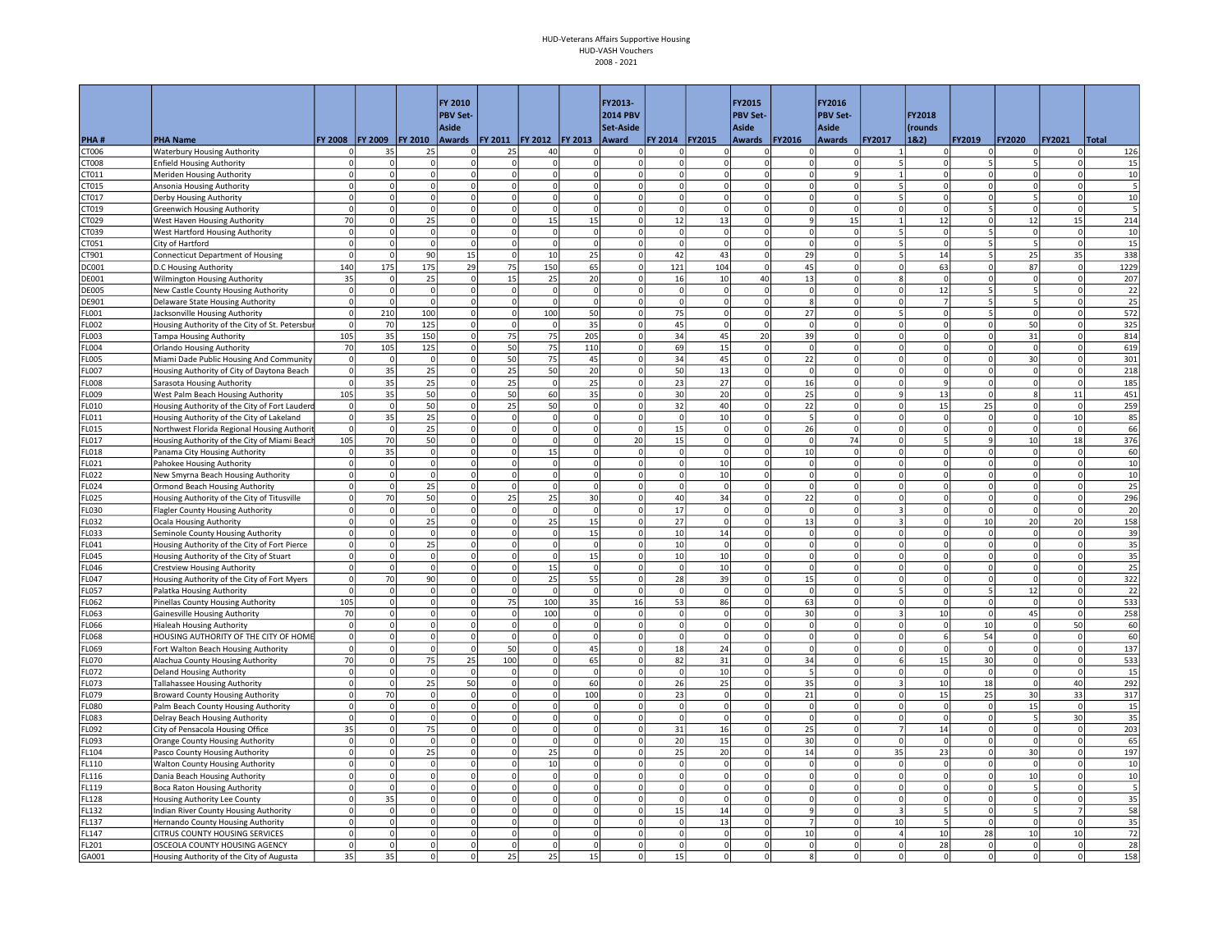|                       |                                                                               |                           |                |                      | FY 2010                 |                                  |                |                   | FY2013-                 |                          |                            | FY2015                        |                         | FY2016                     |                          |                                         |                                  |                   |                      |              |
|-----------------------|-------------------------------------------------------------------------------|---------------------------|----------------|----------------------|-------------------------|----------------------------------|----------------|-------------------|-------------------------|--------------------------|----------------------------|-------------------------------|-------------------------|----------------------------|--------------------------|-----------------------------------------|----------------------------------|-------------------|----------------------|--------------|
|                       |                                                                               |                           |                |                      | <b>PBV Set-</b>         |                                  |                |                   | <b>2014 PBV</b>         |                          |                            | <b>PBV Set-</b>               |                         | <b>PBV Set-</b>            |                          | FY2018                                  |                                  |                   |                      |              |
|                       |                                                                               |                           |                |                      | <b>Aside</b>            |                                  |                |                   | Set-Aside               |                          |                            | <b>Aside</b>                  |                         | <b>Aside</b>               |                          | (rounds                                 |                                  |                   |                      |              |
| PHA#                  | <b>PHA Name</b>                                                               | FY 2008                   | <b>FY 2009</b> | <b>FY 2010</b>       | Awards   FY 2011        |                                  | <b>FY 2012</b> | <b>FY 2013</b>    | Award                   | FY 2014                  | <b>FY2015</b>              | <b>Awards</b>                 | <b>FY2016</b>           | <b>Awards</b>              | FY2017                   | 18.2)                                   | FY2019                           | <b>FY2020</b>     | FY2021               | <b>Total</b> |
| CT006<br>CT008        | <b>Waterbury Housing Authority</b><br><b>Enfield Housing Authority</b>        | 0<br>$\Omega$             | 35             | 25<br>$\Omega$       | 0<br>$\Omega$           | 25<br><sub>0</sub>               | 40<br>$\Omega$ | 0<br>0            | $\Omega$<br>$\Omega$    | $\Omega$<br>$\Omega$     | οı<br>$\Omega$             | 0<br>$\Omega$                 | $\mathbf 0$<br>$\Omega$ | $\Omega$<br> 0             | 5                        | $\Omega$                                | 0<br>5                           |                   | $\Omega$<br>$\Omega$ | 126<br>15    |
| CT011                 | Meriden Housing Authority                                                     | $\Omega$                  |                | $\Omega$             | $\Omega$                | $\Omega$                         | $\Omega$       | <sup>o</sup>      | $\Omega$                | $\Omega$                 | $\Omega$                   | $\Omega$                      | $\Omega$                | $\mathsf{q}$               | $\overline{1}$           |                                         | $\Omega$                         |                   | $\circ$              | 10           |
| CT015                 | Ansonia Housing Authority                                                     | $\circ$                   |                | $\Omega$             | $\mathbf 0$             | 0                                | 0              | 0                 | $\Omega$                | $\mathbf 0$              | $\Omega$                   | $\mathbf 0$                   | $\Omega$                | $\Omega$                   | 5                        | $\Omega$                                | $\mathbf{0}$                     |                   | 0                    | 5            |
| CT017                 | Derby Housing Authority                                                       | $\Omega$                  |                | $\Omega$             | $\Omega$                | $\Omega$                         | $\circ$        | 0                 | $\Omega$                | $\Omega$                 | $\Omega$                   | $\Omega$                      | $\Omega$                | $\Omega$                   | 5                        | $\Omega$                                | $\Omega$                         |                   | $\Omega$             | 10           |
| CT019                 | <b>Greenwich Housing Authority</b>                                            | $\circ$                   | $\Omega$       | $\Omega$             | $\mathbf 0$             | $\circ$                          | $\Omega$       | $\Omega$          | $\Omega$                | $\Omega$                 | $\Omega$                   | $\Omega$                      | $\Omega$                | 0                          | $\mathbf 0$              | $\Omega$                                | 5 <sup>1</sup>                   | $\Omega$          | 0                    | 5            |
| CT029                 | West Haven Housing Authority                                                  | 70                        | $\Omega$       | 25                   | $\mathbf 0$             | $\circ$                          | 15             | 15                | $\Omega$                | 12                       | 13                         | $\circ$                       | $\mathbf{q}$            | 15                         | $\mathbf{1}$             | 12                                      | $\circ$                          | 12                | 15                   | 214          |
| CT039                 | West Hartford Housing Authority                                               | $\circ$                   | $\Omega$       | $\overline{0}$       | $\mathbf 0$             | $\circ$                          | $\Omega$       | 0                 | $\Omega$                | $\overline{0}$           | $\Omega$                   | $\mathbf 0$                   | $\Omega$                | 0                          | 5                        | $\Omega$                                | 5 <sup>1</sup>                   | $\mathbf 0$       | 0                    | 10           |
| CT051                 | City of Hartford                                                              | $\circ$                   | $\Omega$       | $\overline{0}$       | $\mathbf 0$             | $\mathbf 0$                      | $\Omega$       | $\mathbf 0$       |                         | $\mathbf{0}$             | $\Omega$                   | $\mathbf 0$                   |                         | $\Omega$                   | 5                        | 0                                       | 5                                |                   | 0                    | 15           |
| CT901                 | <b>Connecticut Department of Housing</b>                                      | $\overline{0}$            |                | 90                   | 15                      | $\Omega$                         | 10             | 25                | $\Omega$                | 42                       | 43                         | $\mathbf 0$                   | 29                      | $\overline{0}$             | 5                        | 14                                      | 5                                | 25                | 35                   | 338          |
| DC001                 | D.C Housing Authority                                                         | 140                       | 175            | 175                  | 29                      | 75                               | 150            | 65                | $\Omega$                | 121                      | 104                        | $\mathbf 0$                   | 45                      | $\Omega$                   | $\Omega$                 | 63                                      | 0                                | 87                | $\Omega$             | 1229         |
| <b>DE001</b>          | Wilmington Housing Authority                                                  | 35                        | $\Omega$       | 25<br>$\Omega$       | $\Omega$<br>$\mathbf 0$ | 15<br>$\mathbf 0$                | 25<br>$\circ$  | 20                | $\Omega$<br>$\Omega$    | 16                       | 10<br>$\overline{0}$       | 40<br>$\mathbf{0}$            | 13<br>$\Omega$          | $\Omega$<br>$\overline{0}$ | <sub>8</sub><br>$\Omega$ | $\Omega$                                | $\Omega$<br>5                    |                   | $\circ$<br>$\circ$   | 207          |
| <b>DE005</b><br>DE901 | New Castle County Housing Authority<br>Delaware State Housing Authority       | $\circ$<br>$\circ$        | $\Omega$       | $\Omega$             | $\Omega$                | $\circ$                          | $\Omega$       | 0 <br> 0          | $\Omega$                | $\mathsf{o}$<br>$\Omega$ | $\Omega$                   | $\mathbf 0$                   |                         | $\Omega$                   | $\mathsf 0$              | 12                                      | 5 <sup>1</sup>                   |                   | 0                    | 22<br>25     |
| LOO1                  | Jacksonville Housing Authority                                                | $\circ$                   | 210            | 100                  | $\mathbf 0$             | $\circ$                          | 100            | 50                | $\mathbf 0$             | 75                       | $^{\circ}$                 | $\mathbf 0$                   | 27                      | $\overline{0}$             | 5                        | $\mathbf 0$                             | 5                                | 0                 | 0                    | 572          |
| FL002                 | Housing Authority of the City of St. Petersbur                                | $\circ$                   | 70             | 125                  | $\mathbf 0$             | $\circ$                          | ol             | 35                | $\Omega$                | 45                       | $\Omega$                   | $\circ$                       | $\Omega$                | 0                          | $\Omega$                 | $\Omega$                                | $\circ$                          | 50                | 0                    | 325          |
| FL003                 | <b>Tampa Housing Authority</b>                                                | 105                       | 35             | 150                  | $\mathbf 0$             | 75                               | 75             | 205               | $\Omega$                | 34                       | 45                         | 20                            | 39                      | $\Omega$                   | $\Omega$                 | <sup>o</sup>                            | $\circ$                          | 31                | $\circ$              | 814          |
| <b>LOO4</b>           | <b>Orlando Housing Authority</b>                                              | 70                        | 105            | 125                  | $\mathbf 0$             | 50                               | 75             | 110               | $\Omega$                | 69                       | 15                         | $\mathbf 0$                   | $\Omega$                | $\Omega$                   | $\Omega$                 |                                         | $\mathbf 0$                      | $\mathbf 0$       | $\Omega$             | 619          |
| LOO5                  | Miami Dade Public Housing And Community                                       | $\circ$                   | $\Omega$       | $\Omega$             | $\Omega$                | 50                               | 75             | 45                |                         | 34                       | 45                         | $\Omega$                      | 22                      | $\Omega$                   | $\Omega$                 | $\Omega$                                | $\Omega$                         | 30                | $\Omega$             | 301          |
| <b>LOO7</b>           | Housing Authority of City of Daytona Beach                                    | $\overline{0}$            | 35             | 25                   | $\mathbf 0$             | 25                               | 50             | 20                | $\Omega$                | 50                       | 13                         | $\mathbf 0$                   | $\Omega$                | $\Omega$                   | $\Omega$                 |                                         | $\mathbf 0$                      | $\Omega$          | $\Omega$             | 218          |
| <b>FLOO8</b>          | Sarasota Housing Authority                                                    | $\overline{0}$            | 35             | 25                   | $\Omega$                | 25                               | $\circ$        | 25                | $\Omega$                | 23                       | 27                         | $\overline{0}$                | 16                      | $\Omega$                   | $\Omega$                 | $\mathbf{q}$                            | $\overline{0}$                   | $\Omega$          | $\circ$              | 185          |
| FL009                 | West Palm Beach Housing Authority                                             | 105                       | 35             | 50                   | $\Omega$                | 50                               | 60             | 35                | $\Omega$                | 30                       | 20                         | $\Omega$                      | 25                      | $\Omega$                   | $\mathbf{q}$             | 13                                      | $\circ$                          |                   | 11                   | 451          |
| <b>LO10</b>           | Housing Authority of the City of Fort Lauderd                                 | $\circ$                   | $\overline{0}$ | 50                   | $\mathbf 0$             | 25                               | 50             | 0                 | $\mathbf 0$             | 32                       | 40                         | $\circ$                       | 22                      | $\overline{0}$             | $\mathsf 0$              | 15                                      | 25                               | $\mathbf 0$       | 0                    | 259          |
| FL011                 | Housing Authority of the City of Lakeland                                     | $\circ$                   | 35             | 25                   | $\mathbf 0$             | $\mathbf 0$                      | 0              | $\mathbf 0$       | $\Omega$                | $\Omega$                 | 10                         | $\mathbf 0$                   |                         | $\overline{0}$             | $\overline{0}$           | $\Omega$                                | $\mathbf 0$                      | $\Omega$          | 10                   | 85           |
| FL015                 | Northwest Florida Regional Housing Authori                                    | $\circ$<br>105            | $\Omega$<br>70 | 25                   | $\mathbf 0$<br>$\Omega$ | $\overline{0}$<br>$\overline{0}$ | 0 <br>$\circ$  | 0<br>0            | $\mathbf 0$             | 15                       | $\mathbf 0$<br>$\Omega$    | $\mathbf 0$<br>$\overline{0}$ | 26<br>$\Omega$          | 0 <br>74                   | $\mathbf 0$<br>$\Omega$  | $\mathbf 0$<br>$\overline{\phantom{a}}$ | $\overline{0}$<br>9 <sup>1</sup> | $\mathbf 0$       | $\mathbf 0$<br>18    | 66           |
| FL017<br>FL018        | Housing Authority of the City of Miami Beach<br>Panama City Housing Authority | $\circ$                   | 35             | 50<br>$\overline{0}$ | $\mathbf 0$             | 0                                | 15             | $\mathbf 0$       | 20<br>$\Omega$          | 15<br>$\mathbf 0$        | $\overline{0}$             | $\mathbf 0$                   | 10                      | $\overline{0}$             | $\Omega$                 |                                         | $\Omega$                         | 10<br>$\mathbf 0$ | 0                    | 376<br>60    |
| FL021                 | Pahokee Housing Authority                                                     | $\mathbf{0}$              | $\Omega$       | $\Omega$             | $\Omega$                | $\overline{0}$                   | 0              | $\Omega$          | $\Omega$                | $\Omega$                 | 10                         | $\Omega$                      | $\Omega$                | $\Omega$                   | $\Omega$                 | $\Omega$                                | $\Omega$                         | $\Omega$          | $\circ$              | 10           |
| FL022                 | New Smyrna Beach Housing Authority                                            | $\Omega$                  | $\Omega$       | $\Omega$             | $\mathbf 0$             | $\overline{0}$                   | $\Omega$       | $\Omega$          | $\Omega$                | $\Omega$                 | 10                         | $\Omega$                      | $\Omega$                | $\Omega$                   | $\Omega$                 | $\Omega$                                | $\Omega$                         | $\Omega$          | $\Omega$             | 10           |
| FL024                 | Ormond Beach Housing Authority                                                | $\circ$                   | $\Omega$       | 25                   | $\Omega$                | $\circ$                          | $\Omega$       | 0                 | $\Omega$                | $\Omega$                 | $\Omega$                   | $\circ$                       | $\Omega$                | $\overline{0}$             | $\Omega$                 | $\Omega$                                | $\Omega$                         | $\Omega$          | $\Omega$             | 25           |
| FL025                 | Housing Authority of the City of Titusville                                   | $\overline{0}$            | 70             | 50                   | $\Omega$                | 25                               | 25             | 30                | $\Omega$                | 40                       | 34                         | $\mathbf 0$                   | 22                      | $\overline{0}$             | $\Omega$                 | $\Omega$                                | $\Omega$                         |                   | $\mathbf{0}$         | 296          |
| EL030                 | Flagler County Housing Authority                                              | $\overline{0}$            |                | 0                    | $\mathbf 0$             | 0                                | $\mathbf 0$    | $\mathbf 0$       | $\Omega$                | 17                       | $\mathbf 0$                | $\mathbf 0$                   |                         | $\overline{0}$             | $\overline{3}$           |                                         | $\mathbf{0}$                     |                   | 0                    | 20           |
| FL032                 | Ocala Housing Authority                                                       | $\Omega$                  | $\Omega$       | 25                   | $\Omega$                | $\overline{0}$                   | 25             | 15                | $\Omega$                | 27                       | $\Omega$                   | $\Omega$                      | 13                      | $\Omega$                   | $\overline{\mathbf{3}}$  | $\Omega$                                | 10 <sup>1</sup>                  | 20                | 20                   | 158          |
| FL033                 | Seminole County Housing Authority                                             | $\circ$                   | $\Omega$       | 0                    | $\mathbf 0$             | $\overline{0}$                   | $\mathbf 0$    | 15                | $\Omega$                | 10                       | 14                         | $\mathbf 0$                   | $\Omega$                | $\Omega$                   | $\mathbf 0$              | $\Omega$                                | $\overline{0}$                   | $\mathbf 0$       | 0                    | 39           |
| FL041                 | Housing Authority of the City of Fort Pierce                                  | $\Omega$                  | $\Omega$       | 25                   | $\Omega$                | $\mathbf{0}$                     | 0              | 0l                | $\Omega$                | 10                       | $\overline{0}$             | $\overline{0}$                | $\Omega$                | $\circ$                    | $\Omega$                 | 0                                       | $\mathbf{0}$                     | $\Omega$          | $\circ$              | 35           |
| <b>FL045</b>          | Housing Authority of the City of Stuart                                       | $\circ$                   | $\Omega$       | $\Omega$             | $\Omega$                | <sub>0</sub>                     | 0              | 15                | $\Omega$                | $10\,$                   | 10                         | $\Omega$                      | $\Omega$                | $\Omega$                   | $\Omega$                 | $\Omega$                                | $\Omega$                         | $\Omega$          | $\circ$              | 35           |
| FL046                 | <b>Crestview Housing Authority</b>                                            | $\circ$                   | $\Omega$       | $\Omega$             | $\Omega$<br>$\Omega$    | 0<br>$\Omega$                    | 15             | 0                 |                         | $\mathbf 0$              | 10                         | $\Omega$<br>$\Omega$          |                         | $\Omega$                   | $\Omega$<br>$\Omega$     | $\Omega$                                | $\Omega$<br>$\Omega$             |                   | $\Omega$<br>$\Omega$ | 25           |
| FL047<br>FL057        | Housing Authority of the City of Fort Myers                                   | $\circ$<br>$\circ$        | 70<br>0        | 90<br>0              | $\mathbf 0$             | $\circ$                          | 25<br>0        | 55<br>$\mathbf 0$ | $\Omega$<br>$\mathbf 0$ | 28<br>$\mathbf 0$        | 39<br>$^{\circ}$           | $\mathbf 0$                   | 15                      | $\overline{0}$<br>$\Omega$ | 5                        |                                         | 5                                | 12                | $\Omega$             | 322<br>22    |
| FL062                 | Palatka Housing Authority<br>Pinellas County Housing Authority                | 105                       | $\Omega$       | $\Omega$             | $\Omega$                | 75                               | 100            | 35                | 16                      | 53                       | 86                         | <sub>0</sub>                  | 63                      | 0                          | $\Omega$                 | $\Omega$                                | <sub>0</sub>                     | $\Omega$          | $\circ$              | 533          |
| L063 <sup>:</sup>     | <b>Gainesville Housing Authority</b>                                          | 70                        |                | $\Omega$             | $\mathbf 0$             | $\mathbf 0$                      | 100            | 0                 | $\Omega$                | $\mathbf 0$              | $\Omega$                   | $\mathbf{0}$                  | 30                      | $\overline{0}$             | $\overline{3}$           | 10                                      | $\circ$                          | 45                | 0                    | 258          |
| L066                  | Hialeah Housing Authority                                                     | $\circ$                   | $\Omega$       | $\Omega$             | $\mathbf 0$             | $\circ$                          | $\Omega$       | 0                 |                         | $\mathbf 0$              | $\Omega$                   | $\mathbf 0$                   | $\Omega$                | $\Omega$                   | $\mathbf 0$              | $\Omega$                                | 10                               | $\Omega$          | 50                   | 60           |
| <b>FLO68</b>          | HOUSING AUTHORITY OF THE CITY OF HOME                                         | $\circ$                   | $\Omega$       | $\overline{0}$       | $\mathbf 0$             | $\Omega$                         | $\Omega$       | $\circ$           | $\Omega$                | $\Omega$                 | $\Omega$                   | $\Omega$                      | $\Omega$                | $\overline{0}$             | $\mathbf 0$              | 6                                       | 54                               | $\mathbf 0$       | 0                    | 60           |
| FL069                 | Fort Walton Beach Housing Authority                                           | $\circ$                   | $\Omega$       | $\Omega$             | $\Omega$                | 50                               | $\Omega$       | 45                | $\Omega$                | 18                       | 24                         | $\Omega$                      | $\Omega$                | $\Omega$                   | $\Omega$                 | $\Omega$                                | $\overline{0}$                   | $\Omega$          | $\circ$              | 137          |
| FL070                 | Alachua County Housing Authority                                              | 70                        | $\Omega$       | 75                   | 25                      | 100                              | $\Omega$       | 65                | $\Omega$                | 82                       | 31                         | $\mathbf{0}$                  | 34                      | $\circ$                    | 6                        | 15                                      | 30                               | $\Omega$          | $\circ$              | 533          |
| FL072                 | <b>Deland Housing Authority</b>                                               | $\overline{0}$            | $\Omega$       | $\Omega$             | $\Omega$                | $\Omega$                         | $\Omega$       | 0                 |                         | $\mathbf 0$              | 10                         | $\Omega$                      |                         | $\overline{0}$             | $\Omega$                 | $\Omega$                                | $\Omega$                         | $\Omega$          | 0                    | 15           |
| FL073                 | Tallahassee Housing Authority                                                 | $\overline{0}$            | $\Omega$       | 25                   | 50<br>$\mathbf 0$       | <sub>0</sub>                     | $\Omega$       | 60                | $\Omega$                | 26                       | 25                         | $\mathbf 0$                   | 35                      | $\overline{0}$             | $\overline{3}$           | 10                                      | 18                               | $\Omega$          | 40                   | 292          |
| FL079                 | <b>Broward County Housing Authority</b>                                       | $\Omega$                  | 70             | $\mathbf 0$          |                         | $\circ$                          | $^{\circ}$     | 100               | $\Omega$                | 23                       | $^{\circ}$                 | $\mathbf 0$                   | 21                      | $\overline{0}$             | $\mathbf 0$              | 15                                      | 25                               | 30                | 33                   | 317          |
| <b>FL080</b><br>FL083 | Palm Beach County Housing Authority<br>Delray Beach Housing Authority         | $\overline{0}$<br>$\circ$ |                | $\Omega$<br>$\Omega$ | $\Omega$<br>$\mathbf 0$ | $\circ$<br><sub>0</sub>          | $\Omega$<br>0  | 0 <br> 0          | $\Omega$<br>$\Omega$    | $\Omega$<br>$\circ$      | $\Omega$<br>$\Omega$       | $\overline{0}$<br>$\circ$     | $\Omega$<br>$\Omega$    | 0 <br> 0                   | $\Omega$<br>$\mathbf{0}$ | $\Omega$<br>$\Omega$                    | $\Omega$<br>$\circ$              | 15                | 0 <br>30             | 15<br>35     |
| L092                  | City of Pensacola Housing Office                                              | 35                        |                | 75                   | $\mathbf 0$             | 0                                | 0              | 0                 |                         | 31                       | 16                         | $\mathbf 0$                   | 25                      | $\Omega$                   | $\overline{7}$           | 14                                      | $\mathbf{0}$                     |                   | 0                    | 203          |
| FL093                 | Orange County Housing Authority                                               | $\circ$                   | U              | $\Omega$             | $\Omega$                | $\Omega$                         | $\Omega$       | $\Omega$          | $\Omega$                | 20                       | 15                         | $\mathbf 0$                   | 30                      | $\Omega$                   | $\mathbf 0$              | $\Omega$                                | $\overline{0}$                   | $\Omega$          | $\circ$              | 65           |
| FL104                 | Pasco County Housing Authority                                                | $\mathbf{0}$              | $\Omega$       | 25                   | $\Omega$                | $\circ$                          | 25             | 0                 | $\Omega$                | 25                       | 20                         | $\Omega$                      | 14                      | 0                          | 35                       | 23                                      | $\mathbf{0}$                     | 30                | $\Omega$             | 197          |
| FL110                 | Walton County Housing Authority                                               | $\circ$                   | $\Omega$       | $\Omega$             | $\Omega$                | $\circ$                          | 10             | 0                 | $\Omega$                | $\Omega$                 | $\Omega$                   | $\circ$                       | $\Omega$                | 0                          | $\Omega$                 | 0                                       | $\circ$                          | $\Omega$          | 0                    | 10           |
| FL116                 | Dania Beach Housing Authority                                                 | $\circ$                   | $\Omega$       | $\Omega$             | $\mathbf 0$             | 0                                | 0              | 0                 | $\Omega$                | $\mathbf 0$              | $\Omega$                   | $\mathbf 0$                   | $\Omega$                | $\overline{0}$             | $\mathbf 0$              |                                         | $\mathbf{0}$                     | 10                | $\circ$              | 10           |
| FL119                 | Boca Raton Housing Authority                                                  | $\overline{0}$            |                | $\Omega$             | $\mathbf 0$             | 0                                | $\mathbf 0$    | $\mathbf 0$       |                         | 0                        | $\Omega$                   | $\mathbf 0$                   |                         | $\overline{0}$             | $\mathbf 0$              | $\Omega$                                | $\mathbf{O}$                     |                   | $\Omega$             | 5            |
| <b>L128</b>           | Housing Authority Lee County                                                  | $\circ$                   | 35             | $\Omega$             | $\mathbf 0$             | $\circ$                          | $^{\circ}$     | $\mathbf 0$       | $\Omega$                | $\Omega$                 | $\Omega$                   | $\mathbf 0$                   | $\Omega$                | $\overline{0}$             | $\mathbf 0$              | $\Omega$                                | $\circ$                          | $\Omega$          | $\Omega$             | 35           |
| FL132                 | Indian River County Housing Authority                                         | $\Omega$                  |                | $\Omega$             | $\Omega$                | $\circ$                          | $\Omega$       | ΩI                | $\Omega$                | 15                       | 14                         | $\Omega$                      |                         | 0                          | $\mathbf{3}$             | 5                                       | $\Omega$                         |                   | $\overline{7}$       | 58           |
| FL137                 | Hernando County Housing Authority                                             | $\circ$                   |                | $\Omega$             | $\Omega$                | <sub>0</sub>                     | $\Omega$       | 0                 | $\Omega$                | $\Omega$                 | 13                         | <sub>0</sub>                  | $\overline{7}$          | 0                          | 10                       | $\overline{\phantom{a}}$                | $\circ$                          |                   | $\circ$              | 35           |
| FL147                 | CITRUS COUNTY HOUSING SERVICES                                                | $\Omega$                  |                | $\Omega$<br>$\Omega$ | $\Omega$                | $\mathbf 0$                      | $\Omega$       | 0                 | $\Omega$                | $\Omega$                 | $\overline{0}$<br>$\Omega$ | $\mathbf 0$                   | 10                      | $\Omega$                   | $\overline{4}$           | 10                                      | 28                               | 10                | 10                   | 72           |
| FL201                 | OSCEOLA COUNTY HOUSING AGENCY                                                 | $\Omega$                  |                | $\Omega$             | $\Omega$                | $\mathbf{0}$                     | $\Omega$       | $\Omega$          | $\Omega$                | $\Omega$                 | $\Omega$                   | $\Omega$<br>$\Omega$          |                         | $\Omega$                   | $\Omega$<br>$\Omega$     | 28                                      | $\mathbf{0}$                     | $\Omega$          | $\Omega$<br>$\Omega$ | 28           |
| GA001                 | Housing Authority of the City of Augusta                                      | 35                        | 35             |                      | $\mathbf 0$             | 25                               | 25             | 15                |                         | 15                       |                            |                               |                         | $\overline{0}$             |                          |                                         | 0                                | $\mathbf 0$       |                      | 158          |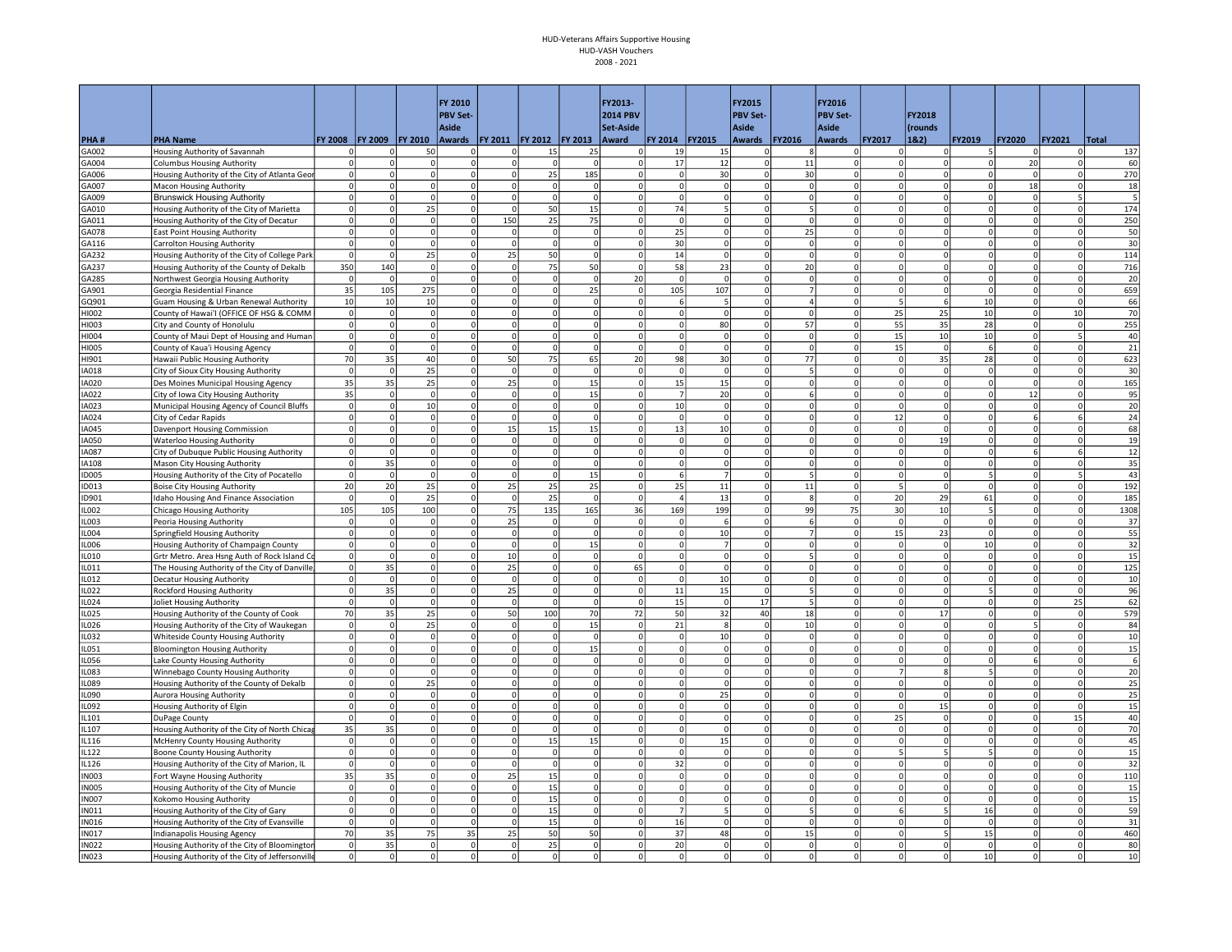|                  |                                                                                      |                           |                      |                      | <b>FY 2010</b><br><b>PBV Set-</b> |                                       |                |                            | FY2013-<br><b>2014 PBV</b> |                         |                      | FY2015<br><b>PBV Set-</b>   |                            | FY2016<br><b>PBV Set-</b>  |                              | FY2018               |                               |               |                           |              |
|------------------|--------------------------------------------------------------------------------------|---------------------------|----------------------|----------------------|-----------------------------------|---------------------------------------|----------------|----------------------------|----------------------------|-------------------------|----------------------|-----------------------------|----------------------------|----------------------------|------------------------------|----------------------|-------------------------------|---------------|---------------------------|--------------|
|                  |                                                                                      |                           |                      |                      | Aside                             |                                       |                |                            | Set-Aside                  |                         |                      | Aside                       |                            | <b>Aside</b>               |                              | (rounds              |                               |               |                           |              |
| PHA#<br>GA002    | <b>PHA Name</b><br>Housing Authority of Savannah                                     | FY 2008<br><sup>n</sup>   | <b>FY 2009</b>       | <b>FY 2010</b><br>50 | $\mathbf 0$                       | Awards   FY 2011   FY 2012<br>$\circ$ | 15             | <b>FY 2013</b><br>25       | Award                      | FY 2014<br>19           | <b>FY2015</b><br>15  | Awards<br>$\mathbf 0$       | <b>FY2016</b>              | <b>Awards</b><br> 0        | <b>FY2017</b><br>$\mathbf 0$ | 1&2)                 | FY2019<br>5                   | <b>FY2020</b> | <b>FY2021</b><br>$\Omega$ | Total<br>137 |
| GA004            | <b>Columbus Housing Authority</b>                                                    | 0                         |                      | $\Omega$             | $\Omega$                          | $\overline{0}$                        | 0              | $\mathbf 0$                | $\Omega$                   | 17                      | 12                   | $\mathbf 0$                 | 11                         | $\Omega$                   | $^{\circ}$                   |                      | $\Omega$                      | 20            | 0                         | 60           |
| GA006            | Housing Authority of the City of Atlanta Geor                                        | $\Omega$                  | $\Omega$             | $\Omega$             | $\Omega$                          | <sub>0</sub>                          | 25             | 185                        | $\Omega$                   | -ol                     | 30                   | $\Omega$                    | 30                         | $\Omega$                   | $\Omega$                     | $\Omega$             | $\Omega$                      | $\Omega$      | $\circ$                   | 270          |
| GA007            | Macon Housing Authority                                                              | $\Omega$                  | $\Omega$             | $\Omega$             | 0                                 | $\Omega$                              | $\Omega$       | $\mathbf 0$                | $\Omega$                   | $\overline{0}$          | $\Omega$             | $\overline{0}$              | $\Omega$                   | $\overline{0}$             | $\mathbf 0$                  |                      | $\mathbf{0}$                  | 18            | $\circ$                   | 18           |
| G009             | <b>Brunswick Housing Authority</b>                                                   | $\circ$                   | $\Omega$             | $\Omega$             | $\Omega$                          | $\circ$                               | $\circ$        | 0                          | $\Omega$                   | $\mathbf 0$             | ol                   | $\mathbf 0$                 | $\Omega$                   | $\Omega$                   | $\mathbf{0}$                 | $\circ$              | $\circ$                       | $\Omega$      | 5                         | 5            |
| GA010            | Housing Authority of the City of Marietta                                            | $\Omega$                  | $\Omega$             | 25                   | $\mathbf 0$                       | $\Omega$                              | 50             | 15                         | $\Omega$                   | 74                      | -5                   | $\mathbf 0$                 |                            | $\overline{0}$             | $\mathbf 0$                  | 0                    | $\circ$                       | $\Omega$      | $\Omega$                  | 174          |
| GA011            | Housing Authority of the City of Decatur                                             | $\circ$                   | $\Omega$             | $\Omega$             | $\Omega$                          | 150                                   | 25             | 75                         | $\Omega$                   | $\Omega$                | $\Omega$             | $\overline{0}$              | $\Omega$                   | 0                          | $\Omega$                     | $\Omega$             | $\overline{0}$                | $\Omega$      | $\Omega$                  | 250          |
| GA078            | East Point Housing Authority                                                         | $\circ$                   | $\Omega$             | $\Omega$             | $\Omega$                          | $\Omega$                              | $\Omega$       | 0                          | $\Omega$                   | 25                      | $\Omega$             | $\circ$                     | 25                         | 0                          | $\Omega$                     | $\Omega$             | $\Omega$                      |               | $\Omega$                  | 50           |
| GA116            | Carrolton Housing Authority                                                          | $\circ$                   |                      | $\mathbf 0$          |                                   | $\mathbf 0$                           | 0              | $\mathbf 0$                |                            | 30                      | $\Omega$             | $\mathbf 0$                 |                            | $\Omega$                   | $\mathbf 0$                  |                      | 0                             |               | $\mathbf 0$               | 30           |
| GA232            | Housing Authority of the City of College Park                                        | $\circ$                   |                      | 25                   | $\Omega$                          | 25                                    | 50             | $\Omega$                   | $\Omega$                   | 14                      | $\Omega$             | $\Omega$                    |                            | $\overline{0}$             | $\Omega$                     |                      | $\Omega$                      |               | $\Omega$                  | 114          |
| GA237            | Housing Authority of the County of Dekalb                                            | 350                       | 140                  | $\Omega$             | 0                                 | $\overline{0}$                        | 75             | 50                         | $\Omega$                   | 58                      | 23                   | $\mathbf 0$                 | 20                         | $\Omega$                   | $\Omega$                     |                      | $\mathbf{O}$                  | $\Omega$      | $\Omega$                  | 716          |
| GA285            | Northwest Georgia Housing Authority                                                  | $\overline{0}$            | $\Omega$             | $\Omega$             | $\Omega$<br>$\mathbf 0$           | $\Omega$<br><sub>0</sub>              | $\Omega$<br>0  | 0<br>25                    | 20<br>$\Omega$             | $\Omega$<br>105         | $\Omega$             | $\Omega$<br>$\mathbf 0$     | $\Omega$<br>$\overline{7}$ | $\Omega$<br>$\overline{0}$ | $\Omega$<br>$\mathbf 0$      | $\Omega$<br>0        | $\Omega$<br>$\Omega$          |               | $\Omega$<br>$\circ$       | 20           |
| GA901<br>3Q901   | Georgia Residential Finance<br>Guam Housing & Urban Renewal Authority                | 35<br>10 <sup>1</sup>     | 105<br>10            | 275<br>10            | $\mathbf 0$                       | $\mathbf 0$                           | 0              | $\mathbf 0$                | $\Omega$                   | 6                       | 107<br>-5            | $\mathbf 0$                 |                            | $\Omega$                   | 5                            | 6                    | 10 <sup>1</sup>               | $\Omega$      | 0                         | 659<br>66    |
| 11002            | County of Hawai'l (OFFICE OF HSG & COMM                                              | $\circ$                   | $\Omega$             | $\Omega$             | $\Omega$                          | $\Omega$                              | $\Omega$       | $\Omega$                   | $\Omega$                   | $\Omega$                | $\Omega$             | $\Omega$                    |                            | $\Omega$                   | 25                           | 25                   | 10                            | $\Omega$      | 10                        | 70           |
| HI003            | City and County of Honolulu                                                          | $\circ$                   | $\Omega$             | $\Omega$             | $\Omega$                          | <sub>0</sub>                          | $\Omega$       | 0                          | $\Omega$                   | $\Omega$                | 80                   | $\Omega$                    | 57                         | $\Omega$                   | 55                           | 35                   | 28                            | $\Omega$      | $\Omega$                  | 255          |
| HI004            | County of Maui Dept of Housing and Human                                             | $\circ$                   | $\Omega$             | $\Omega$             | $\Omega$                          | <sub>0</sub>                          | $\circ$        | 0                          | $\Omega$                   | $\Omega$                | $\mathbf{0}$         | $\overline{0}$              | $\Omega$                   | $\circ$                    | 15                           | 10                   | 10                            | $\Omega$      | 5 <sup>1</sup>            | 40           |
| HI005            | County of Kaua'i Housing Agency                                                      | $\overline{\mathbf{0}}$   | $\Omega$             | $\Omega$             | $\Omega$                          | $\Omega$                              | 0              | $\pmb{0}$                  | $\Omega$                   | $\Omega$                | $\Omega$             | $\Omega$                    | $\Omega$                   | $\overline{0}$             | 15                           | $\Omega$             | 6                             | $\Omega$      | $\Omega$                  | 21           |
| 11901            | Hawaii Public Housing Authority                                                      | 70                        | 35                   | 40                   | $\mathbf 0$                       | 50                                    | 75             | 65                         | 20                         | 98                      | 30                   | $\mathbf 0$                 | 77                         | $\overline{0}$             | $\overline{0}$               | 35                   | 28                            | $\Omega$      | $\Omega$                  | 623          |
| A018             | City of Sioux City Housing Authority                                                 | $\circ$                   | $\Omega$             | 25                   | $\mathbf 0$                       | $\Omega$                              | 0              | $\mathbf 0$                | $\Omega$                   | $\mathbf{0}$            | $\Omega$             | $\mathbf 0$                 |                            | $\Omega$                   | $\mathbf 0$                  | 0                    | $\Omega$                      | $\Omega$      | $\Omega$                  | 30           |
| <b>IA020</b>     | Des Moines Municipal Housing Agency                                                  | 35                        | 35                   | 25                   | $\Omega$                          | 25                                    | $\Omega$       | 15                         | $\Omega$                   | 15                      | 15                   | $\mathbf{0}$                |                            | 0                          | $\Omega$                     | $\Omega$             | $\Omega$                      | $\Omega$      | $\Omega$                  | 165          |
| <b>IA022</b>     | City of Iowa City Housing Authority                                                  | 35                        |                      | $\Omega$             | $\Omega$                          | $\Omega$                              | $\Omega$       | 15                         | $\Omega$                   | $\overline{7}$          | 20                   | $\Omega$                    |                            | $\overline{0}$             | $\mathbf{0}$                 | $\Omega$             | $\Omega$                      | 12            | $\circ$                   | 95           |
| IA023            | Municipal Housing Agency of Council Bluffs                                           | $\circ$                   |                      | 10                   | $\mathbf 0$                       | $\mathbf 0$                           | $\Omega$       | $\mathbf 0$                |                            | 10                      | $\Omega$             | $\mathbf 0$                 |                            | $\overline{0}$             | $\Omega$                     |                      | $\mathbf 0$                   |               | 0                         | 20           |
| A024             | City of Cedar Rapids                                                                 | $\Omega$                  | $\Omega$             | $\Omega$             | $\Omega$                          | <sub>0</sub>                          | $\Omega$       | $\Omega$                   | $\Omega$                   | $\Omega$                | $\Omega$             | $\Omega$                    |                            | $\Omega$                   | 12                           | $\Omega$             | $\Omega$                      |               | $6 \mid$                  | 24           |
| <b>IA045</b>     | Davenport Housing Commission                                                         | $\Omega$                  | $\Omega$             | $\Omega$             | $\mathbf 0$                       | 15                                    | 15             | 15                         | $\Omega$                   | 13                      | 10                   | $\Omega$                    | $\Omega$                   | $\Omega$                   | $\Omega$                     | $\Omega$             | $\mathbf 0$                   | $\Omega$      | $\Omega$                  | 68           |
| <b>IA050</b>     | <b>Waterloo Housing Authority</b>                                                    | $\Omega$                  | $\Omega$<br>$\Omega$ | $\Omega$             | $\Omega$                          | $\circ$                               | 0              | 0                          | $\Omega$                   | $\Omega$                | $\Omega$             | $\overline{0}$              | $\Omega$                   | 0                          | $\Omega$                     | 19                   | $\Omega$                      | $\Omega$      | $\Omega$                  | 19           |
| <b>IA087</b>     | City of Dubuque Public Housing Authority                                             | $\circ$<br>$\circ$        |                      | $\Omega$<br>$\Omega$ | $\mathbf 0$<br>$\mathbf 0$        | $\mathbf 0$<br>$\circ$                | 0 <br>$\Omega$ | $\mathbf 0$<br>$\mathbf 0$ |                            | $\mathbf 0$<br>$\Omega$ | $\Omega$<br>$\Omega$ | $\mathbf{0}$<br>$\mathbf 0$ |                            | $\overline{0}$<br> 0       | $\Omega$<br>$\mathbf 0$      | $\Omega$<br>$\Omega$ | $\mathbf{0}$<br>$\mathbf{0}$  |               | 6                         | 12           |
| A108<br>D005     | Mason City Housing Authority<br>Housing Authority of the City of Pocatello           | $\circ$                   | 35                   | $\Omega$             | $\mathbf 0$                       | $\Omega$                              | $\Omega$       | 15                         |                            | 6                       | $\overline{7}$       | $\Omega$                    |                            | $\Omega$                   | $\Omega$                     | $\Omega$             | 5                             |               | 0 <br>5                   | 35<br>43     |
| ID013            | <b>Boise City Housing Authority</b>                                                  | 20                        | 20                   | 25                   | $\mathbf 0$                       | 25                                    | 25             | 25                         |                            | 25                      | 11                   | $\mathbf 0$                 | 11                         | $\Omega$                   | 5                            | $\Omega$             | 0                             |               | 0                         | 192          |
| ID901            | Idaho Housing And Finance Association                                                | $\circ$                   | $\Omega$             | 25                   | $\Omega$                          | $\mathbf{0}$                          | 25             | 0                          | $\Omega$                   | $\Delta$                | 13                   | $\overline{0}$              | $\mathbf{R}$               | $\circ$                    | 20                           | 29                   | 61                            | $\Omega$      | $\circ$                   | 185          |
| L002             | Chicago Housing Authority                                                            | 105                       | 105                  | 100                  | $\mathbf 0$                       | 75                                    | 135            | 165                        | 36                         | 169                     | 199                  | $\circ$                     | 99                         | 75                         | 30                           | 10                   | 5                             |               | $\circ$                   | 1308         |
| L003             | Peoria Housing Authority                                                             | $\overline{0}$            | $\Omega$             | $\Omega$             | $\Omega$                          | 25                                    | $\circ$        | 0                          | $\Omega$                   | $\Omega$                | 6                    | $\Omega$                    |                            | $\circ$                    | $\mathbf{0}$                 | $\Omega$             | $\mathbf{0}$                  | $\Omega$      | $\circ$                   | 37           |
| L004             | Springfield Housing Authority                                                        | $\circ$                   | $\Omega$             | $\Omega$             | $\mathbf 0$                       | $\mathbf 0$                           | $\Omega$       | $\Omega$                   | $\Omega$                   | $\Omega$                | 10                   | $\Omega$                    |                            | 0                          | 15                           | 23                   | $\overline{0}$                | $\Omega$      | $\circ$                   | 55           |
| L006             | Housing Authority of Champaign County                                                | $\circ$                   | $\Omega$             | $\Omega$             | $\Omega$                          | $\circ$                               | 0              | 15                         | $\Omega$                   | $\Omega$                | $\overline{7}$       | $\circ$                     | $\Omega$                   | 0                          | $\mathbf 0$                  | 0                    | 10 <sup>1</sup>               | $\Omega$      | 0                         | 32           |
| <b>IL010</b>     | Grtr Metro. Area Hsng Auth of Rock Island Co                                         | $\circ$                   | $\Omega$             | $\Omega$             | $\Omega$                          | 10                                    | $\Omega$       | 0                          | $\Omega$                   | $\Omega$                | $\Omega$             | $\circ$                     |                            | $\Omega$                   | $\Omega$                     | $\Omega$             | $\Omega$                      | $\Omega$      | $\Omega$                  | 15           |
| L011             | The Housing Authority of the City of Danville                                        | $\circ$                   | 35                   | $\overline{0}$       | $\mathbf 0$                       | 25                                    |                | $\mathbf 0$                | 65                         | $\mathbf 0$             | $\mathbf 0$          | $\mathbf 0$                 |                            | $\Omega$                   | $\mathbf 0$                  | $\Omega$             | 0                             |               | 0                         | 125          |
| L012             | <b>Decatur Housing Authority</b>                                                     | $\circ$                   | $\Omega$             | $\Omega$             | $\Omega$                          | <sub>0</sub>                          | $\Omega$       | <sup>o</sup>               | $\Omega$                   | $\Omega$                | 10                   | $\Omega$                    |                            | $\overline{0}$             | $\Omega$                     | $\Omega$             | $\Omega$                      |               | $\Omega$                  | 10           |
| IL022            | Rockford Housing Authority                                                           | $\overline{0}$            | 35                   | O                    | $\mathbf 0$                       | 25                                    | 0              | $\mathbf 0$                | $\Omega$                   | $11\,$                  | 15                   | $\mathbf 0$                 |                            | $\Omega$                   | $\Omega$                     |                      | 5                             |               | $\mathbf 0$               | 96           |
| IL024            | Joliet Housing Authority                                                             | $\overline{0}$<br>70      | $\Omega$             | $\Omega$             | $\Omega$                          | <sub>0</sub><br>50                    | 0<br>100       | 0                          | $\Omega$<br>72             | 15                      | $\mathbf{0}$<br>32   | 17<br>40                    |                            | $\circ$<br>$\overline{0}$  | $\Omega$<br>$\Omega$         | 0                    | $\Omega$<br>$\circ$           |               | 25<br>$\circ$             | 62           |
| L025<br>L026     | Housing Authority of the County of Cook<br>Housing Authority of the City of Waukegan | $\circ$                   | 35<br>$\Omega$       | 25<br>25             | $\mathbf 0$<br>$\mathbf 0$        | $\circ$                               | $\Omega$       | 70<br>15                   | $\Omega$                   | 50<br>21                | 8                    | $\mathsf{O}$                | 18<br>10                   | $\Omega$                   | $\Omega$                     | 17<br>$\Omega$       | $\mathbf{0}$                  |               | $\circ$                   | 579<br>84    |
| L032             | Whiteside County Housing Authority                                                   | $\Omega$                  | $\Omega$             | $\Omega$             | $\mathbf 0$                       | $\Omega$                              | 0              | <sup>o</sup>               | $\Omega$                   | $\Omega$                | 10                   | $\Omega$                    | $\Omega$                   | $\Omega$                   | $\mathbf{0}$                 | $\Omega$             | $\mathbf{0}$                  |               | $\circ$                   | 10           |
| L051             | <b>Bloomington Housing Authority</b>                                                 | $\circ$                   | $\Omega$             | $\Omega$             | $\Omega$                          | $\circ$                               | $\Omega$       | 15                         | $\Omega$                   | $\Omega$                | $\Omega$             | $\Omega$                    | $\Omega$                   | 0                          | $\Omega$                     | $\Omega$             | $\Omega$                      |               | $\Omega$                  | 15           |
| <b>LO56</b>      | ake County Housing Authority                                                         | $\circ$                   | $\Omega$             | $\Omega$             | $\Omega$                          | <sub>0</sub>                          | $\Omega$       | 0                          | $\Omega$                   | $\Omega$                | $\Omega$             | $\mathbf{0}$                |                            | $\circ$                    | $\Omega$                     | $\Omega$             | $\mathbf{0}$                  |               | $\circ$                   | 6            |
| L083             | Winnebago County Housing Authority                                                   | $\mathbf{0}$              |                      | 0                    | $\mathbf 0$                       | 0                                     | $\Omega$       | $\mathbf 0$                |                            | O                       |                      | $\mathbf 0$                 |                            | $\overline{0}$             | $\overline{7}$               |                      | 5                             |               | $\Omega$                  | 20           |
| L089             | Housing Authority of the County of Dekalb                                            | $\circ$                   |                      | 25                   | $\Omega$                          | $\Omega$                              | $\Omega$       | 0                          |                            | $\Omega$                | $\Omega$             | $\Omega$                    |                            | $\Omega$                   | $\Omega$                     |                      | $\Omega$                      |               | $\Omega$                  | 25           |
| <b>LO90</b>      | Aurora Housing Authority                                                             | $\overline{0}$            | $\Omega$             | $\Omega$             | $\mathbf 0$                       | $\overline{0}$                        | $\Omega$       | $\Omega$                   | $\Omega$                   | $\Omega$                | 25                   | $\Omega$                    | $\Omega$                   | $\Omega$                   | $\mathbf 0$                  | $\Omega$             | $\Omega$                      | $\Omega$      | $\Omega$                  | 25           |
| L092             | Housing Authority of Elgin                                                           | $\circ$                   |                      | $\Omega$             | $\Omega$                          | $\circ$                               | $\Omega$       | ΩI                         |                            | $\Omega$                | $\Omega$             | $\Omega$                    |                            | $\Omega$                   | $\mathbf{0}$                 | 15                   | $\Omega$                      |               | $\Omega$                  | 15           |
| IL101            | DuPage County                                                                        | $\circ$                   | $\Omega$             | $\Omega$             | $\Omega$                          | <sub>0</sub>                          | $\Omega$       | 0                          | $\Omega$                   | $\Omega$                | $\Omega$             | $\overline{0}$              | $\Omega$                   | 0                          | 25                           | $\Omega$             | $\Omega$                      | $\Omega$      | 15                        | 40           |
| L <sub>107</sub> | Housing Authority of the City of North Chicag                                        | 35                        | 35                   | $\Omega$             | $\Omega$                          | $\Omega$                              | $\circ$        | $\mathbf 0$                |                            | $\mathbf 0$             | $\mathbf{0}$         | $\mathbf 0$                 |                            | 0                          | $\mathbf{0}$                 | $\Omega$             | $\mathbf{0}$                  |               | 0                         | 70           |
| L <sub>116</sub> | McHenry County Housing Authority                                                     | $\circ$                   | $\Omega$             | $\Omega$             | $\Omega$                          | <sub>0</sub>                          | 15             | 15                         | $\Omega$                   | $\Omega$                | 15                   | $\Omega$                    |                            | $\Omega$                   | $\Omega$                     | $\Omega$             | $\overline{0}$                | $\Omega$      | $\circ$                   | 45           |
| L122<br>IL126    | Boone County Housing Authority                                                       | $\circ$<br>$\overline{0}$ | $\Omega$<br>$\Omega$ | $\Omega$<br>$\Omega$ | $\Omega$<br>$\mathbf 0$           | $\circ$<br>$\circ$                    | $\Omega$<br> 0 | 0 <br> 0                   | $\Omega$<br>$\Omega$       | $\Omega$<br>32          | $\Omega$<br>$\Omega$ | $\Omega$<br>$\circ$         | $\Omega$<br>$\Omega$       | $\overline{0}$<br>$\Omega$ | 5<br>$\Omega$                | $\Omega$             | 5 <sup>1</sup><br>$\mathbf 0$ | $\Omega$      | $\Omega$<br> 0            | 15<br>32     |
| IN003            | Housing Authority of the City of Marion, IL                                          | 35                        | 35                   | $\Omega$             | $\mathbf 0$                       | 25                                    | 15             | 0                          | $\Omega$                   | $\mathbf 0$             | $\Omega$             | $\mathbf 0$                 | $\Omega$                   | $\overline{0}$             | $\mathbf 0$                  |                      | $\Omega$                      |               | $\circ$                   | 110          |
| <b>NO05</b>      | Fort Wayne Housing Authority<br>Housing Authority of the City of Muncie              | $\circ$                   |                      | $\Omega$             | $\mathbf 0$                       | $\circ$                               | 15             | $\mathbf 0$                |                            | O                       | $\Omega$             | $\mathbf 0$                 |                            | $\overline{0}$             | $\mathbf 0$                  | $\Omega$             | $\mathbf{O}$                  |               | $\Omega$                  | 15           |
| N007             | Kokomo Housing Authority                                                             | $\circ$                   | U                    | $\Omega$             | $\mathbf 0$                       | $\circ$                               | 15             | $\mathbf 0$                | $\Omega$                   | $\Omega$                | $\Omega$             | $\mathbf 0$                 | $\Omega$                   | $\overline{0}$             | $\mathbf 0$                  | $\Omega$             | $\Omega$                      | $\Omega$      | $\Omega$                  | 15           |
| <b>IN011</b>     | Housing Authority of the City of Gary                                                | $\circ$                   | $\Omega$             | $\Omega$             | $\Omega$                          | $\circ$                               | 15             | 0                          | $\Omega$                   | $\overline{7}$          | 5                    | $\Omega$                    |                            | 0                          | 6                            | 5                    | 16                            |               | $\Omega$                  | 59           |
| <b>IN016</b>     | Housing Authority of the City of Evansville                                          | $\circ$                   | $\Omega$             | $\Omega$             | $\Omega$                          | $\Omega$                              | 15             | <sup>o</sup>               | $\Omega$                   | 16                      | $\Omega$             | $\circ$                     |                            | $\circ$                    | $\Omega$                     | $\Omega$             | $\Omega$                      |               | $\circ$                   | 31           |
| N017             | <b>Indianapolis Housing Agency</b>                                                   | 70                        | 35                   | 75                   | 35                                | 25                                    | 50             | 50                         | $\Omega$                   | 37                      | 48                   | $\mathbf 0$                 | 15                         | $\overline{0}$             | $\Omega$                     |                      | 15                            |               | $\Omega$                  | 460          |
| N022             | Housing Authority of the City of Bloomingtor                                         | $\Omega$                  | 35                   | $\Omega$             | $\Omega$                          | <sub>0</sub>                          | 25             | $\Omega$                   | $\Omega$                   | 20                      | $\Omega$             | $\Omega$                    | $\Omega$                   | $\Omega$                   | $\Omega$                     |                      | $\Omega$                      | $\Omega$      | $\Omega$                  | 80           |
| IN023            | Housing Authority of the City of Jeffersonville                                      | $\Omega$                  | $\Omega$             | $\Omega$             | $\mathbf 0$                       | 0                                     | $\Omega$       | $\Omega$                   | $\Omega$                   | $\Omega$                | $\Omega$             | $\Omega$                    | $\Omega$                   | $\overline{0}$             | $\Omega$                     |                      | 10                            | $\Omega$      | $\Omega$                  | 10           |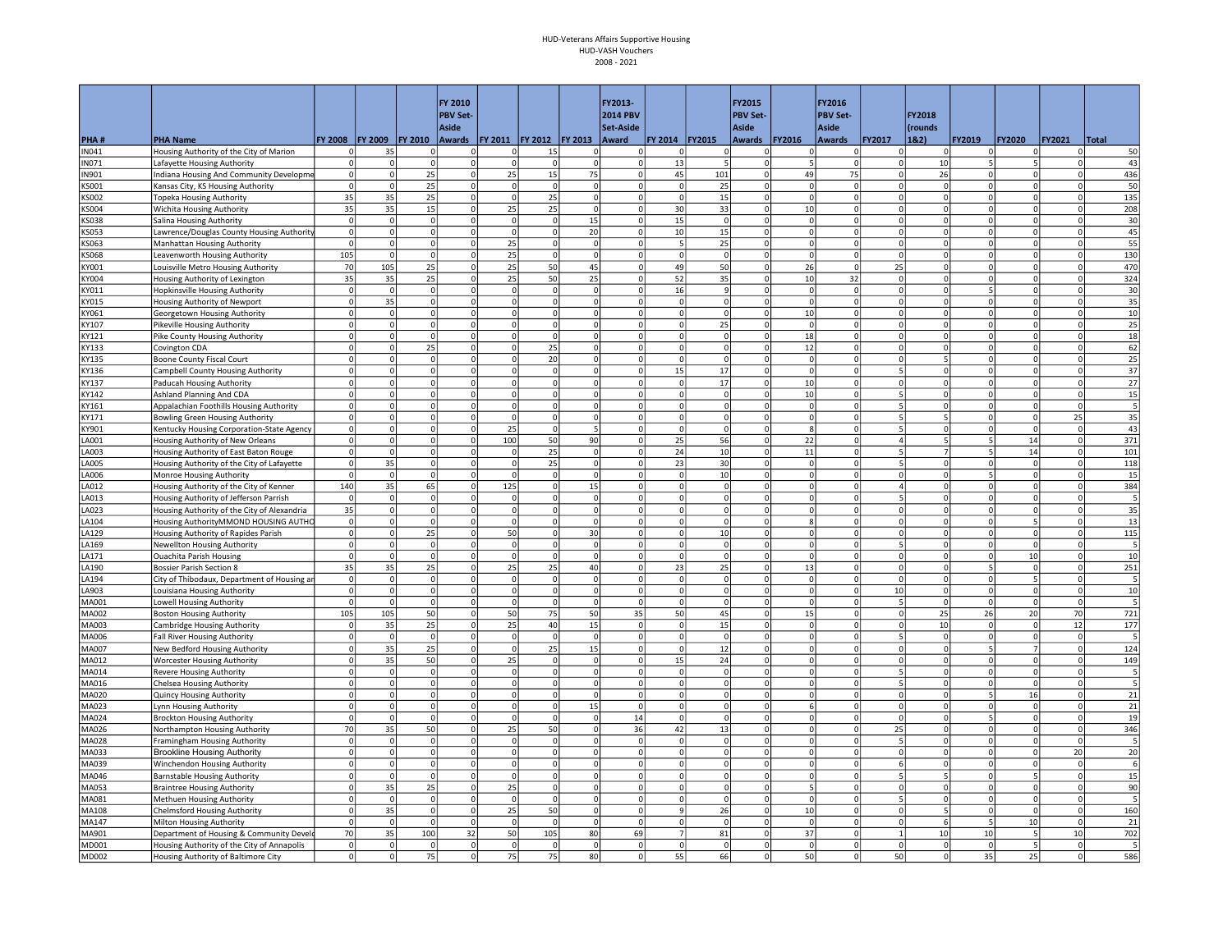|                             |                                                                        |                         |                |                      | FY 2010                    |                      |                                      |                            | FY2013-                 |                            |                      | FY2015                          |                | FY2016                         |                              |                 |                           |                      |                   |                 |
|-----------------------------|------------------------------------------------------------------------|-------------------------|----------------|----------------------|----------------------------|----------------------|--------------------------------------|----------------------------|-------------------------|----------------------------|----------------------|---------------------------------|----------------|--------------------------------|------------------------------|-----------------|---------------------------|----------------------|-------------------|-----------------|
|                             |                                                                        |                         |                |                      | <b>PBV Set-</b>            |                      |                                      |                            | <b>2014 PBV</b>         |                            |                      | <b>PBV Set-</b>                 |                | <b>PBV Set-</b>                |                              | FY2018          |                           |                      |                   |                 |
| PHA#                        | <b>PHA Name</b>                                                        | <b>FY 2008</b>          | <b>FY 2009</b> | FY 2010              | Aside                      |                      | Awards   FY 2011   FY 2012   FY 2013 |                            | Set-Aside<br>Award      | FY 2014 FY2015             |                      | <b>Aside</b><br>Awards   FY2016 |                | <b>Aside</b><br><b>Awards</b>  | <b>FY2017</b>                | (rounds<br>1&2) | FY2019                    | <b>FY2020</b>        | <b>FY2021</b>     | Total           |
| N041                        | Housing Authority of the City of Marion                                | O                       | 35             | 0                    | 0                          | $\mathbf 0$          | 15                                   | 0                          | 0                       | 0                          | $\mathbf 0$          | 0                               | 0              | 0                              | 0                            | $\Omega$        | 0l                        |                      | $\Omega$          | 50              |
| N071                        | Lafayette Housing Authority                                            | $\Omega$                |                | $\Omega$             | $\Omega$                   | 0                    | $\Omega$                             | 0                          | $\Omega$                | 13                         |                      | $\overline{0}$                  |                | 0                              | $\Omega$                     | 10              | 5 <sup>1</sup>            |                      | $\Omega$          | 43              |
| <b>IN901</b>                | Indiana Housing And Community Developme                                | $\Omega$                |                | 25                   | $\Omega$                   | 25                   | 15                                   | 75                         | $\Omega$                | 45                         | 101                  | $\circ$                         | 49             | 75                             | $\mathbf{0}$                 | 26              | ΩI                        |                      | $\circ$           | 436             |
| KS001                       | Kansas City, KS Housing Authority                                      | $\mathbf 0$             |                | 25                   | $\mathbf 0$                | $\mathbf 0$          | $\mathbf 0$                          | $\circ$                    | $\Omega$                | $\mathbf 0$                | 25                   | $\circ$                         | $\Omega$       | $\mathbf 0$                    | 0                            | $\Omega$        | $\circ$                   | $\Omega$             | 0                 | 50              |
| S002                        | Topeka Housing Authority                                               | 35                      | 35             | 25                   | $\mathbf 0$                | $\circ$              | 25                                   | <sup>o</sup>               | $\Omega$                | $\Omega$                   | 15                   | <sub>0</sub>                    | $\Omega$       | $\mathfrak{o}$                 | $\Omega$                     | $\Omega$        | $\overline{0}$            | $\Omega$             | $\circ$           | 135             |
| KS004                       | Wichita Housing Authority                                              | 35                      | 35             | 15                   | $\mathbf 0$                | 25                   | 25                                   | $\Omega$                   | $\Omega$                | 30                         | 33                   | $\circ$                         | 10             | 0                              | $\mathbf 0$                  | $\Omega$        | $\circ$                   | $\Omega$             | 0                 | 208             |
| KS038                       | Salina Housing Authority                                               | $\circ$                 | $\Omega$       | $\circ$              | $\mathbf 0$                | 0                    | 0                                    | 15                         | $\mathsf{O}$            | 15                         | $\Omega$             | $\circ$                         | $\Omega$       | 0                              | $\mathbf 0$                  | 0               | $\circ$                   | $\Omega$             | 0                 | 30              |
| <b><sos3< b=""></sos3<></b> | Lawrence/Douglas County Housing Authorit                               | $\circ$                 |                | $\mathbf 0$          | $\mathbf 0$                | 0                    | $\circ$                              | 20                         | $\mathbf 0$             | 10                         | 15                   | $\circ$                         | $\Omega$       | 0                              | $\mathbf 0$                  | $\Omega$        | $\circ$                   | $\Omega$             | 0                 | 45              |
| S063                        | Manhattan Housing Authority                                            | $\mathbf 0$             |                | $\Omega$             | $\mathbf 0$                | 25                   | 0                                    | $\mathbf 0$<br>$\mathbf 0$ | $\Omega$                | 5                          | 25                   | $\mathbf 0$                     | $\Omega$       | $\mathbf 0$                    | $\mathbf 0$                  | <sup>0</sup>    | ٥l                        | $\Omega$             | 0                 | 55              |
| S068<br>Y001                | Leavenworth Housing Authority<br>Louisville Metro Housing Authority    | 105<br>70               | 105            | $\Omega$<br>25       | $\mathbf 0$<br>$\mathbf 0$ | 25<br>25             | $\Omega$<br>50                       | 45                         | $\Omega$<br>0           | $\mathbf 0$<br>49          | $\Omega$<br>50       | $\mathbf 0$<br>$\overline{0}$   | $\Omega$<br>26 | 0 <br> 0                       | $\mathbf 0$<br>25            | $\Omega$<br>0   | $\circ$<br>$\overline{0}$ | $\Omega$<br>$\Omega$ | 0 <br>$\Omega$    | 130<br>470      |
| <b>Y004</b>                 | Housing Authority of Lexington                                         | 35                      | 35             | 25                   | $\Omega$                   | 25                   | 50                                   | 25                         | $\Omega$                | 52                         | 35                   | $\overline{0}$                  | 10             | 32                             | $\Omega$                     | <sup>0</sup>    | $\overline{0}$            | $\Omega$             | $\circ$           | 324             |
| <b>Y011</b>                 | Hopkinsville Housing Authority                                         | $\Omega$                |                | $\mathbf 0$          | $\Omega$                   | $\Omega$             | $\Omega$                             | $\mathbf 0$                | $\Omega$                | 16                         | $\mathsf{q}$         | $\circ$                         | $\overline{0}$ | 0                              | 0                            | $\Omega$        | 5                         | $\Omega$             | $\circ$           | 30              |
| Y015                        | Housing Authority of Newport                                           | $\Omega$                | 35             | $\Omega$             | $\Omega$                   | $\Omega$             | 0                                    | 0                          | $\Omega$                | $\mathbf 0$                | $\Omega$             | $\circ$                         | $\Omega$       | 0                              | $\mathsf 0$                  | $\Omega$        | $\circ$                   | $\Omega$             | 0                 | 35              |
| Y061                        | Georgetown Housing Authority                                           | $\circ$                 | $\Omega$       | $\mathbf 0$          | $\pmb{0}$                  | $\mathbf 0$          | $\mathbf 0$                          | $\mathbf 0$                | $\Omega$                | $\mathbf 0$                | $\Omega$             | $\circ$                         | 10             | 0                              | $\mathbf 0$                  | 0               | $\circ$                   | $\mathbf 0$          | 0                 | 10              |
| <b>Y107</b>                 | <b>Pikeville Housing Authority</b>                                     | $\overline{0}$          | $\Omega$       | $\overline{0}$       | 0                          | 0                    | 0                                    | 0                          | $\Omega$                | $\circ$                    | 25                   | $\circ$                         | $\Omega$       | 0                              | $\mathbf 0$                  | 0               | $\circ$                   | $\Omega$             | 0                 | 25              |
| <b>Y121</b>                 | Pike County Housing Authority                                          | $\circ$                 |                | $\Omega$             | $\mathbf 0$                | $\Omega$             | <sup>o</sup>                         | $\overline{0}$             | $\Omega$                | $\mathbf 0$                | $\Omega$             | $\circ$                         | 18             | $\circ$                        | $\Omega$                     | <sup>o</sup>    | $\circ$                   | $\Omega$             | $\circ$           | 18              |
| KY133                       | Covington CDA                                                          | 0                       |                | 25                   | $\mathbf 0$                | $\Omega$             | 25                                   | $\mathbf 0$                |                         | $\mathbf 0$                |                      | $\mathbf 0$                     | 12             | $\mathbf 0$                    | $\mathbf 0$                  |                 | $\circ$                   |                      | 0                 | 62              |
| Y135                        | <b>Boone County Fiscal Court</b>                                       | $\Omega$                |                | $\Omega$             | $\Omega$                   | $\Omega$             | 20                                   | $\Omega$                   |                         | $\Omega$                   |                      | $\Omega$                        | $\Omega$       | $\Omega$                       | $\Omega$                     |                 | ΩI                        |                      | $\Omega$          | 25              |
| <b>Y136</b>                 | Campbell County Housing Authority                                      | $\circ$                 |                | $\Omega$             | $\mathbf 0$                | $\Omega$             | $\mathbf 0$                          | $\Omega$                   | $\Omega$                | 15                         | 17                   | $\mathbf 0$                     | $\Omega$       | 0                              | 5                            |                 | ٥l                        | $\Omega$             | $\Omega$          | 37              |
| Y137                        | Paducah Housing Authority                                              | $\overline{0}$          |                | $\Omega$             | $\Omega$                   | 0                    | 0                                    | $\Omega$                   | $\Omega$                | <sup>0</sup>               | 17                   | $\overline{0}$                  | 10             | $\mathfrak{o}$                 | $\Omega$                     | <sup>0</sup>    | $\overline{0}$            | $\Omega$             | $\circ$           | 27              |
| <b>Y142</b>                 | Ashland Planning And CDA                                               | $\circ$                 |                | $\Omega$             | $\Omega$                   | $\Omega$             | $\Omega$                             | $\Omega$                   | $\Omega$                | $\Omega$                   | $\Omega$             | $\circ$                         | 10             | 0                              | 5                            | $\Omega$        | $\circ$                   |                      | 0                 | 15              |
| Y161                        | Appalachian Foothills Housing Authority                                | $\circ$                 |                | $\mathbf 0$          | $\mathbf 0$                | $\mathbf 0$          | 0                                    | $\Omega$                   | $\mathbf 0$             | $\mathbf 0$                | $\mathbf 0$          | $\circ$                         | $\mathbf 0$    | 0                              | 5                            | 0               | $\circ$                   |                      | 0                 | 5               |
| Y171                        | Bowling Green Housing Authority                                        | $\mathbf 0$             |                | $\Omega$             | $\mathbf 0$                | 0                    | $\Omega$                             | $\circ$                    | $\Omega$                | $\mathbf 0$                | $\Omega$             | $\mathbf 0$                     | $\Omega$       | 0                              | 5                            |                 | $\circ$                   | $\Omega$             | 25                | 35              |
| KY901                       | Kentucky Housing Corporation-State Agency                              | $\circ$                 | $\Omega$       | $\mathbf 0$          | $\mathbf 0$                | 25                   | 0                                    | 5                          | $\mathbf 0$             | $\mathbf 0$                | $\Omega$             | $\mathbf 0$                     | 8              | 0                              | 5<br>4                       | 0<br>5          | $\overline{0}$            | $\mathbf 0$          | $\mathbf 0$       | 43              |
| A001                        | Housing Authority of New Orleans                                       | $\mathbf{0}$<br>$\circ$ | $\Omega$       | $\Omega$<br>$\Omega$ | $\Omega$<br>$\Omega$       | 100<br>$\Omega$      | 50                                   | 90<br>$\mathbf 0$          | $\mathbf 0$<br>$\Omega$ | 25<br>24                   | 56                   | $\mathbf{0}$<br>$\circ$         | 22             | $\mathbf{0}$<br>$\overline{0}$ | 5                            |                 | 5 <sup>1</sup><br>5I      | 14                   | $\circ$           | 371             |
| A003<br>A005                | Housing Authority of East Baton Rouge                                  | $\circ$                 | 35             | $\Omega$             | $\Omega$                   | $\circ$              | 25<br>25                             | $\Omega$                   | $\Omega$                | 23                         | 10<br>30             | $\circ$                         | 11<br>$\Omega$ | $\circ$                        | 5                            | $\Omega$        | $\mathbf{0}$              | 14<br>$\Omega$       | 0 <br>$\Omega$    | 101<br>118      |
| A006                        | Housing Authority of the City of Lafayette<br>Monroe Housing Authority | $\Omega$                | $\Omega$       | $\Omega$             | $\mathbf 0$                | <sup>o</sup>         | 0                                    | <sup>o</sup>               | $\Omega$                | $\Omega$                   | 10                   | $\Omega$                        | $\Omega$       | 0                              | $\Omega$                     | $\Omega$        | 51                        | $\Omega$             | $\Omega$          | 15              |
| A012                        | Housing Authority of the City of Kenner                                | 140                     | 35             | 65                   | 0                          | 125                  | $\Omega$                             | 15                         | $\Omega$                | $\Omega$                   | $\Omega$             | $\circ$                         | $\Omega$       | 0                              | 4                            | $\Omega$        | $\circ$                   |                      | 0                 | 384             |
| A013                        | Housing Authority of Jefferson Parrish                                 | $\Omega$                |                | $\Omega$             | $\Omega$                   | $\Omega$             | <sup>o</sup>                         | $\mathbf 0$                | $\Omega$                | $\Omega$                   | $\Omega$             | $\circ$                         | $\Omega$       | 0                              | 5                            | $\Omega$        | $\circ$                   |                      | $\circ$           |                 |
| A023                        | Housing Authority of the City of Alexandria                            | 35                      |                | $\mathbf 0$          | $\mathbf 0$                | $\mathbf 0$          | $\Omega$                             | $\mathbf 0$                | $\Omega$                | $\mathbf 0$                |                      | $\circ$                         |                | 0                              | $\mathbf 0$                  | $\Omega$        | ٥l                        |                      | 0                 | 35              |
| A104                        | Housing AuthorityMMOND HOUSING AUTHO                                   | $\overline{0}$          |                | $\Omega$             | $\mathbf 0$                | $\Omega$             | $\Omega$                             | $\Omega$                   | $\Omega$                | $\Omega$                   | $\Omega$             | <sup>o</sup>                    |                | $\mathfrak{o}$                 | $\Omega$                     | $\Omega$        | $\overline{0}$            |                      | $\circ$           | 13              |
| A129                        | Housing Authority of Rapides Parish                                    | $\circ$                 | $\Omega$       | 25                   | $\mathbf 0$                | 50                   | $\mathbf 0$                          | 30                         | $\Omega$                | $\mathbf 0$                | 10                   | $\mathbf 0$                     | $\Omega$       | 0                              | $\mathbf 0$                  | $\Omega$        | $\circ$                   | $\Omega$             | 0                 | 115             |
| A169                        | Newellton Housing Authority                                            | $\overline{0}$          | $\Omega$       | $\Omega$             | $\Omega$                   | $\circ$              | 0                                    | 0                          | $\Omega$                | <sup>o</sup>               | $\Omega$             | $\overline{0}$                  | $\Omega$       | $\mathfrak{o}$                 | 5                            | <sup>0</sup>    | $\overline{0}$            | $\Omega$             | $\circ$           |                 |
| LA171                       | <b>Ouachita Parish Housing</b>                                         | $\circ$                 | $\Omega$       | $\Omega$             | $\mathbf 0$                | $\circ$              | $\circ$                              | <sup>o</sup>               | $\Omega$                | $\Omega$                   | $\Omega$             | $\overline{0}$                  | $\Omega$       | $\circ$                        | $\Omega$                     | <sup>0</sup>    | $\mathbf{0}$              | 10                   | $\circ$           | 10              |
| A190                        | Bossier Parish Section 8                                               | 35                      | 35             | 25                   | $\mathbf 0$                | 25                   | 25                                   | 40                         |                         | 23                         | 25                   | $\mathbf 0$                     | 13             | $\mathbf 0$                    | $\mathbf 0$                  | $\Omega$        | 5 <sup>1</sup>            | $\Omega$             | $\circ$           | 251             |
| A194                        | City of Thibodaux, Department of Housing ar                            | $\Omega$                |                | $\Omega$             | $\Omega$                   | 0                    | $\circ$                              | $\circ$                    |                         | $\Omega$                   | $\Omega$             | $\Omega$                        | $\Omega$       | 0                              | $\Omega$                     | $\Omega$        | $\circ$                   |                      | $\Omega$          |                 |
| A903                        | Louisiana Housing Authority                                            | $\mathbf 0$             |                | $\mathbf 0$          | $\mathbf 0$                | 0                    | 0                                    | $\mathbf 0$                |                         | $\mathbf 0$                |                      | $\mathbf 0$                     |                | 0                              | 10                           | 0               | $\circ$                   |                      | 0                 | 10              |
| MA001                       | Lowell Housing Authority                                               | $\circ$                 | $\Omega$       | $\Omega$             | $\Omega$                   | $\circ$              | <sup>o</sup>                         | 0                          | $\Omega$                | <sup>o</sup>               | $\Omega$             | $\circ$                         | $\Omega$       | 0 <br>$\overline{0}$           | 5                            | <sup>o</sup>    | <sub>0</sub>              | $\Omega$             | 0                 |                 |
| AA002<br>600AM              | <b>Boston Housing Authority</b><br>Cambridge Housing Authority         | 105<br>0                | 105<br>35      | 50<br>25             | $\overline{0}$<br>$\circ$  | 50<br>25             | 75<br>40                             | 50<br>15                   | 35<br>$\Omega$          | 50<br>$\mathbf 0$          | 45<br>15             | $\circ$<br>$\circ$              | 15             | 0                              | $\mathbf 0$<br> 0            | 25<br>10        | 26<br>$\circ$             | 20<br>$\Omega$       | 70<br>12          | 721<br>177      |
| 1A006                       | <b>Fall River Housing Authority</b>                                    | $\Omega$                | $\Omega$       | $\Omega$             | $\mathbf 0$                | <sub>0</sub>         | $\overline{0}$                       | $\circ$                    | $\Omega$                | $\Omega$                   | $\Omega$             | $\Omega$                        | $\Omega$       | 0                              | 5                            | $\mathbf 0$     | $\overline{0}$            | $\mathbf 0$          | $\circ$           |                 |
| <b>MA007</b>                | New Bedford Housing Authority                                          | $\overline{0}$          | 35             | 25                   | $\circ$                    | 0                    | 25                                   | 15                         | $\Omega$                | $\Omega$                   | 12                   | $\overline{0}$                  | $\Omega$       | 0                              | $\Omega$                     | $\Omega$        | 5 <sup>1</sup>            |                      | $\circ$           | 124             |
| MA012                       | <b>Worcester Housing Authority</b>                                     | $\Omega$                | 35             | 50                   | $\Omega$                   | 25                   | $\Omega$                             | $\mathbf 0$                | $\Omega$                | 15                         | 24                   | <sub>0</sub>                    | $\Omega$       | $\circ$                        | $\Omega$                     | $\Omega$        | <sub>0</sub>              |                      | $\Omega$          | 149             |
| MA014                       | <b>Revere Housing Authority</b>                                        | $\Omega$                |                | $\Omega$             | $\Omega$                   | $\Omega$             |                                      | $\Omega$                   |                         | $\Omega$                   |                      | $\Omega$                        |                | $\Omega$                       | 5                            |                 | ΩI                        |                      | $\Omega$          |                 |
| <b>MA016</b>                | Chelsea Housing Authority                                              | $\Omega$                |                | $\Omega$             | $\mathbf 0$                | $\mathbf 0$          | $\Omega$                             | $\mathbf 0$                |                         | $\mathbf 0$                |                      | $\mathbf 0$                     |                | 0                              | 5                            |                 | $\circ$                   | $\Omega$             | $\Omega$          |                 |
| <b>MA020</b>                | Quincy Housing Authority                                               | 0                       | $\Omega$       | $\mathbf 0$          | 0                          | 0                    | 0                                    | $\mathbf 0$                | $\Omega$                | $\mathbf 0$                | $\Omega$             | $\mathbf 0$                     | $\Omega$       | 0                              | $\mathbf 0$                  | 0               | 5 <sup>1</sup>            | 16                   | $\Omega$          | $\overline{21}$ |
| AA023                       | Lynn Housing Authority                                                 | $\Omega$                |                | $\Omega$             | $\mathbf 0$                | $\circ$              | 0                                    | 15                         | $\Omega$                | $\overline{0}$             |                      | $\circ$                         |                | 0                              | $\Omega$                     | $\Omega$        | $\overline{0}$            | $\Omega$             | $\Omega$          | 21              |
| <b>MA024</b>                | <b>Brockton Housing Authority</b>                                      | $\Omega$                |                | $\Omega$             | $\mathbf 0$                | $\Omega$             | 0                                    | $\mathbf 0$                | $14\,$                  | $\mathbf 0$                | $\Omega$             | $\circ$                         | $\Omega$       | 0                              | $\mathbf 0$                  | $\Omega$        | 5 <sup>1</sup>            | $\Omega$             | 0                 | 19              |
| AA026                       | Northampton Housing Authority                                          | 70                      | 35             | 50                   | $\mathbf 0$                | 25                   | 50                                   | 0                          | 36                      | 42                         | 13                   | $\circ$                         |                | 0                              | 25                           | <sup>0</sup>    | $\circ$                   |                      | 0                 | 346             |
| <b>MA028</b>                | Framingham Housing Authority                                           | $\Omega$                | $\Omega$       | $\Omega$             | $\mathbf 0$                | <sub>0</sub>         | $\Omega$                             | 0                          | $\Omega$                | $\mathbf 0$                | $\Omega$             | <sub>0</sub>                    | $\Omega$       | 0                              | 5                            | $\Omega$        | $\overline{0}$            | $\Omega$             | $\circ$           |                 |
| <b>MA033</b>                | <b>Brookline Housing Authority</b>                                     | $\Omega$                |                | $\Omega$             | $\Omega$                   | $\circ$              | $\Omega$                             | $\Omega$                   | $\Omega$                | $\Omega$                   | $\Omega$             | $\overline{0}$                  | $\Omega$       | 0                              | $\Omega$                     | $\Omega$        | $\overline{0}$            | $\Omega$             | 20                | 20              |
| MA039                       | Winchendon Housing Authority                                           | $\circ$                 | $\Omega$       | $\Omega$             | $\Omega$                   | $\Omega$<br>$\Omega$ | 0 <br>$\Omega$                       | 0                          | $\Omega$                | $\circ$                    | $\Omega$<br>$\Omega$ | $\circ$                         | $\Omega$       | 0                              | 6<br>$\overline{\mathbf{5}}$ | 0               | $\circ$                   | $\Omega$             | 0                 | 6               |
| MA046                       | <b>Barnstable Housing Authority</b>                                    | $\mathbf 0$             |                | $\mathbf 0$          | $\mathbf 0$<br>$\mathbf 0$ | 25                   |                                      | $\mathbf 0$<br>$\mathbf 0$ | $\Omega$                | $\mathbf 0$                |                      | $\circ$<br>$\mathbf 0$          | $\Omega$       | 0 <br> 0                       | $\mathbf 0$                  | $\Omega$        | $\circ$<br>٥l             |                      | 0                 | 15<br>90        |
| AA053<br>AA081              | <b>Braintree Housing Authority</b>                                     | 0<br>0                  | 35<br>$\Omega$ | 25<br>$\mathbf 0$    | $\mathbf 0$                | 0                    | $\mathbf 0$<br>$\mathbf 0$           | $\mathbf 0$                | $\Omega$                | $\mathbf 0$<br>$\mathbf 0$ | $\Omega$             | $\mathbf 0$                     | $\Omega$       | 0                              | 5                            | 0               | $\circ$                   | $\Omega$             | 0 <br>$\mathbf 0$ | 5               |
| AA108                       | Methuen Housing Authority<br>Chelmsford Housing Authority              | $\circ$                 | 35             | $\Omega$             | $\mathbf 0$                | 25                   | 50                                   | $\Omega$                   | $\Omega$                | $\mathbf{q}$               | 26                   | $\circ$                         | 10             | 0                              | $\Omega$                     | 5               | $\circ$                   |                      | $\Omega$          | 160             |
| <b>MA147</b>                | <b>Milton Housing Authority</b>                                        | $\circ$                 |                | $\Omega$             | $\Omega$                   | $\mathbf 0$          | $\Omega$                             | $\mathbf 0$                | $\Omega$                | $\Omega$                   | $\Omega$             | $\circ$                         | $\Omega$       | $\circ$                        | $\mathbf{0}$                 | 6               | 5 <sup>1</sup>            | 10                   | $\circ$           | 21              |
| AA901                       | Department of Housing & Community Devel                                | 70                      | 35             | 100                  | 32                         | 50                   | 105                                  | 80                         | 69                      | $\overline{7}$             | 81                   | $\circ$                         | 37             | $\mathbf 0$                    | $\mathbf{1}$                 | 10              | 10 <sup>1</sup>           |                      | 10                | 702             |
| MD001                       | Housing Authority of the City of Annapolis                             | $\mathbf{0}$            |                | $\Omega$             | $\Omega$                   | $\Omega$             | $\Omega$                             | $\Omega$                   | $\Omega$                | $\Omega$                   |                      | $\mathbf{0}$                    | $\Omega$       | $\Omega$                       | $\Omega$                     | $\Omega$        | $\overline{0}$            |                      | $\Omega$          |                 |
| MD002                       | Housing Authority of Baltimore City                                    | $\Omega$                | 0              | 75                   | $\mathbf 0$                | 75                   | 75                                   | 80                         | $\Omega$                | 55                         | 66                   | $\Omega$                        | 50             | $\overline{0}$                 | 50                           | $\mathbf 0$     | 35                        | 25                   | $\Omega$          | 586             |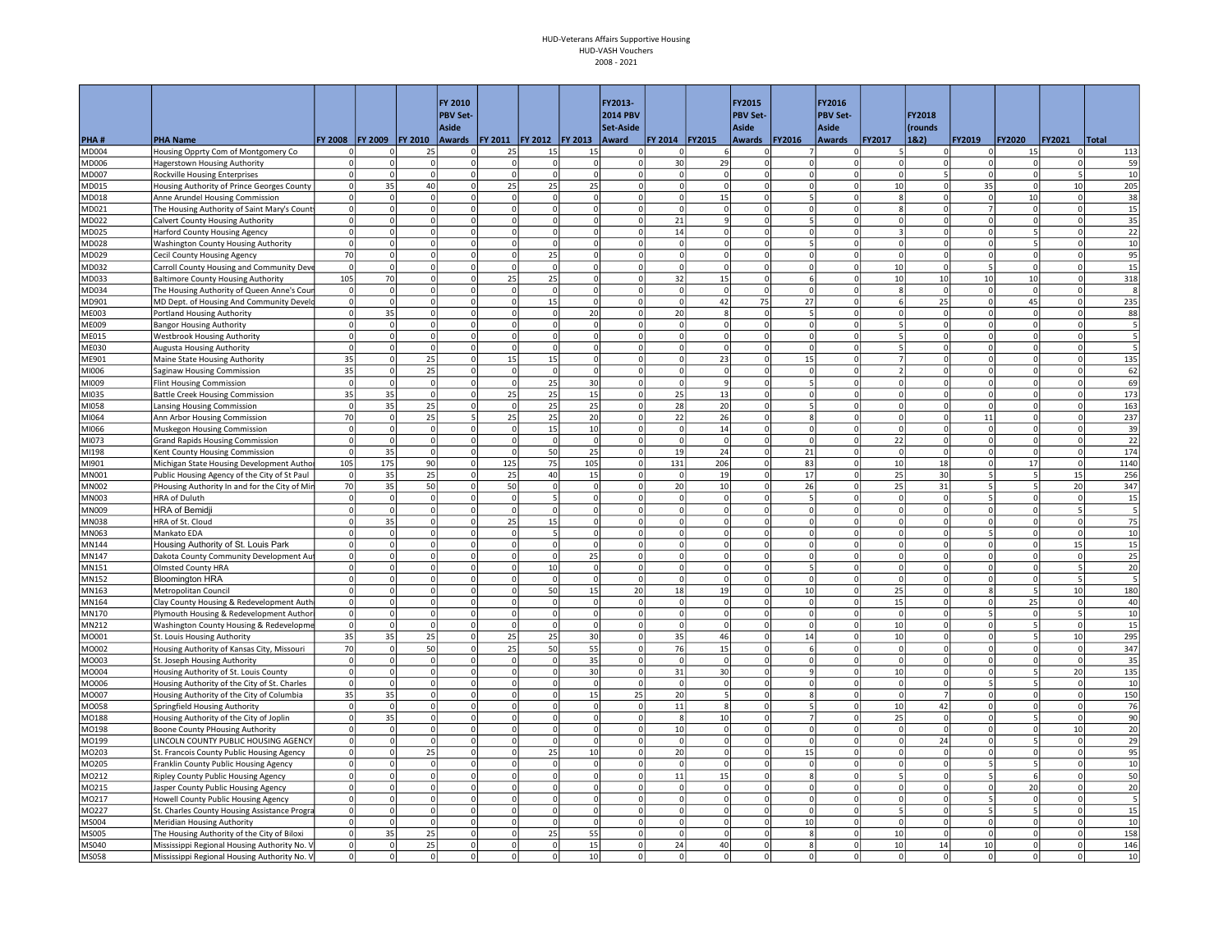|                |                                                                                       |                               |                                  |                                  | FY 2010                 |                         |                               |                         | FY2013-                 |                         |                      | FY2015                        |                              | FY2016                           |                             |                          |                             |                |                           |              |
|----------------|---------------------------------------------------------------------------------------|-------------------------------|----------------------------------|----------------------------------|-------------------------|-------------------------|-------------------------------|-------------------------|-------------------------|-------------------------|----------------------|-------------------------------|------------------------------|----------------------------------|-----------------------------|--------------------------|-----------------------------|----------------|---------------------------|--------------|
|                |                                                                                       |                               |                                  |                                  | <b>PBV Set-</b>         |                         |                               |                         | <b>2014 PBV</b>         |                         |                      | <b>PBV Set-</b>               |                              | <b>PBV Set-</b>                  |                             | FY2018                   |                             |                |                           |              |
|                |                                                                                       |                               |                                  |                                  | <b>Aside</b>            |                         |                               |                         | Set-Aside               |                         |                      | <b>Aside</b>                  |                              | Aside                            |                             | (rounds                  |                             |                |                           |              |
| PHA#<br>MD004  | <b>PHA Name</b><br>Housing Opprty Com of Montgomery Co                                | <b>FY 2008</b><br>$\mathbf 0$ | <b>FY 2009</b>                   | <b>FY 2010</b><br>25             | Awards<br>$\mathbf 0$   | <b>FY 2011</b><br>25    | <b>FY 2012</b><br>15          | <b>FY 2013</b><br>15    | Award<br><sup>n</sup>   | FY 2014   FY 2015<br>C  | 6                    | <b>Awards</b><br>$\Omega$     | <b>FY2016</b><br>7           | <b>Awards</b><br> 0              | <b>FY2017</b><br>5          | 18.2)<br>$\Omega$        | FY2019<br><sup>n</sup>      | <b>FY2020</b>  | <b>FY2021</b><br>$\Omega$ | Total<br>113 |
| MD006          | <b>Hagerstown Housing Authority</b>                                                   | 0                             |                                  | $\Omega$                         | $\Omega$                | $\mathbf 0$             | $\Omega$                      | $\mathbf 0$             | $\Omega$                | 30                      | 29                   | $\Omega$                      | $\Omega$                     | $\Omega$                         | $\Omega$                    |                          | 0                           | 15             | $\Omega$                  | 59           |
| MD007          | Rockville Housing Enterprises                                                         | $\mathbf 0$                   | $\overline{0}$                   | $\overline{0}$                   | $\Omega$                | <sub>0</sub>            | $\Omega$                      | $\overline{0}$          | $\Omega$                | <sub>0</sub>            | $\overline{0}$       | $\Omega$                      | $\Omega$                     | $\Omega$                         | $\Omega$                    | 5                        | $\overline{0}$              | $\Omega$       | 5 <sup>1</sup>            | 10           |
| MD015          | Housing Authority of Prince Georges County                                            | $\overline{0}$                | 35                               | 40                               | $\Omega$                | 25                      | 25                            | 25                      | $\Omega$                | $\overline{\mathbf{0}}$ | $\overline{0}$       | $\Omega$                      | $\Omega$                     | $\overline{0}$                   | 10                          | $\Omega$                 | 35                          | $\Omega$       | 10                        | 205          |
| MD018          | Anne Arundel Housing Commission                                                       | $\circ$                       | $\circ$                          | $\overline{0}$                   | $\Omega$                | $\mathbf 0$             | $\Omega$                      | $\overline{0}$          | $\Omega$                | $\circ$                 | 15                   | $\mathbf 0$                   | 5                            | $\overline{0}$                   | $\mathbf{8}$                | 0                        | $\circ$                     | 10             | $\circ$                   | 38           |
| MD021          | The Housing Authority of Saint Mary's Count                                           | $\circ$                       | 0                                | $\mathbf{0}$                     | $\Omega$                | $\circ$                 | $\Omega$                      | $\Omega$                | $\Omega$                | $\Omega$                | $\Omega$             | $\Omega$                      | $\Omega$                     | $\overline{0}$                   | 8                           | 0                        | $\overline{7}$              | $\Omega$       | $\Omega$                  | 15           |
| MD022          | Calvert County Housing Authority                                                      | $\circ$                       | $\mathbf{0}$                     | $\overline{0}$                   | $\Omega$                | $\Omega$                | $\Omega$                      | $\Omega$                | $\Omega$                | 21                      | 9                    | $\Omega$                      | 5                            | $\Omega$                         | $\Omega$                    | ΩI                       | $\mathbf{0}$                | $\Omega$       | $\Omega$                  | 35           |
| MD025          | Harford County Housing Agency                                                         | $\circ$                       | <sub>0</sub>                     | $\Omega$                         | $\Omega$                | $\Omega$                | $\Omega$                      | $\Omega$                | $\Omega$                | $14\,$                  | $\Omega$             | $\Omega$                      | $\Omega$                     | $\Omega$                         | $\overline{\mathbf{a}}$     | $\Omega$                 | $\Omega$                    |                | $\Omega$                  | 22           |
| MD028          | Washington County Housing Authority                                                   | $\mathbf 0$                   | $\overline{0}$                   | $\circ$                          |                         | $\mathbf 0$             |                               | $\mathbf 0$             |                         | $\mathbf 0$             | $\overline{0}$       | $\mathbf 0$                   |                              | $\overline{0}$                   |                             |                          | 0                           |                | $\mathbf 0$               | 10           |
| MD029          | Cecil County Housing Agency                                                           | 70                            | $\Omega$                         | $\Omega$                         | $\Omega$                | $\Omega$                | 25                            | $\Omega$                |                         | $\Omega$                | $\Omega$             | $\Omega$                      |                              | $\overline{0}$                   | $\Omega$                    | $\Omega$                 | $\Omega$                    |                | $\Omega$                  | 95           |
| MD032          | Carroll County Housing and Community Deve                                             | $\pmb{0}$                     | $\mathbf{0}$                     | $\overline{0}$                   | $\Omega$                | $\circ$                 | $^{\circ}$                    | $\mathbf 0$             | $\Omega$                | $\mathbf 0$             | $\overline{0}$       | $\mathbf 0$                   | $\Omega$                     | $\overline{0}$                   | $10\,$                      | $\Omega$                 | 5                           | $\Omega$       | $\Omega$                  | 15           |
| MD033          | <b>Baltimore County Housing Authority</b>                                             | 105                           | 70                               | $\Omega$                         | $\Omega$                | 25                      | 25                            | $\Omega$                | $\Omega$                | 32                      | 15                   | $\Omega$                      | 6                            | $\Omega$                         | 10                          | 10                       | 10 <sup>1</sup>             | 10             | $\Omega$                  | 318          |
| MD034          | The Housing Authority of Queen Anne's Cour                                            | $\pmb{0}$<br>$\circ$          | $\overline{0}$<br>$\overline{0}$ | $\overline{0}$<br>$\overline{0}$ | $\Omega$<br>$\Omega$    | $\Omega$<br>$\mathbf 0$ | $\Omega$                      | $\Omega$<br>$\mathbf 0$ | $\Omega$<br>$\mathbf 0$ | $\Omega$                | $\circ$              | $\mathbf 0$<br>75             | $\Omega$                     | $\overline{0}$<br>$\overline{0}$ | 8<br>6                      | $\circ$<br>25            | $\overline{0}$<br>$\circ$   | $\Omega$<br>45 | $\circ$<br> 0             | 235          |
| MD901<br>ME003 | MD Dept. of Housing And Community Develo                                              | $\mathbf 0$                   | 35                               | $\mathbf{0}$                     | $\Omega$                | $\Omega$                | 15<br>$\Omega$                | 20                      | $\Omega$                | $\mathbf 0$<br>20       | 42<br>8              | $\Omega$                      | 27                           | $\overline{0}$                   | $\Omega$                    | $\Omega$                 | $\Omega$                    | $\Omega$       | $\Omega$                  | 88           |
| ME009          | Portland Housing Authority<br><b>Bangor Housing Authority</b>                         | $\Omega$                      | $\overline{0}$                   | $\overline{0}$                   | $\Omega$                | $\Omega$                | $\Omega$                      | $\Omega$                | $\Omega$                | $\Omega$                | $\circ$              | $\Omega$                      | $\Omega$                     | $\Omega$                         |                             | $\Omega$                 | $\Omega$                    |                | $\Omega$                  |              |
| <b>ME015</b>   | <b>Westbrook Housing Authority</b>                                                    | $\overline{0}$                | 0                                | $\mathbf{0}$                     | $\Omega$                | 0                       | $\overline{0}$                | $\Omega$                | $\Omega$                | $\circ$                 | $\overline{0}$       | $\Omega$                      | $\Omega$                     | $\Omega$                         |                             | 0                        | $\Omega$                    | $\Omega$       | $\circ$                   |              |
| ME030          | Augusta Housing Authority                                                             | $\overline{0}$                | $\overline{0}$                   | $\circ$                          | $\Omega$                | $\Omega$                | $\Omega$                      | $\Omega$                | $\Omega$                | $\Omega$                | $\overline{0}$       | $\Omega$                      | $\Omega$                     | $\overline{0}$                   |                             |                          | $\Omega$                    | $\Omega$       | $\Omega$                  |              |
| ME901          | Maine State Housing Authority                                                         | 35                            | $\overline{0}$                   | 25                               | $\Omega$                | 15                      | 15                            | $\mathbf 0$             | $\Omega$                | $\mathbf 0$             | 23                   | $\mathbf 0$                   | 15                           | $\overline{0}$                   |                             | $\Omega$                 | 0                           |                | 0                         | 135          |
| MI006          | Saginaw Housing Commission                                                            | 35                            | $\circ$                          | 25                               | $\mathbf 0$             | $\mathbf 0$             | $\Omega$                      | $\mathbf 0$             | $\Omega$                | $\mathbf 0$             | $\mathsf{O}\xspace$  | $\mathbf 0$                   | $\Omega$                     | $\overline{0}$                   | $\overline{\phantom{a}}$    | $\Omega$                 | $\Omega$                    | $\Omega$       | $\Omega$                  | 62           |
| MI009          | <b>Flint Housing Commission</b>                                                       | $\circ$                       | $\overline{0}$                   | <sup>o</sup>                     | $\Omega$                | 0                       | 25                            | 30                      | $\Omega$                | $\Omega$                | 9                    | $\Omega$                      | 5                            | 0                                | $\Omega$                    | $\Omega$                 | $\Omega$                    | $\Omega$       | 0                         | 69           |
| MI035          | <b>Battle Creek Housing Commission</b>                                                | 35                            | 35                               | $\overline{0}$                   | $\Omega$                | 25                      | 25                            | 15                      | $\Omega$                | 25                      | 13                   | $\Omega$                      |                              | $\Omega$                         | $\Omega$                    | $\Omega$                 | $\Omega$                    |                | $\overline{0}$            | 173          |
| MI058          | Lansing Housing Commission                                                            | $\mathbf 0$                   | 35                               | 25                               | $\mathbf 0$             | $\mathbf 0$             | 25                            | 25                      | $\Omega$                | 28                      | 20                   | $\mathbf 0$                   |                              | $\overline{0}$                   | $\Omega$                    |                          | 0                           |                | 0                         | 163          |
| MI064          | Ann Arbor Housing Commission                                                          | 70                            | $\overline{0}$                   | 25                               |                         | 25                      | 25                            | 20                      | $\Omega$                | 22                      | 26                   | $\Omega$                      |                              | $\Omega$                         | $\Omega$                    | 0                        | 11                          | $\Omega$       | $\Omega$                  | 237          |
| MI066          | Muskegon Housing Commission                                                           | $\mathbf 0$                   | $\overline{0}$                   | $\mathbf{0}$                     | $\Omega$                | $\Omega$                | 15                            | 10                      | $\Omega$                | $\Omega$                | 14                   | $\Omega$                      | $\Omega$                     | 0                                | $\Omega$                    | $\Omega$                 | $\overline{0}$              | $\Omega$       | $\Omega$                  | 39           |
| MI073          | <b>Grand Rapids Housing Commission</b>                                                | $\circ$                       | $\overline{0}$                   | $\circ$                          | $\Omega$                | $\circ$                 | $\Omega$                      | $\Omega$                | $\Omega$                | 0                       | $\circ$              | $\Omega$                      | $\Omega$                     | 0                                | 22                          | 0                        | $\Omega$                    | $\Omega$       | 0                         | 22           |
| MI198          | Kent County Housing Commission                                                        | $\circ$                       | 35                               | $\circ$                          | $\mathbf 0$             | $\mathbf 0$             | 50                            | 25                      | $\Omega$                | 19                      | 24                   | $\mathbf{0}$                  | 21                           | $\overline{0}$                   | $\Omega$                    | 0                        | $\mathbf{0}$                | $\Omega$       | 0                         | 174          |
| MI901          | Michigan State Housing Development Author                                             | 105                           | 175                              | 90                               | $\Omega$                | 125                     | 75                            | 105                     | $\Omega$                | 131                     | 206                  | $\mathbf 0$                   | 83                           | 0                                | 10                          | 18                       | $\circ$                     | 17             | 0                         | 1140         |
| MN001          | Public Housing Agency of the City of St Paul                                          | $\circ$                       | 35                               | 25                               | $\Omega$                | 25                      | 40                            | 15                      | 0                       | $\Omega$                | 19                   | $\Omega$                      | 17                           | $\overline{0}$                   | 25                          | 30                       | 5                           |                | 15                        | 256          |
| MN002<br>MN003 | PHousing Authority In and for the City of Mir<br>HRA of Duluth                        | 70<br>$\mathbf 0$             | 35<br>$\overline{0}$             | 50<br>$\overline{0}$             | $\mathbf 0$<br>$\Omega$ | 50<br><sub>0</sub>      | $\mathbf 0$<br>$\overline{5}$ | $\mathbf 0$<br>$\Omega$ | $\mathbf 0$<br>$\Omega$ | 20<br>$\circ$           | 10<br>$\overline{0}$ | $\mathbf 0$<br>$\overline{0}$ | 26<br>-5                     | $\Omega$<br>$\overline{0}$       | 25<br>$\mathbf{0}$          | 31<br>$\Omega$           | 5<br>5.                     | $\Omega$       | 20<br>$\circ$             | 347<br>15    |
| MN009          | <b>HRA of Bemidji</b>                                                                 | $\mathbf 0$                   | $\circ$                          | $\overline{0}$                   | $\Omega$                | $\mathbf 0$             | $\Omega$                      | $\mathbf 0$             | $\Omega$                | $\mathbf 0$             | $\circ$              | $\mathbf 0$                   | $\Omega$                     | $\overline{0}$                   | $\Omega$                    | $\Omega$                 | $\Omega$                    | $\Omega$       | 5                         | 5            |
| MN038          | HRA of St. Cloud                                                                      | $\Omega$                      | 35 <sup>1</sup>                  | $\overline{0}$                   | $\Omega$                | 25                      | 15                            | $\Omega$                | $\Omega$                | $\Omega$                | $\Omega$             | $\Omega$                      | $\Omega$                     | $\Omega$                         | $\Omega$                    | 0                        | $\Omega$                    | $\Omega$       | $\circ$                   | 75           |
| MN063          | Mankato EDA                                                                           | $\circ$                       | $\circ$                          | $\overline{0}$                   | $\Omega$                | $\mathbf 0$             | 5                             | $\Omega$                | $\Omega$                | $\Omega$                | $\Omega$             | $\Omega$                      | $\Omega$                     | 0                                | $\Omega$                    | $\Omega$                 | $\overline{5}$              | $\Omega$       | $\circ$                   | 10           |
| MN144          | Housing Authority of St. Louis Park                                                   | $\circ$                       | 0                                | $\overline{0}$                   | $\Omega$                | $\Omega$                | $\Omega$                      | $\Omega$                | $\Omega$                | 0                       | $\circ$              | $\Omega$                      | $\Omega$                     | 0                                | $\Omega$                    | 0                        | $\circ$                     | $\Omega$       | 15                        | 15           |
| MN147          | Dakota County Community Development Au                                                | $\circ$                       | <sub>0</sub>                     | $\Omega$                         | $\Omega$                | $\Omega$                | $\Omega$                      | 25                      | $\Omega$                | $\Omega$                | $\Omega$             | $\Omega$                      | $\Omega$                     | $\Omega$                         | $\Omega$                    | $\Omega$                 | $\Omega$                    | $\Omega$       | 0                         | 25           |
| MN151          | <b>Olmsted County HRA</b>                                                             | $\overline{0}$                | $\circ$                          | $\overline{0}$                   | $\mathbf 0$             | $\mathbf 0$             | 10                            | $\mathbf 0$             | $\mathbf 0$             | $\mathbf 0$             | $\mathbf{0}$         | $\mathbf 0$                   |                              | $\overline{0}$                   | $\mathbf 0$                 |                          | 0                           |                | 5                         | 20           |
| MN152          | <b>Bloomington HRA</b>                                                                | $\circ$                       | $\Omega$                         | $\Omega$                         | $\Omega$                | $\Omega$                | $\Omega$                      | $\Omega$                | $\Omega$                | $\Omega$                | $\Omega$             | $\Omega$                      | $\Omega$                     | $\overline{0}$                   | $\mathbf{0}$                | $\Omega$                 | $\Omega$                    | $\Omega$       | 5                         |              |
| MN163          | Metropolitan Council                                                                  | $\mathbf 0$                   | $\mathbf{0}$                     | $\overline{0}$                   | $\Omega$                | $\mathbf 0$             | 50                            | 15                      | 20                      | 18                      | 19                   | $\mathbf 0$                   | 10                           | $\Omega$                         | 25                          |                          | 8                           |                | 10 <sup>1</sup>           | 180          |
| MN164          | Clay County Housing & Redevelopment Auth                                              | $\circ$                       | $\Omega$                         | $\overline{0}$                   | $\Omega$                | 0                       | $\Omega$                      | $\Omega$                | $\Omega$                | $\circ$                 | $\circ$              | $\Omega$                      | $\Omega$                     | 0                                | 15                          | $\circ$                  | $\overline{0}$              | 25             | $\circ$                   | 40           |
| MN170          | Plymouth Housing & Redevelopment Author                                               | $\circ$                       | $\overline{0}$                   | $\overline{0}$                   | $\Omega$                | $\mathbf 0$             | $\Omega$                      | $\mathbf 0$             | $\mathbf 0$             | 0                       | $\circ$              | $\mathbf 0$                   | $\overline{0}$               | $\overline{0}$                   | $\Omega$                    | $\circ$                  | 5                           |                | 5                         | 10           |
| MN212          | Washington County Housing & Redevelopme                                               | $\overline{0}$                | $\overline{0}$                   | $\overline{0}$                   | $\Omega$                | $\mathbf 0$             | $\Omega$                      | $\overline{0}$          | $\Omega$                | $\mathbf 0$             | $\circ$              | $\mathbf 0$                   | $\Omega$                     | $\overline{0}$                   | 10                          | 0                        | $\overline{0}$              |                | $\circ$                   | 15           |
| M0001          | St. Louis Housing Authority                                                           | 35                            | 35                               | 25                               | $\Omega$                | 25                      | 25                            | 30                      | $\Omega$                | 35                      | 46                   | $\Omega$                      | 14                           | $\overline{0}$                   | 10                          | $\Omega$                 | $\Omega$                    |                | 10                        | 295          |
| MO002          | Housing Authority of Kansas City, Missouri                                            | 70                            | 0 <br>0                          | 50<br>$\overline{0}$             | $\Omega$<br>$\Omega$    | 25<br>$\Omega$          | 50<br>$\Omega$                | 55                      | $\Omega$<br>$\Omega$    | 76                      | 15<br>$\circ$        | $\Omega$<br>$\Omega$          | 6<br>$\Omega$                | 0 <br>$\overline{0}$             | $\mathbf 0$<br>$\mathbf{0}$ | $\Omega$<br><sup>o</sup> | $\circ$<br>$\mathbf{0}$     |                | 0                         | 347          |
| MO003          | St. Joseph Housing Authority                                                          | $\circ$<br>$\mathbf 0$        | $\Omega$                         | $\mathbf{0}$                     | $\mathbf 0$             | $\mathbf 0$             | $\Omega$                      | 35<br>30                | $\mathbf 0$             | $\mathbf 0$<br>31       | 30                   | $\mathbf 0$                   |                              | $\overline{0}$                   | 10                          |                          | $\mathbf 0$                 |                | 0 <br>20                  | 35<br>135    |
| MO004<br>MO006 | Housing Authority of St. Louis County<br>Housing Authority of the City of St. Charles | $\circ$                       | $\Omega$                         | $\Omega$                         | $\Omega$                | $\Omega$                | $\Omega$                      | $\Omega$                | $\Omega$                | $\overline{0}$          | $\Omega$             | $\Omega$                      |                              | $\overline{0}$                   | $\mathbf{0}$                | $\Omega$                 | 5                           |                | $\circ$                   | 10           |
| M0007          | Housing Authority of the City of Columbia                                             | 35                            | 35                               | $\overline{0}$                   | $\mathbf 0$             | $\circ$                 | $\Omega$                      | 15                      | 25                      | 20                      | 5                    | $\Omega$                      | 8                            | 0                                | $\mathbf 0$                 |                          | $\Omega$                    |                | $\Omega$                  | 150          |
| M0058          | Springfield Housing Authority                                                         | $\circ$                       | $\Omega$                         | $\Omega$                         | $\Omega$                | $\mathbf 0$             | $\Omega$                      | $\Omega$                | $\Omega$                | 11                      | 8                    | $\Omega$                      |                              | $\Omega$                         | 10                          | 42                       | $\overline{0}$              |                | $\Omega$                  | 76           |
| MO188          | Housing Authority of the City of Joplin                                               | $\circ$                       | 35                               | $\mathbf{0}$                     | $\Omega$                | $\Omega$                | $\Omega$                      | $\Omega$                | $\Omega$                | 8                       | 10                   | $\mathbf 0$                   | $\overline{7}$               | 0                                | 25                          | $\Omega$                 | $\circ$                     |                | $\circ$                   | 90           |
| MO198          | <b>Boone County PHousing Authority</b>                                                | $\circ$                       | $\Omega$                         | $\mathbf{0}$                     | $\Omega$                | $\mathbf 0$             | $\Omega$                      | $\mathbf 0$             | $\mathbf 0$             | 10                      | $\circ$              | $\mathsf 0$                   | $\Omega$                     | $\overline{0}$                   | $\mathbf{0}$                | 0                        | $\Omega$                    |                | 10                        | 20           |
| MO199          | LINCOLN COUNTY PUBLIC HOUSING AGENCY                                                  | 0                             | $\overline{0}$                   | $\Omega$                         | $\Omega$                | $\Omega$                | $\Omega$                      | $\Omega$                | $\Omega$                | $\Omega$                | $\overline{0}$       | $\Omega$                      | $\Omega$                     | $\overline{0}$                   | $\Omega$                    | 24                       | <sub>0</sub>                |                | $\circ$                   | 29           |
| MO203          | St. Francois County Public Housing Agency                                             | $\circ$                       | $\overline{0}$                   | 25                               | $\Omega$                | $\Omega$                | 25                            | $10\,$                  | $\Omega$                | 20                      | $\overline{0}$       | $\Omega$                      | 15                           | $\overline{0}$                   | $\Omega$                    | $\Omega$                 | $\circ$                     |                | $\Omega$                  | 95           |
| MO205          | Franklin County Public Housing Agency                                                 | $\circ$                       | $\mathsf{O}$                     | $\circ$                          | $\mathbf 0$             | $\circ$                 | $\Omega$                      | $\mathbf 0$             | $\Omega$                | 0                       | $\overline{0}$       | $\mathbf 0$                   | $\Omega$                     | 0                                | $\mathbf 0$                 | 0                        | 5 <sup>1</sup>              |                | 0                         | 10           |
| MO212          | Ripley County Public Housing Agency                                                   | $\overline{0}$                | $\overline{0}$                   | $\overline{0}$                   | $\Omega$                | $\mathbf 0$             | $\Omega$                      | $\mathbf 0$             | $\Omega$                | 11                      | 15                   | $\mathbf 0$                   | $\mathbf{g}$                 | $\overline{0}$                   | 5                           | $\Omega$                 | $\overline{5}$              |                | $\Omega$                  | 50           |
| MO215          | Jasper County Public Housing Agency                                                   | $\overline{0}$                | $\overline{0}$                   | $\circ$                          | $\Omega$                | $\mathbf 0$             |                               | $\mathbf 0$             | $\Omega$                | $\mathbf 0$             | $\mathbf{0}$         | $\mathbf 0$                   | $\Omega$                     | $\overline{0}$                   | $\Omega$                    | $\Omega$                 | 0                           | 20             | $\overline{0}$            | 20           |
| MO217          | Howell County Public Housing Agency                                                   | $\pmb{0}$                     | $\mathbf{0}$                     | $\mathbf{0}$                     | $\Omega$                | $\mathbf 0$             | $\Omega$                      | $\mathbf 0$             | $\Omega$                | $\mathbf 0$             | $\overline{0}$       | $\Omega$                      | $\Omega$                     | $\overline{0}$                   | $\overline{0}$              | $\Omega$                 | 5                           | $\Omega$       | $\Omega$                  | 5            |
| MO227          | St. Charles County Housing Assistance Progra                                          | $\mathbf 0$                   | $\Omega$                         | $\Omega$                         | $\Omega$                | $\mathbf 0$             | $\Omega$                      | $\Omega$                | $\Omega$                | $\Omega$                | $\Omega$             | $\Omega$                      | $\Omega$                     | $\Omega$                         | 5                           | $\Omega$                 | 5                           |                | $\Omega$                  | 15           |
| MS004          | Meridian Housing Authority                                                            | $\circ$                       | $\Omega$                         | $\overline{0}$                   | $\Omega$                | <sup>o</sup>            | $\Omega$                      | $\Omega$                | $\Omega$                | $\circ$                 | $\overline{0}$       | $\Omega$                      | 10                           | 0                                | $\Omega$                    | $\Omega$                 | $\Omega$                    |                | $\circ$                   | 10           |
| MS005<br>MS040 | The Housing Authority of the City of Biloxi                                           | $\circ$<br>$\circ$            | 35<br>$\overline{0}$             | 25<br>25                         | $\Omega$<br>$\Omega$    | $\mathbf 0$<br>0        | 25<br>$\Omega$                | 55<br>15                | $\Omega$<br>$\Omega$    | $\Omega$<br>24          | $\Omega$<br>40       | $\Omega$<br>$\Omega$          | $\mathbf{g}$<br>$\mathbf{R}$ | $\overline{0}$<br>$\overline{0}$ | 10<br>10                    | 0<br>14                  | $\Omega$<br>10 <sup>1</sup> | $\Omega$       | $\Omega$<br>$\Omega$      | 158<br>146   |
| MS058          | Mississippi Regional Housing Authority No. \                                          | $\pmb{0}$                     | $\overline{0}$                   | $\Omega$                         | $\mathsf 0$             | $\Omega$                | $\Omega$                      | 10                      | $\Omega$                | $\Omega$                | $\Omega$             | $\Omega$                      | $\Omega$                     | $\overline{0}$                   | $\Omega$                    |                          | $\Omega$                    | $\mathbf 0$    | $\Omega$                  | 10           |
|                | Mississippi Regional Housing Authority No. V                                          |                               |                                  |                                  |                         |                         |                               |                         |                         |                         |                      |                               |                              |                                  |                             |                          |                             |                |                           |              |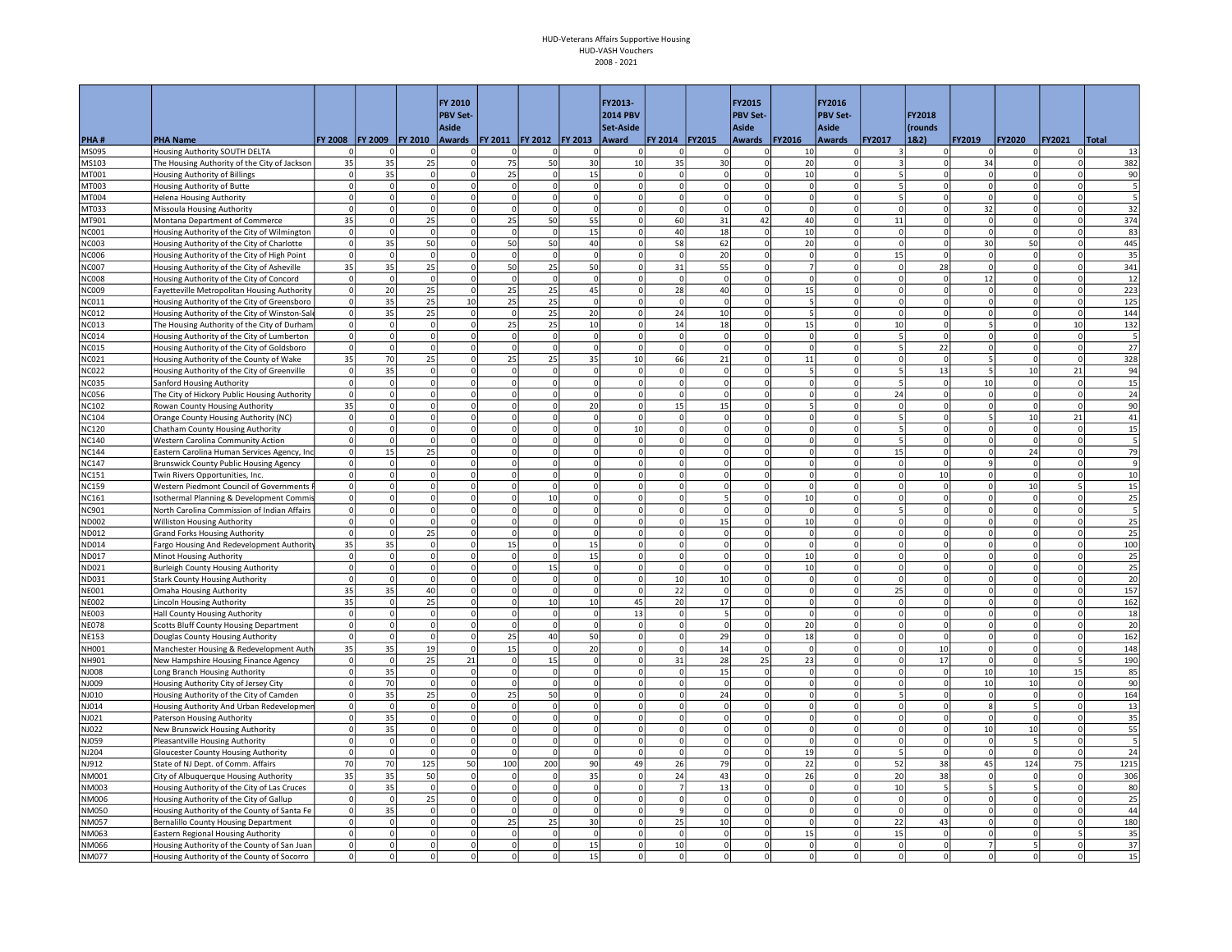|                              |                                                                                       |                            |                      |                     | <b>FY 2010</b><br><b>PBV Set-</b> |                            |                |                          | FY2013-<br><b>2014 PBV</b> |                      |                          | FY2015<br><b>PBV Set-</b>   |                | FY2016<br><b>PBV Set-</b>  |                         | FY2018               |                                  |                      |                      |                |
|------------------------------|---------------------------------------------------------------------------------------|----------------------------|----------------------|---------------------|-----------------------------------|----------------------------|----------------|--------------------------|----------------------------|----------------------|--------------------------|-----------------------------|----------------|----------------------------|-------------------------|----------------------|----------------------------------|----------------------|----------------------|----------------|
|                              |                                                                                       |                            |                      |                     | Aside                             |                            |                |                          | Set-Aside                  |                      |                          | Aside                       |                | <b>Aside</b>               |                         | (rounds              |                                  |                      |                      |                |
| PHA#                         | <b>PHA Name</b>                                                                       | FY 2008                    | <b>FY 2009</b>       | <b>FY 2010</b>      |                                   | Awards   FY 2011   FY 2012 |                | <b>FY 2013</b>           | Award                      | FY 2014 FY2015       |                          | <b>Awards</b>               | <b>FY2016</b>  | <b>Awards</b>              | <b>FY2017</b>           | 18.2)                | FY2019                           | <b>FY2020</b>        | <b>FY2021</b>        | Total          |
| MS095                        | Housing Authority SOUTH DELTA                                                         | 0                          |                      | $\Omega$            | $\mathbf 0$                       | $\circ$                    | 0              | $\mathbf 0$              |                            | $\Omega$             | <sup>n</sup>             | 0                           | 10             | 0                          | 3                       |                      | $\mathbf 0$                      |                      | $\Omega$             | 13             |
| MS103<br>MT001               | The Housing Authority of the City of Jackson                                          | 35<br>$\Omega$             | 35<br>35             | 25<br>$\Omega$      | $\mathbf 0$<br>$\Omega$           | 75<br>25                   | 50<br>0        | 30<br>15                 | 10<br>$\Omega$             | 35<br>$\overline{0}$ | 30<br>$\Omega$           | $\mathbf 0$<br>$\Omega$     | 20<br>10       | $\Omega$<br>$\Omega$       | 5                       | 0                    | 34<br>$\Omega$                   |                      | $\Omega$<br>$\circ$  | 382            |
| MT003                        | Housing Authority of Billings<br>Housing Authority of Butte                           | $\overline{0}$             | $\Omega$             | $\Omega$            | $\mathbf 0$                       | $\Omega$                   | 0              | 0                        | $\Omega$                   | $\overline{0}$       | $\circ$                  | $\mathbf 0$                 | $\Omega$       | $\overline{0}$             | 5                       | $\Omega$             | $\mathbf{0}$                     | $\Omega$             | $\circ$              | 90<br>5        |
| AT004                        | Helena Housing Authority                                                              | $\circ$                    | $\Omega$             | $\Omega$            | $\mathbf 0$                       | $\circ$                    | $\circ$        | 0                        | $\Omega$                   | $\mathbf 0$          | $\circ$                  | $\mathsf{O}$                | $\Omega$       | $\Omega$                   | 5                       | $\circ$              | $\circ$                          | $\Omega$             | $\circ$              | 5              |
| MT033                        | Missoula Housing Authority                                                            | $\circ$                    | $\Omega$             | $\Omega$            | $\mathbf 0$                       | <sub>0</sub>               | $\Omega$       | $\Omega$                 | $\Omega$                   | $\Omega$             | $\Omega$                 | $\Omega$                    | $\Omega$       | $\overline{0}$             | $\mathbf 0$             | 0                    | 32                               | $\Omega$             | $\Omega$             | 32             |
| MT901                        | Montana Department of Commerce                                                        | 35                         | $\Omega$             | 25                  | $\Omega$                          | 25                         | 50             | 55                       | $\Omega$                   | 60                   | 31                       | 42                          | 40             | 0                          | 11                      | 0l                   | $\circ$                          | $\Omega$             | $\Omega$             | 374            |
| NC001                        | Housing Authority of the City of Wilmington                                           | $\circ$                    | $\Omega$             | $\Omega$            | $\Omega$                          | $\Omega$                   | $\Omega$       | 15                       | $\Omega$                   | 40                   | 18                       | $\circ$                     | 10             | $\Omega$                   | $\mathsf 0$             | $\Omega$             | $\Omega$                         |                      | $\Omega$             | 83             |
| <b>NC003</b>                 | Housing Authority of the City of Charlotte                                            | $\circ$                    | 35                   | 50                  | $\mathbf 0$                       | 50                         | 50             | 40                       |                            | 58                   | 62                       | $\mathbf 0$                 | 20             | $\overline{0}$             | $\overline{0}$          |                      | 30                               | 50                   | $\overline{0}$       | 445            |
| <b>NC006</b>                 | Housing Authority of the City of High Point                                           | $\circ$                    | $\Omega$             | $\Omega$            | $\Omega$                          | <sub>0</sub>               | $\circ$        | <sup>o</sup>             |                            | $\Omega$             | 20                       | $\Omega$                    | $\Omega$       | $\overline{0}$             | 15                      | $\Omega$             | <sub>0</sub>                     | $\Omega$             | $\Omega$             | 35             |
| NC007                        | Housing Authority of the City of Asheville                                            | 35                         | 35                   | 25                  | $\mathbf 0$                       | 50                         | 25             | 50                       | $\mathbf 0$                | 31                   | 55                       | $\mathbf 0$                 |                | $\Omega$                   | $\mathbf 0$             | 28                   | $\mathbf{0}$                     | $\Omega$             | $\Omega$             | 341            |
| <b>NC008</b>                 | Housing Authority of the City of Concord                                              | $\circ$                    | $\Omega$             | $\Omega$            | $\Omega$                          | $\Omega$                   | $\Omega$       | 0                        | $\Omega$                   | $\Omega$             | $\Omega$                 | $\Omega$                    |                | $\Omega$                   | $\Omega$                | $\Omega$             | 12                               |                      | $\Omega$             | 12             |
| NC009                        | Fayetteville Metropolitan Housing Authority                                           | $\circ$                    | 20                   | 25                  | $\mathbf 0$                       | 25                         | 25             | 45                       | $\Omega$                   | 28                   | 40                       | $\mathbf 0$                 | 15             | $\overline{0}$             | $\Omega$                | 0                    | $\Omega$                         |                      | $\circ$              | 223            |
| <b>VCO11</b>                 | Housing Authority of the City of Greensboro                                           | $\circ$                    | 35                   | 25                  | 10                                | 25                         | 25             | 0                        | $\Omega$                   | $\mathbf 0$          | $\overline{0}$           | $\mathbf 0$                 |                | $\Omega$                   | $\Omega$                | 0                    | $\mathbf{0}$                     |                      | 0                    | 125            |
| NC012                        | Housing Authority of the City of Winston-Sale                                         | 0                          | 35                   | 25                  | $\Omega$                          | $\Omega$                   | 25             | 20                       | $\Omega$                   | 24                   | 10                       | $\Omega$                    |                | $\Omega$                   | $\Omega$                | $\Omega$             | $\overline{0}$                   | $\Omega$             | $\circ$              | 144            |
| NC013                        | The Housing Authority of the City of Durham                                           | $\overline{0}$<br>$\circ$  | $\Omega$<br>$\Omega$ | $\Omega$            | $\Omega$<br>$\Omega$              | 25                         | 25             | 10                       | $\Omega$                   | 14<br>$\Omega$       | 18<br>$\Omega$           | $\Omega$                    | 15<br>$\Omega$ | $\Omega$<br>$\Omega$       | 10<br>5                 | $\Omega$             | 5 <sup>1</sup><br>$\Omega$       | $\Omega$             | 10                   | 132            |
| <b>NC014</b>                 | Housing Authority of the City of Lumberton                                            | $\overline{0}$             | $\Omega$             | $\circ$<br>$\Omega$ | $\Omega$                          | <sub>0</sub><br>$\Omega$   | $\circ$<br> 0  | 0<br> 0                  | $\mathbf 0$<br>$\Omega$    | $\mathbf 0$          | $\Omega$                 | $\overline{0}$<br>$\pmb{0}$ | $\Omega$       | $\overline{0}$             | 5                       | 0<br>22              | $\Omega$                         | $\Omega$             | $\circ$<br> 0        | 5<br>27        |
| <b>NC015</b><br><b>VCO21</b> | Housing Authority of the City of Goldsboro<br>Housing Authority of the County of Wake | 35                         | 70                   | 25                  | $\mathbf 0$                       | 25                         | 25             | 35                       | 10                         | 66                   | 21                       | $\mathbf 0$                 | 11             | $\overline{0}$             | $\overline{0}$          | $\Omega$             | 5                                | $\Omega$             | 0                    | 328            |
| NC022                        | Housing Authority of the City of Greenville                                           | $\circ$                    | 35                   | $\Omega$            | $\mathbf 0$                       | $\Omega$                   | $\Omega$       | $\mathbf 0$              | $\Omega$                   | $\mathbf 0$          | $\Omega$                 | $\mathbf 0$                 |                | $\overline{0}$             | 5                       | 13                   | 5                                | 10                   | 21                   | 94             |
| <b>NC035</b>                 | Sanford Housing Authority                                                             | 0                          | $\Omega$             | $\Omega$            | $\Omega$                          | $\circ$                    | $\Omega$       | 0                        | $\Omega$                   | $\Omega$             | $\Omega$                 | $\overline{0}$              |                | 0                          | 5                       | $\Omega$             | 10 <sup>1</sup>                  | $\Omega$             | 0                    | 15             |
| <b>NC056</b>                 | The City of Hickory Public Housing Authority                                          | $\circ$                    |                      | $\Omega$            | $\Omega$                          | $\Omega$                   | $\Omega$       | 0                        | $\Omega$                   | $\Omega$             | $\Omega$                 | $\overline{0}$              |                | $\overline{0}$             | 24                      | $\Omega$             | $\Omega$                         |                      | $\circ$              | 24             |
| NC102                        | Rowan County Housing Authority                                                        | 35                         |                      | $\Omega$            | $\mathbf 0$                       | 0                          | $\Omega$       | 20                       | $\Omega$                   | 15                   | 15                       | $\mathbf 0$                 |                | $\overline{0}$             | $\Omega$                |                      | $\mathbf 0$                      | $\Omega$             | 0                    | 90             |
| <b>NC104</b>                 | Orange County Housing Authority (NC)                                                  | $\Omega$                   | $\Omega$             | $\Omega$            | $\Omega$                          | $\mathbf{0}$               | 0              | 0                        |                            | $\Omega$             | $\Omega$                 | $\Omega$                    |                | $\Omega$                   | 5                       | $\Omega$             | 5.                               | 10                   | 21                   | 41             |
| <b>NC120</b>                 | Chatham County Housing Authority                                                      | $\Omega$                   | $\Omega$             | $\Omega$            | $\mathbf 0$                       | $\circ$                    | $\Omega$       | $\Omega$                 | 10                         | $\Omega$             | $\Omega$                 | $\Omega$                    | $\Omega$       | $\Omega$                   | 5                       | $\Omega$             | $\Omega$                         | $\Omega$             | $\Omega$             | 15             |
| <b>NC140</b>                 | Western Carolina Community Action                                                     | $\Omega$                   | $\Omega$             | $\Omega$            | $\Omega$                          | $\circ$                    | $\Omega$       | 0                        | $\Omega$                   | $\Omega$             | $\Omega$                 | $\overline{0}$              | $\Omega$       | $\Omega$                   |                         | 0                    | $\Omega$                         | $\Omega$             | 0                    | 5              |
| <b>NC144</b>                 | Eastern Carolina Human Services Agency, Inc                                           | $\circ$                    | 15                   | 25                  | $\mathbf 0$                       | 0                          | $\Omega$       | $\mathbf 0$              | $\Omega$                   | $\mathbf 0$          | $\Omega$                 | $\mathbf{0}$                |                | $\overline{0}$             | 15                      | <sup>o</sup>         | $\mathbf{0}$                     | 24                   | 0                    | 79             |
| <b>NC147</b>                 | <b>Brunswick County Public Housing Agency</b>                                         | $\circ$                    | $\Omega$             | $\Omega$            | $\mathbf 0$                       | $\mathbf 0$                | $\Omega$       | $\mathbf 0$              |                            | $\Omega$             | $\Omega$                 | $\mathbf 0$                 |                | $\overline{0}$             | $\mathbf 0$             | <sup>o</sup>         | 9                                | $\Omega$             | 0                    | $\overline{9}$ |
| NC151                        | Twin Rivers Opportunities, Inc.                                                       | $\overline{0}$             |                      | $\Omega$            | $\mathbf 0$                       | $\Omega$                   | $\Omega$       | $\Omega$                 |                            | $\Omega$             | 0                        | $\Omega$                    |                | $\Omega$                   | $\mathbf 0$             | 10                   | $\Omega$                         |                      | $\Omega$             | 10             |
| <b>NC159</b>                 | Western Piedmont Council of Governments                                               | $\overline{0}$             | $\Omega$             | $\mathbf 0$         | $\mathbf 0$                       | 0                          | $\Omega$       | 0                        |                            | $\mathbf 0$          | 0                        | 0                           |                | $\Omega$                   | $\mathbf 0$             | 0                    | $\mathbf{O}$                     | 10                   | 5 <sup>1</sup>       | 15             |
| <b>NC161</b>                 | Isothermal Planning & Development Commis                                              | 0                          | $\Omega$             | $\Omega$            | $\Omega$                          | <sub>0</sub>               | 10             | 0                        | $\Omega$                   | <sup>0</sup>         | $\overline{\phantom{a}}$ | $\overline{0}$              | 10             | $\circ$                    | $\Omega$                | $\Omega$             | $\Omega$                         | $\Omega$             | $\circ$              | 25             |
| NC901                        | North Carolina Commission of Indian Affairs                                           | $\circ$                    |                      | $\Omega$            | $\mathbf 0$                       | $\circ$                    | 0              | 0                        | $\Omega$                   | $\mathbf 0$          | $\Omega$                 | $\mathbf 0$                 | $\Omega$       | $\overline{0}$             | 5                       |                      | $\mathbf{0}$                     | $\Omega$             | 0                    | 5              |
| ND002                        | Williston Housing Authority                                                           | $\Omega$<br>$\overline{0}$ | $\Omega$<br>$\Omega$ | $\Omega$            | $\Omega$<br>$\mathbf 0$           | <sub>0</sub><br>$\Omega$   | 0<br>$\Omega$  | <sup>o</sup><br>$\Omega$ | $\Omega$<br>$\Omega$       | $\Omega$<br>$\Omega$ | 15<br>$\Omega$           | $\Omega$<br>$\Omega$        | 10<br>$\Omega$ | $\overline{0}$<br>$\Omega$ | $\Omega$<br>$\mathbf 0$ | $\Omega$<br>$\Omega$ | $\Omega$<br>$\overline{0}$       | $\Omega$<br>$\Omega$ | $\circ$<br>$\circ$   | 25<br>25       |
| ND012<br>ND014               | <b>Grand Forks Housing Authority</b>                                                  | 35                         | 35                   | 25<br>$\mathbf 0$   | $\Omega$                          | 15                         | 0              | 15                       | $\Omega$                   | $\Omega$             | $\Omega$                 | $\overline{0}$              | $\Omega$       | 0                          | $\Omega$                | 0                    | $\Omega$                         | $\Omega$             | 0                    | 100            |
| ND017                        | Fargo Housing And Redevelopment Authority<br>Minot Housing Authority                  | $\circ$                    | $\Omega$             | $\Omega$            | $\Omega$                          | $\Omega$                   | $\Omega$       | 15                       | $\Omega$                   | $\Omega$             | $\Omega$                 | $\circ$                     | 10             | 0                          | $\Omega$                | $\Omega$             | $\Omega$                         |                      | $\Omega$             | 25             |
| ND021                        | <b>Burleigh County Housing Authority</b>                                              | $\overline{0}$             |                      | $\mathbf 0$         | $\mathbf 0$                       | 0                          | 15             | $\pmb{0}$                |                            | $\mathbf 0$          | $\mathbf 0$              | $\mathbf 0$                 | 10             | $\overline{0}$             | $\mathbf 0$             |                      | 0                                |                      | $\Omega$             | 25             |
| ND031                        | <b>Stark County Housing Authority</b>                                                 | $\circ$                    |                      | $\Omega$            | $\mathbf 0$                       | $\circ$                    | $\Omega$       | 0                        | $\Omega$                   | 10                   | 10                       | $\Omega$                    | $\Omega$       | $\overline{0}$             | $\Omega$                |                      | $\Omega$                         |                      | $\Omega$             | 20             |
| <b>NE001</b>                 | <b>Omaha Housing Authority</b>                                                        | 35                         | 35                   | 40                  | $\mathbf 0$                       | $\overline{0}$             | $\mathbf 0$    | $\mathbf 0$              | $\Omega$                   | 22                   | $^{\circ}$               | $\mathbf 0$                 |                | $\Omega$                   | 25                      |                      | $\mathbf{O}$                     |                      | $\Omega$             | 157            |
| <b>NE002</b>                 | <b>Lincoln Housing Authority</b>                                                      | 35                         | $\Omega$             | 25                  | $\Omega$                          | $\overline{0}$             | 10             | 10 <sup>1</sup>          | 45                         | 20                   | 17                       | $\overline{0}$              | $\Omega$       | $\circ$                    | $\Omega$                | 0                    | $\Omega$                         |                      | $\circ$              | 162            |
| <b>NE003</b>                 | Hall County Housing Authority                                                         | $\overline{0}$             | $\Omega$             | $\Omega$            | $\mathbf 0$                       | $\circ$                    | 0              | 0                        | 13                         | $\circ$              | 5                        | $\mathbf 0$                 | $\Omega$       | $\overline{0}$             | $\mathbf{0}$            |                      | $\mathbf 0$                      |                      | 0                    | 18             |
| <b>NE078</b>                 | Scotts Bluff County Housing Department                                                | $\circ$                    | $\Omega$             | $\Omega$            | $\mathbf 0$                       | $\overline{0}$             | 0              | 0                        | $\Omega$                   | $\circ$              | $\overline{0}$           | $\mathsf{O}$                | 20             | $\Omega$                   | $\Omega$                | 0                    | $\mathbf{0}$                     |                      | $\circ$              | 20             |
| <b>NE153</b>                 | Douglas County Housing Authority                                                      | $\circ$                    | $\Omega$             | $\Omega$            | $\mathbf 0$                       | 25                         | 40             | 50                       | $\Omega$                   | $\Omega$             | 29                       | $\mathbf 0$                 | 18             | $\Omega$                   | $\mathbf{0}$            | $\Omega$             | $\mathbf{0}$                     | $\Omega$             | $\circ$              | 162            |
| NH001                        | Manchester Housing & Redevelopment Auth                                               | 35                         | 35                   | 19                  | $\Omega$                          | 15                         | $\Omega$       | 20                       | $\Omega$                   | $\Omega$             | 14                       | $\Omega$                    | $\Omega$       | $\overline{0}$             | $\mathbf 0$             | 10                   | $\circ$                          | $\Omega$             | 0                    | 148            |
| NH901                        | New Hampshire Housing Finance Agency                                                  | $\circ$                    | $\Omega$             | 25                  | $21\,$                            | $\circ$                    | 15             | 0                        | $\Omega$                   | 31                   | 28                       | 25                          | 23             | 0                          | $\Omega$                | 17                   | $\circ$                          | $\Omega$             | 5 <sup>1</sup>       | 190            |
| <b>800LA</b>                 | Long Branch Housing Authority                                                         | $\mathbf{0}$               | 35                   | 0                   | $\mathbf 0$                       | $\mathbf 0$                | $\mathbf 0$    | $\mathbf 0$              |                            | $\mathbf 0$          | 15                       | $\mathbf 0$                 |                | $\overline{0}$             | $\Omega$                |                      | 10                               | 10                   | 15                   | 85             |
| NJ009                        | Housing Authority City of Jersey City                                                 | $\overline{0}$             | 70                   | $\Omega$            | $\mathbf 0$                       | $\mathbf{0}$               | 0              | 0                        |                            | $\Omega$             | $\Omega$                 | $\Omega$                    |                | $\Omega$                   | $\Omega$                |                      | 10                               | 10                   | $\circ$              | 90             |
| NJ010<br>NJ014               | Housing Authority of the City of Camden                                               | $\circ$<br>$\circ$         | 35<br>$\Omega$       | 25<br>$\Omega$      | $\mathbf 0$<br>$\Omega$           | 25<br>$\Omega$             | 50<br>$\Omega$ | $\Omega$<br>0            | $\Omega$                   | $\Omega$<br>$\Omega$ | 24<br>$\Omega$           | $\Omega$<br>$\Omega$        | $\Omega$       | $\Omega$<br>$\Omega$       | 5<br>$\Omega$           | $\Omega$<br>$\Omega$ | $\overline{0}$<br>8 <sup>1</sup> | $\Omega$             | $\Omega$<br>$\Omega$ | 164<br>13      |
| NJ021                        | Housing Authority And Urban Redevelopmer<br>Paterson Housing Authority                | $\circ$                    | 35                   | $\Omega$            | $\Omega$                          | $\circ$                    | $\Omega$       | 0                        | $\Omega$                   | $\Omega$             | $\Omega$                 | $\overline{0}$              | $\Omega$       | 0                          | $\Omega$                | $\Omega$             | $\overline{0}$                   |                      | $\circ$              | 35             |
| NJ022                        | New Brunswick Housing Authority                                                       | $\circ$                    | 35                   | $\Omega$            | $\mathbf 0$                       | 0                          | $\circ$        | 0                        |                            | $\mathbf 0$          | $\Omega$                 | $\mathbf 0$                 |                | $\Omega$                   | $\mathsf 0$             | 0                    | 10 <sup>1</sup>                  | 10                   | 0                    | 55             |
| NJ059                        | Pleasantville Housing Authority                                                       | $\circ$                    | $\Omega$             | $\Omega$            | $\Omega$                          | $\Omega$                   | $\Omega$       | $\Omega$                 | $\Omega$                   | $\Omega$             | $\Omega$                 | $\Omega$                    | $\Omega$       | $\overline{0}$             | $\mathbf{0}$            | $\Omega$             | $\overline{0}$                   |                      | $\circ$              |                |
| NJ204                        | Gloucester County Housing Authority                                                   | $\circ$                    | $\Omega$             | $\Omega$            | $\Omega$                          | $\Omega$                   | $\Omega$       | $\Omega$                 | $\Omega$                   | $\Omega$             | $\Omega$                 | $\Omega$                    | 19             | $\overline{0}$             | 5                       | $\Omega$             | $\circ$                          |                      | 0                    | 24             |
| NJ912                        | State of NJ Dept. of Comm. Affairs                                                    | 70                         | 70                   | 125                 | 50                                | 100                        | 200            | 90 <sup>1</sup>          | 49                         | 26                   | 79                       | $\circ$                     | 22             | $\circ$                    | 52                      | 38                   | 45                               | 124                  | 75                   | 1215           |
| NM001                        | City of Albuquerque Housing Authority                                                 | 35                         | 35                   | 50                  | $\mathbf 0$                       | $\mathbf 0$                | 0              | 35                       | $\Omega$                   | 24                   | 43                       | $\circ$                     | 26             | $\overline{0}$             | 20                      | 38                   | $\circ$                          |                      | 0                    | 306            |
| NM003                        | Housing Authority of the City of Las Cruces                                           | $\circ$                    | 35                   | $\overline{0}$      | $\mathbf 0$                       | $\circ$                    | 0              | 0                        | $\Omega$                   | $\overline{7}$       | 13                       | $\mathbf 0$                 | $\Omega$       | $\overline{0}$             | 10                      | 5                    | 5                                |                      | $\overline{0}$       | 80             |
| NM006                        | Housing Authority of the City of Gallup                                               | $\circ$                    | $\Omega$             | 25                  | $\mathbf 0$                       | $\circ$                    | $\Omega$       | $\mathbf 0$              | $\Omega$                   | $\mathbf 0$          | $\Omega$                 | $\mathbf 0$                 | $\Omega$       | $\overline{0}$             | $\mathbf 0$             | $\Omega$             | $\Omega$                         |                      | $\Omega$             | 25             |
| NM050                        | Housing Authority of the County of Santa Fe                                           | $\circ$                    | 35                   | $\Omega$            | $\Omega$                          | $\overline{0}$             | $\Omega$       | 0                        | $\Omega$                   | 9                    | $\Omega$                 | $\overline{0}$              | $\Omega$       | 0                          | $\mathbf{0}$            | $\Omega$             | $\Omega$                         |                      | $\Omega$             | 44             |
| NM057                        | <b>Bernalillo County Housing Department</b>                                           | $\circ$                    | $\Omega$             | $\Omega$            | $\Omega$                          | 25                         | 25             | 30                       | $\Omega$                   | 25                   | 10                       | <sub>0</sub>                | $\Omega$       | 0                          | 22                      | 43                   | $\Omega$                         |                      | $\circ$              | 180            |
| NM063                        | <b>Eastern Regional Housing Authority</b>                                             | $\overline{0}$             | $\Omega$             | $\Omega$            | $\Omega$                          | $\Omega$                   | $\circ$        | 0                        | $\Omega$                   | $\mathbf 0$          | $\Omega$                 | $\mathbf 0$                 | 15             | $\overline{0}$             | 15                      |                      | $\Omega$                         |                      | $\overline{5}$       | 35             |
| NM066                        | Housing Authority of the County of San Juan                                           | $\Omega$                   | $\Omega$             | $\Omega$            | $\Omega$                          | $\Omega$                   | $\Omega$       | 15                       | $\Omega$                   | 10                   | $\Omega$                 | $\Omega$                    |                | $\Omega$                   | $\Omega$                |                      | $\overline{7}$                   |                      | $\Omega$             | 37             |
| NM077                        | Housing Authority of the County of Socorro                                            | $\Omega$                   | $\Omega$             | $\Omega$            | $\Omega$                          | $\Omega$                   | $\Omega$       | 15                       | $\Omega$                   | $\Omega$             | $\Omega$                 | $\Omega$                    | $\Omega$       | $\overline{0}$             | $\Omega$                |                      | $\Omega$                         |                      |                      | 15             |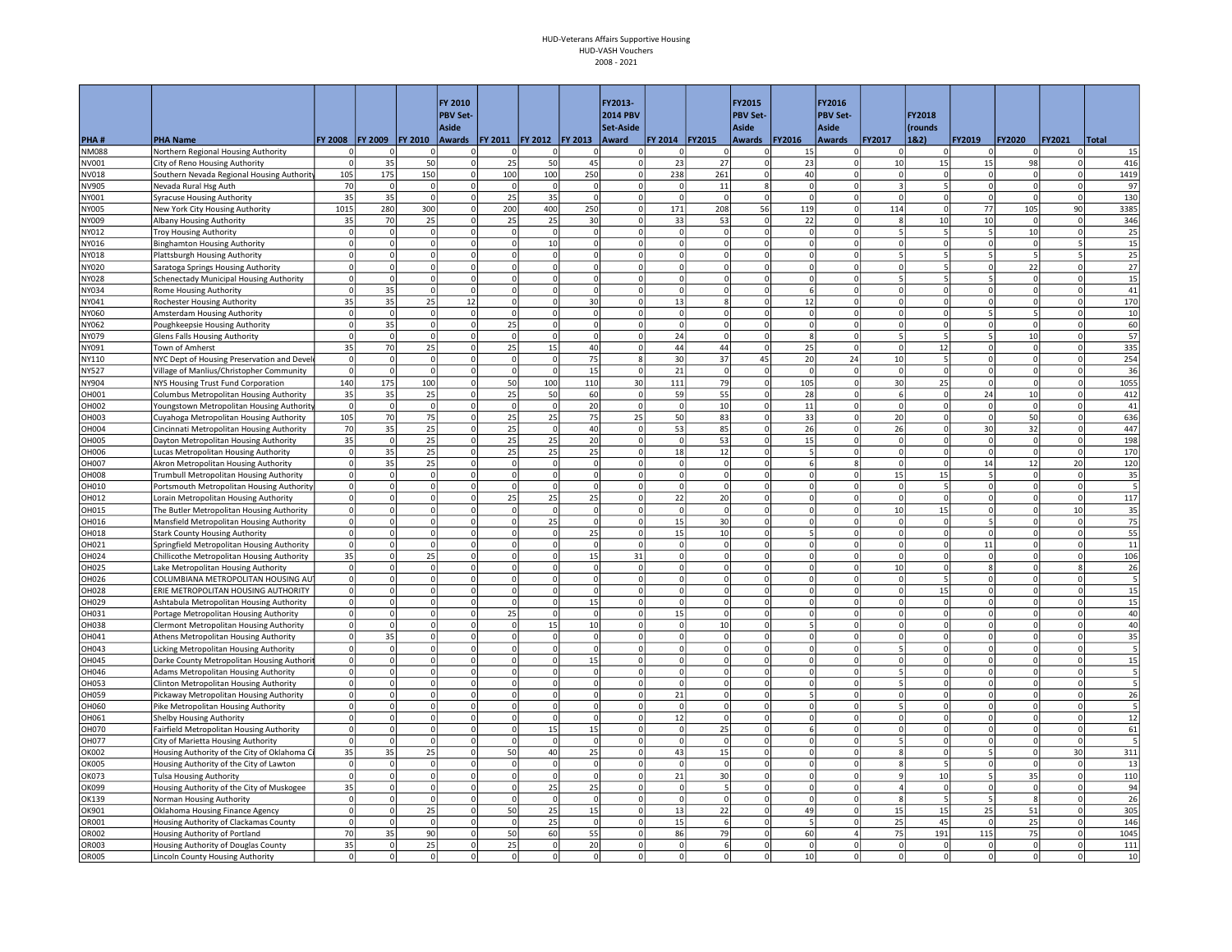|                       |                                                                                      |                      |                      |                      | FY 2010                 |                                  |                      |                            | FY2013-                 |                         |                      | FY2015                   |                      | FY2016                     |                          |                          |                            |                      |                      |             |
|-----------------------|--------------------------------------------------------------------------------------|----------------------|----------------------|----------------------|-------------------------|----------------------------------|----------------------|----------------------------|-------------------------|-------------------------|----------------------|--------------------------|----------------------|----------------------------|--------------------------|--------------------------|----------------------------|----------------------|----------------------|-------------|
|                       |                                                                                      |                      |                      |                      | <b>PBV Set-</b>         |                                  |                      |                            | <b>2014 PBV</b>         |                         |                      | <b>PBV Set-</b>          |                      | <b>PBV Set-</b>            |                          | FY2018                   |                            |                      |                      |             |
|                       |                                                                                      |                      |                      |                      | <b>Aside</b>            |                                  |                      |                            | <b>Set-Aside</b>        |                         |                      | <b>Aside</b>             |                      | <b>Aside</b>               |                          | (rounds                  |                            |                      |                      |             |
| PHA#<br><b>NM088</b>  | <b>PHA Name</b><br>Northern Regional Housing Authority                               | FY 2008<br>$\Omega$  | <b>FY 2009</b>       | <b>FY 2010</b><br>-0 | 0                       | Awards   FY 2011   FY 2012<br>0  | 0                    | <b>FY 2013</b><br>0        | Award<br>0              | FY 2014<br>-C           | <b>FY2015</b><br>0   | <b>Awards</b><br>0       | FY2016<br>15         | Awards<br>$\Omega$         | FY2017<br>$\mathbf 0$    | 18.2)                    | FY2019<br>$\Omega$         | <b>FY2020</b>        | FY2021<br>$\Omega$   | Total<br>15 |
| NV001                 | City of Reno Housing Authority                                                       | $\Omega$             | 35                   | 50                   | $\Omega$                | 25                               | 50                   | 45                         |                         | 23                      | 27                   | $\Omega$                 | 23                   | 0                          | 10                       | 15                       | 15                         | 98                   | $\Omega$             | 416         |
| NV018                 | Southern Nevada Regional Housing Authority                                           | 105                  | 175                  | 150                  | $\Omega$                | 100                              | 100                  | 250                        | $\Omega$                | 238                     | 261                  | $\Omega$                 | 40                   | $\Omega$                   | $\Omega$                 | $\Omega$                 | $\Omega$                   |                      | $\circ$              | 1419        |
| NV905                 | Nevada Rural Hsg Auth                                                                | 70                   | $\Omega$             | 0                    | $\mathbf 0$             | $\mathbf 0$                      | $\Omega$             | 0                          | $\Omega$                | $\mathbf 0$             | 11                   | 8                        | $\Omega$             | $\Omega$                   | $\overline{3}$           |                          | $\mathbf{0}$               | $\mathbf 0$          | 0                    | 97          |
| NY001                 | <b>Syracuse Housing Authority</b>                                                    | 35                   | 35                   | $\Omega$             | $\Omega$                | 25                               | 35                   | $\Omega$                   | $\Omega$                | $\Omega$                | $\Omega$             | $\Omega$                 |                      | $\Omega$                   | $\Omega$                 | $\Omega$                 | $\Omega$                   | $\Omega$             | $\circ$              | 130         |
| NY005                 | New York City Housing Authority                                                      | 1015                 | 280                  | 300                  | $\mathbf 0$             | 200                              | 400                  | 250                        | $\Omega$                | 171                     | 208                  | 56                       | 119                  | $\overline{0}$             | 114                      | $\Omega$                 | 77                         | 105                  | 90                   | 3385        |
| NY009                 | Albany Housing Authority                                                             | 35                   | 70                   | 25                   | $\mathbf 0$             | 25                               | 25                   | 30                         | $\Omega$                | 33                      | 53                   | $\circ$                  | 22                   | $\Omega$                   | <sub>8</sub>             | 10                       | 10 <sup>1</sup>            | $\Omega$             | $\Omega$             | 346         |
| NY012                 | Troy Housing Authority                                                               | $\circ$              |                      | $\Omega$             | $\mathbf 0$             | $\mathbf 0$                      | 0                    | 0                          | $\Omega$                | $\mathbf 0$             | $\Omega$             | $\mathbf 0$              | $\Omega$             | 0                          | $\overline{a}$           | $\overline{\phantom{a}}$ | $\overline{5}$             | 10                   | 0                    | 25          |
| VY016                 | <b>Binghamton Housing Authority</b>                                                  | $\circ$              |                      | $\Omega$             | $\mathbf 0$             | $\mathbf 0$                      | 10                   | $\mathbf 0$                |                         | $\Omega$                | $\Omega$             | $\mathbf 0$              | $\Omega$             | $\Omega$                   | $\Omega$                 | $\Omega$                 | $\mathbf{0}$               | $\Omega$             | 5                    | 15          |
| <b>VY018</b><br>NY020 | Plattsburgh Housing Authority<br>Saratoga Springs Housing Authority                  | $\Omega$<br>$\Omega$ | $\Omega$             | $\Omega$<br>$\Omega$ | $\Omega$<br>$\mathbf 0$ | $\overline{0}$<br>$\mathbf 0$    | $\Omega$<br>0        | $\mathbf 0$<br>$\mathbf 0$ | $\Omega$                | $\Omega$<br>$\mathbf 0$ | $\Omega$<br>$\Omega$ | $\Omega$<br>$\mathbf 0$  | $\Omega$             | $\Omega$<br>$\Omega$       | 5<br>$\Omega$            |                          | 5<br>0                     | 22                   | 5<br>$\Omega$        | 25<br>27    |
| NY028                 | Schenectady Municipal Housing Authority                                              | $\Omega$             | $\Omega$             | $\Omega$             | $\Omega$                | <sub>0</sub>                     | $\Omega$             | 0                          | $\Omega$                | $\Omega$                | $\Omega$             | $\overline{0}$           | $\Omega$             | $\Omega$                   | 5                        | $\overline{\phantom{a}}$ | 5                          |                      | $\overline{0}$       | 15          |
| NY034                 | Rome Housing Authority                                                               | $\overline{0}$       | 35                   | $\Omega$             | $\mathbf 0$             | $\Omega$                         | $\Omega$             | 0                          | $\Omega$                | $\mathbf 0$             | $\Omega$             | $\mathbf 0$              |                      | $\overline{0}$             | $\Omega$                 | $\Omega$                 | $\mathbf{0}$               |                      | $\circ$              | $41\,$      |
| VY041                 | Rochester Housing Authority                                                          | 35                   | 35                   | 25                   | 12                      | $\circ$                          | 0                    | 30                         | $\Omega$                | 13                      | $\mathbf{R}$         | $\Omega$                 | 12                   | $\Omega$                   | $\Omega$                 | $\Omega$                 | $\Omega$                   | $\Omega$             | 0                    | 170         |
| <b>VY060</b>          | Amsterdam Housing Authority                                                          | $\circ$              | $\Omega$             | $\mathbf 0$          | $\mathbf 0$             | $\circ$                          | 0                    | 0                          | $\Omega$                | $\mathbf 0$             | 0                    | $\mathbf 0$              | $\mathbf 0$          | $\overline{0}$             | $\mathbf 0$              | $\Omega$                 | 5                          |                      | 0                    | 10          |
| NY062                 | Poughkeepsie Housing Authority                                                       | $\circ$              | 35                   | $\Omega$             | $\mathbf 0$             | 25                               | 0                    | 0                          | $\Omega$                | $\mathbf 0$             | $\Omega$             | $\circ$                  | $\Omega$             | 0                          | $\Omega$                 | $\Omega$                 | $\mathbf{0}$               | $\Omega$             | 0                    | 60          |
| NY079                 | Glens Falls Housing Authority                                                        | $\circ$              | $\Omega$             | $\Omega$             | $\Omega$                | $\Omega$                         | $\circ$              | 0                          | $\Omega$                | 24                      | $\Omega$             | $\mathbf 0$              | $\mathbf{R}$         | $\circ$                    | 5                        | $\mathsf{S}$             | 5 <sup>1</sup>             | 10                   | $\circ$              | 57          |
| NY091                 | Town of Amherst                                                                      | 35                   | 70                   | 25                   | $\mathbf 0$             | 25                               | 15                   | 40                         |                         | 44                      | 44                   | $\mathbf 0$              | 25                   | 0                          | $\Omega$                 | 12                       | $\mathbf{0}$               |                      | 0                    | 335         |
| NY110                 | NYC Dept of Housing Preservation and Devel                                           | $\circ$              | $\Omega$             | $\Omega$             | $\Omega$                | <sub>0</sub>                     | $\Omega$             | 75                         |                         | 30                      | 37                   | 45                       | 20                   | 24                         | 10                       |                          | $\Omega$                   | $\Omega$             | $\Omega$             | 254         |
| NY527                 | Village of Manlius/Christopher Community                                             | $\circ$              | $\Omega$             | $\Omega$             | $\Omega$                | $\circ$                          | $\Omega$             | 15                         | $\Omega$                | 21                      | $\Omega$             | $\mathbf 0$              | $\Omega$             | $\Omega$                   | $\mathbf 0$              |                          | $\mathbf 0$                | $\Omega$             | $\Omega$             | 36          |
| NY904                 | NYS Housing Trust Fund Corporation                                                   | 140                  | 175                  | 100                  | $\Omega$                | 50 <sup>1</sup>                  | 100                  | 110                        | 30                      | 111                     | 79                   | $\mathbf{0}$<br>$\Omega$ | 105                  | $\Omega$<br>$\Omega$       | 30<br>6                  | 25                       | $\mathbf{0}$               |                      | $\mathbf{0}$         | 1055        |
| OH001<br>H002         | Columbus Metropolitan Housing Authority<br>Youngstown Metropolitan Housing Authority | 35<br>$\circ$        | 35<br>$\overline{0}$ | 25<br>$\mathbf 0$    | $\Omega$<br>$\mathbf 0$ | 25<br>$\mathbf 0$                | 50<br> 0             | 60<br>20                   | $\Omega$<br>$\mathbf 0$ | 59<br>$\mathbf 0$       | 55<br>10             | $\pmb{0}$                | 28<br>11             | $\overline{0}$             | $\mathsf 0$              | $\Omega$<br> 0           | 24<br>$\circ$              | 10<br>$\mathbf 0$    | $\circ$<br> 0        | 412<br>41   |
| DH003                 | Cuyahoga Metropolitan Housing Authority                                              | 105                  | 70                   | 75                   | $\mathbf 0$             | 25                               | 25                   | 75                         | 25                      | 50                      | 83                   | $\mathbf 0$              | 33                   | $\overline{0}$             | 20                       | $\Omega$                 | $\mathbf 0$                | 50                   | $\Omega$             | 636         |
| OH004                 | Cincinnati Metropolitan Housing Authority                                            | 70                   | 35                   | 25                   | $\mathbf 0$             | 25                               | 0                    | 40                         | $\mathbf 0$             | 53                      | 85                   | $\mathbf 0$              | 26                   | $\Omega$                   | 26                       | 0                        | 30 <sup>1</sup>            | 32                   | $\Omega$             | 447         |
| OH005                 | Dayton Metropolitan Housing Authority                                                | 35                   | $\Omega$             | 25                   | $\Omega$                | 25                               | 25                   | 20                         | $\Omega$                | $\overline{0}$          | 53                   | $\mathbf{0}$             | 15                   | $\circ$                    | $\Omega$                 | 0                        | $\overline{0}$             | $\Omega$             | $\circ$              | 198         |
| OH006                 | Lucas Metropolitan Housing Authority                                                 | $\circ$              | 35                   | 25                   | $\mathbf 0$             | 25                               | 25                   | 25                         | $\Omega$                | 18                      | 12                   | $\mathbf 0$              |                      | $\overline{0}$             | $\Omega$                 |                          | $\mathbf 0$                | $\Omega$             | 0                    | 170         |
| OH007                 | Akron Metropolitan Housing Authority                                                 | $\circ$              | 35                   | 25                   | $\Omega$                | $\mathbf{0}$                     | 0                    | 0                          | $\Omega$                | $\Omega$                | $\Omega$             | $\Omega$                 |                      | $\mathbf{g}$               | $\Omega$                 | $\Omega$                 | 14                         | 12                   | 20 <sup>1</sup>      | 120         |
| <b>OH008</b>          | Trumbull Metropolitan Housing Authority                                              | $\Omega$             | $\Omega$             | $\Omega$             | $\mathbf 0$             | $\overline{0}$                   | $\Omega$             | $\Omega$                   | $\Omega$                | $\Omega$                | $\Omega$             | $\Omega$                 | $\Omega$             | $\overline{0}$             | 15                       | 15                       | 5                          | $\Omega$             | $\circ$              | 35          |
| OH010                 | Portsmouth Metropolitan Housing Authority                                            | $\circ$              | $\Omega$             | $\Omega$             | $\Omega$                | $\circ$                          | $\Omega$             | 0                          | $\Omega$                | $\Omega$                | $\Omega$             | $\Omega$                 |                      | $\overline{0}$             | $\Omega$                 | 5                        | $\Omega$                   |                      | 0                    |             |
| OH012                 | Lorain Metropolitan Housing Authority                                                | $\overline{0}$       |                      | $\Omega$             | $\Omega$                | 25                               | 25                   | 25                         | $\Omega$                | 22                      | 20                   | $\Omega$                 |                      | $\overline{0}$             | $\Omega$                 | $\Omega$                 | $\Omega$                   |                      | $\circ$              | 117         |
| DH015                 | The Butler Metropolitan Housing Authority                                            | $\overline{0}$       |                      | $\Omega$             | $\mathbf 0$             | 0                                | $\Omega$<br>25       | $\mathbf 0$                |                         | $\mathbf{0}$<br>15      | $\Omega$             | $\mathbf 0$              |                      | $\overline{0}$             | 10                       | 15                       | $\mathbf 0$                |                      | 10                   | 35          |
| OH016<br>OH018        | Mansfield Metropolitan Housing Authority                                             | $\Omega$<br>$\circ$  | U<br>$\Omega$        | $\Omega$<br>$\Omega$ | $\Omega$<br>$\mathbf 0$ | $\overline{0}$<br>$\overline{0}$ | $^{\circ}$           | $\Omega$<br>25             | $\Omega$<br>$\Omega$    | 15                      | 30<br>10             | $\Omega$<br>$\mathbf 0$  |                      | $\Omega$<br>$\Omega$       | $\mathbf{0}$<br>$\Omega$ | $\Omega$<br>$\Omega$     | 5<br>$\mathbf 0$           | $\Omega$<br>$\Omega$ | $\circ$<br>$\Omega$  | 75<br>55    |
| OH021                 | <b>Stark County Housing Authority</b><br>Springfield Metropolitan Housing Authority  | $\circ$              | $\Omega$             | $\Omega$             | $\Omega$                | $\mathbf{0}$                     | 0                    | 0                          | $\Omega$                | $\Omega$                | $\Omega$             | $\overline{0}$           | $\Omega$             | $\circ$                    | $\Omega$                 | 0                        | 11                         | $\Omega$             | $\circ$              | 11          |
| OH024                 | Chillicothe Metropolitan Housing Authority                                           | 35                   | $\Omega$             | 25                   | $\Omega$                | <sub>0</sub>                     | 0                    | 15                         | 31                      | $\Omega$                | $\Omega$             | $\Omega$                 | $\Omega$             | $\Omega$                   | $\Omega$                 | $\Omega$                 | $\mathbf{0}$               | $\Omega$             | $\circ$              | 106         |
| OH025                 | Lake Metropolitan Housing Authority                                                  | $\circ$              |                      | $\Omega$             | $\Omega$                | $\Omega$                         | $\Omega$             | $\mathbf 0$                |                         | $\Omega$                | $\Omega$             | $\Omega$                 |                      | $\Omega$                   | 10                       | $\Omega$                 | 8                          |                      | 8                    | 26          |
| OH026                 | COLUMBIANA METROPOLITAN HOUSING AUT                                                  | $\circ$              |                      | $\Omega$             | $\Omega$                | $\Omega$                         | $\Omega$             | $\Omega$                   |                         | $\Omega$                | $\Omega$             | $\Omega$                 |                      | $\Omega$                   | $\mathbf 0$              |                          | $\Omega$                   |                      | $\Omega$             |             |
| OH028                 | ERIE METROPOLITAN HOUSING AUTHORITY                                                  | $\Omega$             |                      | 0                    | 0                       | $\circ$                          | 0                    | $\mathbf 0$                |                         | O                       | 0                    | $\mathbf 0$              |                      | $\Omega$                   | $\mathbf 0$              | 15                       | $\mathbf 0$                |                      | $\Omega$             | 15          |
| OH029                 | Ashtabula Metropolitan Housing Authority                                             | 0                    |                      | $\Omega$             | $\Omega$                | <sub>0</sub>                     | $\circ$              | 15                         | $\Omega$                | $\Omega$                | $\Omega$             | $\mathbf{0}$             | $\Omega$             | 0                          | $\Omega$                 | $\Omega$                 | $\Omega$                   |                      | $\circ$              | 15          |
| OH031                 | Portage Metropolitan Housing Authority                                               | $\overline{0}$       |                      | $\Omega$             | $\mathbf 0$             | 25                               | 0                    | $\mathbf 0$                | $\Omega$                | 15                      | $\Omega$             | $\mathbf{0}$             |                      | $\overline{0}$             | $\Omega$                 |                          | $\mathbf{0}$               |                      | 0                    | 40          |
| OH038                 | Clermont Metropolitan Housing Authority                                              | $\Omega$             |                      | $\Omega$             | $\mathbf 0$             | $\circ$                          | 15                   | 10                         |                         | $\mathbf 0$             | 10                   | $\mathbf 0$              |                      | $\Omega$                   | $\Omega$                 | $\Omega$                 | $\mathbf 0$                |                      | $\circ$              | 40          |
| OH041                 | Athens Metropolitan Housing Authority                                                | $\circ$<br>$\Omega$  | 35<br>$\Omega$       | $\Omega$<br>$\Omega$ | $\mathbf 0$<br>$\Omega$ | <sub>0</sub><br><sub>0</sub>     | $\Omega$<br>$\Omega$ | 0<br>$\Omega$              | $\Omega$<br>$\Omega$    | $\Omega$<br>$\Omega$    | $\Omega$<br>$\Omega$ | $\Omega$<br>$\Omega$     | $\Omega$<br>$\Omega$ | $\overline{0}$<br>$\Omega$ | $\mathbf 0$<br>5         | $\Omega$<br>$\Omega$     | $\overline{0}$<br>$\Omega$ | $\Omega$<br>$\Omega$ | $\Omega$<br>$\Omega$ | 35<br>5     |
| OH043<br>OH045        | Licking Metropolitan Housing Authority<br>Darke County Metropolitan Housing Authori  | $\circ$              | $\Omega$             | $\Omega$             | $\Omega$                | $\Omega$                         | $\Omega$             | 15                         | $\Omega$                | $\Omega$                | $\Omega$             | $\Omega$                 |                      | $\circ$                    | $\Omega$                 | $\Omega$                 | $\Omega$                   |                      | $\Omega$             | 15          |
| OH046                 | Adams Metropolitan Housing Authority                                                 | $\mathbf{0}$         |                      | $\Omega$             | $\Omega$                | $\Omega$                         | $\Omega$             | $\Omega$                   |                         | $\Omega$                |                      | $\Omega$                 |                      | $\overline{0}$             | 5                        |                          | $\Omega$                   |                      | $\Omega$             |             |
| OH053                 | Clinton Metropolitan Housing Authority                                               | $\overline{0}$       |                      | $\Omega$             | $\mathbf 0$             | $\Omega$                         | $\Omega$             | $\mathbf 0$                |                         | $\Omega$                | $\Omega$             | $\Omega$                 |                      | $\overline{0}$             | 5                        |                          | $\Omega$                   |                      | $\Omega$             |             |
| OH059                 | Pickaway Metropolitan Housing Authority                                              | $\circ$              | $\Omega$             | $\Omega$             | $\mathbf 0$             | $\circ$                          | $^{\circ}$           | $\mathbf 0$                | $\Omega$                | 21                      | $\Omega$             | $\Omega$                 |                      | $\overline{0}$             | $\mathbf 0$              |                          | $\mathbf{0}$               | $\Omega$             | $\Omega$             | 26          |
| OH060                 | Pike Metropolitan Housing Authority                                                  | $\circ$              |                      | $\Omega$             | $\Omega$                | 0                                | $\Omega$             | 0                          | $\Omega$                | $\Omega$                | $\Omega$             | $\Omega$                 |                      | $\Omega$                   | 5                        | $\Omega$                 | $\Omega$                   |                      | $\Omega$             | 5           |
| OH061                 | <b>Shelby Housing Authority</b>                                                      | $\circ$              | $\Omega$             | $\Omega$             | $\Omega$                | <sub>0</sub>                     | $\circ$              | 0                          | $\Omega$                | 12                      | $\Omega$             | $\overline{0}$           | $\Omega$             | 0                          | $\Omega$                 | $\Omega$                 | $\Omega$                   |                      | $\circ$              | 12          |
| OH070                 | Fairfield Metropolitan Housing Authority                                             | $\overline{0}$       |                      | $\Omega$             | $\Omega$                | $\mathbf 0$                      | 15                   | 15                         |                         | $\circ$                 | 25                   | $\mathbf 0$              |                      | $\Omega$                   | $\Omega$                 | $\Omega$                 | $\mathbf{0}$               |                      | 0                    | 61          |
| OH077                 | City of Marietta Housing Authority                                                   | $\circ$              | $\Omega$             | $\Omega$             | $\Omega$                | $\Omega$                         | $\Omega$             | 0                          | $\Omega$                | $\Omega$                | $\Omega$             | $\Omega$                 |                      | $\Omega$                   | 5                        | $\Omega$                 | $\overline{0}$             | $\Omega$             | $\circ$              |             |
| OK002                 | Housing Authority of the City of Oklahoma Ci                                         | 35                   | 35<br>$\Omega$       | 25                   | $\Omega$                | 50                               | 40                   | 25                         | $\Omega$<br>$\Omega$    | 43                      | 15                   | $\Omega$                 | $\Omega$             | $\Omega$                   | 8                        | $\Omega$                 | 5 <sup>1</sup>             | $\Omega$<br>$\Omega$ | 30                   | 311         |
| OK005                 | Housing Authority of the City of Lawton                                              | 0 <br>$\overline{0}$ | $\Omega$             | $\Omega$<br>$\Omega$ | $\Omega$<br>$\mathbf 0$ | $\circ$<br>$\mathbf 0$           | 0 <br> 0             | 0 <br> 0                   | $\Omega$                | $\Omega$<br>21          | $\Omega$<br>30       | $\circ$<br>$\mathbf 0$   | $\Omega$<br>$\Omega$ | $\Omega$<br>$\overline{0}$ | 8<br>$\mathbf{q}$        | 5<br>10                  | $\circ$<br>$\overline{5}$  | 35                   | 0 <br> 0             | 13<br>110   |
| OK073<br>ОК099        | <b>Tulsa Housing Authority</b><br>Housing Authority of the City of Muskogee          | 35                   |                      | $\Omega$             | $\mathbf 0$             | $\circ$                          | 25                   | 25                         |                         | $\mathbf 0$             | 5                    | $\mathbf 0$              |                      | $\overline{0}$             | $\overline{4}$           | $\Omega$                 | $\mathbf{0}$               |                      | $\Omega$             | 94          |
| OK139                 | Norman Housing Authority                                                             | $\circ$              | $\Omega$             | $\Omega$             | $\mathbf 0$             | $\mathbf 0$                      | 0                    | 0                          | $\Omega$                | $\mathbf{0}$            | $\Omega$             | $\mathbf 0$              | $\Omega$             | $\overline{0}$             | 8                        | -5                       | 5                          |                      | $\Omega$             | 26          |
| ОК901                 | Oklahoma Housing Finance Agency                                                      | $\circ$              | $\Omega$             | 25                   | $\Omega$                | 50                               | 25                   | 15                         | $\Omega$                | 13                      | 22                   | $\Omega$                 | 49                   | 0                          | 15                       | 15                       | 25                         | 51                   | $\Omega$             | 305         |
| OR001                 | Housing Authority of Clackamas County                                                | $\circ$              | $\Omega$             | $\Omega$             | $\Omega$                | $\Omega$                         | 25                   | 0                          | $\Omega$                | 15                      | 6                    | $\Omega$                 |                      | 0                          | 25                       | 45                       | $\Omega$                   | 25                   | $\circ$              | 146         |
| OR002                 | Housing Authority of Portland                                                        | 70                   | 35                   | 90                   | $\Omega$                | 50                               | 60                   | 55                         | $\Omega$                | 86                      | 79                   | $\mathbf 0$              | 60                   | $\overline{4}$             | 75                       | 191                      | 115                        | 75                   | $\circ$              | 1045        |
| OR003                 | Housing Authority of Douglas County                                                  | 35                   |                      | 25                   | $\Omega$                | 25                               | 0                    | 20                         | $\Omega$                | $\Omega$                | 6                    | $\Omega$                 |                      | $\Omega$                   | $\Omega$                 |                          | $\Omega$                   | $\Omega$             | $\Omega$             | 111         |
| OR005                 | Lincoln County Housing Authority                                                     | $\Omega$             | $\Omega$             | $\Omega$             | $\Omega$                | $\Omega$                         | $\Omega$             | $\Omega$                   | $\Omega$                | $\Omega$                | $\Omega$             | $\Omega$                 | 10                   | $\overline{0}$             | $\Omega$                 |                          | $\Omega$                   | $\Omega$             | $\Omega$             | 10          |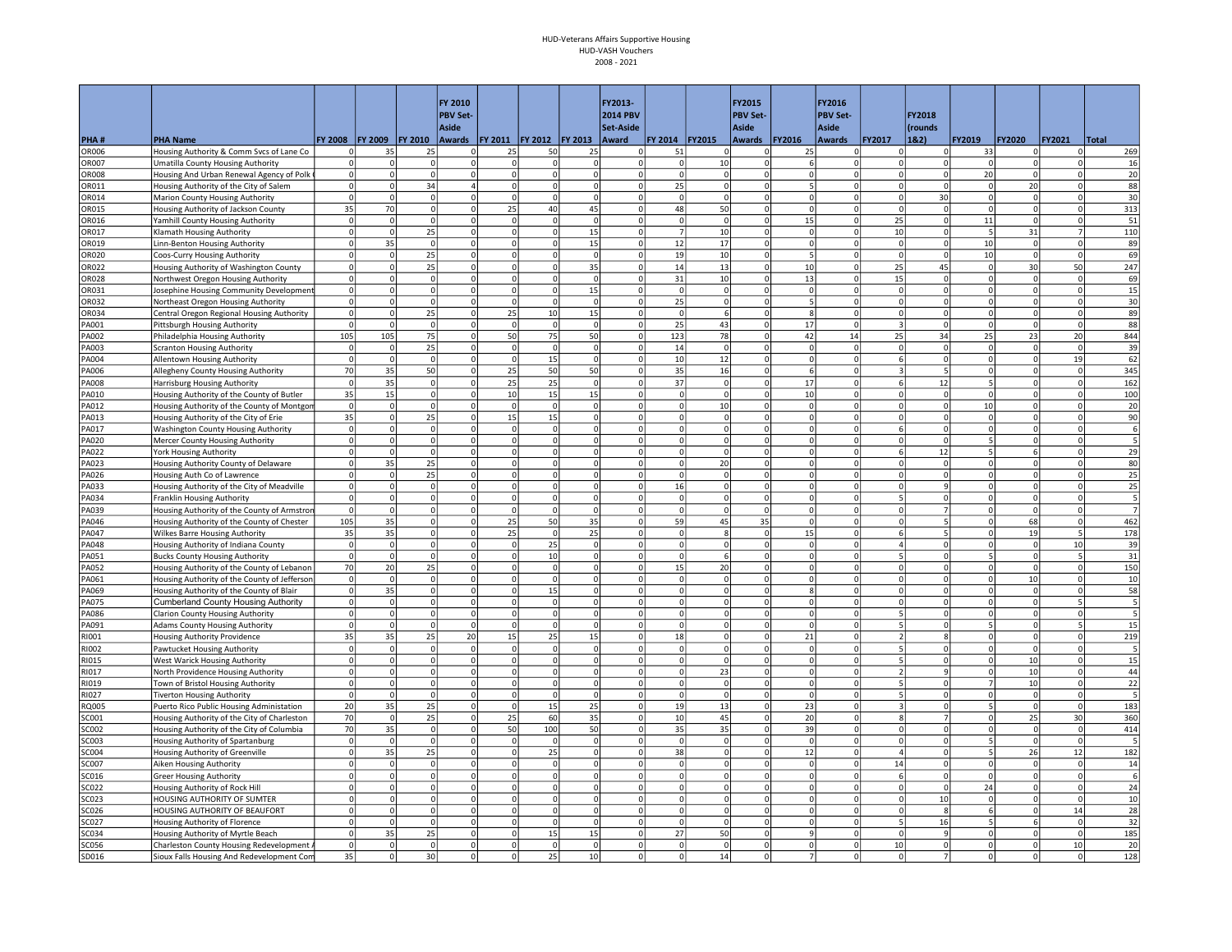|                       |                                                                                            |                      |                      |                     | FY 2010                    |                                |                 |                         | FY2013-              |                         |                       | FY2015                        |                | FY2016                     |                            |                          |                                           |                      |                            |              |
|-----------------------|--------------------------------------------------------------------------------------------|----------------------|----------------------|---------------------|----------------------------|--------------------------------|-----------------|-------------------------|----------------------|-------------------------|-----------------------|-------------------------------|----------------|----------------------------|----------------------------|--------------------------|-------------------------------------------|----------------------|----------------------------|--------------|
|                       |                                                                                            |                      |                      |                     | <b>PBV Set-</b>            |                                |                 |                         | <b>2014 PBV</b>      |                         |                       | <b>PBV Set-</b>               |                | <b>PBV Set-</b>            |                            | FY2018                   |                                           |                      |                            |              |
|                       |                                                                                            |                      |                      |                     | <b>Aside</b>               |                                |                 |                         | Set-Aside            |                         |                       | <b>Aside</b>                  |                | <b>Aside</b>               |                            | (rounds                  |                                           |                      |                            |              |
| PHA#                  | <b>PHA Name</b>                                                                            | FY 2008              | <b>FY 2009</b><br>35 | <b>FY 2010</b>      | Awards   FY 2011           |                                | FY 2012 FY 2013 |                         | Award                | FY 2014                 | <b>FY2015</b>         | <b>Awards</b><br>0            | <b>FY2016</b>  | Awards                     | FY2017                     | 18.2)                    | FY2019                                    | <b>FY2020</b>        | <b>FY2021</b><br>$\Omega$  | <b>Total</b> |
| OR006<br>OR007        | Housing Authority & Comm Svcs of Lane Co<br>Umatilla County Housing Authority              | 0<br>$\Omega$        |                      | 25<br>$\Omega$      | 0<br>$\Omega$              | 25<br>$\overline{0}$           | 50<br>$\Omega$  | 25<br> 0                | 0<br>$\Omega$        | 51<br>$\Omega$          | οı<br>10 <sup>1</sup> | $\Omega$                      | 25             | $\Omega$<br>$\Omega$       | 0<br>$\Omega$              | $\Omega$                 | 33<br>$\Omega$                            |                      | $\Omega$                   | 269<br>16    |
| OR008                 | Housing And Urban Renewal Agency of Polk                                                   | $\overline{0}$       |                      | $\Omega$            | $\Omega$                   | $\Omega$                       | $\Omega$        | 0                       | $\Omega$             | $\mathbf{0}$            | $\Omega$              | $\Omega$                      | $\Omega$       | $\Omega$                   | $\Omega$                   | $\Omega$                 | 20                                        | $\Omega$             | $\circ$                    | 20           |
| OR011                 | Housing Authority of the City of Salem                                                     | $\circ$              | $\Omega$             | 34                  | $\overline{4}$             | $\mathbf 0$                    | $\Omega$        | 0                       | $\Omega$             | 25                      | $\Omega$              | $\mathbf 0$                   |                | $\Omega$                   | $\mathbf 0$                | $\Omega$                 | $\overline{0}$                            | 20                   | 0                          | 88           |
| OR014                 | Marion County Housing Authority                                                            | $\Omega$             | $\Omega$             | $\Omega$            | $\Omega$                   | $\overline{0}$                 | $\Omega$        | 0                       | $\Omega$             | $\Omega$                | $\Omega$              | $\Omega$                      |                | $\Omega$                   | $\Omega$                   | 30 <sup>1</sup>          | $\overline{0}$                            | $\Omega$             | $\Omega$                   | 30           |
| OR015                 | Housing Authority of Jackson County                                                        | 35                   | 70                   | $\Omega$            | $\mathbf 0$                | 25                             | 40              | 45                      | $\Omega$             | 48                      | 50                    | $\Omega$                      | $\Omega$       | 0                          | $\Omega$                   | $\Omega$                 | $\circ$                                   | $\Omega$             | $\Omega$                   | 313          |
| OR016                 | Yamhill County Housing Authority                                                           | $\circ$              | $\Omega$             | $\mathbf 0$         | $\mathbf 0$                | $\circ$                        | 0               | 0                       | $\Omega$             | $\mathbf 0$             | $\Omega$              | $\circ$                       | 15             | 0                          | 25                         | 0                        | 11                                        | $\mathbf 0$          | $\Omega$                   | 51           |
| OR017                 | Klamath Housing Authority                                                                  | $\circ$              | $\Omega$             | 25                  | $\mathbf 0$                | $\circ$                        | 0               | 15                      | $\Omega$             | $\overline{7}$          | 10                    | $\mathbf 0$                   | $\Omega$       | 0                          | 10                         | $\Omega$                 | $\overline{5}$                            | 31                   | $\overline{7}$             | 110          |
| OR019                 | Linn-Benton Housing Authority                                                              | $\circ$              | 35                   | $\overline{0}$      | $\mathbf 0$                | 0                              | $\Omega$        | 15                      | $\Omega$             | 12                      | 17                    | $\mathbf 0$                   |                | $\Omega$                   | $\mathbf 0$                | 0                        | 10                                        | $\Omega$             | 0                          | 89           |
| OR020                 | Coos-Curry Housing Authority                                                               | $\Omega$             | $\Omega$             | 25                  | $\mathbf 0$                | $\Omega$                       | $\Omega$        | 0                       | $\Omega$             | 19                      | 10                    | $\mathbf 0$                   |                | $\overline{0}$             | $\mathbf 0$                | $\Omega$                 | 10                                        | $\Omega$             | 0                          | 69           |
| OR022<br>OR028        | Housing Authority of Washington County                                                     | $\Omega$<br>$\Omega$ |                      | 25<br>$\Omega$      | $\mathbf 0$<br>$\Omega$    | $\overline{0}$<br><sub>0</sub> | 0<br>$\Omega$   | 35<br>0                 | $\Omega$<br>$\Omega$ | 14<br>31                | 13<br>10              | $\mathbf 0$<br>$\overline{0}$ | 10<br>13       | $\Omega$<br>$\Omega$       | 25<br>15                   | 45<br>$\Omega$           | 0<br>$\Omega$                             | 30<br>$\Omega$       | 50<br>$\circ$              | 247<br>69    |
| OR031                 | Northwest Oregon Housing Authority<br>Josephine Housing Community Development              | $\circ$              | $\Omega$             | $\Omega$            | $\Omega$                   | $\circ$                        | $\circ$         | 15                      | $\mathbf 0$          | $\mathsf{o}$            | $\mathbf{0}$          | $\circ$                       | $\Omega$       | $\overline{0}$             | $\mathbf{0}$               | $\Omega$                 | $\mathbf{0}$                              | $\Omega$             | 0                          | 15           |
| OR032                 | Northeast Oregon Housing Authority                                                         | $\Omega$             |                      | $\Omega$            | $\Omega$                   | $\circ$                        | $\Omega$        | 0                       | $\Omega$             | 25                      | $\Omega$              | $\Omega$                      |                | 0                          | $\Omega$                   | $\Omega$                 | $\circ$                                   | $\Omega$             | 0                          | 30           |
| OR034                 | Central Oregon Regional Housing Authority                                                  | $\circ$              | $\Omega$             | 25                  | $\mathbf 0$                | 25                             | $10\,$          | 15                      | $\mathbf 0$          | $\mathbf 0$             | 6                     | $\mathbf 0$                   |                | 0                          | $\mathsf 0$                | 0                        | $\circ$                                   | $\mathbf 0$          | 0                          | 89           |
| PA001                 | <b>Pittsburgh Housing Authority</b>                                                        | $\circ$              | $\Omega$             | $\overline{0}$      | $\mathbf 0$                | $\overline{0}$                 | 0               | 0                       | $\Omega$             | 25                      | 43                    | $\circ$                       | 17             | 0                          | $\overline{3}$             | 0                        | $\circ$                                   | $\Omega$             | 0                          | 88           |
| PA002                 | Philadelphia Housing Authority                                                             | 105                  | 105                  | 75                  | $\mathbf 0$                | 50                             | 75              | 50                      | $\Omega$             | 123                     | 78                    | $\circ$                       | 42             | 14                         | 25                         | 34                       | 25                                        | 23                   | 20                         | 844          |
| PA003                 | <b>Scranton Housing Authority</b>                                                          | $\mathbf 0$          |                      | 25                  | $\mathbf 0$                | $\mathbf 0$                    | $\mathbf 0$     | 0                       | $\Omega$             | 14                      | $\Omega$              | $\mathbf 0$                   |                | $\Omega$                   | $\mathbf 0$                |                          | 0                                         | $\Omega$             | 0                          | 39           |
| A004                  | Allentown Housing Authority                                                                | $\overline{0}$       | $\Omega$             | $\Omega$            | $\Omega$                   | <sub>0</sub>                   | 15              | $\Omega$                | $\Omega$             | 10                      | 12                    | $\Omega$                      |                | $\Omega$                   | 6                          | $\Omega$                 | $\Omega$                                  | $\Omega$             | 19                         | 62           |
| A006                  | Allegheny County Housing Authority                                                         | 70                   | 35                   | 50                  | $\mathbf 0$                | 25                             | 50              | 50                      | $\Omega$             | 35                      | 16                    | $\mathbf 0$                   |                | $\Omega$                   |                            |                          | $\mathbf{0}$                              | $\Omega$             | $\Omega$                   | 345          |
| PA008                 | Harrisburg Housing Authority                                                               | $\overline{0}$       | 35                   | $\Omega$            | $\Omega$                   | 25                             | 25              | 0                       | $\Omega$             | 37                      | $\Omega$              | $\overline{0}$                | 17             | $\Omega$                   | 6                          | 12                       | 5 <sup>1</sup>                            | $\Omega$             | $\circ$                    | 162          |
| PA010                 | Housing Authority of the County of Butler                                                  | 35                   | 15                   | $\Omega$            | $\Omega$                   | 10                             | 15              | 15                      | $\Omega$             | $\Omega$                | $\Omega$              | $\Omega$                      | 10             | $\Omega$                   | $\Omega$                   | $\Omega$                 | $\circ$                                   |                      | 0                          | 100          |
| PA012                 | Housing Authority of the County of Montgon                                                 | $\circ$              | $\overline{0}$       | $\mathbf 0$         | $\mathbf 0$<br>$\mathbf 0$ | $\mathbf 0$                    | 0               | 0 <br>$\mathbf 0$       | $\mathbf 0$          | $\mathbf 0$<br>$\Omega$ | 10                    | $\mathbf 0$<br>$\mathbf 0$    | $\mathbf 0$    | $\overline{0}$             | $\mathsf 0$<br>$\mathbf 0$ | 0 <br>$\Omega$           | 10<br>$\Omega$                            |                      | 0 <br>$\Omega$             | 20           |
| A013                  | Housing Authority of the City of Erie                                                      | 35<br>$\overline{0}$ | $\Omega$             | 25<br>0             | $\mathbf 0$                | 15<br>$\overline{0}$           | 15<br>0         | $\mathbf 0$             | $\Omega$<br>$\Omega$ | $\mathbf 0$             | $\Omega$<br>0         | $\mathbf 0$                   | $\Omega$       | $\overline{0}$<br>$\Omega$ | 6                          | 0                        | $\overline{0}$                            | $\Omega$             | $\Omega$                   | 90<br>6      |
| PA017<br>PA020        | Washington County Housing Authority<br>Mercer County Housing Authority                     | $\overline{0}$       | $\Omega$             | $\Omega$            | $\Omega$                   | <sub>0</sub>                   | $\circ$         | 0                       | $\Omega$             | $\Omega$                | $\Omega$              | $\overline{0}$                | $\Omega$       | $\circ$                    | $\Omega$                   | 0                        | 5.                                        | $\Omega$             | $\circ$                    | 5            |
| PA022                 | York Housing Authority                                                                     | $\circ$              | $\Omega$             | $\Omega$            | $\Omega$                   | $\Omega$                       | $\Omega$        | $\mathbf 0$             |                      | $\mathbf 0$             | $\Omega$              | $^{\circ}$                    |                | $\overline{0}$             | 6                          | 12                       | 5                                         |                      | $\Omega$                   | 29           |
| PA023                 | Housing Authority County of Delaware                                                       | $\Omega$             | 35                   | 25                  | $\Omega$                   | $\Omega$                       | $\Omega$        | $\Omega$                |                      | $\Omega$                | 20                    | $\Omega$                      |                | $\Omega$                   | $\Omega$                   | $\Omega$                 | $\Omega$                                  | $\Omega$             | $\Omega$                   | 80           |
| PA026                 | Housing Auth Co of Lawrence                                                                | $\Omega$             | $\Omega$             | 25                  | $\mathbf 0$                | $\overline{0}$                 | $\Omega$        | $\Omega$                | $\Omega$             | $\Omega$                | $\Omega$              | $\Omega$                      | $\Omega$       | $\Omega$                   | $\Omega$                   | $\Omega$                 | $\Omega$                                  | $\Omega$             | $\Omega$                   | 25           |
| PA033                 | Housing Authority of the City of Meadville                                                 | $\circ$              | $\Omega$             | $\Omega$            | $\Omega$                   | $\circ$                        | $\Omega$        | 0                       | $\Omega$             | 16                      | $\Omega$              | $\Omega$                      |                | $\overline{0}$             | $\Omega$                   | 9                        | $\Omega$                                  |                      | $\Omega$                   | 25           |
| PA034                 | Franklin Housing Authority                                                                 | $\circ$              | $\Omega$             | $\Omega$            | $\Omega$                   | <sub>0</sub>                   | $\Omega$        | 0                       | $\Omega$             | $\Omega$                | $\Omega$              | $\Omega$                      | $\Omega$       | $\overline{0}$             | 5                          |                          | $\Omega$                                  |                      | $\circ$                    |              |
| PA039                 | Housing Authority of the County of Armstror                                                | $\circ$              | $\Omega$             | $\mathbf 0$         | $\mathbf 0$                | $\mathbf 0$                    | $\Omega$        | $\mathbf 0$             |                      | $\mathbf 0$             | $\Omega$              | $\mathbf 0$                   |                | $\overline{0}$             | $\overline{0}$             |                          | $\mathbf{0}$                              |                      | 0                          |              |
| PA046                 | Housing Authority of the County of Chester                                                 | 105                  | 35                   | $\Omega$            | $\Omega$                   | 25                             | 50              | 35                      | $\Omega$             | 59                      | 45                    | 35                            |                | $\Omega$                   | $\Omega$                   |                          | $\mathbf{0}$                              | 68                   | $\Omega$                   | 462          |
| PA047                 | <b>Wilkes Barre Housing Authority</b>                                                      | 35                   | 35                   | $\mathbf 0$         | $\mathbf 0$                | 25                             | $\Omega$        | 25                      | $\Omega$             | $\mathbf 0$             | 8                     | $\mathbf 0$                   | 15             | $\Omega$                   | 6                          |                          | $\mathbf{0}$                              | 19                   | 5                          | 178          |
| PA048                 | Housing Authority of Indiana County                                                        | $\circ$              | $\Omega$             | $\circ$<br>$\Omega$ | $\Omega$                   | <sub>0</sub>                   | 25              | 0                       | $\Omega$             | $\Omega$                | $\Omega$              | $\overline{0}$                | $\Omega$       | $\circ$<br>$\Omega$        | 5                          | 0<br>$\Omega$            | $\overline{0}$<br>$\overline{\mathbf{5}}$ | $\Omega$             | 10 <sup>1</sup>            | 39           |
| PA051<br>PA052        | <b>Bucks County Housing Authority</b>                                                      | $\circ$<br>70        | $\Omega$<br>20       | 25                  | $\Omega$<br>$\Omega$       | <sup>o</sup><br>$\Omega$       | 10<br>$\Omega$  | 0<br>$\mathbf 0$        | $\Omega$             | $\Omega$<br>15          | 6<br>20               | $\Omega$<br>$\Omega$          | $\Omega$       | $\Omega$                   | $\Omega$                   |                          | $\Omega$                                  | $\Omega$<br>$\Omega$ | 5 <sup>1</sup><br>$\Omega$ | 31<br>150    |
| PA061                 | Housing Authority of the County of Lebanon<br>Housing Authority of the County of Jefferson | $\circ$              | $\Omega$             | $\Omega$            | $\Omega$                   | $\Omega$                       | $\Omega$        | $\Omega$                |                      | $\Omega$                | $\Omega$              | $\Omega$                      |                | $\Omega$                   | $\Omega$                   | $\Omega$                 | $\Omega$                                  | 10                   | $\Omega$                   | 10           |
| PA069                 | Housing Authority of the County of Blair                                                   | $\circ$              | 35                   | 0                   | $\mathbf 0$                | $\circ$                        | 15              | 0                       |                      | $\mathbf 0$             | 0                     | $\mathbf 0$                   |                | $\Omega$                   | 0                          |                          | $\mathbf{0}$                              |                      | $\Omega$                   | 58           |
| PA075                 | <b>Cumberland County Housing Authority</b>                                                 | 0                    | $\Omega$             | $\Omega$            | $\Omega$                   | <sup>o</sup>                   | $\Omega$        | 0                       | $\Omega$             | <sup>o</sup>            | $\Omega$              | $\mathbf{0}$                  | $\Omega$       | $\circ$                    | $\Omega$                   | $\Omega$                 | $\mathbf{0}$                              | $\Omega$             | 5 <sup>1</sup>             |              |
| PA086                 | <b>Clarion County Housing Authority</b>                                                    | $\overline{0}$       |                      | $\Omega$            | $\mathbf 0$                | $\mathbf 0$                    | 0               | 0                       | $\Omega$             | $\mathbf 0$             | $\Omega$              | $\mathbf{0}$                  |                | $\overline{0}$             | 5                          |                          | $\mathbf{0}$                              |                      | 0                          |              |
| A091                  | <b>Adams County Housing Authority</b>                                                      | $\Omega$             |                      | $\Omega$            | $\mathbf 0$                | $\mathbf{0}$                   | $\Omega$        | $\Omega$                |                      | $\Omega$                | $\Omega$              | $\Omega$                      |                | $\Omega$                   | 5                          | $\Omega$                 | 5 <sup>1</sup>                            |                      | 5                          | 15           |
| RI001                 | <b>Housing Authority Providence</b>                                                        | 35                   | 35                   | 25                  | 20                         | 15                             | 25              | 15                      | $\Omega$             | 18                      | $\Omega$              | $\Omega$                      | 21             | $\overline{0}$             | $\overline{\phantom{a}}$   | 8                        | $\Omega$                                  | $\Omega$             | $\Omega$                   | 219          |
| RI002                 | <b>Pawtucket Housing Authority</b>                                                         | $\Omega$             | $\Omega$             | $\Omega$            | $\Omega$                   | <sub>0</sub>                   | $\Omega$        | 0                       | $\Omega$             | $\Omega$                | $\Omega$              | $\Omega$                      | $\Omega$       | 0                          | 5                          | $\Omega$                 | $\Omega$                                  | $\Omega$             | $\Omega$                   | 5            |
| RI015                 | West Warick Housing Authority                                                              | $\circ$              | $\Omega$             | $\Omega$            | $\Omega$                   | $\Omega$                       | $\Omega$        | <sup>o</sup>            | $\Omega$             | $\Omega$                | $\Omega$              | $\Omega$                      | $\Omega$       | $\circ$                    | 5                          | $\Omega$                 | <sub>0</sub>                              | 10                   | $\circ$                    | 15           |
| RI017                 | North Providence Housing Authority                                                         | $\overline{0}$       |                      | $\Omega$            | $\Omega$                   | $\Omega$                       | $\Omega$        | $\Omega$                |                      | $\Omega$                | 23                    | $\Omega$                      |                | $\overline{0}$             |                            |                          | $\Omega$                                  | 10                   | 0                          | 44           |
| RI019                 | Town of Bristol Housing Authority                                                          | $\circ$<br>$\circ$   | n<br>$\Omega$        | $\Omega$            | $\mathbf 0$<br>$\mathbf 0$ | <sub>0</sub>                   | $\Omega$        | $\mathbf 0$<br>$\Omega$ |                      | $\Omega$<br>$\mathbf 0$ | $\Omega$              | $\Omega$<br>$\mathbf 0$       |                | $\overline{0}$             | 5<br>5                     |                          | $\overline{7}$<br>$\mathbf{0}$            | 10                   | $\Omega$                   | 22<br>5      |
| RI027<br>RQ005        | <b>Tiverton Housing Authority</b><br>Puerto Rico Public Housing Administation              | 20 <sub>2</sub>      | 35                   | $\Omega$<br>25      | $\Omega$                   | $\circ$<br>$\circ$             | $\Omega$<br>15  | 25                      | $\Omega$<br>$\Omega$ | 19                      | $\Omega$<br>13        | $\overline{0}$                | $\Omega$<br>23 | $\overline{0}$<br>$\Omega$ |                            | $\Omega$                 | 5 <sup>1</sup>                            | 0<br>$\Omega$        | $\Omega$<br>$\overline{0}$ | 183          |
| SC001                 | Housing Authority of the City of Charleston                                                | 70                   | $\Omega$             | 25                  | $\mathbf 0$                | 25                             | 60              | 35                      | $\Omega$             | $10\,$                  | 45                    | $\circ$                       | 20             | 0                          | 8                          |                          | $\mathbf{0}$                              | 25                   | 30                         | 360          |
| GC002                 | Housing Authority of the City of Columbia                                                  | 70                   | 35                   | $\Omega$            | $\mathbf 0$                | 50                             | 100             | 50                      |                      | 35                      | 35                    | $\circ$                       | 39             | $\Omega$                   | $\Omega$                   | 0                        | $\circ$                                   |                      | 0                          | 414          |
| SC003                 | Housing Authority of Spartanburg                                                           | $\circ$              | $\Omega$             | $\Omega$            | $\Omega$                   | $\Omega$                       | $\Omega$        | <sup>o</sup>            | $\Omega$             | $\mathbf{0}$            | $\Omega$              | $\Omega$                      | $\Omega$       | $\Omega$                   | $\Omega$                   | $\Omega$                 | 5                                         | $\Omega$             | $\circ$                    |              |
| SC004                 | Housing Authority of Greenville                                                            | $\Omega$             | 35                   | 25                  | $\Omega$                   | $\overline{0}$                 | 25              | 0                       | $\Omega$             | 38                      | $\Omega$              | $\Omega$                      | 12             | 0                          | 4                          | $\Omega$                 | 5 <sup>1</sup>                            | 26                   | 12                         | 182          |
| <b>SC007</b>          | Aiken Housing Authority                                                                    | $\circ$              | $\Omega$             | $\Omega$            | $\Omega$                   | $\circ$                        | 0               | 0                       | $\Omega$             | $\Omega$                | $\Omega$              | $\circ$                       | $\Omega$       | 0                          | 14                         | 0                        | $\circ$                                   | $\Omega$             | 0                          | 14           |
| SC016                 | <b>Greer Housing Authority</b>                                                             | $\overline{0}$       |                      | $\Omega$            | $\mathbf 0$                | 0                              | 0               | 0                       | $\Omega$             | $\mathbf 0$             | $\Omega$              | $\mathbf 0$                   | $\Omega$       | $\overline{0}$             | 6                          | $\Omega$                 | $\mathbf{0}$                              | $\mathbf 0$          | 0                          | 6            |
| SC022                 | Housing Authority of Rock Hill                                                             | $\overline{0}$       |                      | $\Omega$            | $\mathbf 0$                | 0                              | $\mathbf 0$     | $\mathbf 0$             |                      | O                       | $\Omega$              | $\mathbf 0$                   |                | $\overline{0}$             | $\mathbf 0$                | $\Omega$                 | 24                                        | $\Omega$             | 0                          | 24           |
| SC023                 | HOUSING AUTHORITY OF SUMTER                                                                | $\overline{0}$       | n                    | $\Omega$            | $\mathbf 0$                | $\circ$                        | 0               | $\mathbf 0$             | $\Omega$             | $\Omega$                | $\Omega$              | $\Omega$                      | $\Omega$       | $\overline{0}$             | $\mathbf 0$                | 10                       | $\Omega$                                  | $\Omega$             | $\Omega$                   | 10           |
| SC026                 | HOUSING AUTHORITY OF BEAUFORT                                                              | $\Omega$             |                      | $\Omega$            | $\Omega$                   | $\circ$                        | $\Omega$        | 0                       |                      | $\Omega$                | $\Omega$              | $\Omega$                      |                | 0                          | $\Omega$                   | 8                        | 6                                         |                      | 14                         | 28           |
| SC027                 | Housing Authority of Florence                                                              | $\circ$              | $\Omega$             | $\Omega$            | $\Omega$                   | <sub>0</sub>                   | $\Omega$        | 0                       | $\Omega$             | $\Omega$                | $\Omega$              | $\circ$                       |                | $\circ$                    | 5                          | 16                       | $\overline{\mathbf{5}}$                   |                      | $\circ$                    | 32           |
| SC034<br><b>SC056</b> | Housing Authority of Myrtle Beach                                                          | $\circ$<br>$\Omega$  | 35<br>$\Omega$       | 25<br>$\Omega$      | $\Omega$<br>$\Omega$       | $\Omega$<br>$\Omega$           | 15<br>$\Omega$  | 15<br>$\Omega$          | $\Omega$<br>$\Omega$ | 27<br>$\Omega$          | 50<br>$\Omega$        | $\mathbf 0$<br>$\Omega$       |                | $\Omega$<br>$\Omega$       | $\Omega$<br>10             | $\mathbf{q}$<br>$\Omega$ | $\mathbf{0}$<br>$\Omega$                  | $\Omega$             | $\circ$<br>10 <sup>1</sup> | 185<br>20    |
| SD016                 | Charleston County Housing Redevelopment<br>Sioux Falls Housing And Redevelopment Com       | 35                   | $\Omega$             | 30                  | $\mathbf 0$                | 0                              | 25              | 10                      | $\Omega$             | $\Omega$                | 14                    | $\Omega$                      |                | $\overline{0}$             | $\Omega$                   |                          | $\Omega$                                  | $\mathbf 0$          | $\Omega$                   | 128          |
|                       |                                                                                            |                      |                      |                     |                            |                                |                 |                         |                      |                         |                       |                               |                |                            |                            |                          |                                           |                      |                            |              |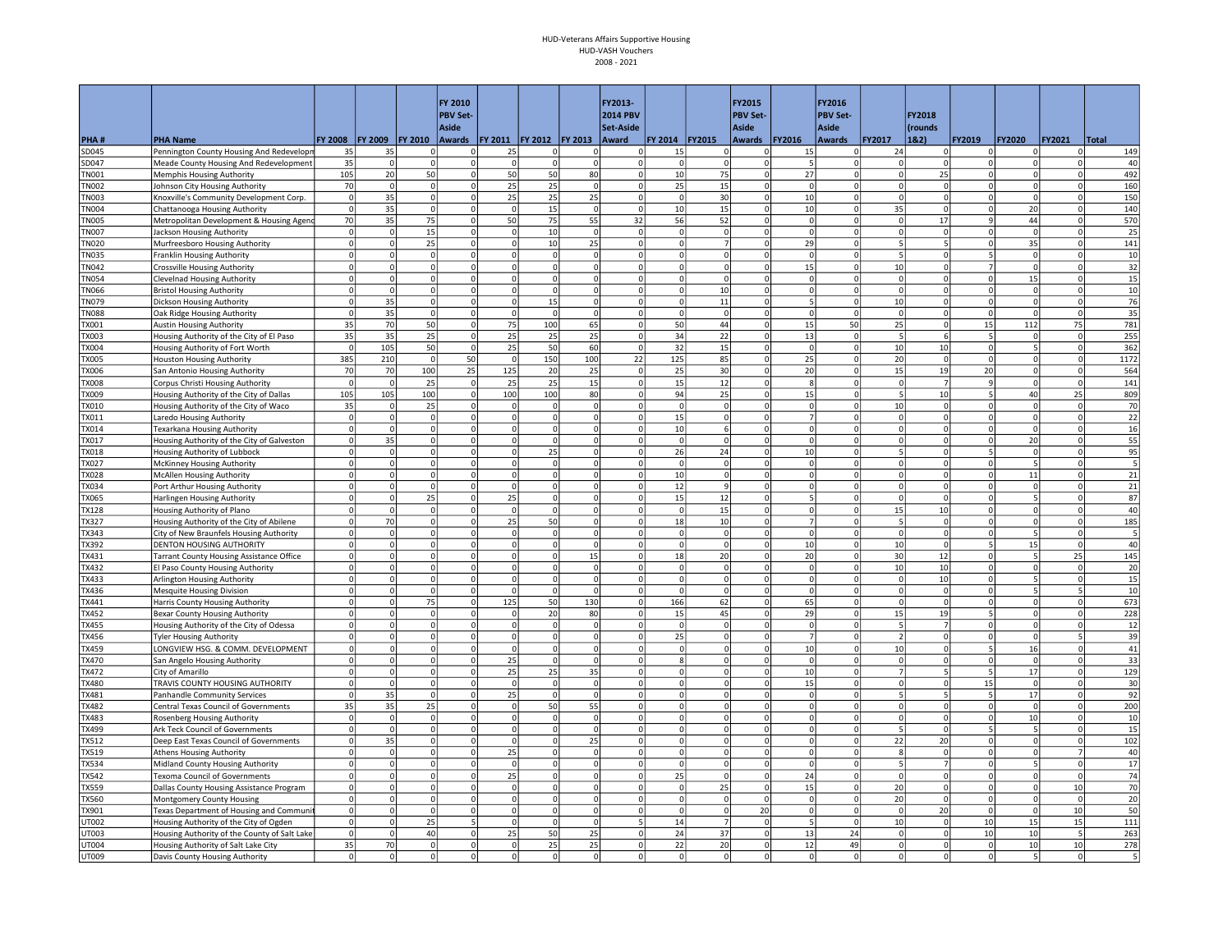|                             |                                                                          |                                |                      |                      | FY 2010                 |                                      |                      |                    | FY2013-              |                      |                      | FY2015                        |                      | FY2016                    |                            |                            |                              |                |                           |                          |
|-----------------------------|--------------------------------------------------------------------------|--------------------------------|----------------------|----------------------|-------------------------|--------------------------------------|----------------------|--------------------|----------------------|----------------------|----------------------|-------------------------------|----------------------|---------------------------|----------------------------|----------------------------|------------------------------|----------------|---------------------------|--------------------------|
|                             |                                                                          |                                |                      |                      | <b>PBV Set-</b>         |                                      |                      |                    | <b>2014 PBV</b>      |                      |                      | <b>PBV Set-</b>               |                      | <b>PBV Set-</b>           |                            | FY2018                     |                              |                |                           |                          |
|                             |                                                                          | <b>FY 2008</b>                 | FY 2009              | FY 2010              | <b>Aside</b>            | Awards   FY 2011   FY 2012   FY 2013 |                      |                    | Set-Aside<br>Award   | FY 2014              | <b>FY2015</b>        | <b>Aside</b>                  | <b>FY2016</b>        | <b>Aside</b>              | FY2017                     | (rounds<br>1&2)            | FY2019                       | <b>FY2020</b>  | <b>FY2021</b>             | <b>Total</b>             |
| PHA#<br>SD045               | <b>PHA Name</b><br>Pennington County Housing And Redevelopn              | 35                             | 35                   | $\mathbf 0$          | 0                       | 25                                   | $^{\circ}$           | 0                  | 0                    | 15                   | $\overline{0}$       | <b>Awards</b><br>0            | 15                   | Awards<br>$\Omega$        | 24                         |                            | 0                            |                | $\Omega$                  | 149                      |
| SD047                       | Meade County Housing And Redevelopment                                   | 35                             | $\Omega$             | $\Omega$             | $\Omega$                | <sub>0</sub>                         | $\Omega$             | 0                  | $\Omega$             | $\Omega$             | $\Omega$             | $\Omega$                      |                      | 0                         | $\Omega$                   | $\Omega$                   | $\Omega$                     |                | $\Omega$                  | 40                       |
| <b>N001</b>                 | Memphis Housing Authority                                                | 105                            | 20                   | 50                   | $\Omega$                | 50                                   | 50                   | 80                 | $\Omega$             | 10                   | 75                   | $\Omega$                      | 27                   | $\Omega$                  | $\Omega$                   | 25                         | $\Omega$                     |                | $\circ$                   | 492                      |
| <b>N002</b>                 | Johnson City Housing Authority                                           | 70                             | $\Omega$             | $\mathbf 0$          | $\mathbf 0$             | 25                                   | 25                   | 0                  | $\Omega$             | 25                   | 15                   | $\mathbf 0$                   | $\Omega$             | $\Omega$                  | $\mathbf 0$                | $\Omega$                   | $\mathbf{0}$                 | $\mathbf 0$    | 0                         | 160                      |
| <b>N003</b>                 | Knoxville's Community Development Corp.                                  | $\circ$                        | 35                   | $\Omega$             | $\Omega$                | 25                                   | 25                   | 25                 | $\Omega$             | $\Omega$             | 30                   | $\Omega$                      | 10                   | $\overline{0}$            | $\Omega$                   | $\Omega$                   | $\Omega$                     | $\Omega$       | $\Omega$                  | 150                      |
| <b>N004</b>                 | Chattanooga Housing Authority                                            | $\circ$                        | 35                   | $\Omega$             | $\mathbf 0$             | $\circ$                              | 15                   | 0                  | $\Omega$             | $10\,$               | 15                   | $\pmb{0}$                     | 10                   | 0                         | 35                         | $\Omega$                   | $\circ$                      | 20             | $\Omega$                  | 140                      |
| <b>N005</b>                 | Metropolitan Development & Housing Agend                                 | 70                             | 35                   | 75                   | $\mathbf 0$             | 50                                   | 75                   | 55                 | 32                   | 56                   | 52                   | $\overline{0}$                | $\Omega$             | 0                         | $\mathbf 0$                | 17                         | 9                            | 44             | $\Omega$                  | 570                      |
| <b>N007</b>                 | Jackson Housing Authority                                                | $\circ$                        | $\Omega$             | 15                   | $\mathbf 0$             | $\mathbf 0$                          | $10\,$               | 0                  | $\Omega$             | $\mathbf 0$          | $\Omega$             | $\mathbf 0$                   | $\Omega$             | 0                         | $\mathbf 0$                | $\Omega$                   | $\circ$                      | $\mathbf 0$    | 0                         | 25                       |
| <b>N020</b>                 | Murfreesboro Housing Authority                                           | $\circ$                        | $\Omega$             | 25                   | $\mathbf 0$             | $\circ$                              | 10                   | 25                 | $\Omega$             | $\Omega$             | $\overline{7}$       | $\mathbf 0$                   | 29                   | $\Omega$                  | 5                          |                            | $\mathbf{0}$                 | 35             | 0                         | 141                      |
| N035                        | Franklin Housing Authority                                               | $\Omega$                       | $\Omega$             | $\Omega$             | $\mathbf 0$             | $\circ$                              | $\Omega$             | $\mathbf 0$        | $\Omega$             | $\Omega$             | $\Omega$             | $\mathbf 0$                   | $\Omega$             | $\overline{0}$            | 5                          |                            | 5                            | $\Omega$       | $\Omega$                  | 10                       |
| <b>N042</b>                 | <b>Crossville Housing Authority</b>                                      | $\Omega$<br>$\Omega$           | $\Omega$<br>$\Omega$ | $\Omega$<br>$\Omega$ | $\mathbf 0$<br>$\Omega$ | $\overline{0}$<br>$\overline{0}$     | 0 <br>$\circ$        | $\mathbf 0$<br>0   | $\Omega$<br>$\Omega$ | $\Omega$<br>$\Omega$ | $\Omega$<br>$\Omega$ | $\mathbf 0$<br>$\overline{0}$ | 15<br>$\Omega$       | $\Omega$<br>$\circ$       | 10<br>$\mathbf{0}$         | 0<br>$\Omega$              | 7<br>$\Omega$                | $\Omega$       | $\Omega$<br>$\circ$       | 32                       |
| <b>TN054</b><br><b>N066</b> | <b>Clevelnad Housing Authority</b>                                       | $\overline{0}$                 | $\Omega$             | $\Omega$             | $\Omega$                | $\mathbf 0$                          | 0                    | 0                  | $\Omega$             | $\mathbf 0$          | 10                   | $\circ$                       | $\Omega$             | 0                         | $\mathbf{0}$               |                            | $\mathbf{0}$                 | 15<br>$\Omega$ | $\circ$                   | 15<br>10                 |
| N079                        | <b>Bristol Housing Authority</b><br>Dickson Housing Authority            | $\circ$                        | 35                   | $\Omega$             | $\Omega$                | $\circ$                              | 15                   | $\Omega$           | $\Omega$             | $\mathbf 0$          | 11                   | $\Omega$                      |                      | 0                         | 10                         | $\Omega$                   | $\circ$                      | $\Omega$       | 0                         | 76                       |
| <b>N088</b>                 | Oak Ridge Housing Authority                                              | $\circ$                        | 35                   | $\mathbf 0$          | $\mathbf 0$             | $\circ$                              | 0                    | $\mathbf 0$        | $\mathbf 0$          | $\mathbf 0$          | $\Omega$             | $\mathbf 0$                   | $\Omega$             | 0                         | $\mathbf 0$                | 0                          | $\circ$                      | $\mathbf 0$    | 0                         | 35                       |
| <b>X001</b>                 | <b>Austin Housing Authority</b>                                          | 35                             | 70                   | 50                   | $\mathbf 0$             | 75                                   | 100                  | 65                 | $\Omega$             | 50                   | 44                   | $\circ$                       | 15                   | 50                        | 25                         | 0                          | 15                           | 112            | 75                        | 781                      |
| X003                        | Housing Authority of the City of El Paso                                 | 35                             | 35                   | 25                   | $\mathbf 0$             | 25                                   | 25                   | 25                 | $\Omega$             | 34                   | 22                   | $\circ$                       | 13                   | 0                         | 5                          | 6                          | 5 <sup>1</sup>               |                | 0                         | 255                      |
| <b>X004</b>                 | Housing Authority of Fort Worth                                          | $\circ$                        | 105                  | 50                   | $\mathbf 0$             | 25                                   | 50                   | 60                 | $\Omega$             | 32                   | 15                   | $\mathbf 0$                   | $\Omega$             | $\overline{0}$            | $10\,$                     | 10                         | $\circ$                      |                | $\Omega$                  | 362                      |
| <b>X005</b>                 | Houston Housing Authority                                                | 385                            | 210                  | $\Omega$             | 50                      | $\mathbf 0$                          | 150                  | 100                | 22                   | 125                  | 85                   | $\Omega$                      | 25                   | $\Omega$                  | 20                         | $\Omega$                   | $\mathbf{0}$                 |                | $\Omega$                  | 1172                     |
| <b>X006</b>                 | San Antonio Housing Authority                                            | 70                             | 70                   | 100                  | 25                      | 125                                  | 20                   | 25                 | $\Omega$             | 25                   | 30                   | $\mathbf 0$                   | 20                   | $\Omega$                  | 15                         | 19                         | 20                           | $\Omega$       | $\Omega$                  | 564                      |
| <b>X008</b>                 | Corpus Christi Housing Authority                                         | $\overline{0}$                 | $\Omega$             | 25                   | $\Omega$                | 25                                   | 25                   | 15 <sup>1</sup>    | $\Omega$             | 15                   | 12                   | $\mathbf{0}$                  | $\mathbf{R}$         | $\circ$                   | $\Omega$                   | $\overline{7}$             | 9 <sup>1</sup>               | $\Omega$       | $\mathbf{0}$              | 141                      |
| <b>X009</b>                 | Housing Authority of the City of Dallas                                  | 105                            | 105                  | 100                  | $\Omega$                | 100                                  | 100                  | 80                 | $\Omega$             | 94                   | 25                   | $\Omega$                      | 15                   | $\Omega$                  | $\overline{5}$             | 10                         | 5 <sup>1</sup>               | 40             | 25                        | 809                      |
| <b>X010</b>                 | Housing Authority of the City of Waco                                    | 35                             |                      | 25                   | $\mathbf 0$             | $\mathbf 0$                          | 0                    | 0                  | $\mathbf 0$          | $\mathbf 0$          | $\mathbf 0$          | $\mathbf 0$                   | $\mathbf 0$          | $\overline{0}$            | 10                         | 0                          | $\circ$                      | $\mathbf 0$    | 0                         | 70                       |
| X011                        | Laredo Housing Authority                                                 | $\Omega$                       | $\Omega$             | $\Omega$             | $\mathbf 0$             | $\mathbf 0$                          | $\Omega$             | $\mathbf 0$        | $\Omega$             | 15                   | $\Omega$             | $\mathbf 0$                   |                      | $\overline{0}$            | $\mathbf 0$                | $\Omega$                   | $\mathbf{0}$                 | $\Omega$       | $\Omega$                  | 22                       |
| <b>X014</b>                 | <b>Texarkana Housing Authority</b>                                       | $\circ$                        | $\Omega$             | $\Omega$<br>$\Omega$ | $\mathbf 0$<br>$\Omega$ | $\overline{0}$                       | 0                    | $\mathbf 0$        | $\mathbf 0$          | 10                   | 6<br>$\Omega$        | $\mathbf 0$                   | 0<br>$\Omega$        | $\Omega$                  | $\mathbf 0$<br>$\Omega$    | 0                          | $\overline{0}$               | $\mathbf 0$    | $\Omega$                  | 16                       |
| TX017<br><b>X018</b>        | Housing Authority of the City of Galveston                               | $\mathbf{0}$<br>$\overline{0}$ | 35<br>$\Omega$       | $\Omega$             | $\mathbf 0$             | $\mathbf{0}$<br>0                    | 0<br>25              | 0<br>$\mathbf 0$   | $\Omega$<br>$\Omega$ | $\overline{0}$<br>26 | 24                   | $\overline{0}$<br>$\mathbf 0$ | 10                   | $\circ$<br>$\overline{0}$ |                            | 0                          | $\overline{0}$<br>5          | 20             | $\circ$<br>$\Omega$       | 55<br>95                 |
| X027                        | Housing Authority of Lubbock<br>McKinney Housing Authority               | $\Omega$                       | $\Omega$             | $\Omega$             | $\Omega$                | $\overline{0}$                       | 0                    | $\Omega$           | $\Omega$             | $\Omega$             | $\Omega$             | $\Omega$                      | $\Omega$             | $\Omega$                  | $\Omega$                   | $\Omega$                   | $\Omega$                     |                | $\Omega$                  | $\overline{\phantom{a}}$ |
| <b>X028</b>                 | <b>McAllen Housing Authority</b>                                         | $\Omega$                       | U                    | $\Omega$             | $\mathbf 0$             | $\mathbf{0}$                         | $\Omega$             | $\Omega$           | $\Omega$             | 10                   | $\Omega$             | $\Omega$                      | $\Omega$             | $\overline{0}$            | $\Omega$                   | $\Omega$                   | $\Omega$                     | 11             | $\Omega$                  | $21\,$                   |
| TX034                       | Port Arthur Housing Authority                                            | $\Omega$                       | $\Omega$             | $\Omega$             | $\Omega$                | $\circ$                              | $\Omega$             | 0                  | $\Omega$             | 12                   | -9                   | $\Omega$                      | $\Omega$             | $\overline{0}$            | $\Omega$                   | $\Omega$                   | $\Omega$                     |                | $\Omega$                  | 21                       |
| X065                        | Harlingen Housing Authority                                              | $\overline{0}$                 | $\Omega$             | 25                   | $\Omega$                | 25                                   | $\Omega$             | <sup>o</sup>       | $\Omega$             | 15                   | 12                   | <sub>0</sub>                  |                      | $\overline{0}$            | $\Omega$                   | <sup>o</sup>               | $\Omega$                     |                | $\circ$                   | 87                       |
| TX128                       | Housing Authority of Plano                                               | $\overline{0}$                 |                      | $\mathbf 0$          | $\mathbf 0$             | 0                                    | $\Omega$             | $\mathbf 0$        | $\Omega$             | $\overline{0}$       | 15                   | $\mathbf 0$                   |                      | $\overline{0}$            | 15                         | 10                         | $\mathbf{0}$                 |                | 0                         | 40                       |
| X327                        | Housing Authority of the City of Abilene                                 | $\Omega$                       | 70                   | $\Omega$             | $\Omega$                | 25                                   | 50                   | $\Omega$           | $\Omega$             | 18                   | 10                   | $\Omega$                      |                      | $\Omega$                  | 5                          | $\Omega$                   | $\mathbf{0}$                 |                | $\circ$                   | 185                      |
| X343                        | City of New Braunfels Housing Authority                                  | $\Omega$                       | $\Omega$             | $\Omega$             | $\mathbf 0$             | $\mathbf 0$                          | 0                    | $\mathbf 0$        | $\Omega$             | $\mathbf 0$          | $\mathbf 0$          | $\mathbf 0$                   | $\Omega$             | $\Omega$                  | $\mathbf 0$                | $\Omega$                   | $\circ$                      |                | 0                         |                          |
| TX392                       | <b>DENTON HOUSING AUTHORITY</b>                                          | $\Omega$                       | $\Omega$             | $\Omega$             | $\Omega$                | $\mathbf{0}$                         | 0                    | 0                  | $\Omega$             | $\Omega$             | $\Omega$             | $\overline{0}$                | 10                   | $\circ$                   | 10                         | 0                          | 5 <sup>1</sup>               | 15             | $\circ$                   | 40                       |
| TX431                       | Tarrant County Housing Assistance Office                                 | $\overline{0}$                 | $\Omega$             | $\Omega$             | $\Omega$                | <sub>0</sub>                         | $\circ$              | 15                 | $\Omega$             | 18                   | 20                   | $\Omega$                      | 20                   | 0                         | 30                         | 12                         | $\overline{0}$               |                | 25                        | 145                      |
| TX432                       | El Paso County Housing Authority                                         | $\circ$                        | $\Omega$             | $\Omega$             | $\Omega$                | $\Omega$                             | $\Omega$             | $\mathbf 0$        |                      | $\Omega$             | $\Omega$             | $\Omega$                      |                      | $\Omega$                  | $10\,$                     | 10                         | $\Omega$                     |                | $\Omega$                  | 20                       |
| X433                        | Arlington Housing Authority                                              | $\Omega$                       |                      | $\Omega$             | $\Omega$                | $\Omega$                             | $\Omega$             | $\Omega$           |                      | $\Omega$             | $\Omega$             | $\Omega$                      |                      | $\overline{0}$            | $\mathbf 0$                | 10                         | $\Omega$                     |                | $\Omega$                  | 15                       |
| TX436<br>TX441              | <b>Mesquite Housing Division</b>                                         | $\Omega$<br>$\circ$            |                      | 0<br>75              | 0<br>$\Omega$           | $\mathbf 0$<br>125                   | 0<br>50              | $\mathbf 0$<br>130 | $\Omega$             | $\mathbf 0$<br>166   | 0                    | $\mathbf 0$<br>$\circ$        |                      | $\Omega$<br> 0            | $\mathbf 0$<br>$\mathbf 0$ | 0<br>$\Omega$              | $\mathbf{0}$<br><sub>0</sub> |                | 5<br>$\mathbf{0}$         | 10                       |
| TX452                       | Harris County Housing Authority<br><b>Bexar County Housing Authority</b> | $\overline{0}$                 |                      | $\Omega$             | $\mathbf 0$             | $\mathbf 0$                          | 20                   | 80                 | $\Omega$             | 15                   | 62<br>45             | $\mathbf{0}$                  | 65<br>29             | $\overline{0}$            | 15                         | 19                         | $\overline{5}$               |                | 0                         | 673<br>228               |
| X455                        | Housing Authority of the City of Odessa                                  | $\Omega$                       |                      | $\Omega$             | $\mathbf 0$             | $\circ$                              | $\Omega$             | 0                  |                      | $\Omega$             | $\Omega$             | $\mathbf 0$                   |                      | $\Omega$                  | 5                          | $\overline{7}$             | $\mathbf{0}$                 | $\Omega$       | $\circ$                   | 12                       |
| <b>X456</b>                 | Tyler Housing Authority                                                  | $\Omega$                       | $\Omega$             | $\Omega$             | $\mathbf 0$             | <sub>0</sub>                         | $\Omega$             | $\Omega$           | $\Omega$             | 25                   | $\Omega$             | $\Omega$                      |                      | $\overline{0}$            | $\overline{z}$             | $\Omega$                   | $\overline{0}$               | $\Omega$       | 5                         | 39                       |
| TX459                       | LONGVIEW HSG. & COMM. DEVELOPMENT                                        | $\Omega$                       | $\Omega$             | $\Omega$             | $\Omega$                | $\mathbf{0}$                         | $\Omega$             | 0                  | $\Omega$             | $\Omega$             | $\Omega$             | $\Omega$                      | 10                   | $\Omega$                  | 10                         | $\Omega$                   | 5 <sup>1</sup>               | 16             | $\Omega$                  | 41                       |
| TX470                       | San Angelo Housing Authority                                             | $\circ$                        | $\Omega$             | $\Omega$             | $\Omega$                | 25                                   | $\Omega$             | <sup>o</sup>       | $\Omega$             | 8                    | $\Omega$             | $\Omega$                      | $\Omega$             | $\circ$                   | $\mathbf{0}$               | $\Omega$                   | $\Omega$                     | $\Omega$       | $\Omega$                  | 33                       |
| TX472                       | City of Amarillo                                                         | $\overline{0}$                 | $\Omega$             | $\Omega$             | $\Omega$                | 25                                   | 25                   | 35                 |                      | $\Omega$             |                      | $\Omega$                      | 10                   | $\overline{0}$            | $\overline{7}$             |                            | 5                            | 17             | 0                         | 129                      |
| <b>X480</b>                 | TRAVIS COUNTY HOUSING AUTHORITY                                          | $\circ$                        |                      | $\Omega$             | $\mathbf 0$             | $\circ$                              | $\Omega$             | 0                  |                      | $\Omega$             | $\Omega$             | $\mathbf 0$                   | 15                   | $\overline{0}$            | $\overline{0}$             |                            | 15                           | $\Omega$       | $\Omega$                  | 30                       |
| <b>X481</b>                 | Panhandle Community Services                                             | $\circ$                        | 35                   | $\overline{0}$       | $\mathbf 0$             | 25                                   | 0                    | $\mathbf 0$        | $\Omega$             | $\mathbf 0$          | $\Omega$             | $\mathbf 0$                   | $\Omega$             | $\overline{0}$            | 5                          |                            | 5                            | 17             | $\Omega$                  | 92                       |
| TX482                       | Central Texas Council of Governments                                     | 35                             | 35                   | 25                   | $\Omega$                | $\overline{0}$                       | 50                   | 55                 |                      | $\Omega$             | $\Omega$             | $\overline{0}$                | $\Omega$             | 0                         | $\Omega$                   | $\Omega$                   | $\Omega$                     | $\Omega$       | $\Omega$                  | 200                      |
| TX483                       | Rosenberg Housing Authority                                              | $\circ$                        | $\Omega$             | $\Omega$             | $\mathbf 0$             | <sub>0</sub>                         | $\Omega$             | 0                  | $\Omega$             | $\Omega$             | $\Omega$             | $\overline{0}$                | $\Omega$             | 0                         | $\mathbf{0}$               | $\Omega$                   | $\circ$                      | 10             | $\circ$                   | 10                       |
| TX499                       | Ark Teck Council of Governments                                          | $\circ$                        | $\Omega$             | $\Omega$             | $\mathbf 0$             | $\mathbf 0$                          | $\circ$              | 0                  |                      | $\mathbf 0$          | $\Omega$             | $\mathbf 0$                   |                      | $\Omega$                  | 5                          | $\Omega$                   | 5                            |                | 0                         | 15                       |
| <b>X512</b>                 | Deep East Texas Council of Governments                                   | $\circ$                        | 35                   | $\Omega$             | $\Omega$                | $\Omega$                             | $\Omega$             | 25                 | $\Omega$             | $\Omega$<br>$\Omega$ | $\Omega$             | $\Omega$<br>$\Omega$          |                      | $\Omega$                  | 22<br>$\mathbf{8}$         | 20                         | $\overline{0}$<br>$\Omega$   |                | $\circ$<br>$\overline{7}$ | 102                      |
| TX519<br>TX534              | <b>Athens Housing Authority</b><br>Midland County Housing Authority      | $\circ$<br> 0                  | $\Omega$<br>$\Omega$ | $\Omega$<br>$\circ$  | $\Omega$<br>$\Omega$    | 25<br>$\circ$                        | $\Omega$<br>$\Omega$ | 0 <br> 0           | $\Omega$<br>$\Omega$ | $\Omega$             | $\Omega$<br>$\Omega$ | $\overline{0}$                | $\Omega$<br>$\Omega$ | 0 <br> 0                  | 5                          | $\Omega$<br>$\overline{7}$ | $\circ$                      | $\Omega$       | 0                         | 40<br>17                 |
| TX542                       | Texoma Council of Governments                                            | $\overline{0}$                 | $\Omega$             | $\Omega$             | $\mathbf 0$             | 25                                   | $\Omega$             | 0                  | $\Omega$             | 25                   | $\Omega$             | $\mathbf 0$                   | 24                   | $\overline{0}$            | $\overline{0}$             | $\Omega$                   | $\mathbf{0}$                 | $\Omega$       | 0                         | 74                       |
| <b>X559</b>                 | Dallas County Housing Assistance Program                                 | $\circ$                        | $\Omega$             | $\Omega$             | $\mathbf 0$             | $\circ$                              | $\mathbf 0$          | $\mathbf 0$        |                      | $\mathbf 0$          | 25                   | $\mathbf 0$                   | 15                   | 0                         | 20                         | $\Omega$                   | $\mathbf{0}$                 | $\Omega$       | 10                        | 70                       |
| <b>X560</b>                 | Montgomery County Housing                                                | $\circ$                        | $\Omega$             | $\Omega$             | $\mathbf 0$             | $\circ$                              | 0                    | $\mathbf 0$        | $\Omega$             | $\mathbf 0$          | $\Omega$             | $\mathbf 0$                   | $\Omega$             | 0                         | 20                         | $\Omega$                   | $\overline{0}$               | $\mathbf 0$    | $\mathbf{0}$              | 20                       |
| TX901                       | Texas Department of Housing and Communit                                 | $\circ$                        | $\Omega$             | $\Omega$             | $\Omega$                | $\circ$                              | $\Omega$             | 0                  | $\Omega$             | $\Omega$             | $\Omega$             | 20                            | $\Omega$             | 0                         | $\mathbf{0}$               | 20                         | $\Omega$                     | $\Omega$       | 10                        | 50                       |
| UT002                       | Housing Authority of the City of Ogden                                   | $\circ$                        | $\Omega$             | 25                   | 5                       | $\Omega$                             | $\Omega$             | 0                  |                      | $14\,$               | $\overline{7}$       | $\mathbf 0$                   |                      | $\circ$                   | 10                         | $\Omega$                   | 10 <sup>1</sup>              | 15             | 15                        | 111                      |
| JT003                       | Housing Authority of the County of Salt Lake                             | $\Omega$                       |                      | 40                   | $\mathbf 0$             | 25                                   | 50                   | 25                 | $\Omega$             | 24                   | 37                   | $\circ$                       | 13                   | 24                        | $\Omega$                   |                            | 10 <sup>1</sup>              | 10             | 5 <sup>1</sup>            | 263                      |
| JT004                       | Housing Authority of Salt Lake City                                      | 35                             | 70                   | $\Omega$             | $\Omega$                | $\mathbf{0}$                         | 25                   | 25                 | $\Omega$             | 22                   | 20                   | $\Omega$                      | 12                   | 49                        | $\Omega$                   |                            | $\mathbf{0}$                 | 10             | 10 <sup>1</sup>           | 278                      |
| UT009                       | Davis County Housing Authority                                           | $\overline{0}$                 | $\Omega$             | $\Omega$             | $\mathbf 0$             | 0                                    | $\Omega$             | $\Omega$           | $\Omega$             | $\Omega$             | $\overline{0}$       | $\Omega$                      | $\Omega$             | $\overline{0}$            | $\Omega$                   |                            | 0                            |                | $\Omega$                  | 5                        |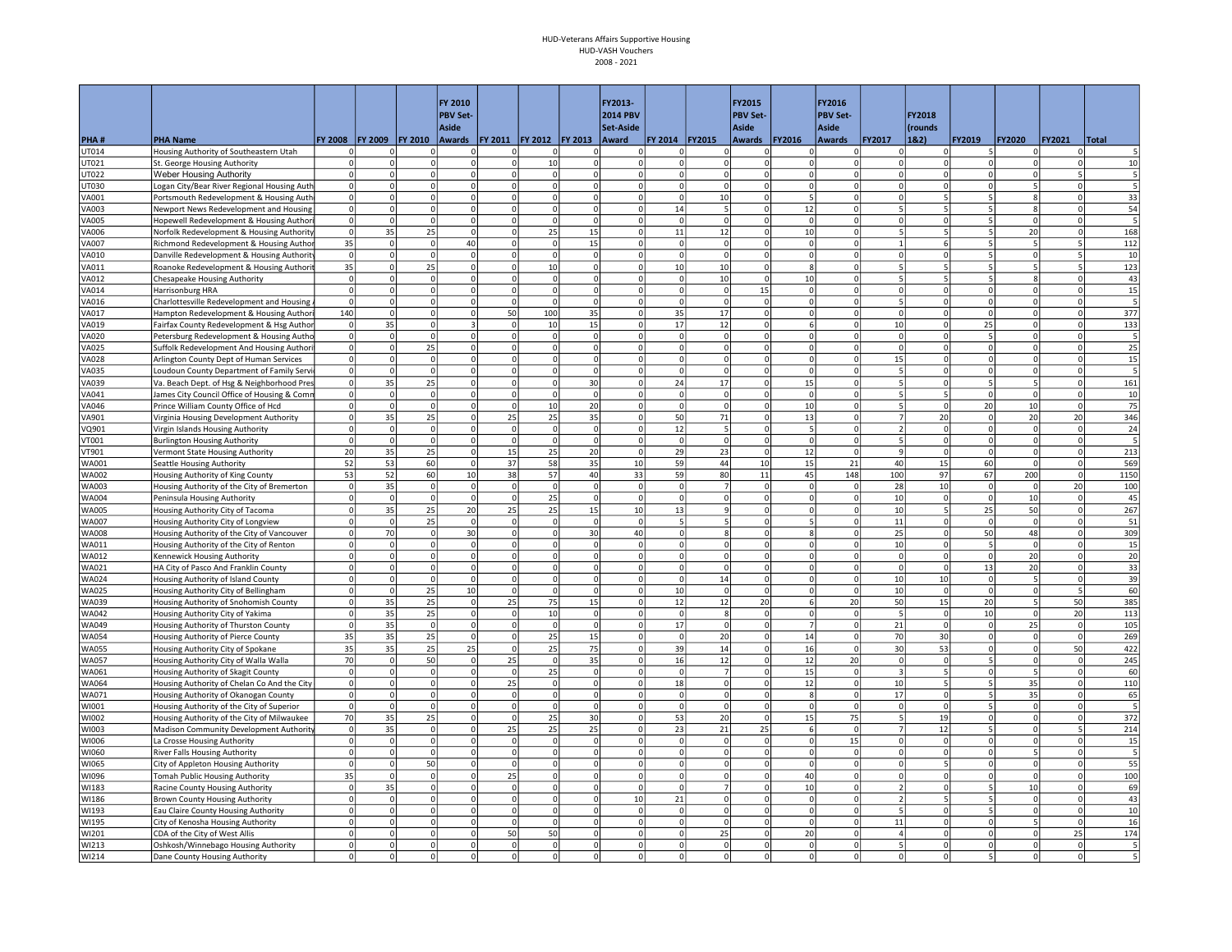|                       |                                                                                        |                   |                     |                          | FY 2010<br><b>PBV Set-</b> |                         |                |                      | FY2013-<br><b>2014 PBV</b> |                         |                          | FY2015<br><b>PBV Set-</b>        |                            | FY2016<br><b>PBV Set-</b>        |                          |                          |                                     |                      |                               |             |
|-----------------------|----------------------------------------------------------------------------------------|-------------------|---------------------|--------------------------|----------------------------|-------------------------|----------------|----------------------|----------------------------|-------------------------|--------------------------|----------------------------------|----------------------------|----------------------------------|--------------------------|--------------------------|-------------------------------------|----------------------|-------------------------------|-------------|
|                       |                                                                                        |                   |                     |                          | <b>Aside</b>               |                         |                |                      | Set-Aside                  |                         |                          | Aside                            |                            | Aside                            |                          | FY2018<br>(rounds        |                                     |                      |                               |             |
| PHA#                  | <b>PHA Name</b>                                                                        |                   | FY 2008 FY 2009     | <b>FY 2010</b>           |                            | Awards   FY 2011        | <b>FY 2012</b> | <b>FY 2013</b>       | Award                      | FY 2014   FY 2015       |                          | <b>Awards</b>                    | <b>FY2016</b>              | <b>Awards</b>                    | <b>FY2017</b>            | 18.2)                    | FY2019                              | <b>FY2020</b>        | <b>FY2021</b>                 | Total       |
| UT014                 | Housing Authority of Southeastern Utah                                                 | $\mathbf 0$       |                     |                          | $\mathbf 0$                | 0                       | $\Omega$       | $\Omega$             | <sup>n</sup>               | n                       |                          | 0<br>$\Omega$                    |                            | 0                                | $\mathbf 0$              | $\Omega$                 | 5                                   |                      | $\Omega$                      |             |
| UT021                 | St. George Housing Authority                                                           | 0                 | 0                   |                          | $\Omega$                   | $\circ$                 | 10             | $\mathbf 0$          | $\Omega$                   | $\Omega$                |                          | $\mathbf{0}$<br>$\Omega$         | $\Omega$                   | $\Omega$                         |                          |                          | $\Omega$                            |                      | $\Omega$                      | 10          |
| UT022                 | <b>Weber Housing Authority</b>                                                         | $\circ$           | $\overline{0}$      | $\overline{0}$           | $\Omega$                   | 0                       | $\Omega$       | 0                    | $\Omega$                   | $\circ$                 |                          | $\overline{0}$<br>$\Omega$       | $\Omega$                   | $\Omega$                         | $\Omega$                 | $\circ$                  | $\Omega$                            |                      | 5 <sup>1</sup>                |             |
| UT030                 | Logan City/Bear River Regional Housing Auth                                            | $\overline{0}$    | $\overline{0}$      | $\overline{0}$           | $\Omega$                   | $\circ$                 | $\Omega$       | $\Omega$             | $\Omega$                   | $\overline{\circ}$      |                          | $\overline{0}$<br>$\mathbf 0$    | $\circ$                    | $\overline{0}$                   | $\mathbf 0$              | $\circ$                  | $\Omega$                            |                      | $\Omega$                      | 5           |
| VA001                 | Portsmouth Redevelopment & Housing Auth                                                | $\overline{0}$    | $\mathbf{0}$        | $\overline{0}$           | $\Omega$                   | $\circ$                 | $\Omega$       | $\overline{0}$       | <sub>0</sub>               | <sub>0</sub>            | 10 <sup>1</sup>          | $\mathbf 0$                      | 5                          | 0                                | $\Omega$                 | 5 <sup>1</sup>           | 5 <sup>1</sup>                      |                      | $\circ$                       | 33          |
| VA003                 | Newport News Redevelopment and Housing                                                 | $\circ$           | 0                   | $\overline{0}$           | $\Omega$                   | $\circ$                 | $\Omega$       | $\Omega$             | $\Omega$                   | $\bf{14}$               | 5                        | $\Omega$                         | 12                         | $\overline{0}$                   | 5                        | 5                        | 5                                   |                      | $\Omega$                      | 54          |
| VA005                 | Hopewell Redevelopment & Housing Authori                                               | $\circ$           | $\mathbf{0}$        | $\overline{0}$           | $\Omega$                   | $\Omega$                | $\Omega$       | $\Omega$             | $\Omega$                   | $\mathbf 0$             |                          | $\circ$<br>$\Omega$              | $\Omega$                   | $\Omega$                         | $\Omega$                 | 0l                       | 5 <sup>1</sup>                      | $\Omega$             | $\Omega$                      | 5           |
| <b>VA006</b>          | Norfolk Redevelopment & Housing Authority                                              | 0                 | 35                  | 25                       |                            | $\Omega$                | 25             | 15                   | $\Omega$                   | $11\,$                  | 12                       | $\Omega$                         | 10                         | $\Omega$                         |                          | $\overline{\phantom{a}}$ | 5                                   | 20                   | $\Omega$                      | 168         |
| VA007                 | Richmond Redevelopment & Housing Author                                                | 35                | $\circ$<br>$\Omega$ | $\mathsf{o}$<br>$\Omega$ | 40<br>$\Omega$             | $\mathbf 0$<br>$\Omega$ | $\mathbf 0$    | 15<br>$\Omega$       | $\Omega$                   | $\mathbf 0$<br>$\Omega$ | $\mathbf{0}$<br>$\Omega$ | $\mathbf 0$<br>$\Omega$          | $\overline{0}$<br>$\Omega$ | $\overline{0}$<br>$\overline{0}$ | $\Omega$                 |                          | 5                                   | $\Omega$             | $\overline{\phantom{a}}$<br>5 | 112         |
| VA010<br>VA011        | Danville Redevelopment & Housing Authority<br>Roanoke Redevelopment & Housing Authorit | $\circ$<br>35     | $\circ$             | 25                       | $\mathbf 0$                | $\circ$                 | $\Omega$<br>10 | $\mathbf 0$          | $\Omega$<br>$\Omega$       | 10                      | 10                       | $\mathbf 0$                      | 8                          | $\Omega$                         | 5                        |                          | 5                                   |                      | 5                             | 10<br>123   |
| VA012                 | <b>Chesapeake Housing Authority</b>                                                    | $\mathbf 0$       | $\Omega$            | $\Omega$                 | $\Omega$                   | $\circ$                 | $\Omega$       | $\Omega$             | $\Omega$                   | $\Omega$                | 10 <sup>1</sup>          | $\Omega$                         | 10                         | $\Omega$                         |                          | $\overline{5}$           | 5.                                  |                      | $\Omega$                      | 43          |
| VA014                 | Harrisonburg HRA                                                                       | $\circ$           | 0                   | $\overline{0}$           | $\Omega$                   | 0                       | $\Omega$       | $\Omega$             | $\Omega$                   | $\circ$                 |                          | 15<br>$\circ$                    | $\Omega$                   | $\overline{0}$                   | $\Omega$                 | $\circ$                  | $\Omega$                            |                      | $\overline{0}$                | 15          |
| VA016                 | Charlottesville Redevelopment and Housing                                              | $\circ$           | $\overline{0}$      | $\overline{0}$           | $\Omega$                   | $\mathbf 0$             | $\Omega$       | $\mathbf 0$          | $\Omega$                   | $\mathbf 0$             |                          | $\circ$<br>$\mathsf 0$           | $\overline{0}$             | $\overline{0}$                   | 5                        | 0                        | $\Omega$                            |                      | $\circ$                       |             |
| VA017                 | Hampton Redevelopment & Housing Authori                                                | 140               | $\overline{0}$      | $\Omega$                 | $\Omega$                   | 50                      | 100            | 35                   | $\Omega$                   | 35                      | 17                       | $\Omega$                         | $\Omega$                   | $\overline{0}$                   | $\Omega$                 | $\Omega$                 | $\Omega$                            | $\Omega$             | $\Omega$                      | 377         |
| VA019                 | Fairfax County Redevelopment & Hsg Author                                              | $\circ$           | 35                  | $\overline{0}$           |                            | $\Omega$                | 10             | 15                   | $\Omega$                   | 17                      | 12                       | $\Omega$                         | 6                          | $\Omega$                         | 10                       | $\Omega$                 | 25                                  |                      | $\Omega$                      | 133         |
| <b>VA020</b>          | Petersburg Redevelopment & Housing Autho                                               | $\circ$           | $\mathbf{0}$        | $\circ$                  | $\Omega$                   | 0                       | $\overline{0}$ | -o l                 | $\Omega$                   | $\circ$                 |                          | $\circ$<br>$\Omega$              | $\Omega$                   | $\overline{0}$                   | $\Omega$                 | 0                        | 5 <sup>1</sup>                      | $\Omega$             | $\circ$                       | 5           |
| <b>VA025</b>          | Suffolk Redevelopment And Housing Authori                                              | $\overline{0}$    | 0                   | 25                       | $\Omega$                   | $\Omega$                | $\circ$        | $\Omega$             | $\Omega$                   | $\Omega$                |                          | $\circ$<br>$\Omega$              | $\Omega$                   | $\overline{0}$                   | $\Omega$                 |                          | $\Omega$                            | $\Omega$             | 0                             | 25          |
| <b>VA028</b>          | Arlington County Dept of Human Services                                                | $\overline{0}$    | $\overline{0}$      | $\circ$                  | $\Omega$                   | $\mathbf 0$             | $\Omega$       | $\mathbf 0$          | $\Omega$                   | $\mathbf 0$             |                          | $\overline{0}$<br>$\mathbf 0$    | $\Omega$                   | $\overline{0}$                   | 15                       | $\Omega$                 | 0                                   |                      | $\overline{0}$                | 15          |
| VA035                 | Loudoun County Department of Family Servi                                              | $\circ$           | $\circ$             | $\mathsf{o}$             | $\Omega$                   | $\mathbf 0$             | $\Omega$       | $\overline{0}$       | $\Omega$                   | $\mathbf 0$             | $\Omega$                 | $\mathbf 0$                      | $\Omega$                   | $\overline{0}$                   | 5                        | $\Omega$                 | $\Omega$                            | $\Omega$             | $\Omega$                      | 5           |
| VA039                 | Va. Beach Dept. of Hsg & Neighborhood Pres                                             | $\circ$           | 35                  | 25                       | $\Omega$                   | $\circ$                 | $\Omega$       | 30                   | $\Omega$                   | 24                      | 17                       | $\Omega$                         | 15                         | 0                                | 5                        | 0l                       | 5 <sup>1</sup>                      |                      | 0                             | 161         |
| VA041                 | James City Council Office of Housing & Comr                                            | $\circ$           | $\overline{0}$      | $\mathbf{0}$             | $\Omega$                   | $\Omega$                | $\Omega$       | $\Omega$             | $\Omega$                   | $\Omega$                |                          | $\circ$<br>$\Omega$              | $\Omega$                   | $\Omega$                         | 5                        | $\overline{5}$           | $\Omega$                            |                      | $\circ$                       | 10          |
| VA046                 | Prince William County Office of Hcd                                                    | $\overline{0}$    | $\circ$             | $\overline{0}$           | $\mathbf 0$                | $\mathbf 0$             | 10             | 20                   | $\Omega$                   | $\mathbf 0$             |                          | $\circ$<br>$\mathbf 0$           | 10                         | $\overline{0}$                   |                          | $\Omega$                 | 20                                  | 10                   | 0                             | 75          |
| VA901                 | Virginia Housing Development Authority                                                 | $\mathbf 0$       | 35                  | 25                       | $\Omega$                   | 25                      | 25             | 35                   | $\Omega$                   | 50                      | 71                       | $\Omega$                         | 13                         | $\overline{0}$                   |                          | 20                       | $\mathbf{0}$                        | 20                   | 20 <sup>1</sup>               | 346         |
| VQ901                 | Virgin Islands Housing Authority                                                       | $\circ$           | $\overline{0}$      | $\mathbf{0}$             | $\Omega$                   | $\circ$                 | $\Omega$       | $\circ$              | $\Omega$                   | 12                      | 5                        | $\mathbf 0$                      | 5                          | 0                                | $\overline{\phantom{a}}$ | $\Omega$                 | $\mathbf{0}$                        | $\Omega$             | $\circ$                       | 24          |
| VT001                 | <b>Burlington Housing Authority</b>                                                    | $\circ$           | $\overline{0}$      | $\circ$                  | $\Omega$                   | $\circ$                 | $\Omega$       | $\Omega$             | $\Omega$                   | $\Omega$                |                          | $\circ$<br>$\Omega$              | $\Omega$                   | 0                                | 5                        | 0                        | $\Omega$                            | $\Omega$             | 0                             |             |
| VT901                 | Vermont State Housing Authority                                                        | 20<br>52          | 35                  | 25                       | $\mathbf 0$                | 15                      | 25             | 20                   | $\mathbf 0$                | 29                      | 23                       | $\mathbf{0}$                     | 12                         | 0 <br>21                         | $\mathbf{q}$             | 0                        | $\circ$                             | $\Omega$<br>$\Omega$ | 0                             | 213         |
| WA001<br><b>WA002</b> | Seattle Housing Authority                                                              | 53                | 53<br>52            | 60<br>60                 | $\mathbf 0$<br>10          | 37<br>38                | 58<br>57       | 35<br>40             | 10<br>33                   | 59<br>59                | 44<br>80                 | 10<br>11                         | 15<br>45                   | 148                              | 40<br>100                | 15<br>97                 | 60<br>67                            | 200                  | 0 <br>$\Omega$                | 569<br>1150 |
| WA003                 | Housing Authority of King County<br>Housing Authority of the City of Bremerton         | 0                 | 35                  | $\mathbf 0$              | $\mathbf 0$                | $\mathbf 0$             | $\mathbf 0$    | $\mathbf 0$          | $\mathbf 0$                | $\mathbf 0$             | $\overline{7}$           | $\mathbf 0$                      | $^{\circ}$                 | 0                                | 28                       | 10                       | $\mathbf 0$                         |                      | 20                            | 100         |
| <b>WA004</b>          | Peninsula Housing Authority                                                            | $\mathbf 0$       | $\circ$             | $\overline{0}$           | $\Omega$                   | 0                       | 25             | 0                    | $\mathbf 0$                | $\circ$                 |                          | $\overline{0}$<br>$\overline{0}$ | $\Omega$                   | 0                                | 10                       | 0                        | $\overline{0}$                      | 10                   | $\circ$                       | 45          |
| <b>WA005</b>          | Housing Authority City of Tacoma                                                       | 0                 | 35                  | 25                       | 20                         | 25                      | 25             | 15                   | 10                         | 13                      |                          | $\overline{9}$<br>$\mathbf 0$    | $\Omega$                   | $\overline{0}$                   | 10                       |                          | 25                                  | 50                   | $\circ$                       | 267         |
| <b>WA007</b>          | Housing Authority City of Longview                                                     | $\circ$           | $\Omega$            | 25                       | $\Omega$                   | 0                       | $\Omega$       | $\Omega$             | $\Omega$                   | 5                       |                          | $\overline{5}$<br>$\Omega$       |                            | 0                                | 11                       | 0                        | $\overline{0}$                      | $\Omega$             | $\circ$                       | 51          |
| <b>WA008</b>          | Housing Authority of the City of Vancouver                                             | $\circ$           | 70                  | $\mathbf 0$              | 30                         | $\Omega$                | $\Omega$       | 30                   | 40                         | $\Omega$                | $\mathbf{g}$             | $\Omega$                         | 8                          | 0                                | 25                       | 0                        | 50                                  | 48                   | $\Omega$                      | 309         |
| WA011                 | Housing Authority of the City of Renton                                                | $\circ$           | 0                   | $\circ$                  | $\Omega$                   | $\circ$                 | $\Omega$       | $\Omega$             | $\Omega$                   | $\Omega$                |                          | $\overline{0}$<br>$\Omega$       | $\Omega$                   | 0                                | 10                       | 0                        | 5 <sup>1</sup>                      | $\Omega$             | 0                             | 15          |
| WA012                 | Kennewick Housing Authority                                                            | $\circ$           | <sub>0</sub>        | $\Omega$                 | $\Omega$                   | $\Omega$                | $\Omega$       | $\Omega$             | $\Omega$                   | $\Omega$                |                          | $\Omega$<br>$\Omega$             | $\Omega$                   | $\Omega$                         | $\Omega$                 | <sub>0</sub>             | $\Omega$                            | 20                   | $\Omega$                      | 20          |
| WA021                 | HA City of Pasco And Franklin County                                                   | $\overline{0}$    | $\overline{0}$      | $\overline{0}$           | $\mathbf 0$                | $\mathbf 0$             |                | $\mathbf 0$          |                            | $\mathbf 0$             |                          | $\circ$<br>$\mathbf 0$           |                            | $\overline{0}$                   | $\mathbf 0$              | $\mathbf 0$              | 13                                  | 20                   | 0                             | 33          |
| <b>WA024</b>          | Housing Authority of Island County                                                     | $\circ$           | $\Omega$            | $\overline{0}$           | $\Omega$                   | $\Omega$                | $\Omega$       | $\Omega$             | $\Omega$                   | $\Omega$                | 14                       | $\Omega$                         |                            | $\overline{0}$                   | 10                       | 10                       | $\Omega$                            |                      | $\Omega$                      | 39          |
| <b>WA025</b>          | Housing Authority City of Bellingham                                                   | $\mathbf 0$       | $\overline{0}$      | 25                       | 10                         | $\mathbf 0$             | $\Omega$       | $\mathbf 0$          | $\Omega$                   | 10                      | $\mathbf 0$              | $\mathbf 0$                      |                            | $\Omega$                         | 10                       | $\Omega$                 | 0                                   |                      | 5                             | 60          |
| <b>WA039</b>          | Housing Authority of Snohomish County                                                  | $\circ$           | 35                  | 25                       | $\Omega$                   | 25                      | 75             | 15                   | $\Omega$                   | 12                      | 12                       | 20                               | 6                          | 20                               | 50                       | 15                       | 20 <sup>1</sup>                     |                      | 50                            | 385         |
| <b>WA042</b>          | Housing Authority City of Yakima                                                       | $\mathbf 0$       | 35                  | 25                       | $\mathbf 0$                | $\mathbf 0$             | 10             | $\circ$              | $\mathbf 0$                | $\Omega$                | $\boldsymbol{8}$         | $\mathsf{o}$                     | $\Omega$                   | $\overline{0}$                   | 5                        | $\Omega$                 | 10                                  |                      | 20                            | 113         |
| WA049                 | Housing Authority of Thurston County                                                   | $\overline{0}$    | 35                  | $\mathbf 0$              | $\mathbf 0$                | $\mathbf 0$             | $\Omega$       | $\overline{0}$       | $\Omega$                   | 17                      |                          | $\circ$<br>$\mathsf 0$           |                            | 0                                | 21                       | 0                        | $\circ$                             | 25                   | 0                             | 105         |
| <b>WA054</b>          | Housing Authority of Pierce County                                                     | 35                | 35                  | 25                       | $\Omega$                   | $\Omega$                | 25             | 15                   | $\Omega$                   | $\Omega$                | 20                       | $\Omega$                         | 14                         | 0                                | 70                       | 30                       | $\overline{0}$                      | $\Omega$             | $\Omega$                      | 269         |
| <b>WA055</b>          | Housing Authority City of Spokane                                                      | 35                | 35                  | 25                       | 25                         | $\Omega$                | 25             | 75                   | $\Omega$                   | 39                      | 14                       | $\Omega$<br>$\Omega$             | 16                         | 0                                | 30<br>$\Omega$           | 53                       | $\circ$<br>$\overline{\phantom{a}}$ | $\Omega$             | 50                            | 422         |
| <b>WA057</b>          | Housing Authority City of Walla Walla                                                  | 70<br>$\mathbf 0$ | $\circ$<br>$\Omega$ | 50<br>$\overline{0}$     | $\Omega$                   | 25<br>$\mathbf 0$       | $\Omega$       | 35<br>$\overline{0}$ | $\Omega$                   | 16<br>$\mathbf 0$       | 12<br>$\overline{7}$     |                                  | 12                         | 20<br>$\overline{0}$             |                          | $\Omega$                 |                                     |                      | 0                             | 245         |
| WA061<br><b>WA064</b> | Housing Authority of Skagit County                                                     | $\circ$           | $\Omega$            | $\Omega$                 | $\mathbf 0$<br>$\Omega$    | 25                      | 25<br>$\Omega$ | $\Omega$             | $\Omega$<br>$\Omega$       |                         | $\Omega$                 | $\mathbf 0$<br>$\Omega$          | 15                         | 0                                | 10                       |                          | 0<br>5                              |                      | $\Omega$<br>$\Omega$          | 60<br>110   |
| WA071                 | Housing Authority of Chelan Co And the City<br>Housing Authority of Okanogan County    | $\circ$           | $\overline{0}$      | $\mathbf{0}$             | $\Omega$                   | $\circ$                 | $\Omega$       | $\Omega$             | $\Omega$                   | 18<br>$\Omega$          |                          | $\overline{0}$<br>$\Omega$       | 12<br>-8                   | 0                                | 17                       | $\Omega$                 | 5                                   | 35<br>35             | $\Omega$                      | 65          |
| WI001                 | Housing Authority of the City of Superior                                              | $\mathbf 0$       | $\Omega$            | $\Omega$                 | $\Omega$                   | $\mathbf 0$             | $\Omega$       | $\Omega$             | $\Omega$                   | $\Omega$                | $\Omega$                 | $\Omega$                         | $\Omega$                   | 0                                | $\Omega$                 | $\Omega$                 | 5 <sup>1</sup>                      |                      | $\Omega$                      | 5           |
| WI002                 | Housing Authority of the City of Milwaukee                                             | 70                | 35                  | 25                       | $\Omega$                   | $\Omega$                | 25             | 30                   | $\Omega$                   | 53                      | 20                       | $\mathbf 0$                      | 15                         | 75                               | 5                        | 19                       | $\overline{0}$                      |                      | $\mathbf{0}$                  | 372         |
| WI003                 | Madison Community Development Authority                                                | $\circ$           | 35                  | $\mathbf{0}$             | $\mathbf 0$                | 25                      | 25             | 25                   | $\mathbf 0$                | 23                      | 21                       | 25                               | 6                          | 0                                | $\overline{7}$           | 12                       | 5                                   |                      | 5                             | 214         |
| WI006                 | La Crosse Housing Authority                                                            | $\circ$           | $\overline{0}$      | $\Omega$                 | $\Omega$                   | $\mathbf 0$             | $\Omega$       | $\Omega$             | $\Omega$                   | $\mathbf 0$             | $\Omega$                 | $\Omega$                         | $\Omega$                   | 15                               | $\Omega$                 | $\Omega$                 | $\Omega$                            |                      | $\Omega$                      | 15          |
| WI060                 | <b>River Falls Housing Authority</b>                                                   | $\Omega$          | $\overline{0}$      | $\Omega$                 | $\Omega$                   | $\Omega$                | $\Omega$       | $\Omega$             | $\Omega$                   | $\Omega$                |                          | $\overline{0}$<br>$\Omega$       | $\Omega$                   | $\Omega$                         | $\Omega$                 | $\Omega$                 | $\Omega$                            |                      | $\Omega$                      |             |
| WI065                 | City of Appleton Housing Authority                                                     | $\circ$           | $\mathsf{O}$        | 50                       | $\mathbf 0$                | $\circ$                 | $\Omega$       | 0                    | $\Omega$                   | 0                       |                          | $\overline{0}$<br>$\circ$        | $\Omega$                   | 0                                | $\mathbf 0$              | 5                        | $\mathbf 0$                         |                      | 0                             | 55          |
| WI096                 | Tomah Public Housing Authority                                                         | 35                | $\overline{0}$      | $\Omega$                 | $\mathbf 0$                | 25                      | $\Omega$       | $\mathbf 0$          | $\Omega$                   | $\mathbf 0$             |                          | $\overline{0}$<br>$\mathbf 0$    | 40                         | $\overline{0}$                   | $\Omega$                 | $\Omega$                 | $\mathbf 0$                         |                      | $\overline{0}$                | 100         |
| WI183                 | Racine County Housing Authority                                                        | $\circ$           | 35                  | $\circ$                  | $\Omega$                   | $\mathbf 0$             | $\Omega$       | $\mathbf 0$          | $\Omega$                   | $\mathbf 0$             |                          | $\overline{7}$<br>$\mathbf 0$    | 10                         | $\mathbf 0$                      | $\overline{\phantom{0}}$ | $\Omega$                 | 5                                   | 10                   | $\overline{0}$                | 69          |
| WI186                 | Brown County Housing Authority                                                         | $\pmb{0}$         | $\Omega$            | $\mathbf{0}$             | $\Omega$                   | $\circ$                 | $\Omega$       | $\mathbf 0$          | 10                         | 21                      |                          | $\overline{0}$<br>$\mathbf 0$    | $\Omega$                   | 0                                | $\overline{\phantom{a}}$ |                          | 5                                   | $\Omega$             | $\Omega$                      | 43          |
| WI193                 | Eau Claire County Housing Authority                                                    | $\mathbf 0$       | $\Omega$            | $\Omega$                 | $\Omega$                   | $\mathbf 0$             | $\Omega$       | $\Omega$             | $\Omega$                   | $\Omega$                | $\Omega$                 | $\Omega$                         | $\Omega$                   | $\Omega$                         | 5                        | $\Omega$                 | 5.                                  |                      | $\Omega$                      | 10          |
| WI195                 | City of Kenosha Housing Authority                                                      | $\mathbf 0$       | $\Omega$            | $\Omega$                 | $\Omega$                   | <sup>o</sup>            | $\Omega$       | $\Omega$             | $\Omega$                   | $\circ$                 | $\Omega$                 | $\Omega$                         | $\Omega$                   | 0                                | 11                       | $\Omega$                 | $\circ$                             |                      | $\circ$                       | 16          |
| WI201                 | CDA of the City of West Allis                                                          | $\mathbf 0$       | $\overline{0}$      | $\mathbf{0}$             | $\Omega$                   | 50                      | 50             | $\Omega$             | $\Omega$                   | $\circ$                 | 25                       | $\Omega$                         | 20                         | $\overline{0}$                   | 4                        |                          | $\Omega$                            |                      | 25                            | 174         |
| WI213                 | Oshkosh/Winnebago Housing Authority                                                    | $\mathbf 0$       | $\Omega$            | $\overline{0}$           | $\Omega$                   | 0                       | $\Omega$       | $\Omega$             | $\Omega$                   | $\Omega$                |                          | $\Omega$<br>$\Omega$             | $\Omega$                   | $\overline{0}$                   | 5                        |                          | $\Omega$                            |                      | $\Omega$                      |             |
| WI214                 | Dane County Housing Authority                                                          | $\Omega$          | $\Omega$            | $\Omega$                 | $\mathsf 0$                | $\Omega$                | $\Omega$       | $\Omega$             | $\Omega$                   | $\Omega$                |                          | $\Omega$<br>$\Omega$             |                            | $\overline{0}$<br>$\Omega$       | $\Omega$                 |                          | 5                                   |                      |                               |             |